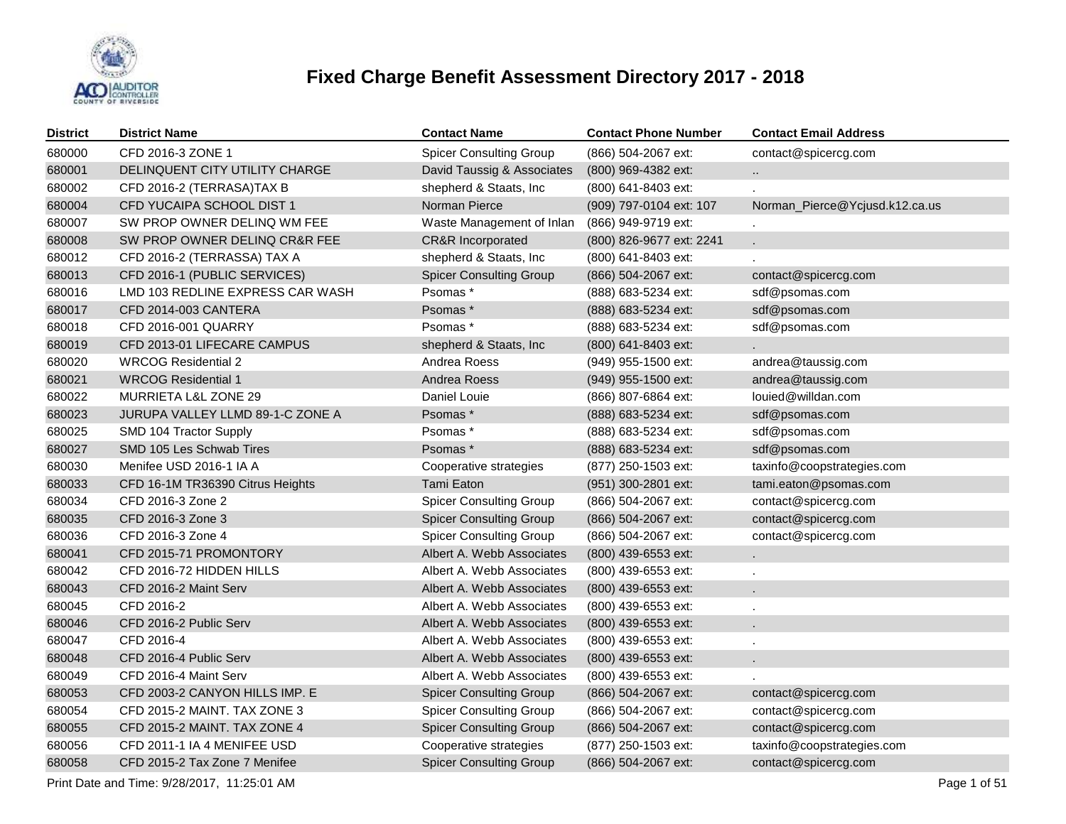

| <b>District</b> | <b>District Name</b>             | <b>Contact Name</b>            | <b>Contact Phone Number</b> | <b>Contact Email Address</b>   |
|-----------------|----------------------------------|--------------------------------|-----------------------------|--------------------------------|
| 680000          | CFD 2016-3 ZONE 1                | <b>Spicer Consulting Group</b> | (866) 504-2067 ext:         | contact@spicercg.com           |
| 680001          | DELINQUENT CITY UTILITY CHARGE   | David Taussig & Associates     | (800) 969-4382 ext:         | $\ddotsc$                      |
| 680002          | CFD 2016-2 (TERRASA)TAX B        | shepherd & Staats, Inc         | (800) 641-8403 ext:         |                                |
| 680004          | CFD YUCAIPA SCHOOL DIST 1        | Norman Pierce                  | (909) 797-0104 ext: 107     | Norman_Pierce@Ycjusd.k12.ca.us |
| 680007          | SW PROP OWNER DELINQ WM FEE      | Waste Management of Inlan      | (866) 949-9719 ext:         |                                |
| 680008          | SW PROP OWNER DELINQ CR&R FEE    | <b>CR&amp;R</b> Incorporated   | (800) 826-9677 ext: 2241    | ε.                             |
| 680012          | CFD 2016-2 (TERRASSA) TAX A      | shepherd & Staats, Inc         | (800) 641-8403 ext:         |                                |
| 680013          | CFD 2016-1 (PUBLIC SERVICES)     | <b>Spicer Consulting Group</b> | (866) 504-2067 ext:         | contact@spicercg.com           |
| 680016          | LMD 103 REDLINE EXPRESS CAR WASH | Psomas*                        | (888) 683-5234 ext:         | sdf@psomas.com                 |
| 680017          | CFD 2014-003 CANTERA             | Psomas *                       | (888) 683-5234 ext:         | sdf@psomas.com                 |
| 680018          | CFD 2016-001 QUARRY              | Psomas *                       | (888) 683-5234 ext:         | sdf@psomas.com                 |
| 680019          | CFD 2013-01 LIFECARE CAMPUS      | shepherd & Staats, Inc         | (800) 641-8403 ext:         |                                |
| 680020          | <b>WRCOG Residential 2</b>       | Andrea Roess                   | (949) 955-1500 ext:         | andrea@taussig.com             |
| 680021          | <b>WRCOG Residential 1</b>       | Andrea Roess                   | (949) 955-1500 ext:         | andrea@taussig.com             |
| 680022          | MURRIETA L&L ZONE 29             | Daniel Louie                   | (866) 807-6864 ext:         | louied@willdan.com             |
| 680023          | JURUPA VALLEY LLMD 89-1-C ZONE A | Psomas *                       | (888) 683-5234 ext:         | sdf@psomas.com                 |
| 680025          | SMD 104 Tractor Supply           | Psomas *                       | (888) 683-5234 ext:         | sdf@psomas.com                 |
| 680027          | SMD 105 Les Schwab Tires         | Psomas *                       | (888) 683-5234 ext:         | sdf@psomas.com                 |
| 680030          | Menifee USD 2016-1 IA A          | Cooperative strategies         | (877) 250-1503 ext:         | taxinfo@coopstrategies.com     |
| 680033          | CFD 16-1M TR36390 Citrus Heights | Tami Eaton                     | (951) 300-2801 ext:         | tami.eaton@psomas.com          |
| 680034          | CFD 2016-3 Zone 2                | <b>Spicer Consulting Group</b> | (866) 504-2067 ext:         | contact@spicercg.com           |
| 680035          | CFD 2016-3 Zone 3                | <b>Spicer Consulting Group</b> | (866) 504-2067 ext:         | contact@spicercg.com           |
| 680036          | CFD 2016-3 Zone 4                | <b>Spicer Consulting Group</b> | (866) 504-2067 ext:         | contact@spicercg.com           |
| 680041          | CFD 2015-71 PROMONTORY           | Albert A. Webb Associates      | (800) 439-6553 ext:         | L.                             |
| 680042          | CFD 2016-72 HIDDEN HILLS         | Albert A. Webb Associates      | (800) 439-6553 ext:         | ä,                             |
| 680043          | CFD 2016-2 Maint Serv            | Albert A. Webb Associates      | (800) 439-6553 ext:         | ÷.                             |
| 680045          | CFD 2016-2                       | Albert A. Webb Associates      | (800) 439-6553 ext:         |                                |
| 680046          | CFD 2016-2 Public Serv           | Albert A. Webb Associates      | (800) 439-6553 ext:         | ÷.                             |
| 680047          | CFD 2016-4                       | Albert A. Webb Associates      | (800) 439-6553 ext:         | ä,                             |
| 680048          | CFD 2016-4 Public Serv           | Albert A. Webb Associates      | (800) 439-6553 ext:         | ¥.                             |
| 680049          | CFD 2016-4 Maint Serv            | Albert A. Webb Associates      | (800) 439-6553 ext:         |                                |
| 680053          | CFD 2003-2 CANYON HILLS IMP. E   | <b>Spicer Consulting Group</b> | (866) 504-2067 ext:         | contact@spicercg.com           |
| 680054          | CFD 2015-2 MAINT. TAX ZONE 3     | <b>Spicer Consulting Group</b> | (866) 504-2067 ext:         | contact@spicercg.com           |
| 680055          | CFD 2015-2 MAINT. TAX ZONE 4     | <b>Spicer Consulting Group</b> | (866) 504-2067 ext:         | contact@spicercg.com           |
| 680056          | CFD 2011-1 IA 4 MENIFEE USD      | Cooperative strategies         | (877) 250-1503 ext:         | taxinfo@coopstrategies.com     |
| 680058          | CFD 2015-2 Tax Zone 7 Menifee    | <b>Spicer Consulting Group</b> | (866) 504-2067 ext:         | contact@spicercg.com           |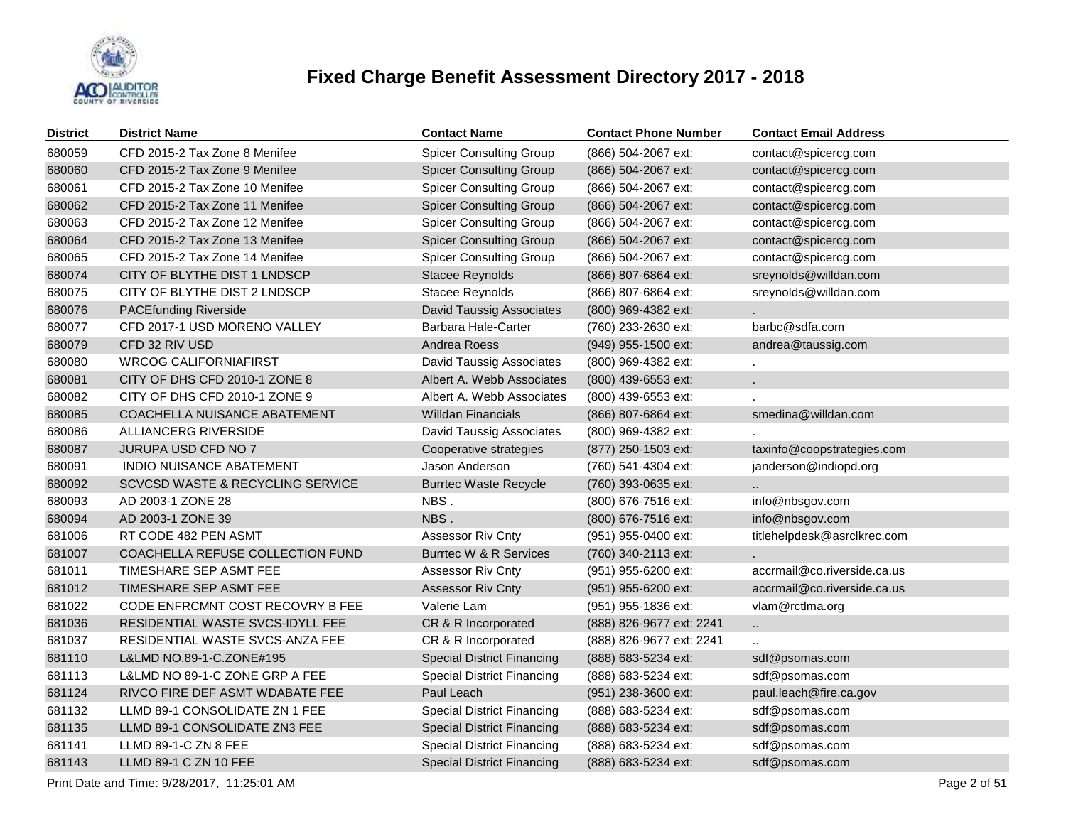

| <b>District</b> | <b>District Name</b>             | <b>Contact Name</b>               | <b>Contact Phone Number</b> | <b>Contact Email Address</b> |
|-----------------|----------------------------------|-----------------------------------|-----------------------------|------------------------------|
| 680059          | CFD 2015-2 Tax Zone 8 Menifee    | <b>Spicer Consulting Group</b>    | (866) 504-2067 ext:         | contact@spicercg.com         |
| 680060          | CFD 2015-2 Tax Zone 9 Menifee    | <b>Spicer Consulting Group</b>    | (866) 504-2067 ext:         | contact@spicercg.com         |
| 680061          | CFD 2015-2 Tax Zone 10 Menifee   | <b>Spicer Consulting Group</b>    | (866) 504-2067 ext:         | contact@spicercg.com         |
| 680062          | CFD 2015-2 Tax Zone 11 Menifee   | <b>Spicer Consulting Group</b>    | (866) 504-2067 ext:         | contact@spicercg.com         |
| 680063          | CFD 2015-2 Tax Zone 12 Menifee   | <b>Spicer Consulting Group</b>    | (866) 504-2067 ext:         | contact@spicercg.com         |
| 680064          | CFD 2015-2 Tax Zone 13 Menifee   | <b>Spicer Consulting Group</b>    | (866) 504-2067 ext:         | contact@spicercg.com         |
| 680065          | CFD 2015-2 Tax Zone 14 Menifee   | <b>Spicer Consulting Group</b>    | (866) 504-2067 ext:         | contact@spicercg.com         |
| 680074          | CITY OF BLYTHE DIST 1 LNDSCP     | <b>Stacee Reynolds</b>            | (866) 807-6864 ext:         | sreynolds@willdan.com        |
| 680075          | CITY OF BLYTHE DIST 2 LNDSCP     | Stacee Reynolds                   | (866) 807-6864 ext:         | sreynolds@willdan.com        |
| 680076          | <b>PACEfunding Riverside</b>     | <b>David Taussig Associates</b>   | (800) 969-4382 ext:         |                              |
| 680077          | CFD 2017-1 USD MORENO VALLEY     | Barbara Hale-Carter               | (760) 233-2630 ext:         | barbc@sdfa.com               |
| 680079          | CFD 32 RIV USD                   | Andrea Roess                      | (949) 955-1500 ext:         | andrea@taussig.com           |
| 680080          | <b>WRCOG CALIFORNIAFIRST</b>     | David Taussig Associates          | (800) 969-4382 ext:         |                              |
| 680081          | CITY OF DHS CFD 2010-1 ZONE 8    | Albert A. Webb Associates         | (800) 439-6553 ext:         |                              |
| 680082          | CITY OF DHS CFD 2010-1 ZONE 9    | Albert A. Webb Associates         | (800) 439-6553 ext:         |                              |
| 680085          | COACHELLA NUISANCE ABATEMENT     | Willdan Financials                | (866) 807-6864 ext:         | smedina@willdan.com          |
| 680086          | ALLIANCERG RIVERSIDE             | David Taussig Associates          | (800) 969-4382 ext:         |                              |
| 680087          | JURUPA USD CFD NO 7              | Cooperative strategies            | (877) 250-1503 ext:         | taxinfo@coopstrategies.com   |
| 680091          | <b>INDIO NUISANCE ABATEMENT</b>  | Jason Anderson                    | (760) 541-4304 ext:         | janderson@indiopd.org        |
| 680092          | SCVCSD WASTE & RECYCLING SERVICE | <b>Burrtec Waste Recycle</b>      | (760) 393-0635 ext:         |                              |
| 680093          | AD 2003-1 ZONE 28                | NBS.                              | (800) 676-7516 ext:         | info@nbsgov.com              |
| 680094          | AD 2003-1 ZONE 39                | NBS.                              | (800) 676-7516 ext:         | info@nbsgov.com              |
| 681006          | RT CODE 482 PEN ASMT             | <b>Assessor Riv Cnty</b>          | (951) 955-0400 ext:         | titlehelpdesk@asrclkrec.com  |
| 681007          | COACHELLA REFUSE COLLECTION FUND | Burrtec W & R Services            | (760) 340-2113 ext:         |                              |
| 681011          | TIMESHARE SEP ASMT FEE           | <b>Assessor Riv Cnty</b>          | (951) 955-6200 ext:         | accrmail@co.riverside.ca.us  |
| 681012          | TIMESHARE SEP ASMT FEE           | <b>Assessor Riv Cnty</b>          | (951) 955-6200 ext:         | accrmail@co.riverside.ca.us  |
| 681022          | CODE ENFRCMNT COST RECOVRY B FEE | Valerie Lam                       | (951) 955-1836 ext:         | vlam@rctlma.org              |
| 681036          | RESIDENTIAL WASTE SVCS-IDYLL FEE | CR & R Incorporated               | (888) 826-9677 ext: 2241    | $\ddotsc$                    |
| 681037          | RESIDENTIAL WASTE SVCS-ANZA FEE  | CR & R Incorporated               | (888) 826-9677 ext: 2241    |                              |
| 681110          | L&LMD NO.89-1-C.ZONE#195         | <b>Special District Financing</b> | (888) 683-5234 ext:         | sdf@psomas.com               |
| 681113          | L&LMD NO 89-1-C ZONE GRP A FEE   | <b>Special District Financing</b> | (888) 683-5234 ext:         | sdf@psomas.com               |
| 681124          | RIVCO FIRE DEF ASMT WDABATE FEE  | Paul Leach                        | (951) 238-3600 ext:         | paul.leach@fire.ca.gov       |
| 681132          | LLMD 89-1 CONSOLIDATE ZN 1 FEE   | <b>Special District Financing</b> | (888) 683-5234 ext:         | sdf@psomas.com               |
| 681135          | LLMD 89-1 CONSOLIDATE ZN3 FEE    | <b>Special District Financing</b> | (888) 683-5234 ext:         | sdf@psomas.com               |
| 681141          | LLMD 89-1-C ZN 8 FEE             | <b>Special District Financing</b> | (888) 683-5234 ext:         | sdf@psomas.com               |
| 681143          | LLMD 89-1 C ZN 10 FEE            | <b>Special District Financing</b> | (888) 683-5234 ext:         | sdf@psomas.com               |

Print Date and Time:  $9/28/2017$ , 11:25:01 AM Page 2 of 51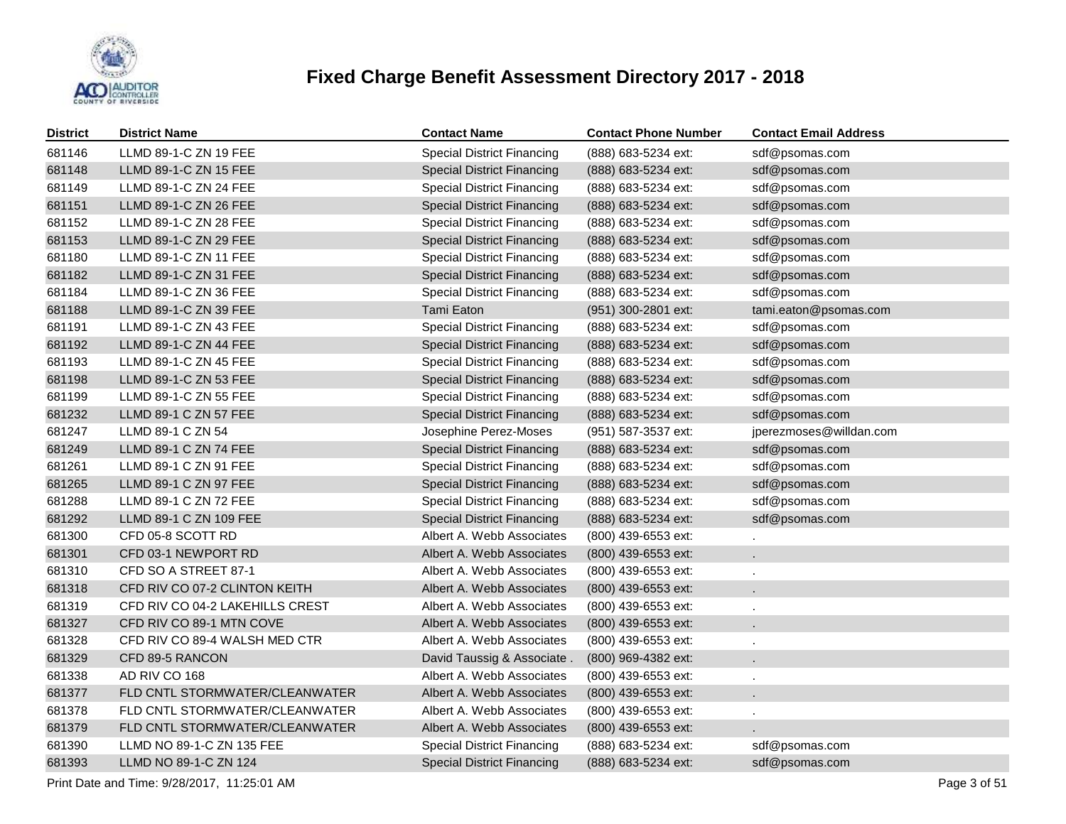

| <b>District</b> | <b>District Name</b>            | <b>Contact Name</b>               | <b>Contact Phone Number</b> | <b>Contact Email Address</b> |
|-----------------|---------------------------------|-----------------------------------|-----------------------------|------------------------------|
| 681146          | LLMD 89-1-C ZN 19 FEE           | <b>Special District Financing</b> | (888) 683-5234 ext:         | sdf@psomas.com               |
| 681148          | LLMD 89-1-C ZN 15 FEE           | <b>Special District Financing</b> | (888) 683-5234 ext:         | sdf@psomas.com               |
| 681149          | LLMD 89-1-C ZN 24 FEE           | <b>Special District Financing</b> | (888) 683-5234 ext:         | sdf@psomas.com               |
| 681151          | LLMD 89-1-C ZN 26 FEE           | <b>Special District Financing</b> | (888) 683-5234 ext:         | sdf@psomas.com               |
| 681152          | LLMD 89-1-C ZN 28 FEE           | <b>Special District Financing</b> | (888) 683-5234 ext:         | sdf@psomas.com               |
| 681153          | LLMD 89-1-C ZN 29 FEE           | <b>Special District Financing</b> | (888) 683-5234 ext:         | sdf@psomas.com               |
| 681180          | LLMD 89-1-C ZN 11 FEE           | <b>Special District Financing</b> | (888) 683-5234 ext:         | sdf@psomas.com               |
| 681182          | LLMD 89-1-C ZN 31 FEE           | <b>Special District Financing</b> | (888) 683-5234 ext:         | sdf@psomas.com               |
| 681184          | LLMD 89-1-C ZN 36 FEE           | <b>Special District Financing</b> | (888) 683-5234 ext:         | sdf@psomas.com               |
| 681188          | LLMD 89-1-C ZN 39 FEE           | Tami Eaton                        | (951) 300-2801 ext:         | tami.eaton@psomas.com        |
| 681191          | LLMD 89-1-C ZN 43 FEE           | <b>Special District Financing</b> | (888) 683-5234 ext:         | sdf@psomas.com               |
| 681192          | LLMD 89-1-C ZN 44 FEE           | <b>Special District Financing</b> | (888) 683-5234 ext:         | sdf@psomas.com               |
| 681193          | LLMD 89-1-C ZN 45 FEE           | <b>Special District Financing</b> | (888) 683-5234 ext:         | sdf@psomas.com               |
| 681198          | LLMD 89-1-C ZN 53 FEE           | <b>Special District Financing</b> | (888) 683-5234 ext:         | sdf@psomas.com               |
| 681199          | LLMD 89-1-C ZN 55 FEE           | <b>Special District Financing</b> | (888) 683-5234 ext:         | sdf@psomas.com               |
| 681232          | LLMD 89-1 C ZN 57 FEE           | <b>Special District Financing</b> | (888) 683-5234 ext:         | sdf@psomas.com               |
| 681247          | LLMD 89-1 C ZN 54               | Josephine Perez-Moses             | (951) 587-3537 ext:         | jperezmoses@willdan.com      |
| 681249          | LLMD 89-1 C ZN 74 FEE           | <b>Special District Financing</b> | (888) 683-5234 ext:         | sdf@psomas.com               |
| 681261          | LLMD 89-1 C ZN 91 FEE           | <b>Special District Financing</b> | (888) 683-5234 ext:         | sdf@psomas.com               |
| 681265          | LLMD 89-1 C ZN 97 FEE           | <b>Special District Financing</b> | (888) 683-5234 ext:         | sdf@psomas.com               |
| 681288          | LLMD 89-1 C ZN 72 FEE           | <b>Special District Financing</b> | (888) 683-5234 ext:         | sdf@psomas.com               |
| 681292          | LLMD 89-1 C ZN 109 FEE          | <b>Special District Financing</b> | (888) 683-5234 ext:         | sdf@psomas.com               |
| 681300          | CFD 05-8 SCOTT RD               | Albert A. Webb Associates         | (800) 439-6553 ext:         | $\mathbf{r}$                 |
| 681301          | CFD 03-1 NEWPORT RD             | Albert A. Webb Associates         | (800) 439-6553 ext:         |                              |
| 681310          | CFD SO A STREET 87-1            | Albert A. Webb Associates         | (800) 439-6553 ext:         |                              |
| 681318          | CFD RIV CO 07-2 CLINTON KEITH   | Albert A. Webb Associates         | (800) 439-6553 ext:         |                              |
| 681319          | CFD RIV CO 04-2 LAKEHILLS CREST | Albert A. Webb Associates         | (800) 439-6553 ext:         |                              |
| 681327          | CFD RIV CO 89-1 MTN COVE        | Albert A. Webb Associates         | (800) 439-6553 ext:         |                              |
| 681328          | CFD RIV CO 89-4 WALSH MED CTR   | Albert A. Webb Associates         | (800) 439-6553 ext:         |                              |
| 681329          | CFD 89-5 RANCON                 | David Taussig & Associate.        | (800) 969-4382 ext:         |                              |
| 681338          | AD RIV CO 168                   | Albert A. Webb Associates         | (800) 439-6553 ext:         |                              |
| 681377          | FLD CNTL STORMWATER/CLEANWATER  | Albert A. Webb Associates         | (800) 439-6553 ext:         |                              |
| 681378          | FLD CNTL STORMWATER/CLEANWATER  | Albert A. Webb Associates         | (800) 439-6553 ext:         |                              |
| 681379          | FLD CNTL STORMWATER/CLEANWATER  | Albert A. Webb Associates         | (800) 439-6553 ext:         |                              |
| 681390          | LLMD NO 89-1-C ZN 135 FEE       | <b>Special District Financing</b> | (888) 683-5234 ext:         | sdf@psomas.com               |
| 681393          | LLMD NO 89-1-C ZN 124           | <b>Special District Financing</b> | (888) 683-5234 ext:         | sdf@psomas.com               |

Print Date and Time:  $9/28/2017$ , 11:25:01 AM Page 3 of 51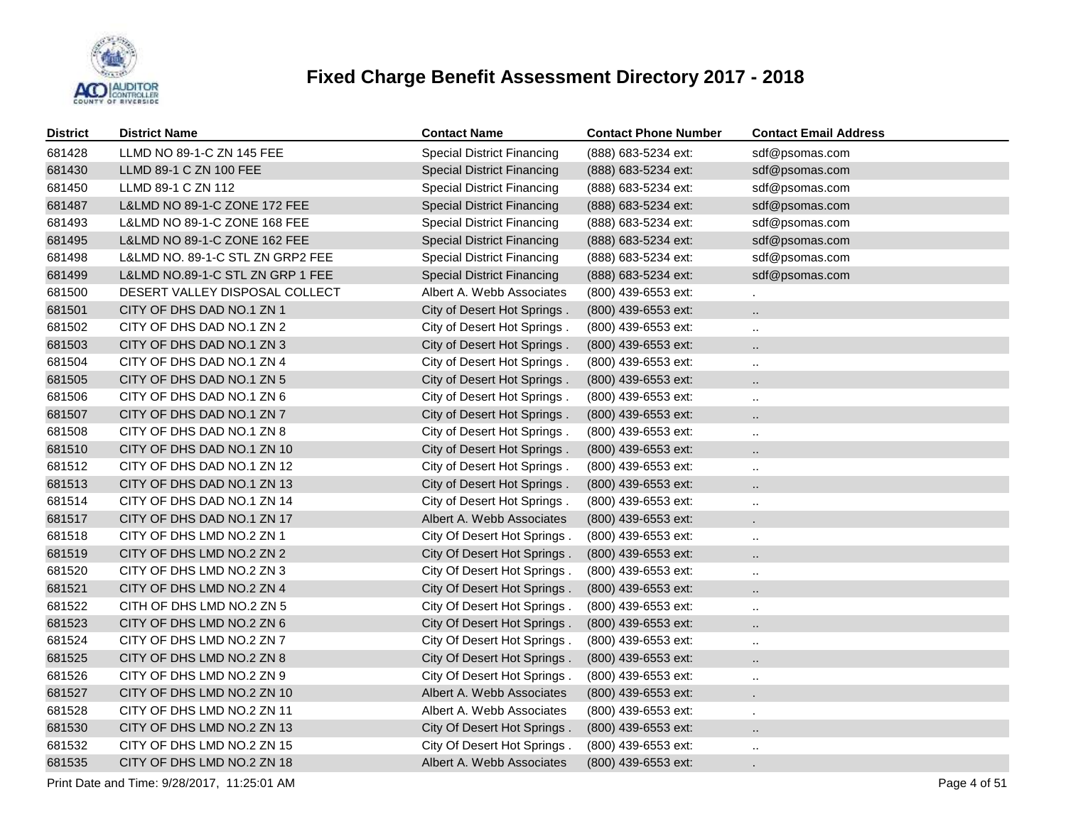

| <b>District</b> | <b>District Name</b>             | <b>Contact Name</b>               | <b>Contact Phone Number</b> | <b>Contact Email Address</b> |
|-----------------|----------------------------------|-----------------------------------|-----------------------------|------------------------------|
| 681428          | LLMD NO 89-1-C ZN 145 FEE        | <b>Special District Financing</b> | (888) 683-5234 ext:         | sdf@psomas.com               |
| 681430          | LLMD 89-1 C ZN 100 FEE           | <b>Special District Financing</b> | (888) 683-5234 ext:         | sdf@psomas.com               |
| 681450          | LLMD 89-1 C ZN 112               | <b>Special District Financing</b> | (888) 683-5234 ext:         | sdf@psomas.com               |
| 681487          | L&LMD NO 89-1-C ZONE 172 FEE     | <b>Special District Financing</b> | (888) 683-5234 ext:         | sdf@psomas.com               |
| 681493          | L&LMD NO 89-1-C ZONE 168 FEE     | <b>Special District Financing</b> | (888) 683-5234 ext:         | sdf@psomas.com               |
| 681495          | L&LMD NO 89-1-C ZONE 162 FEE     | <b>Special District Financing</b> | (888) 683-5234 ext:         | sdf@psomas.com               |
| 681498          | L&LMD NO. 89-1-C STL ZN GRP2 FEE | <b>Special District Financing</b> | (888) 683-5234 ext:         | sdf@psomas.com               |
| 681499          | L&LMD NO.89-1-C STL ZN GRP 1 FEE | <b>Special District Financing</b> | (888) 683-5234 ext:         | sdf@psomas.com               |
| 681500          | DESERT VALLEY DISPOSAL COLLECT   | Albert A. Webb Associates         | (800) 439-6553 ext:         |                              |
| 681501          | CITY OF DHS DAD NO.1 ZN 1        | City of Desert Hot Springs.       | (800) 439-6553 ext:         | $\ddotsc$                    |
| 681502          | CITY OF DHS DAD NO.1 ZN 2        | City of Desert Hot Springs.       | (800) 439-6553 ext:         | $\ddotsc$                    |
| 681503          | CITY OF DHS DAD NO.1 ZN 3        | City of Desert Hot Springs.       | (800) 439-6553 ext:         | $\ddot{\phantom{a}}$         |
| 681504          | CITY OF DHS DAD NO.1 ZN 4        | City of Desert Hot Springs.       | (800) 439-6553 ext:         | $\ldots$                     |
| 681505          | CITY OF DHS DAD NO.1 ZN 5        | City of Desert Hot Springs.       | (800) 439-6553 ext:         | $\ddot{\phantom{a}}$         |
| 681506          | CITY OF DHS DAD NO.1 ZN 6        | City of Desert Hot Springs.       | (800) 439-6553 ext:         | $\sim$                       |
| 681507          | CITY OF DHS DAD NO.1 ZN 7        | City of Desert Hot Springs.       | (800) 439-6553 ext:         | $\cdot$ .                    |
| 681508          | CITY OF DHS DAD NO.1 ZN 8        | City of Desert Hot Springs.       | (800) 439-6553 ext:         | $\ddot{\phantom{1}}$         |
| 681510          | CITY OF DHS DAD NO.1 ZN 10       | City of Desert Hot Springs.       | (800) 439-6553 ext:         | $\ddot{\phantom{a}}$         |
| 681512          | CITY OF DHS DAD NO.1 ZN 12       | City of Desert Hot Springs.       | (800) 439-6553 ext:         | $\cdot$ .                    |
| 681513          | CITY OF DHS DAD NO.1 ZN 13       | City of Desert Hot Springs.       | (800) 439-6553 ext:         | $\ddotsc$                    |
| 681514          | CITY OF DHS DAD NO.1 ZN 14       | City of Desert Hot Springs.       | (800) 439-6553 ext:         | $\cdot$ .                    |
| 681517          | CITY OF DHS DAD NO.1 ZN 17       | Albert A. Webb Associates         | (800) 439-6553 ext:         | $\mathbf{r}$                 |
| 681518          | CITY OF DHS LMD NO.2 ZN 1        | City Of Desert Hot Springs.       | (800) 439-6553 ext:         | $\ddot{\phantom{1}}$         |
| 681519          | CITY OF DHS LMD NO.2 ZN 2        | City Of Desert Hot Springs.       | (800) 439-6553 ext:         | $\ddotsc$                    |
| 681520          | CITY OF DHS LMD NO.2 ZN 3        | City Of Desert Hot Springs.       | (800) 439-6553 ext:         | $\ddot{\phantom{1}}$         |
| 681521          | CITY OF DHS LMD NO.2 ZN 4        | City Of Desert Hot Springs.       | (800) 439-6553 ext:         | $\ddot{\phantom{1}}$         |
| 681522          | CITH OF DHS LMD NO.2 ZN 5        | City Of Desert Hot Springs.       | (800) 439-6553 ext:         | $\ddot{\phantom{1}}$         |
| 681523          | CITY OF DHS LMD NO.2 ZN 6        | City Of Desert Hot Springs.       | (800) 439-6553 ext:         | $\ddot{\phantom{a}}$         |
| 681524          | CITY OF DHS LMD NO.2 ZN 7        | City Of Desert Hot Springs.       | (800) 439-6553 ext:         | $\ddot{\phantom{1}}$         |
| 681525          | CITY OF DHS LMD NO.2 ZN 8        | City Of Desert Hot Springs.       | (800) 439-6553 ext:         | $\ddot{\phantom{a}}$         |
| 681526          | CITY OF DHS LMD NO.2 ZN 9        | City Of Desert Hot Springs.       | (800) 439-6553 ext:         | $\sim$                       |
| 681527          | CITY OF DHS LMD NO.2 ZN 10       | Albert A. Webb Associates         | (800) 439-6553 ext:         | $\epsilon$                   |
| 681528          | CITY OF DHS LMD NO.2 ZN 11       | Albert A. Webb Associates         | (800) 439-6553 ext:         | $\blacksquare$               |
| 681530          | CITY OF DHS LMD NO.2 ZN 13       | City Of Desert Hot Springs.       | (800) 439-6553 ext:         | $\cdot$ .                    |
| 681532          | CITY OF DHS LMD NO.2 ZN 15       | City Of Desert Hot Springs.       | (800) 439-6553 ext:         | $\ldots$                     |
| 681535          | CITY OF DHS LMD NO.2 ZN 18       | Albert A. Webb Associates         | (800) 439-6553 ext:         |                              |

Print Date and Time:  $9/28/2017$ , 11:25:01 AM Page 4 of 51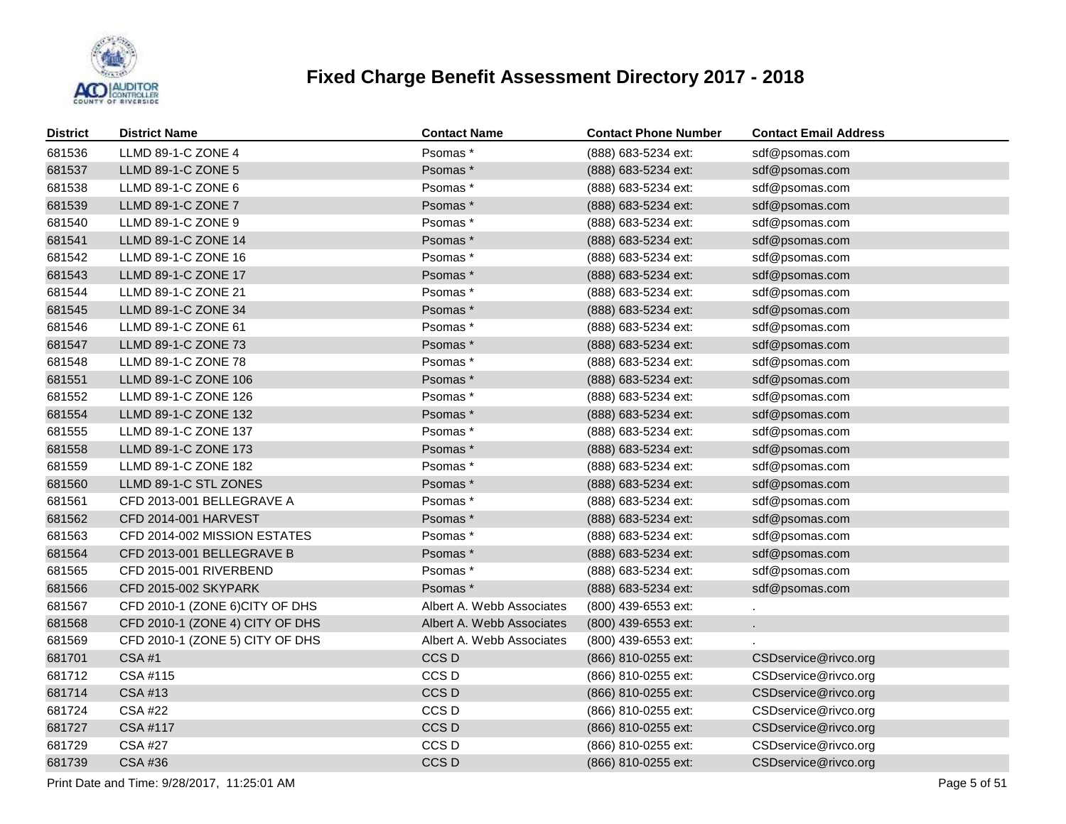

| <b>District</b> | <b>District Name</b>            | <b>Contact Name</b>       | <b>Contact Phone Number</b> | <b>Contact Email Address</b> |
|-----------------|---------------------------------|---------------------------|-----------------------------|------------------------------|
| 681536          | LLMD 89-1-C ZONE 4              | Psomas*                   | (888) 683-5234 ext:         | sdf@psomas.com               |
| 681537          | LLMD 89-1-C ZONE 5              | Psomas*                   | (888) 683-5234 ext:         | sdf@psomas.com               |
| 681538          | LLMD 89-1-C ZONE 6              | Psomas*                   | (888) 683-5234 ext:         | sdf@psomas.com               |
| 681539          | LLMD 89-1-C ZONE 7              | Psomas*                   | (888) 683-5234 ext:         | sdf@psomas.com               |
| 681540          | LLMD 89-1-C ZONE 9              | Psomas*                   | (888) 683-5234 ext:         | sdf@psomas.com               |
| 681541          | LLMD 89-1-C ZONE 14             | Psomas*                   | (888) 683-5234 ext:         | sdf@psomas.com               |
| 681542          | LLMD 89-1-C ZONE 16             | Psomas*                   | (888) 683-5234 ext:         | sdf@psomas.com               |
| 681543          | LLMD 89-1-C ZONE 17             | Psomas*                   | (888) 683-5234 ext:         | sdf@psomas.com               |
| 681544          | LLMD 89-1-C ZONE 21             | Psomas*                   | (888) 683-5234 ext:         | sdf@psomas.com               |
| 681545          | LLMD 89-1-C ZONE 34             | Psomas*                   | (888) 683-5234 ext:         | sdf@psomas.com               |
| 681546          | LLMD 89-1-C ZONE 61             | Psomas*                   | (888) 683-5234 ext:         | sdf@psomas.com               |
| 681547          | LLMD 89-1-C ZONE 73             | Psomas*                   | (888) 683-5234 ext:         | sdf@psomas.com               |
| 681548          | LLMD 89-1-C ZONE 78             | Psomas*                   | (888) 683-5234 ext:         | sdf@psomas.com               |
| 681551          | LLMD 89-1-C ZONE 106            | Psomas*                   | (888) 683-5234 ext:         | sdf@psomas.com               |
| 681552          | LLMD 89-1-C ZONE 126            | Psomas*                   | (888) 683-5234 ext:         | sdf@psomas.com               |
| 681554          | LLMD 89-1-C ZONE 132            | Psomas*                   | (888) 683-5234 ext:         | sdf@psomas.com               |
| 681555          | LLMD 89-1-C ZONE 137            | Psomas*                   | (888) 683-5234 ext:         | sdf@psomas.com               |
| 681558          | LLMD 89-1-C ZONE 173            | Psomas*                   | (888) 683-5234 ext:         | sdf@psomas.com               |
| 681559          | LLMD 89-1-C ZONE 182            | Psomas*                   | (888) 683-5234 ext:         | sdf@psomas.com               |
| 681560          | LLMD 89-1-C STL ZONES           | Psomas*                   | (888) 683-5234 ext:         | sdf@psomas.com               |
| 681561          | CFD 2013-001 BELLEGRAVE A       | Psomas*                   | (888) 683-5234 ext:         | sdf@psomas.com               |
| 681562          | <b>CFD 2014-001 HARVEST</b>     | Psomas*                   | (888) 683-5234 ext:         | sdf@psomas.com               |
| 681563          | CFD 2014-002 MISSION ESTATES    | Psomas*                   | (888) 683-5234 ext:         | sdf@psomas.com               |
| 681564          | CFD 2013-001 BELLEGRAVE B       | Psomas*                   | (888) 683-5234 ext:         | sdf@psomas.com               |
| 681565          | CFD 2015-001 RIVERBEND          | Psomas*                   | (888) 683-5234 ext:         | sdf@psomas.com               |
| 681566          | CFD 2015-002 SKYPARK            | Psomas*                   | (888) 683-5234 ext:         | sdf@psomas.com               |
| 681567          | CFD 2010-1 (ZONE 6)CITY OF DHS  | Albert A. Webb Associates | (800) 439-6553 ext:         |                              |
| 681568          | CFD 2010-1 (ZONE 4) CITY OF DHS | Albert A. Webb Associates | (800) 439-6553 ext:         | ä,                           |
| 681569          | CFD 2010-1 (ZONE 5) CITY OF DHS | Albert A. Webb Associates | (800) 439-6553 ext:         |                              |
| 681701          | <b>CSA#1</b>                    | CCS D                     | (866) 810-0255 ext:         | CSDservice@rivco.org         |
| 681712          | CSA #115                        | CCS D                     | (866) 810-0255 ext:         | CSDservice@rivco.org         |
| 681714          | <b>CSA #13</b>                  | CCS D                     | (866) 810-0255 ext:         | CSDservice@rivco.org         |
| 681724          | <b>CSA #22</b>                  | CCS D                     | (866) 810-0255 ext:         | CSDservice@rivco.org         |
| 681727          | <b>CSA #117</b>                 | CCS D                     | (866) 810-0255 ext:         | CSDservice@rivco.org         |
| 681729          | <b>CSA #27</b>                  | CCS D                     | (866) 810-0255 ext:         | CSDservice@rivco.org         |
| 681739          | <b>CSA #36</b>                  | CCS D                     | (866) 810-0255 ext:         | CSDservice@rivco.org         |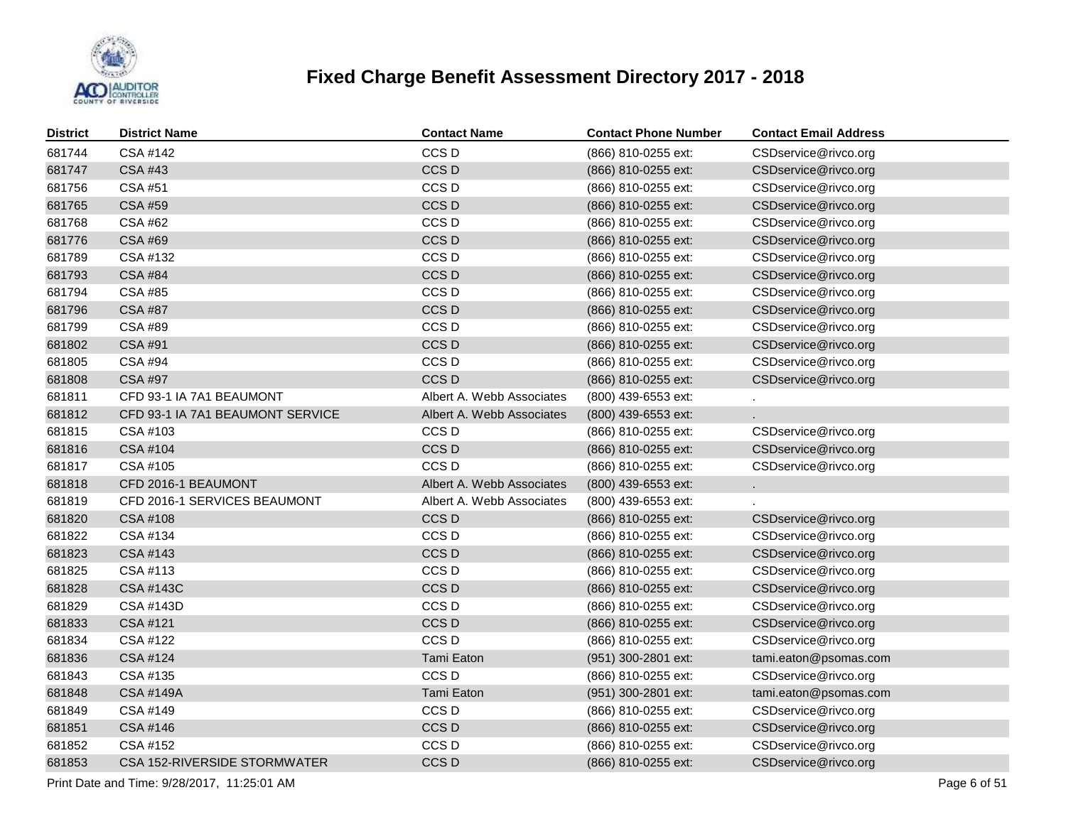

| <b>District</b> | <b>District Name</b>             | <b>Contact Name</b>       | <b>Contact Phone Number</b> | <b>Contact Email Address</b> |
|-----------------|----------------------------------|---------------------------|-----------------------------|------------------------------|
| 681744          | CSA #142                         | CCS <sub>D</sub>          | (866) 810-0255 ext:         | CSDservice@rivco.org         |
| 681747          | <b>CSA #43</b>                   | CCS <sub>D</sub>          | (866) 810-0255 ext:         | CSDservice@rivco.org         |
| 681756          | CSA #51                          | CCS <sub>D</sub>          | (866) 810-0255 ext:         | CSDservice@rivco.org         |
| 681765          | <b>CSA #59</b>                   | CCS <sub>D</sub>          | (866) 810-0255 ext:         | CSDservice@rivco.org         |
| 681768          | CSA #62                          | CCS <sub>D</sub>          | (866) 810-0255 ext:         | CSDservice@rivco.org         |
| 681776          | <b>CSA #69</b>                   | CCS <sub>D</sub>          | (866) 810-0255 ext:         | CSDservice@rivco.org         |
| 681789          | CSA #132                         | CCS <sub>D</sub>          | (866) 810-0255 ext:         | CSDservice@rivco.org         |
| 681793          | <b>CSA #84</b>                   | CCS <sub>D</sub>          | (866) 810-0255 ext:         | CSDservice@rivco.org         |
| 681794          | <b>CSA #85</b>                   | CCS <sub>D</sub>          | (866) 810-0255 ext:         | CSDservice@rivco.org         |
| 681796          | <b>CSA #87</b>                   | CCS <sub>D</sub>          | (866) 810-0255 ext:         | CSDservice@rivco.org         |
| 681799          | CSA #89                          | CCS <sub>D</sub>          | (866) 810-0255 ext:         | CSDservice@rivco.org         |
| 681802          | <b>CSA #91</b>                   | CCS <sub>D</sub>          | (866) 810-0255 ext:         | CSDservice@rivco.org         |
| 681805          | <b>CSA #94</b>                   | CCS <sub>D</sub>          | (866) 810-0255 ext:         | CSDservice@rivco.org         |
| 681808          | CSA #97                          | CCS <sub>D</sub>          | (866) 810-0255 ext:         | CSDservice@rivco.org         |
| 681811          | CFD 93-1 IA 7A1 BEAUMONT         | Albert A. Webb Associates | (800) 439-6553 ext:         |                              |
| 681812          | CFD 93-1 IA 7A1 BEAUMONT SERVICE | Albert A. Webb Associates | (800) 439-6553 ext:         |                              |
| 681815          | CSA #103                         | CCS <sub>D</sub>          | (866) 810-0255 ext:         | CSDservice@rivco.org         |
| 681816          | CSA #104                         | CCS <sub>D</sub>          | (866) 810-0255 ext:         | CSDservice@rivco.org         |
| 681817          | CSA #105                         | CCS <sub>D</sub>          | (866) 810-0255 ext:         | CSDservice@rivco.org         |
| 681818          | CFD 2016-1 BEAUMONT              | Albert A. Webb Associates | (800) 439-6553 ext:         | k.                           |
| 681819          | CFD 2016-1 SERVICES BEAUMONT     | Albert A. Webb Associates | (800) 439-6553 ext:         |                              |
| 681820          | CSA #108                         | CCS D                     | (866) 810-0255 ext:         | CSDservice@rivco.org         |
| 681822          | CSA #134                         | CCS <sub>D</sub>          | (866) 810-0255 ext:         | CSDservice@rivco.org         |
| 681823          | <b>CSA #143</b>                  | CCS <sub>D</sub>          | (866) 810-0255 ext:         | CSDservice@rivco.org         |
| 681825          | CSA #113                         | CCS <sub>D</sub>          | (866) 810-0255 ext:         | CSDservice@rivco.org         |
| 681828          | <b>CSA #143C</b>                 | CCS <sub>D</sub>          | (866) 810-0255 ext:         | CSDservice@rivco.org         |
| 681829          | CSA #143D                        | CCS <sub>D</sub>          | (866) 810-0255 ext:         | CSDservice@rivco.org         |
| 681833          | CSA #121                         | CCS <sub>D</sub>          | (866) 810-0255 ext:         | CSDservice@rivco.org         |
| 681834          | CSA #122                         | CCS <sub>D</sub>          | (866) 810-0255 ext:         | CSDservice@rivco.org         |
| 681836          | CSA #124                         | Tami Eaton                | (951) 300-2801 ext:         | tami.eaton@psomas.com        |
| 681843          | CSA #135                         | CCS <sub>D</sub>          | (866) 810-0255 ext:         | CSDservice@rivco.org         |
| 681848          | <b>CSA #149A</b>                 | Tami Eaton                | (951) 300-2801 ext:         | tami.eaton@psomas.com        |
| 681849          | CSA #149                         | CCS <sub>D</sub>          | (866) 810-0255 ext:         | CSDservice@rivco.org         |
| 681851          | CSA #146                         | CCS <sub>D</sub>          | (866) 810-0255 ext:         | CSDservice@rivco.org         |
| 681852          | CSA #152                         | CCS <sub>D</sub>          | (866) 810-0255 ext:         | CSDservice@rivco.org         |
| 681853          | CSA 152-RIVERSIDE STORMWATER     | CCS <sub>D</sub>          | (866) 810-0255 ext:         | CSDservice@rivco.org         |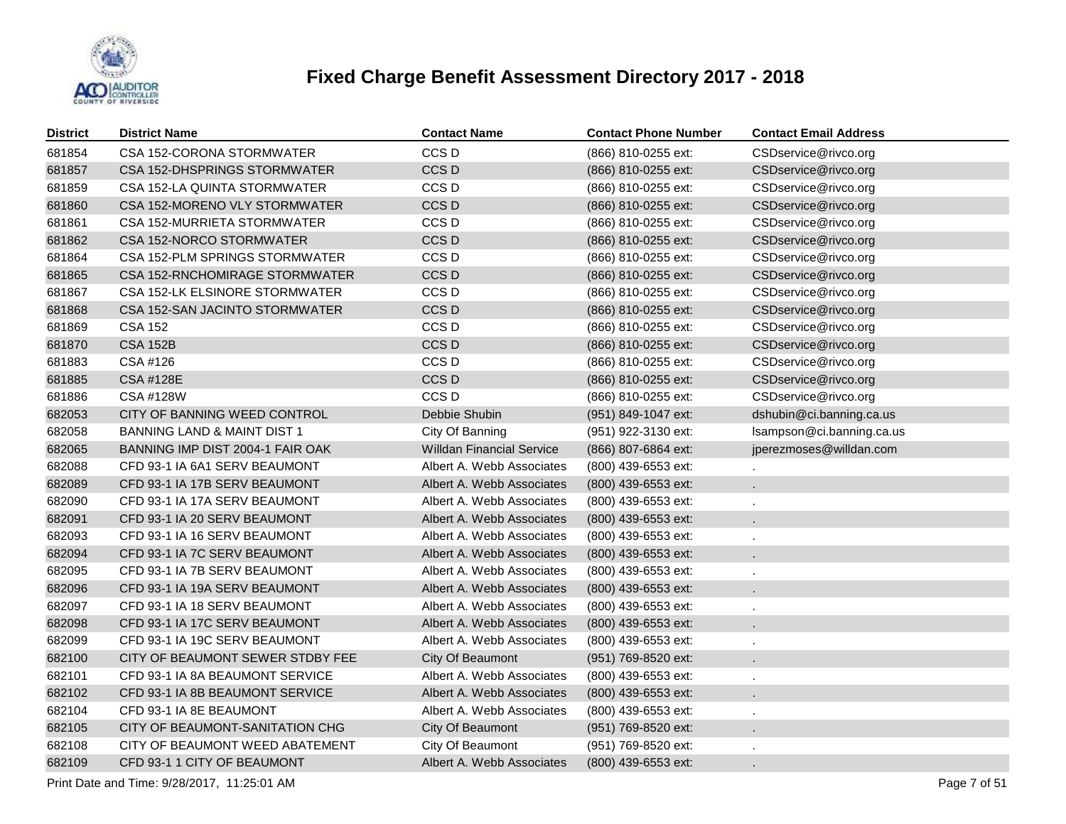

| <b>District</b> | <b>District Name</b>                   | <b>Contact Name</b>              | <b>Contact Phone Number</b> | <b>Contact Email Address</b> |
|-----------------|----------------------------------------|----------------------------------|-----------------------------|------------------------------|
| 681854          | CSA 152-CORONA STORMWATER              | CCS <sub>D</sub>                 | (866) 810-0255 ext:         | CSDservice@rivco.org         |
| 681857          | CSA 152-DHSPRINGS STORMWATER           | CCS <sub>D</sub>                 | (866) 810-0255 ext:         | CSDservice@rivco.org         |
| 681859          | CSA 152-LA QUINTA STORMWATER           | CCS <sub>D</sub>                 | (866) 810-0255 ext:         | CSDservice@rivco.org         |
| 681860          | CSA 152-MORENO VLY STORMWATER          | CCS <sub>D</sub>                 | (866) 810-0255 ext:         | CSDservice@rivco.org         |
| 681861          | CSA 152-MURRIETA STORMWATER            | CCS <sub>D</sub>                 | (866) 810-0255 ext:         | CSDservice@rivco.org         |
| 681862          | CSA 152-NORCO STORMWATER               | CCS <sub>D</sub>                 | (866) 810-0255 ext:         | CSDservice@rivco.org         |
| 681864          | CSA 152-PLM SPRINGS STORMWATER         | CCS <sub>D</sub>                 | (866) 810-0255 ext:         | CSDservice@rivco.org         |
| 681865          | CSA 152-RNCHOMIRAGE STORMWATER         | CCS D                            | (866) 810-0255 ext:         | CSDservice@rivco.org         |
| 681867          | CSA 152-LK ELSINORE STORMWATER         | CCS <sub>D</sub>                 | (866) 810-0255 ext:         | CSDservice@rivco.org         |
| 681868          | CSA 152-SAN JACINTO STORMWATER         | CCS D                            | (866) 810-0255 ext:         | CSDservice@rivco.org         |
| 681869          | <b>CSA 152</b>                         | CCS <sub>D</sub>                 | (866) 810-0255 ext:         | CSDservice@rivco.org         |
| 681870          | <b>CSA 152B</b>                        | CCS D                            | (866) 810-0255 ext:         | CSDservice@rivco.org         |
| 681883          | CSA #126                               | CCS D                            | (866) 810-0255 ext:         | CSDservice@rivco.org         |
| 681885          | <b>CSA #128E</b>                       | CCS D                            | (866) 810-0255 ext:         | CSDservice@rivco.org         |
| 681886          | CSA #128W                              | CCS D                            | (866) 810-0255 ext:         | CSDservice@rivco.org         |
| 682053          | CITY OF BANNING WEED CONTROL           | Debbie Shubin                    | (951) 849-1047 ext:         | dshubin@ci.banning.ca.us     |
| 682058          | <b>BANNING LAND &amp; MAINT DIST 1</b> | City Of Banning                  | (951) 922-3130 ext:         | Isampson@ci.banning.ca.us    |
| 682065          | BANNING IMP DIST 2004-1 FAIR OAK       | <b>Willdan Financial Service</b> | (866) 807-6864 ext:         | jperezmoses@willdan.com      |
| 682088          | CFD 93-1 IA 6A1 SERV BEAUMONT          | Albert A. Webb Associates        | (800) 439-6553 ext:         |                              |
| 682089          | CFD 93-1 IA 17B SERV BEAUMONT          | Albert A. Webb Associates        | (800) 439-6553 ext:         |                              |
| 682090          | CFD 93-1 IA 17A SERV BEAUMONT          | Albert A. Webb Associates        | (800) 439-6553 ext:         |                              |
| 682091          | CFD 93-1 IA 20 SERV BEAUMONT           | Albert A. Webb Associates        | (800) 439-6553 ext:         |                              |
| 682093          | CFD 93-1 IA 16 SERV BEAUMONT           | Albert A. Webb Associates        | (800) 439-6553 ext:         |                              |
| 682094          | CFD 93-1 IA 7C SERV BEAUMONT           | Albert A. Webb Associates        | (800) 439-6553 ext:         |                              |
| 682095          | CFD 93-1 IA 7B SERV BEAUMONT           | Albert A. Webb Associates        | (800) 439-6553 ext:         |                              |
| 682096          | CFD 93-1 IA 19A SERV BEAUMONT          | Albert A. Webb Associates        | (800) 439-6553 ext:         |                              |
| 682097          | CFD 93-1 IA 18 SERV BEAUMONT           | Albert A. Webb Associates        | (800) 439-6553 ext:         |                              |
| 682098          | CFD 93-1 IA 17C SERV BEAUMONT          | Albert A. Webb Associates        | (800) 439-6553 ext:         |                              |
| 682099          | CFD 93-1 IA 19C SERV BEAUMONT          | Albert A. Webb Associates        | (800) 439-6553 ext:         |                              |
| 682100          | CITY OF BEAUMONT SEWER STDBY FEE       | City Of Beaumont                 | (951) 769-8520 ext:         |                              |
| 682101          | CFD 93-1 IA 8A BEAUMONT SERVICE        | Albert A. Webb Associates        | (800) 439-6553 ext:         | $\ddot{\phantom{a}}$         |
| 682102          | CFD 93-1 IA 8B BEAUMONT SERVICE        | Albert A. Webb Associates        | (800) 439-6553 ext:         |                              |
| 682104          | CFD 93-1 IA 8E BEAUMONT                | Albert A. Webb Associates        | (800) 439-6553 ext:         | ×,                           |
| 682105          | CITY OF BEAUMONT-SANITATION CHG        | City Of Beaumont                 | (951) 769-8520 ext:         |                              |
| 682108          | CITY OF BEAUMONT WEED ABATEMENT        | City Of Beaumont                 | (951) 769-8520 ext:         |                              |
| 682109          | CFD 93-1 1 CITY OF BEAUMONT            | Albert A. Webb Associates        | (800) 439-6553 ext:         |                              |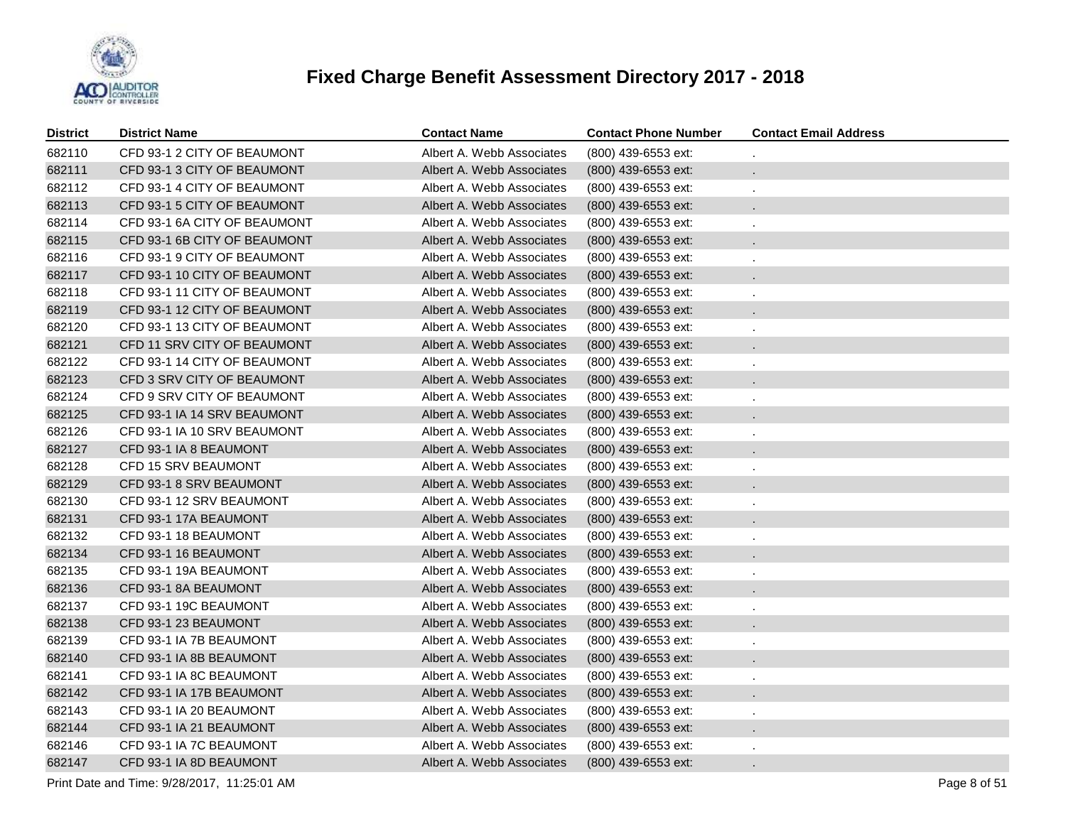

| <b>District</b> | <b>District Name</b>         | <b>Contact Name</b>       | <b>Contact Phone Number</b> | <b>Contact Email Address</b> |
|-----------------|------------------------------|---------------------------|-----------------------------|------------------------------|
| 682110          | CFD 93-1 2 CITY OF BEAUMONT  | Albert A. Webb Associates | (800) 439-6553 ext:         |                              |
| 682111          | CFD 93-1 3 CITY OF BEAUMONT  | Albert A. Webb Associates | (800) 439-6553 ext:         | ä.                           |
| 682112          | CFD 93-1 4 CITY OF BEAUMONT  | Albert A. Webb Associates | (800) 439-6553 ext:         | $\epsilon$                   |
| 682113          | CFD 93-1 5 CITY OF BEAUMONT  | Albert A. Webb Associates | (800) 439-6553 ext:         |                              |
| 682114          | CFD 93-1 6A CITY OF BEAUMONT | Albert A. Webb Associates | (800) 439-6553 ext:         | ä,                           |
| 682115          | CFD 93-1 6B CITY OF BEAUMONT | Albert A. Webb Associates | (800) 439-6553 ext:         |                              |
| 682116          | CFD 93-1 9 CITY OF BEAUMONT  | Albert A. Webb Associates | (800) 439-6553 ext:         | ä,                           |
| 682117          | CFD 93-1 10 CITY OF BEAUMONT | Albert A. Webb Associates | (800) 439-6553 ext:         |                              |
| 682118          | CFD 93-1 11 CITY OF BEAUMONT | Albert A. Webb Associates | (800) 439-6553 ext:         | ä,                           |
| 682119          | CFD 93-1 12 CITY OF BEAUMONT | Albert A. Webb Associates | (800) 439-6553 ext:         |                              |
| 682120          | CFD 93-1 13 CITY OF BEAUMONT | Albert A. Webb Associates | (800) 439-6553 ext:         | ä,                           |
| 682121          | CFD 11 SRV CITY OF BEAUMONT  | Albert A. Webb Associates | (800) 439-6553 ext:         |                              |
| 682122          | CFD 93-1 14 CITY OF BEAUMONT | Albert A. Webb Associates | (800) 439-6553 ext:         |                              |
| 682123          | CFD 3 SRV CITY OF BEAUMONT   | Albert A. Webb Associates | (800) 439-6553 ext:         |                              |
| 682124          | CFD 9 SRV CITY OF BEAUMONT   | Albert A. Webb Associates | (800) 439-6553 ext:         |                              |
| 682125          | CFD 93-1 IA 14 SRV BEAUMONT  | Albert A. Webb Associates | (800) 439-6553 ext:         |                              |
| 682126          | CFD 93-1 IA 10 SRV BEAUMONT  | Albert A. Webb Associates | (800) 439-6553 ext:         |                              |
| 682127          | CFD 93-1 IA 8 BEAUMONT       | Albert A. Webb Associates | (800) 439-6553 ext:         |                              |
| 682128          | CFD 15 SRV BEAUMONT          | Albert A. Webb Associates | (800) 439-6553 ext:         |                              |
| 682129          | CFD 93-1 8 SRV BEAUMONT      | Albert A. Webb Associates | (800) 439-6553 ext:         |                              |
| 682130          | CFD 93-1 12 SRV BEAUMONT     | Albert A. Webb Associates | (800) 439-6553 ext:         |                              |
| 682131          | CFD 93-1 17A BEAUMONT        | Albert A. Webb Associates | (800) 439-6553 ext:         |                              |
| 682132          | CFD 93-1 18 BEAUMONT         | Albert A. Webb Associates | (800) 439-6553 ext:         |                              |
| 682134          | CFD 93-1 16 BEAUMONT         | Albert A. Webb Associates | (800) 439-6553 ext:         |                              |
| 682135          | CFD 93-1 19A BEAUMONT        | Albert A. Webb Associates | (800) 439-6553 ext:         |                              |
| 682136          | CFD 93-1 8A BEAUMONT         | Albert A. Webb Associates | (800) 439-6553 ext:         |                              |
| 682137          | CFD 93-1 19C BEAUMONT        | Albert A. Webb Associates | (800) 439-6553 ext:         |                              |
| 682138          | CFD 93-1 23 BEAUMONT         | Albert A. Webb Associates | (800) 439-6553 ext:         |                              |
| 682139          | CFD 93-1 IA 7B BEAUMONT      | Albert A. Webb Associates | (800) 439-6553 ext:         |                              |
| 682140          | CFD 93-1 IA 8B BEAUMONT      | Albert A. Webb Associates | (800) 439-6553 ext:         |                              |
| 682141          | CFD 93-1 IA 8C BEAUMONT      | Albert A. Webb Associates | (800) 439-6553 ext:         |                              |
| 682142          | CFD 93-1 IA 17B BEAUMONT     | Albert A. Webb Associates | (800) 439-6553 ext:         |                              |
| 682143          | CFD 93-1 IA 20 BEAUMONT      | Albert A. Webb Associates | (800) 439-6553 ext:         | ٠                            |
| 682144          | CFD 93-1 IA 21 BEAUMONT      | Albert A. Webb Associates | (800) 439-6553 ext:         |                              |
| 682146          | CFD 93-1 IA 7C BEAUMONT      | Albert A. Webb Associates | (800) 439-6553 ext:         |                              |
| 682147          | CFD 93-1 IA 8D BEAUMONT      | Albert A. Webb Associates | (800) 439-6553 ext:         |                              |

Print Date and Time:  $9/28/2017$ , 11:25:01 AM Page 8 of 51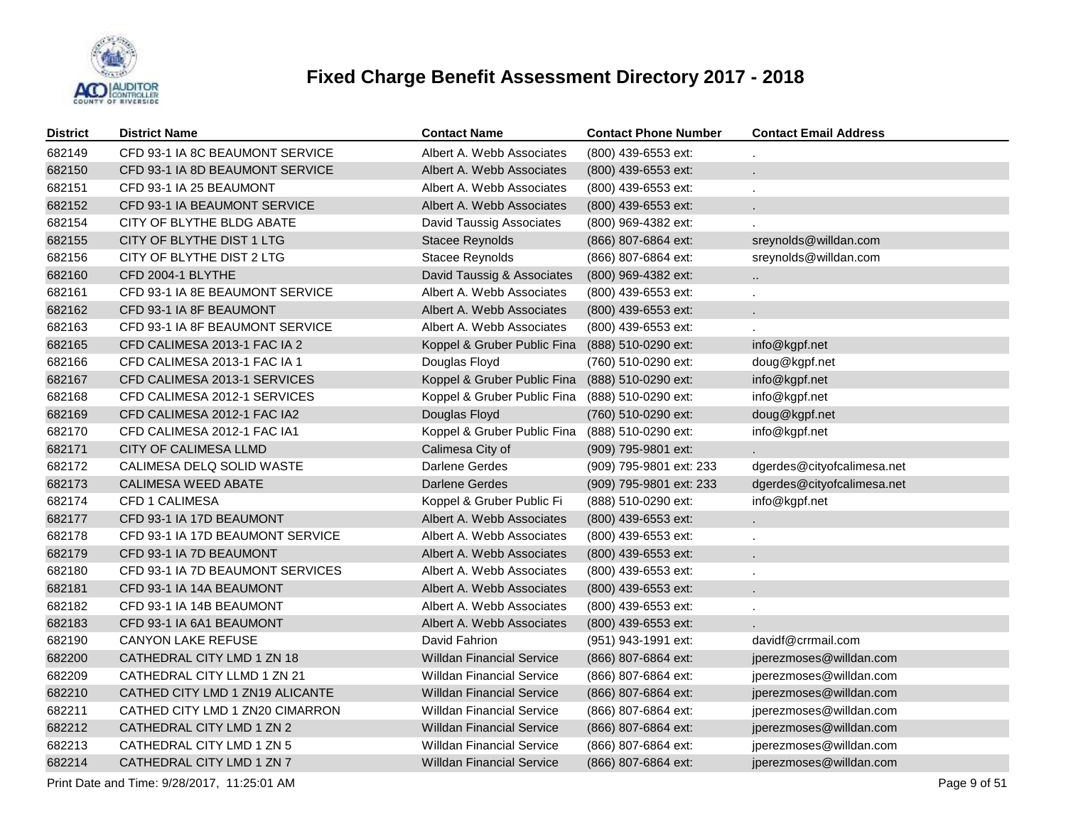

| <b>District</b> | <b>District Name</b>             | <b>Contact Name</b>              | <b>Contact Phone Number</b> | <b>Contact Email Address</b> |
|-----------------|----------------------------------|----------------------------------|-----------------------------|------------------------------|
| 682149          | CFD 93-1 IA 8C BEAUMONT SERVICE  | Albert A. Webb Associates        | (800) 439-6553 ext:         |                              |
| 682150          | CFD 93-1 IA 8D BEAUMONT SERVICE  | Albert A. Webb Associates        | (800) 439-6553 ext:         | $\mathcal{L}^{\mathcal{L}}$  |
| 682151          | CFD 93-1 IA 25 BEAUMONT          | Albert A. Webb Associates        | (800) 439-6553 ext:         |                              |
| 682152          | CFD 93-1 IA BEAUMONT SERVICE     | Albert A. Webb Associates        | (800) 439-6553 ext:         |                              |
| 682154          | CITY OF BLYTHE BLDG ABATE        | David Taussig Associates         | (800) 969-4382 ext:         |                              |
| 682155          | CITY OF BLYTHE DIST 1 LTG        | Stacee Reynolds                  | (866) 807-6864 ext:         | sreynolds@willdan.com        |
| 682156          | CITY OF BLYTHE DIST 2 LTG        | Stacee Reynolds                  | (866) 807-6864 ext:         | sreynolds@willdan.com        |
| 682160          | CFD 2004-1 BLYTHE                | David Taussig & Associates       | (800) 969-4382 ext:         | $\ddot{\phantom{1}}$         |
| 682161          | CFD 93-1 IA 8E BEAUMONT SERVICE  | Albert A. Webb Associates        | (800) 439-6553 ext:         |                              |
| 682162          | CFD 93-1 IA 8F BEAUMONT          | Albert A. Webb Associates        | (800) 439-6553 ext:         |                              |
| 682163          | CFD 93-1 IA 8F BEAUMONT SERVICE  | Albert A. Webb Associates        | (800) 439-6553 ext:         |                              |
| 682165          | CFD CALIMESA 2013-1 FAC IA 2     | Koppel & Gruber Public Fina      | (888) 510-0290 ext:         | info@kgpf.net                |
| 682166          | CFD CALIMESA 2013-1 FAC IA 1     | Douglas Floyd                    | (760) 510-0290 ext:         | doug@kgpf.net                |
| 682167          | CFD CALIMESA 2013-1 SERVICES     | Koppel & Gruber Public Fina      | (888) 510-0290 ext:         | info@kgpf.net                |
| 682168          | CFD CALIMESA 2012-1 SERVICES     | Koppel & Gruber Public Fina      | (888) 510-0290 ext:         | info@kgpf.net                |
| 682169          | CFD CALIMESA 2012-1 FAC IA2      | Douglas Floyd                    | (760) 510-0290 ext:         | doug@kgpf.net                |
| 682170          | CFD CALIMESA 2012-1 FAC IA1      | Koppel & Gruber Public Fina      | (888) 510-0290 ext:         | info@kgpf.net                |
| 682171          | CITY OF CALIMESA LLMD            | Calimesa City of                 | (909) 795-9801 ext:         |                              |
| 682172          | CALIMESA DELQ SOLID WASTE        | Darlene Gerdes                   | (909) 795-9801 ext: 233     | dgerdes@cityofcalimesa.net   |
| 682173          | <b>CALIMESA WEED ABATE</b>       | Darlene Gerdes                   | (909) 795-9801 ext: 233     | dgerdes@cityofcalimesa.net   |
| 682174          | <b>CFD 1 CALIMESA</b>            | Koppel & Gruber Public Fi        | (888) 510-0290 ext:         | info@kgpf.net                |
| 682177          | CFD 93-1 IA 17D BEAUMONT         | Albert A. Webb Associates        | (800) 439-6553 ext:         | $\sim$                       |
| 682178          | CFD 93-1 IA 17D BEAUMONT SERVICE | Albert A. Webb Associates        | (800) 439-6553 ext:         |                              |
| 682179          | CFD 93-1 IA 7D BEAUMONT          | Albert A. Webb Associates        | (800) 439-6553 ext:         |                              |
| 682180          | CFD 93-1 IA 7D BEAUMONT SERVICES | Albert A. Webb Associates        | (800) 439-6553 ext:         | $\mathbf{r}$                 |
| 682181          | CFD 93-1 IA 14A BEAUMONT         | Albert A. Webb Associates        | (800) 439-6553 ext:         | $\mathcal{L}_{\mathcal{A}}$  |
| 682182          | CFD 93-1 IA 14B BEAUMONT         | Albert A. Webb Associates        | (800) 439-6553 ext:         |                              |
| 682183          | CFD 93-1 IA 6A1 BEAUMONT         | Albert A. Webb Associates        | $(800)$ 439-6553 ext:       |                              |
| 682190          | <b>CANYON LAKE REFUSE</b>        | David Fahrion                    | (951) 943-1991 ext:         | davidf@crrmail.com           |
| 682200          | CATHEDRAL CITY LMD 1 ZN 18       | <b>Willdan Financial Service</b> | (866) 807-6864 ext:         | jperezmoses@willdan.com      |
| 682209          | CATHEDRAL CITY LLMD 1 ZN 21      | <b>Willdan Financial Service</b> | (866) 807-6864 ext:         | jperezmoses@willdan.com      |
| 682210          | CATHED CITY LMD 1 ZN19 ALICANTE  | <b>Willdan Financial Service</b> | (866) 807-6864 ext:         | jperezmoses@willdan.com      |
| 682211          | CATHED CITY LMD 1 ZN20 CIMARRON  | <b>Willdan Financial Service</b> | (866) 807-6864 ext:         | jperezmoses@willdan.com      |
| 682212          | CATHEDRAL CITY LMD 1 ZN 2        | <b>Willdan Financial Service</b> | (866) 807-6864 ext:         | jperezmoses@willdan.com      |
| 682213          | CATHEDRAL CITY LMD 1 ZN 5        | <b>Willdan Financial Service</b> | (866) 807-6864 ext:         | jperezmoses@willdan.com      |
| 682214          | CATHEDRAL CITY LMD 1 ZN 7        | <b>Willdan Financial Service</b> | (866) 807-6864 ext:         | jperezmoses@willdan.com      |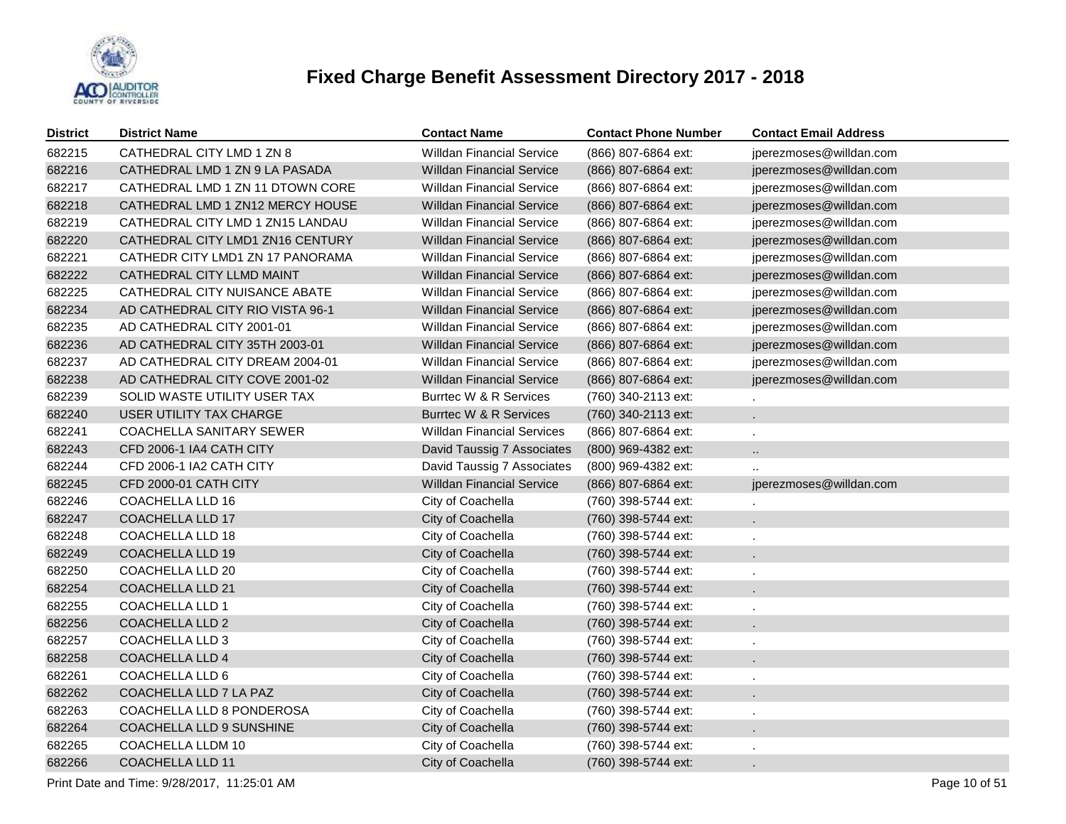

| <b>District</b> | <b>District Name</b>             | <b>Contact Name</b>               | <b>Contact Phone Number</b> | <b>Contact Email Address</b> |
|-----------------|----------------------------------|-----------------------------------|-----------------------------|------------------------------|
| 682215          | CATHEDRAL CITY LMD 1 ZN 8        | <b>Willdan Financial Service</b>  | (866) 807-6864 ext:         | jperezmoses@willdan.com      |
| 682216          | CATHEDRAL LMD 1 ZN 9 LA PASADA   | <b>Willdan Financial Service</b>  | (866) 807-6864 ext:         | jperezmoses@willdan.com      |
| 682217          | CATHEDRAL LMD 1 ZN 11 DTOWN CORE | <b>Willdan Financial Service</b>  | (866) 807-6864 ext:         | jperezmoses@willdan.com      |
| 682218          | CATHEDRAL LMD 1 ZN12 MERCY HOUSE | <b>Willdan Financial Service</b>  | (866) 807-6864 ext:         | jperezmoses@willdan.com      |
| 682219          | CATHEDRAL CITY LMD 1 ZN15 LANDAU | <b>Willdan Financial Service</b>  | (866) 807-6864 ext:         | jperezmoses@willdan.com      |
| 682220          | CATHEDRAL CITY LMD1 ZN16 CENTURY | <b>Willdan Financial Service</b>  | (866) 807-6864 ext:         | jperezmoses@willdan.com      |
| 682221          | CATHEDR CITY LMD1 ZN 17 PANORAMA | <b>Willdan Financial Service</b>  | (866) 807-6864 ext:         | jperezmoses@willdan.com      |
| 682222          | CATHEDRAL CITY LLMD MAINT        | Willdan Financial Service         | (866) 807-6864 ext:         | jperezmoses@willdan.com      |
| 682225          | CATHEDRAL CITY NUISANCE ABATE    | <b>Willdan Financial Service</b>  | (866) 807-6864 ext:         | jperezmoses@willdan.com      |
| 682234          | AD CATHEDRAL CITY RIO VISTA 96-1 | <b>Willdan Financial Service</b>  | (866) 807-6864 ext:         | jperezmoses@willdan.com      |
| 682235          | AD CATHEDRAL CITY 2001-01        | <b>Willdan Financial Service</b>  | (866) 807-6864 ext:         | jperezmoses@willdan.com      |
| 682236          | AD CATHEDRAL CITY 35TH 2003-01   | <b>Willdan Financial Service</b>  | (866) 807-6864 ext:         | jperezmoses@willdan.com      |
| 682237          | AD CATHEDRAL CITY DREAM 2004-01  | <b>Willdan Financial Service</b>  | (866) 807-6864 ext:         | jperezmoses@willdan.com      |
| 682238          | AD CATHEDRAL CITY COVE 2001-02   | Willdan Financial Service         | (866) 807-6864 ext:         | jperezmoses@willdan.com      |
| 682239          | SOLID WASTE UTILITY USER TAX     | Burrtec W & R Services            | (760) 340-2113 ext:         |                              |
| 682240          | USER UTILITY TAX CHARGE          | Burrtec W & R Services            | (760) 340-2113 ext:         | $\mathcal{L}^{\pm}$          |
| 682241          | <b>COACHELLA SANITARY SEWER</b>  | <b>Willdan Financial Services</b> | (866) 807-6864 ext:         |                              |
| 682243          | CFD 2006-1 IA4 CATH CITY         | David Taussig 7 Associates        | (800) 969-4382 ext:         | $\ddot{\phantom{a}}$         |
| 682244          | CFD 2006-1 IA2 CATH CITY         | David Taussig 7 Associates        | (800) 969-4382 ext:         |                              |
| 682245          | CFD 2000-01 CATH CITY            | <b>Willdan Financial Service</b>  | (866) 807-6864 ext:         | jperezmoses@willdan.com      |
| 682246          | <b>COACHELLA LLD 16</b>          | City of Coachella                 | (760) 398-5744 ext:         |                              |
| 682247          | <b>COACHELLA LLD 17</b>          | City of Coachella                 | (760) 398-5744 ext:         |                              |
| 682248          | <b>COACHELLA LLD 18</b>          | City of Coachella                 | (760) 398-5744 ext:         |                              |
| 682249          | <b>COACHELLA LLD 19</b>          | City of Coachella                 | (760) 398-5744 ext:         |                              |
| 682250          | COACHELLA LLD 20                 | City of Coachella                 | (760) 398-5744 ext:         |                              |
| 682254          | <b>COACHELLA LLD 21</b>          | City of Coachella                 | (760) 398-5744 ext:         |                              |
| 682255          | <b>COACHELLA LLD 1</b>           | City of Coachella                 | (760) 398-5744 ext:         |                              |
| 682256          | <b>COACHELLA LLD 2</b>           | City of Coachella                 | (760) 398-5744 ext:         |                              |
| 682257          | COACHELLA LLD 3                  | City of Coachella                 | (760) 398-5744 ext:         |                              |
| 682258          | <b>COACHELLA LLD 4</b>           | City of Coachella                 | (760) 398-5744 ext:         |                              |
| 682261          | COACHELLA LLD 6                  | City of Coachella                 | (760) 398-5744 ext:         |                              |
| 682262          | COACHELLA LLD 7 LA PAZ           | City of Coachella                 | (760) 398-5744 ext:         |                              |
| 682263          | COACHELLA LLD 8 PONDEROSA        | City of Coachella                 | (760) 398-5744 ext:         |                              |
| 682264          | COACHELLA LLD 9 SUNSHINE         | City of Coachella                 | (760) 398-5744 ext:         |                              |
| 682265          | COACHELLA LLDM 10                | City of Coachella                 | (760) 398-5744 ext:         |                              |
| 682266          | <b>COACHELLA LLD 11</b>          | City of Coachella                 | (760) 398-5744 ext:         |                              |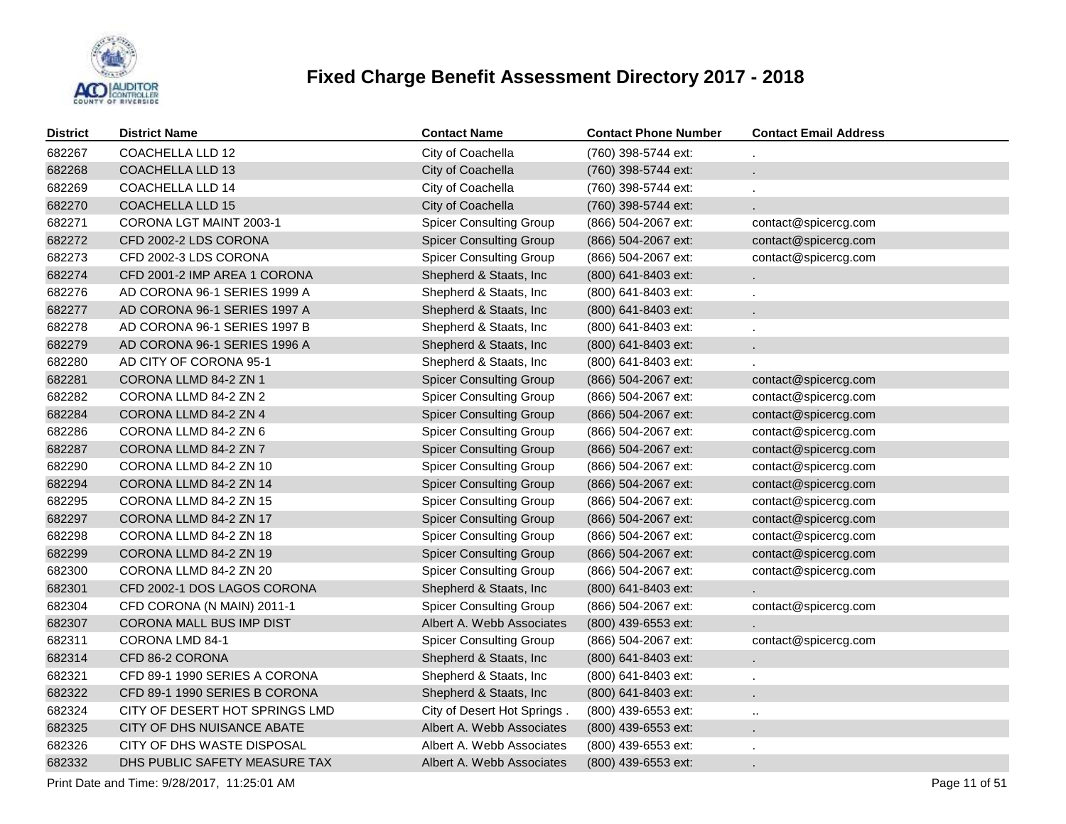

| <b>District</b> | <b>District Name</b>           | <b>Contact Name</b>            | <b>Contact Phone Number</b> | <b>Contact Email Address</b> |
|-----------------|--------------------------------|--------------------------------|-----------------------------|------------------------------|
| 682267          | <b>COACHELLA LLD 12</b>        | City of Coachella              | (760) 398-5744 ext:         |                              |
| 682268          | COACHELLA LLD 13               | City of Coachella              | (760) 398-5744 ext:         | ä.                           |
| 682269          | COACHELLA LLD 14               | City of Coachella              | (760) 398-5744 ext:         | ä,                           |
| 682270          | <b>COACHELLA LLD 15</b>        | City of Coachella              | (760) 398-5744 ext:         | ä.                           |
| 682271          | CORONA LGT MAINT 2003-1        | <b>Spicer Consulting Group</b> | (866) 504-2067 ext:         | contact@spicercg.com         |
| 682272          | CFD 2002-2 LDS CORONA          | <b>Spicer Consulting Group</b> | (866) 504-2067 ext:         | contact@spicercg.com         |
| 682273          | CFD 2002-3 LDS CORONA          | <b>Spicer Consulting Group</b> | (866) 504-2067 ext:         | contact@spicercg.com         |
| 682274          | CFD 2001-2 IMP AREA 1 CORONA   | Shepherd & Staats, Inc         | (800) 641-8403 ext:         | c.                           |
| 682276          | AD CORONA 96-1 SERIES 1999 A   | Shepherd & Staats, Inc         | (800) 641-8403 ext:         | ¥.                           |
| 682277          | AD CORONA 96-1 SERIES 1997 A   | Shepherd & Staats, Inc         | (800) 641-8403 ext:         | ä,                           |
| 682278          | AD CORONA 96-1 SERIES 1997 B   | Shepherd & Staats, Inc.        | (800) 641-8403 ext:         | ä,                           |
| 682279          | AD CORONA 96-1 SERIES 1996 A   | Shepherd & Staats, Inc         | (800) 641-8403 ext:         | ¥.                           |
| 682280          | AD CITY OF CORONA 95-1         | Shepherd & Staats, Inc         | (800) 641-8403 ext:         |                              |
| 682281          | CORONA LLMD 84-2 ZN 1          | <b>Spicer Consulting Group</b> | (866) 504-2067 ext:         | contact@spicercg.com         |
| 682282          | CORONA LLMD 84-2 ZN 2          | <b>Spicer Consulting Group</b> | (866) 504-2067 ext:         | contact@spicercg.com         |
| 682284          | CORONA LLMD 84-2 ZN 4          | <b>Spicer Consulting Group</b> | (866) 504-2067 ext:         | contact@spicercg.com         |
| 682286          | CORONA LLMD 84-2 ZN 6          | <b>Spicer Consulting Group</b> | (866) 504-2067 ext:         | contact@spicercg.com         |
| 682287          | CORONA LLMD 84-2 ZN 7          | <b>Spicer Consulting Group</b> | (866) 504-2067 ext:         | contact@spicercg.com         |
| 682290          | CORONA LLMD 84-2 ZN 10         | <b>Spicer Consulting Group</b> | (866) 504-2067 ext:         | contact@spicercg.com         |
| 682294          | CORONA LLMD 84-2 ZN 14         | <b>Spicer Consulting Group</b> | (866) 504-2067 ext:         | contact@spicercg.com         |
| 682295          | CORONA LLMD 84-2 ZN 15         | <b>Spicer Consulting Group</b> | (866) 504-2067 ext:         | contact@spicercg.com         |
| 682297          | CORONA LLMD 84-2 ZN 17         | <b>Spicer Consulting Group</b> | (866) 504-2067 ext:         | contact@spicercg.com         |
| 682298          | CORONA LLMD 84-2 ZN 18         | <b>Spicer Consulting Group</b> | (866) 504-2067 ext:         | contact@spicercg.com         |
| 682299          | CORONA LLMD 84-2 ZN 19         | <b>Spicer Consulting Group</b> | (866) 504-2067 ext:         | contact@spicercg.com         |
| 682300          | CORONA LLMD 84-2 ZN 20         | <b>Spicer Consulting Group</b> | (866) 504-2067 ext:         | contact@spicercg.com         |
| 682301          | CFD 2002-1 DOS LAGOS CORONA    | Shepherd & Staats, Inc.        | (800) 641-8403 ext:         |                              |
| 682304          | CFD CORONA (N MAIN) 2011-1     | <b>Spicer Consulting Group</b> | (866) 504-2067 ext:         | contact@spicercg.com         |
| 682307          | CORONA MALL BUS IMP DIST       | Albert A. Webb Associates      | (800) 439-6553 ext:         |                              |
| 682311          | CORONA LMD 84-1                | <b>Spicer Consulting Group</b> | (866) 504-2067 ext:         | contact@spicercg.com         |
| 682314          | CFD 86-2 CORONA                | Shepherd & Staats, Inc.        | (800) 641-8403 ext:         | a.                           |
| 682321          | CFD 89-1 1990 SERIES A CORONA  | Shepherd & Staats, Inc         | (800) 641-8403 ext:         | ¥.                           |
| 682322          | CFD 89-1 1990 SERIES B CORONA  | Shepherd & Staats, Inc.        | (800) 641-8403 ext:         | ä,                           |
| 682324          | CITY OF DESERT HOT SPRINGS LMD | City of Desert Hot Springs.    | (800) 439-6553 ext:         | $\ddotsc$                    |
| 682325          | CITY OF DHS NUISANCE ABATE     | Albert A. Webb Associates      | (800) 439-6553 ext:         | $\blacksquare$               |
| 682326          | CITY OF DHS WASTE DISPOSAL     | Albert A. Webb Associates      | (800) 439-6553 ext:         |                              |
| 682332          | DHS PUBLIC SAFETY MEASURE TAX  | Albert A. Webb Associates      | (800) 439-6553 ext:         | ä.                           |

Print Date and Time:  $9/28/2017$ , 11:25:01 AM Page 11 of 51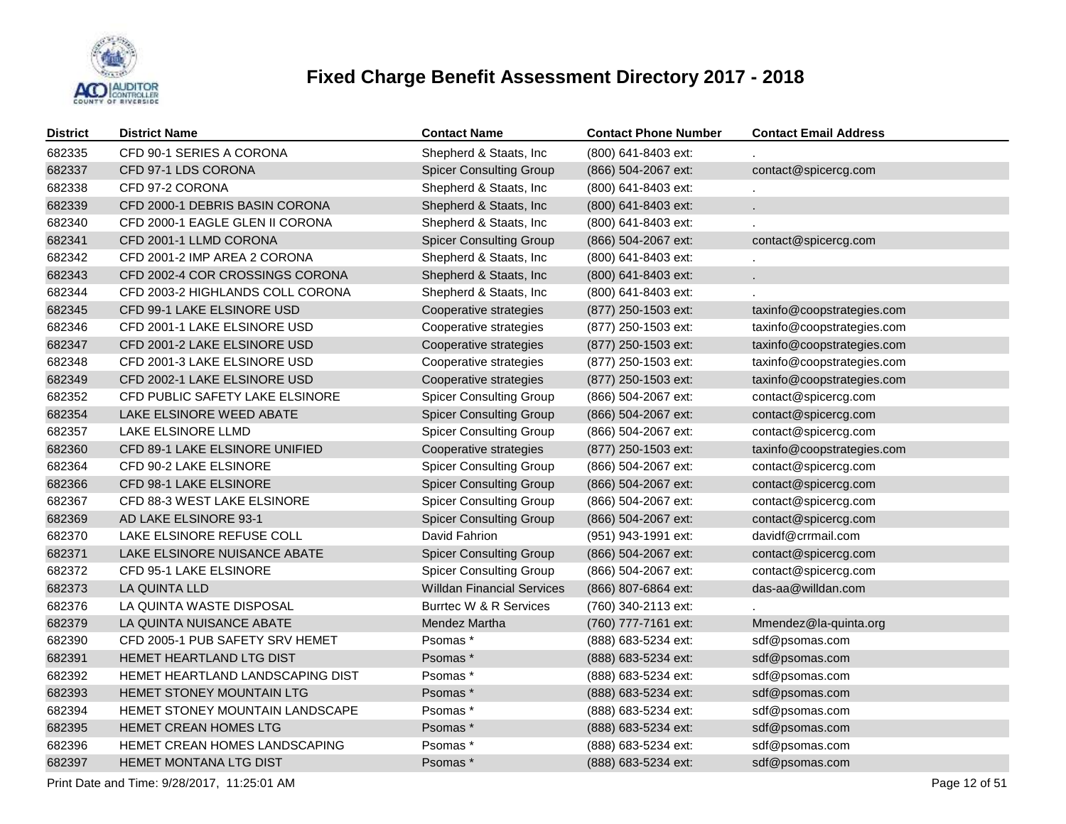

| <b>District</b> | <b>District Name</b>                   | <b>Contact Name</b>               | <b>Contact Phone Number</b> | <b>Contact Email Address</b> |
|-----------------|----------------------------------------|-----------------------------------|-----------------------------|------------------------------|
| 682335          | CFD 90-1 SERIES A CORONA               | Shepherd & Staats, Inc            | (800) 641-8403 ext:         |                              |
| 682337          | CFD 97-1 LDS CORONA                    | <b>Spicer Consulting Group</b>    | (866) 504-2067 ext:         | contact@spicercg.com         |
| 682338          | CFD 97-2 CORONA                        | Shepherd & Staats, Inc            | (800) 641-8403 ext:         |                              |
| 682339          | CFD 2000-1 DEBRIS BASIN CORONA         | Shepherd & Staats, Inc            | (800) 641-8403 ext:         | ¥.                           |
| 682340          | CFD 2000-1 EAGLE GLEN II CORONA        | Shepherd & Staats, Inc            | (800) 641-8403 ext:         |                              |
| 682341          | CFD 2001-1 LLMD CORONA                 | <b>Spicer Consulting Group</b>    | (866) 504-2067 ext:         | contact@spicercg.com         |
| 682342          | CFD 2001-2 IMP AREA 2 CORONA           | Shepherd & Staats, Inc            | (800) 641-8403 ext:         |                              |
| 682343          | CFD 2002-4 COR CROSSINGS CORONA        | Shepherd & Staats, Inc            | (800) 641-8403 ext:         | $\mathbf{r}$                 |
| 682344          | CFD 2003-2 HIGHLANDS COLL CORONA       | Shepherd & Staats, Inc            | (800) 641-8403 ext:         |                              |
| 682345          | CFD 99-1 LAKE ELSINORE USD             | Cooperative strategies            | (877) 250-1503 ext:         | taxinfo@coopstrategies.com   |
| 682346          | CFD 2001-1 LAKE ELSINORE USD           | Cooperative strategies            | (877) 250-1503 ext:         | taxinfo@coopstrategies.com   |
| 682347          | CFD 2001-2 LAKE ELSINORE USD           | Cooperative strategies            | (877) 250-1503 ext:         | taxinfo@coopstrategies.com   |
| 682348          | CFD 2001-3 LAKE ELSINORE USD           | Cooperative strategies            | (877) 250-1503 ext:         | taxinfo@coopstrategies.com   |
| 682349          | CFD 2002-1 LAKE ELSINORE USD           | Cooperative strategies            | (877) 250-1503 ext:         | taxinfo@coopstrategies.com   |
| 682352          | CFD PUBLIC SAFETY LAKE ELSINORE        | <b>Spicer Consulting Group</b>    | (866) 504-2067 ext:         | contact@spicercg.com         |
| 682354          | LAKE ELSINORE WEED ABATE               | <b>Spicer Consulting Group</b>    | (866) 504-2067 ext:         | contact@spicercg.com         |
| 682357          | LAKE ELSINORE LLMD                     | <b>Spicer Consulting Group</b>    | (866) 504-2067 ext:         | contact@spicercg.com         |
| 682360          | CFD 89-1 LAKE ELSINORE UNIFIED         | Cooperative strategies            | (877) 250-1503 ext:         | taxinfo@coopstrategies.com   |
| 682364          | CFD 90-2 LAKE ELSINORE                 | <b>Spicer Consulting Group</b>    | (866) 504-2067 ext:         | contact@spicercg.com         |
| 682366          | CFD 98-1 LAKE ELSINORE                 | <b>Spicer Consulting Group</b>    | (866) 504-2067 ext:         | contact@spicercg.com         |
| 682367          | CFD 88-3 WEST LAKE ELSINORE            | <b>Spicer Consulting Group</b>    | (866) 504-2067 ext:         | contact@spicercg.com         |
| 682369          | AD LAKE ELSINORE 93-1                  | <b>Spicer Consulting Group</b>    | (866) 504-2067 ext:         | contact@spicercg.com         |
| 682370          | LAKE ELSINORE REFUSE COLL              | David Fahrion                     | (951) 943-1991 ext:         | davidf@crrmail.com           |
| 682371          | LAKE ELSINORE NUISANCE ABATE           | <b>Spicer Consulting Group</b>    | (866) 504-2067 ext:         | contact@spicercg.com         |
| 682372          | <b>CFD 95-1 LAKE ELSINORE</b>          | <b>Spicer Consulting Group</b>    | (866) 504-2067 ext:         | contact@spicercg.com         |
| 682373          | LA QUINTA LLD                          | <b>Willdan Financial Services</b> | (866) 807-6864 ext:         | das-aa@willdan.com           |
| 682376          | LA QUINTA WASTE DISPOSAL               | Burrtec W & R Services            | (760) 340-2113 ext:         |                              |
| 682379          | LA QUINTA NUISANCE ABATE               | Mendez Martha                     | (760) 777-7161 ext:         | Mmendez@la-quinta.org        |
| 682390          | CFD 2005-1 PUB SAFETY SRV HEMET        | Psomas*                           | (888) 683-5234 ext:         | sdf@psomas.com               |
| 682391          | <b>HEMET HEARTLAND LTG DIST</b>        | Psomas *                          | (888) 683-5234 ext:         | sdf@psomas.com               |
| 682392          | HEMET HEARTLAND LANDSCAPING DIST       | Psomas*                           | (888) 683-5234 ext:         | sdf@psomas.com               |
| 682393          | <b>HEMET STONEY MOUNTAIN LTG</b>       | Psomas*                           | (888) 683-5234 ext:         | sdf@psomas.com               |
| 682394          | <b>HEMET STONEY MOUNTAIN LANDSCAPE</b> | Psomas *                          | (888) 683-5234 ext:         | sdf@psomas.com               |
| 682395          | <b>HEMET CREAN HOMES LTG</b>           | Psomas*                           | (888) 683-5234 ext:         | sdf@psomas.com               |
| 682396          | HEMET CREAN HOMES LANDSCAPING          | Psomas *                          | (888) 683-5234 ext:         | sdf@psomas.com               |
| 682397          | <b>HEMET MONTANA LTG DIST</b>          | Psomas *                          | (888) 683-5234 ext:         | sdf@psomas.com               |
|                 |                                        |                                   |                             |                              |

Print Date and Time:  $9/28/2017$ , 11:25:01 AM Page 12 of 51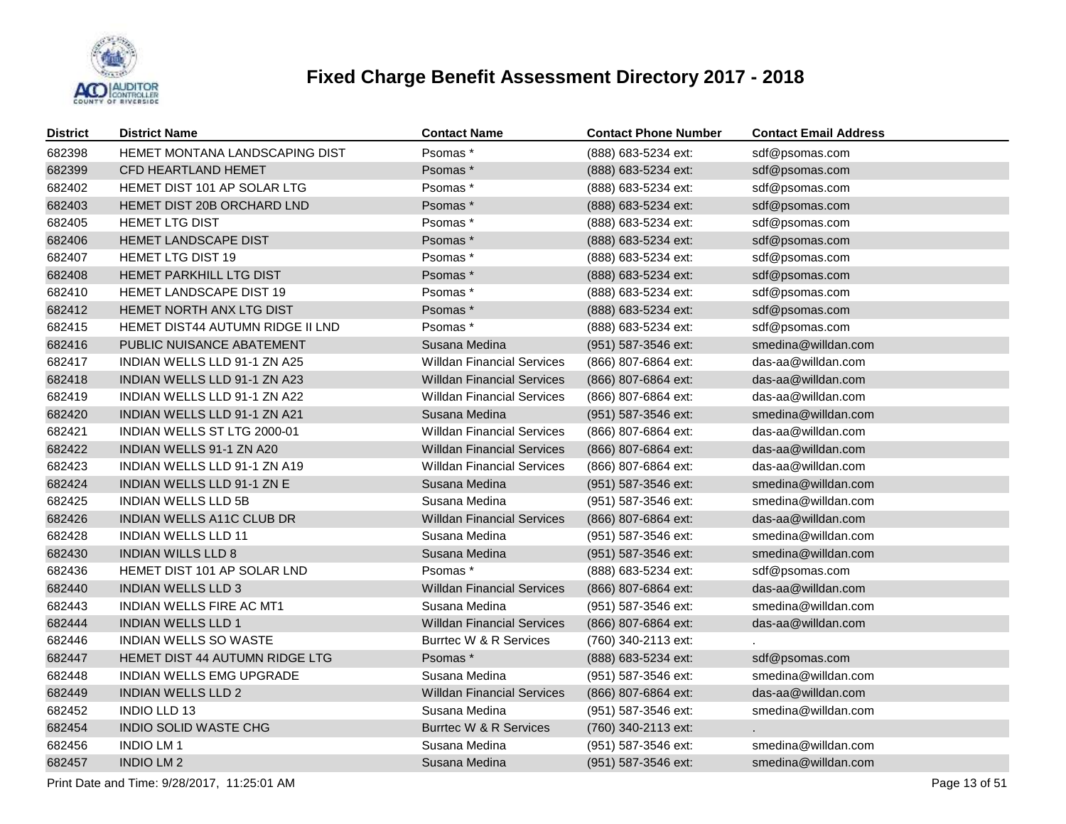

| <b>District</b> | <b>District Name</b>                    | <b>Contact Name</b>               | <b>Contact Phone Number</b> | <b>Contact Email Address</b> |
|-----------------|-----------------------------------------|-----------------------------------|-----------------------------|------------------------------|
| 682398          | HEMET MONTANA LANDSCAPING DIST          | Psomas*                           | (888) 683-5234 ext:         | sdf@psomas.com               |
| 682399          | CFD HEARTLAND HEMET                     | Psomas*                           | (888) 683-5234 ext:         | sdf@psomas.com               |
| 682402          | HEMET DIST 101 AP SOLAR LTG             | Psomas *                          | (888) 683-5234 ext:         | sdf@psomas.com               |
| 682403          | HEMET DIST 20B ORCHARD LND              | Psomas *                          | (888) 683-5234 ext:         | sdf@psomas.com               |
| 682405          | <b>HEMET LTG DIST</b>                   | Psomas *                          | (888) 683-5234 ext:         | sdf@psomas.com               |
| 682406          | HEMET LANDSCAPE DIST                    | Psomas *                          | (888) 683-5234 ext:         | sdf@psomas.com               |
| 682407          | <b>HEMET LTG DIST 19</b>                | Psomas *                          | (888) 683-5234 ext:         | sdf@psomas.com               |
| 682408          | HEMET PARKHILL LTG DIST                 | Psomas *                          | (888) 683-5234 ext:         | sdf@psomas.com               |
| 682410          | HEMET LANDSCAPE DIST 19                 | Psomas *                          | (888) 683-5234 ext:         | sdf@psomas.com               |
| 682412          | HEMET NORTH ANX LTG DIST                | Psomas *                          | (888) 683-5234 ext:         | sdf@psomas.com               |
| 682415          | <b>HEMET DIST44 AUTUMN RIDGE II LND</b> | Psomas *                          | (888) 683-5234 ext:         | sdf@psomas.com               |
| 682416          | PUBLIC NUISANCE ABATEMENT               | Susana Medina                     | (951) 587-3546 ext:         | smedina@willdan.com          |
| 682417          | INDIAN WELLS LLD 91-1 ZN A25            | <b>Willdan Financial Services</b> | (866) 807-6864 ext:         | das-aa@willdan.com           |
| 682418          | INDIAN WELLS LLD 91-1 ZN A23            | <b>Willdan Financial Services</b> | (866) 807-6864 ext:         | das-aa@willdan.com           |
| 682419          | INDIAN WELLS LLD 91-1 ZN A22            | <b>Willdan Financial Services</b> | (866) 807-6864 ext:         | das-aa@willdan.com           |
| 682420          | INDIAN WELLS LLD 91-1 ZN A21            | Susana Medina                     | (951) 587-3546 ext:         | smedina@willdan.com          |
| 682421          | INDIAN WELLS ST LTG 2000-01             | <b>Willdan Financial Services</b> | (866) 807-6864 ext:         | das-aa@willdan.com           |
| 682422          | INDIAN WELLS 91-1 ZN A20                | <b>Willdan Financial Services</b> | (866) 807-6864 ext:         | das-aa@willdan.com           |
| 682423          | INDIAN WELLS LLD 91-1 ZN A19            | <b>Willdan Financial Services</b> | (866) 807-6864 ext:         | das-aa@willdan.com           |
| 682424          | <b>INDIAN WELLS LLD 91-1 ZN E</b>       | Susana Medina                     | (951) 587-3546 ext:         | smedina@willdan.com          |
| 682425          | <b>INDIAN WELLS LLD 5B</b>              | Susana Medina                     | (951) 587-3546 ext:         | smedina@willdan.com          |
| 682426          | <b>INDIAN WELLS A11C CLUB DR</b>        | <b>Willdan Financial Services</b> | (866) 807-6864 ext:         | das-aa@willdan.com           |
| 682428          | <b>INDIAN WELLS LLD 11</b>              | Susana Medina                     | (951) 587-3546 ext:         | smedina@willdan.com          |
| 682430          | <b>INDIAN WILLS LLD 8</b>               | Susana Medina                     | (951) 587-3546 ext:         | smedina@willdan.com          |
| 682436          | HEMET DIST 101 AP SOLAR LND             | Psomas *                          | (888) 683-5234 ext:         | sdf@psomas.com               |
| 682440          | <b>INDIAN WELLS LLD 3</b>               | <b>Willdan Financial Services</b> | (866) 807-6864 ext:         | das-aa@willdan.com           |
| 682443          | INDIAN WELLS FIRE AC MT1                | Susana Medina                     | (951) 587-3546 ext:         | smedina@willdan.com          |
| 682444          | <b>INDIAN WELLS LLD 1</b>               | <b>Willdan Financial Services</b> | (866) 807-6864 ext:         | das-aa@willdan.com           |
| 682446          | <b>INDIAN WELLS SO WASTE</b>            | Burrtec W & R Services            | (760) 340-2113 ext:         |                              |
| 682447          | HEMET DIST 44 AUTUMN RIDGE LTG          | Psomas *                          | (888) 683-5234 ext:         | sdf@psomas.com               |
| 682448          | <b>INDIAN WELLS EMG UPGRADE</b>         | Susana Medina                     | (951) 587-3546 ext:         | smedina@willdan.com          |
| 682449          | <b>INDIAN WELLS LLD 2</b>               | <b>Willdan Financial Services</b> | (866) 807-6864 ext:         | das-aa@willdan.com           |
| 682452          | <b>INDIO LLD 13</b>                     | Susana Medina                     | (951) 587-3546 ext:         | smedina@willdan.com          |
| 682454          | <b>INDIO SOLID WASTE CHG</b>            | Burrtec W & R Services            | (760) 340-2113 ext:         |                              |
| 682456          | <b>INDIO LM1</b>                        | Susana Medina                     | (951) 587-3546 ext:         | smedina@willdan.com          |
| 682457          | <b>INDIO LM2</b>                        | Susana Medina                     | (951) 587-3546 ext:         | smedina@willdan.com          |
|                 |                                         |                                   |                             |                              |

Print Date and Time:  $9/28/2017$ , 11:25:01 AM Page 13 of 51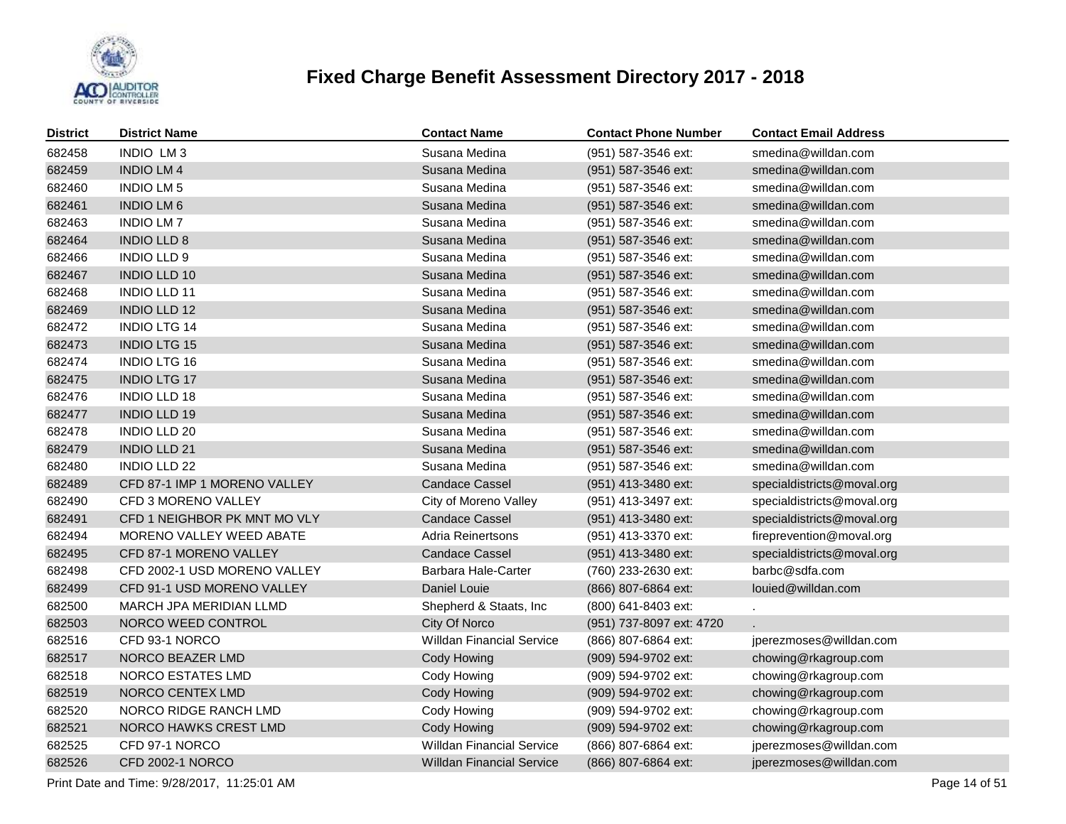

| <b>District</b> | <b>District Name</b>         | <b>Contact Name</b>              | <b>Contact Phone Number</b> | <b>Contact Email Address</b> |
|-----------------|------------------------------|----------------------------------|-----------------------------|------------------------------|
| 682458          | INDIO LM3                    | Susana Medina                    | (951) 587-3546 ext:         | smedina@willdan.com          |
| 682459          | <b>INDIO LM4</b>             | Susana Medina                    | (951) 587-3546 ext:         | smedina@willdan.com          |
| 682460          | <b>INDIO LM 5</b>            | Susana Medina                    | (951) 587-3546 ext:         | smedina@willdan.com          |
| 682461          | <b>INDIO LM6</b>             | Susana Medina                    | (951) 587-3546 ext:         | smedina@willdan.com          |
| 682463          | <b>INDIO LM7</b>             | Susana Medina                    | (951) 587-3546 ext:         | smedina@willdan.com          |
| 682464          | <b>INDIO LLD 8</b>           | Susana Medina                    | (951) 587-3546 ext:         | smedina@willdan.com          |
| 682466          | INDIO LLD 9                  | Susana Medina                    | (951) 587-3546 ext:         | smedina@willdan.com          |
| 682467          | <b>INDIO LLD 10</b>          | Susana Medina                    | (951) 587-3546 ext:         | smedina@willdan.com          |
| 682468          | <b>INDIO LLD 11</b>          | Susana Medina                    | (951) 587-3546 ext:         | smedina@willdan.com          |
| 682469          | <b>INDIO LLD 12</b>          | Susana Medina                    | (951) 587-3546 ext:         | smedina@willdan.com          |
| 682472          | <b>INDIO LTG 14</b>          | Susana Medina                    | (951) 587-3546 ext:         | smedina@willdan.com          |
| 682473          | <b>INDIO LTG 15</b>          | Susana Medina                    | (951) 587-3546 ext:         | smedina@willdan.com          |
| 682474          | <b>INDIO LTG 16</b>          | Susana Medina                    | (951) 587-3546 ext:         | smedina@willdan.com          |
| 682475          | <b>INDIO LTG 17</b>          | Susana Medina                    | (951) 587-3546 ext:         | smedina@willdan.com          |
| 682476          | <b>INDIO LLD 18</b>          | Susana Medina                    | (951) 587-3546 ext:         | smedina@willdan.com          |
| 682477          | <b>INDIO LLD 19</b>          | Susana Medina                    | (951) 587-3546 ext:         | smedina@willdan.com          |
| 682478          | <b>INDIO LLD 20</b>          | Susana Medina                    | (951) 587-3546 ext:         | smedina@willdan.com          |
| 682479          | <b>INDIO LLD 21</b>          | Susana Medina                    | (951) 587-3546 ext:         | smedina@willdan.com          |
| 682480          | <b>INDIO LLD 22</b>          | Susana Medina                    | (951) 587-3546 ext:         | smedina@willdan.com          |
| 682489          | CFD 87-1 IMP 1 MORENO VALLEY | <b>Candace Cassel</b>            | (951) 413-3480 ext:         | specialdistricts@moval.org   |
| 682490          | CFD 3 MORENO VALLEY          | City of Moreno Valley            | (951) 413-3497 ext:         | specialdistricts@moval.org   |
| 682491          | CFD 1 NEIGHBOR PK MNT MO VLY | <b>Candace Cassel</b>            | (951) 413-3480 ext:         | specialdistricts@moval.org   |
| 682494          | MORENO VALLEY WEED ABATE     | Adria Reinertsons                | (951) 413-3370 ext:         | fireprevention@moval.org     |
| 682495          | CFD 87-1 MORENO VALLEY       | <b>Candace Cassel</b>            | (951) 413-3480 ext:         | specialdistricts@moval.org   |
| 682498          | CFD 2002-1 USD MORENO VALLEY | Barbara Hale-Carter              | (760) 233-2630 ext:         | barbc@sdfa.com               |
| 682499          | CFD 91-1 USD MORENO VALLEY   | Daniel Louie                     | (866) 807-6864 ext:         | louied@willdan.com           |
| 682500          | MARCH JPA MERIDIAN LLMD      | Shepherd & Staats, Inc           | (800) 641-8403 ext:         |                              |
| 682503          | NORCO WEED CONTROL           | City Of Norco                    | (951) 737-8097 ext: 4720    |                              |
| 682516          | CFD 93-1 NORCO               | <b>Willdan Financial Service</b> | (866) 807-6864 ext:         | jperezmoses@willdan.com      |
| 682517          | NORCO BEAZER LMD             | Cody Howing                      | (909) 594-9702 ext:         | chowing@rkagroup.com         |
| 682518          | NORCO ESTATES LMD            | Cody Howing                      | (909) 594-9702 ext:         | chowing@rkagroup.com         |
| 682519          | NORCO CENTEX LMD             | Cody Howing                      | (909) 594-9702 ext:         | chowing@rkagroup.com         |
| 682520          | NORCO RIDGE RANCH LMD        | Cody Howing                      | (909) 594-9702 ext:         | chowing@rkagroup.com         |
| 682521          | NORCO HAWKS CREST LMD        | Cody Howing                      | (909) 594-9702 ext:         | chowing@rkagroup.com         |
| 682525          | CFD 97-1 NORCO               | <b>Willdan Financial Service</b> | (866) 807-6864 ext:         | jperezmoses@willdan.com      |
| 682526          | <b>CFD 2002-1 NORCO</b>      | <b>Willdan Financial Service</b> | (866) 807-6864 ext:         | jperezmoses@willdan.com      |

Print Date and Time:  $9/28/2017$ , 11:25:01 AM Page 14 of 51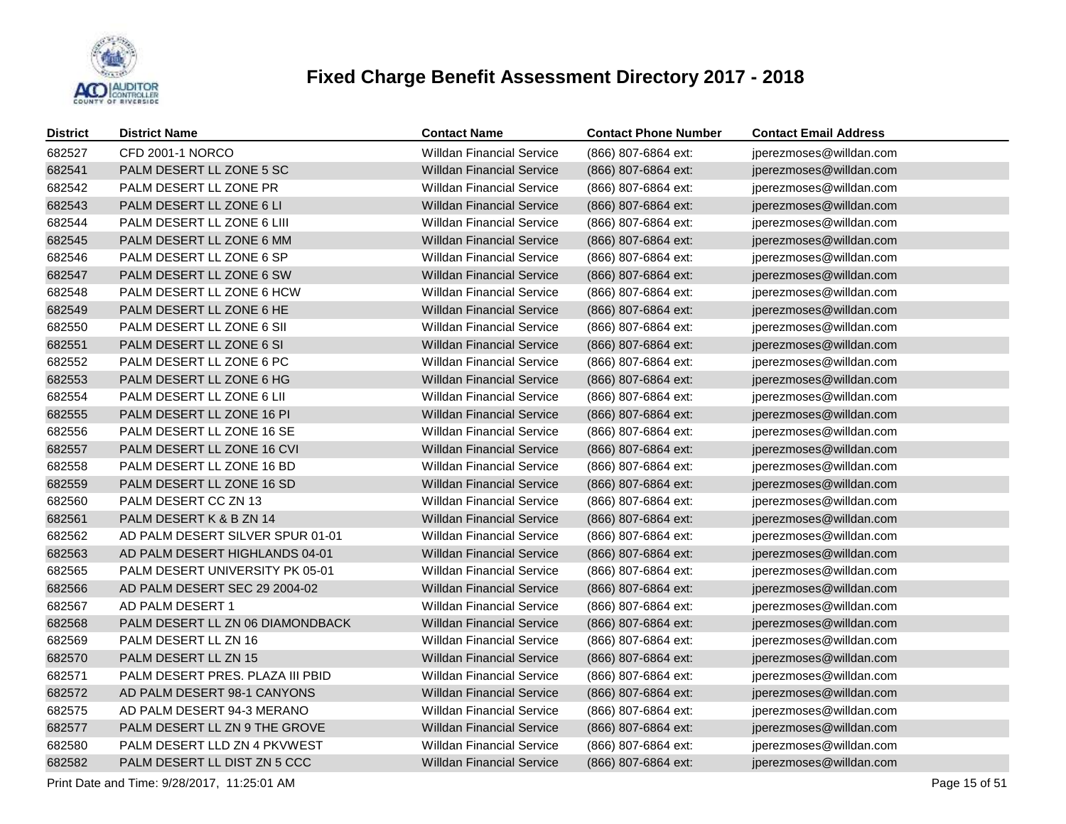

| <b>District</b> | <b>District Name</b>             | <b>Contact Name</b>              | <b>Contact Phone Number</b> | <b>Contact Email Address</b> |
|-----------------|----------------------------------|----------------------------------|-----------------------------|------------------------------|
| 682527          | CFD 2001-1 NORCO                 | <b>Willdan Financial Service</b> | (866) 807-6864 ext:         | jperezmoses@willdan.com      |
| 682541          | PALM DESERT LL ZONE 5 SC         | <b>Willdan Financial Service</b> | (866) 807-6864 ext:         | jperezmoses@willdan.com      |
| 682542          | PALM DESERT LL ZONE PR           | <b>Willdan Financial Service</b> | (866) 807-6864 ext:         | jperezmoses@willdan.com      |
| 682543          | PALM DESERT LL ZONE 6 LI         | <b>Willdan Financial Service</b> | (866) 807-6864 ext:         | jperezmoses@willdan.com      |
| 682544          | PALM DESERT LL ZONE 6 LIII       | <b>Willdan Financial Service</b> | (866) 807-6864 ext:         | jperezmoses@willdan.com      |
| 682545          | PALM DESERT LL ZONE 6 MM         | <b>Willdan Financial Service</b> | (866) 807-6864 ext:         | jperezmoses@willdan.com      |
| 682546          | PALM DESERT LL ZONE 6 SP         | <b>Willdan Financial Service</b> | (866) 807-6864 ext:         | jperezmoses@willdan.com      |
| 682547          | PALM DESERT LL ZONE 6 SW         | <b>Willdan Financial Service</b> | (866) 807-6864 ext:         | jperezmoses@willdan.com      |
| 682548          | PALM DESERT LL ZONE 6 HCW        | <b>Willdan Financial Service</b> | (866) 807-6864 ext:         | jperezmoses@willdan.com      |
| 682549          | PALM DESERT LL ZONE 6 HE         | <b>Willdan Financial Service</b> | (866) 807-6864 ext:         | jperezmoses@willdan.com      |
| 682550          | PALM DESERT LL ZONE 6 SII        | <b>Willdan Financial Service</b> | (866) 807-6864 ext:         | jperezmoses@willdan.com      |
| 682551          | PALM DESERT LL ZONE 6 SI         | <b>Willdan Financial Service</b> | (866) 807-6864 ext:         | jperezmoses@willdan.com      |
| 682552          | PALM DESERT LL ZONE 6 PC         | <b>Willdan Financial Service</b> | (866) 807-6864 ext:         | jperezmoses@willdan.com      |
| 682553          | PALM DESERT LL ZONE 6 HG         | <b>Willdan Financial Service</b> | (866) 807-6864 ext:         | jperezmoses@willdan.com      |
| 682554          | PALM DESERT LL ZONE 6 LII        | <b>Willdan Financial Service</b> | (866) 807-6864 ext:         | jperezmoses@willdan.com      |
| 682555          | PALM DESERT LL ZONE 16 PI        | <b>Willdan Financial Service</b> | (866) 807-6864 ext:         | jperezmoses@willdan.com      |
| 682556          | PALM DESERT LL ZONE 16 SE        | <b>Willdan Financial Service</b> | (866) 807-6864 ext:         | jperezmoses@willdan.com      |
| 682557          | PALM DESERT LL ZONE 16 CVI       | <b>Willdan Financial Service</b> | (866) 807-6864 ext:         | jperezmoses@willdan.com      |
| 682558          | PALM DESERT LL ZONE 16 BD        | <b>Willdan Financial Service</b> | (866) 807-6864 ext:         | jperezmoses@willdan.com      |
| 682559          | PALM DESERT LL ZONE 16 SD        | <b>Willdan Financial Service</b> | (866) 807-6864 ext:         | jperezmoses@willdan.com      |
| 682560          | PALM DESERT CC ZN 13             | <b>Willdan Financial Service</b> | (866) 807-6864 ext:         | jperezmoses@willdan.com      |
| 682561          | PALM DESERT K & B ZN 14          | <b>Willdan Financial Service</b> | (866) 807-6864 ext:         | jperezmoses@willdan.com      |
| 682562          | AD PALM DESERT SILVER SPUR 01-01 | <b>Willdan Financial Service</b> | (866) 807-6864 ext:         | jperezmoses@willdan.com      |
| 682563          | AD PALM DESERT HIGHLANDS 04-01   | <b>Willdan Financial Service</b> | (866) 807-6864 ext:         | jperezmoses@willdan.com      |
| 682565          | PALM DESERT UNIVERSITY PK 05-01  | <b>Willdan Financial Service</b> | (866) 807-6864 ext:         | jperezmoses@willdan.com      |
| 682566          | AD PALM DESERT SEC 29 2004-02    | <b>Willdan Financial Service</b> | (866) 807-6864 ext:         | jperezmoses@willdan.com      |
| 682567          | AD PALM DESERT 1                 | <b>Willdan Financial Service</b> | (866) 807-6864 ext:         | jperezmoses@willdan.com      |
| 682568          | PALM DESERT LL ZN 06 DIAMONDBACK | <b>Willdan Financial Service</b> | (866) 807-6864 ext:         | jperezmoses@willdan.com      |
| 682569          | PALM DESERT LL ZN 16             | <b>Willdan Financial Service</b> | (866) 807-6864 ext:         | jperezmoses@willdan.com      |
| 682570          | PALM DESERT LL ZN 15             | <b>Willdan Financial Service</b> | (866) 807-6864 ext:         | jperezmoses@willdan.com      |
| 682571          | PALM DESERT PRES. PLAZA III PBID | <b>Willdan Financial Service</b> | (866) 807-6864 ext:         | jperezmoses@willdan.com      |
| 682572          | AD PALM DESERT 98-1 CANYONS      | <b>Willdan Financial Service</b> | (866) 807-6864 ext:         | jperezmoses@willdan.com      |
| 682575          | AD PALM DESERT 94-3 MERANO       | <b>Willdan Financial Service</b> | (866) 807-6864 ext:         | jperezmoses@willdan.com      |
| 682577          | PALM DESERT LL ZN 9 THE GROVE    | <b>Willdan Financial Service</b> | (866) 807-6864 ext:         | jperezmoses@willdan.com      |
| 682580          | PALM DESERT LLD ZN 4 PKVWEST     | <b>Willdan Financial Service</b> | (866) 807-6864 ext:         | jperezmoses@willdan.com      |
| 682582          | PALM DESERT LL DIST ZN 5 CCC     | <b>Willdan Financial Service</b> | (866) 807-6864 ext:         | jperezmoses@willdan.com      |

Print Date and Time:  $9/28/2017$ , 11:25:01 AM Page 15 of 51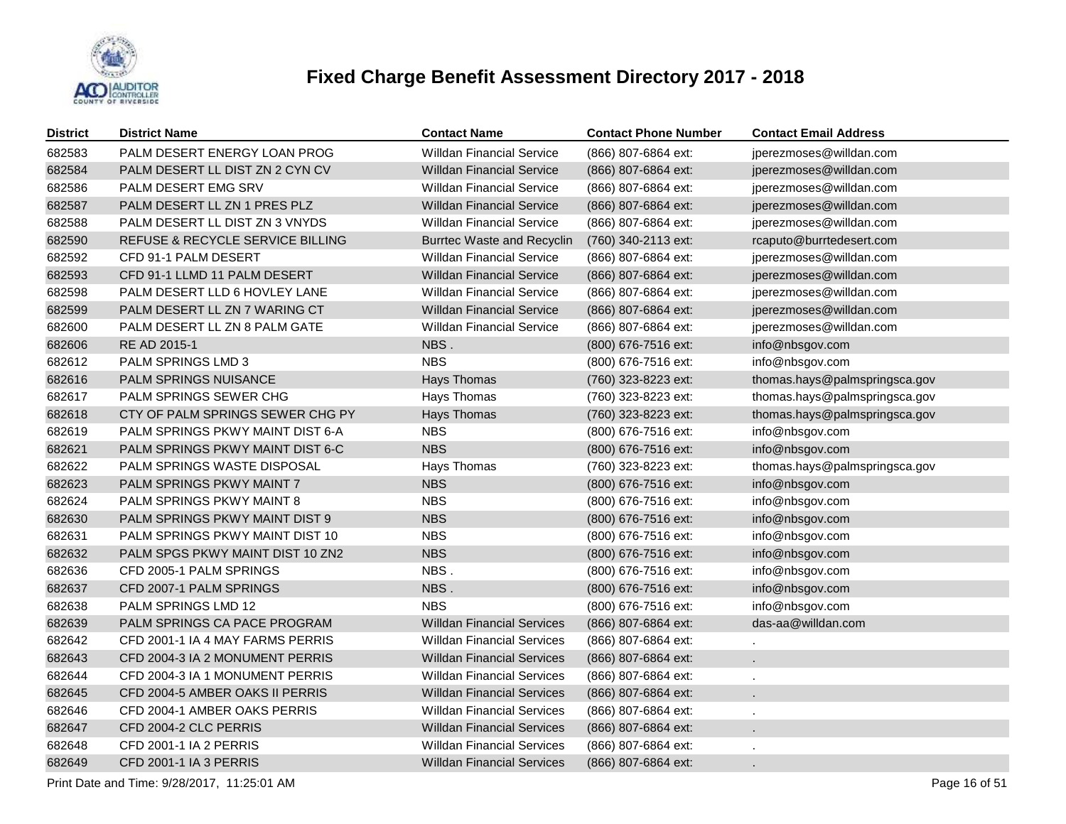

| <b>District</b> | <b>District Name</b>             | <b>Contact Name</b>               | <b>Contact Phone Number</b> | <b>Contact Email Address</b>  |
|-----------------|----------------------------------|-----------------------------------|-----------------------------|-------------------------------|
| 682583          | PALM DESERT ENERGY LOAN PROG     | Willdan Financial Service         | (866) 807-6864 ext:         | jperezmoses@willdan.com       |
| 682584          | PALM DESERT LL DIST ZN 2 CYN CV  | <b>Willdan Financial Service</b>  | (866) 807-6864 ext:         | jperezmoses@willdan.com       |
| 682586          | PALM DESERT EMG SRV              | <b>Willdan Financial Service</b>  | (866) 807-6864 ext:         | jperezmoses@willdan.com       |
| 682587          | PALM DESERT LL ZN 1 PRES PLZ     | <b>Willdan Financial Service</b>  | (866) 807-6864 ext:         | jperezmoses@willdan.com       |
| 682588          | PALM DESERT LL DIST ZN 3 VNYDS   | <b>Willdan Financial Service</b>  | (866) 807-6864 ext:         | jperezmoses@willdan.com       |
| 682590          | REFUSE & RECYCLE SERVICE BILLING | <b>Burrtec Waste and Recyclin</b> | (760) 340-2113 ext:         | rcaputo@burrtedesert.com      |
| 682592          | CFD 91-1 PALM DESERT             | <b>Willdan Financial Service</b>  | (866) 807-6864 ext:         | jperezmoses@willdan.com       |
| 682593          | CFD 91-1 LLMD 11 PALM DESERT     | <b>Willdan Financial Service</b>  | (866) 807-6864 ext:         | jperezmoses@willdan.com       |
| 682598          | PALM DESERT LLD 6 HOVLEY LANE    | <b>Willdan Financial Service</b>  | (866) 807-6864 ext:         | jperezmoses@willdan.com       |
| 682599          | PALM DESERT LL ZN 7 WARING CT    | <b>Willdan Financial Service</b>  | (866) 807-6864 ext:         | jperezmoses@willdan.com       |
| 682600          | PALM DESERT LL ZN 8 PALM GATE    | <b>Willdan Financial Service</b>  | (866) 807-6864 ext:         | jperezmoses@willdan.com       |
| 682606          | RE AD 2015-1                     | NBS.                              | (800) 676-7516 ext:         | info@nbsgov.com               |
| 682612          | PALM SPRINGS LMD 3               | <b>NBS</b>                        | (800) 676-7516 ext:         | info@nbsgov.com               |
| 682616          | PALM SPRINGS NUISANCE            | Hays Thomas                       | (760) 323-8223 ext:         | thomas.hays@palmspringsca.gov |
| 682617          | PALM SPRINGS SEWER CHG           | Hays Thomas                       | (760) 323-8223 ext:         | thomas.hays@palmspringsca.gov |
| 682618          | CTY OF PALM SPRINGS SEWER CHG PY | Hays Thomas                       | (760) 323-8223 ext:         | thomas.hays@palmspringsca.gov |
| 682619          | PALM SPRINGS PKWY MAINT DIST 6-A | <b>NBS</b>                        | (800) 676-7516 ext:         | info@nbsgov.com               |
| 682621          | PALM SPRINGS PKWY MAINT DIST 6-C | <b>NBS</b>                        | (800) 676-7516 ext:         | info@nbsgov.com               |
| 682622          | PALM SPRINGS WASTE DISPOSAL      | Hays Thomas                       | (760) 323-8223 ext:         | thomas.hays@palmspringsca.gov |
| 682623          | PALM SPRINGS PKWY MAINT 7        | <b>NBS</b>                        | (800) 676-7516 ext:         | info@nbsgov.com               |
| 682624          | PALM SPRINGS PKWY MAINT 8        | <b>NBS</b>                        | (800) 676-7516 ext:         | info@nbsgov.com               |
| 682630          | PALM SPRINGS PKWY MAINT DIST 9   | <b>NBS</b>                        | (800) 676-7516 ext:         | info@nbsgov.com               |
| 682631          | PALM SPRINGS PKWY MAINT DIST 10  | <b>NBS</b>                        | (800) 676-7516 ext:         | info@nbsgov.com               |
| 682632          | PALM SPGS PKWY MAINT DIST 10 ZN2 | <b>NBS</b>                        | (800) 676-7516 ext:         | info@nbsgov.com               |
| 682636          | CFD 2005-1 PALM SPRINGS          | NBS.                              | (800) 676-7516 ext:         | info@nbsgov.com               |
| 682637          | CFD 2007-1 PALM SPRINGS          | NBS.                              | (800) 676-7516 ext:         | info@nbsgov.com               |
| 682638          | <b>PALM SPRINGS LMD 12</b>       | <b>NBS</b>                        | (800) 676-7516 ext:         | info@nbsgov.com               |
| 682639          | PALM SPRINGS CA PACE PROGRAM     | <b>Willdan Financial Services</b> | (866) 807-6864 ext:         | das-aa@willdan.com            |
| 682642          | CFD 2001-1 IA 4 MAY FARMS PERRIS | <b>Willdan Financial Services</b> | (866) 807-6864 ext:         |                               |
| 682643          | CFD 2004-3 IA 2 MONUMENT PERRIS  | <b>Willdan Financial Services</b> | (866) 807-6864 ext:         | $\mathcal{L}^{\mathcal{L}}$   |
| 682644          | CFD 2004-3 IA 1 MONUMENT PERRIS  | <b>Willdan Financial Services</b> | (866) 807-6864 ext:         | $\epsilon$                    |
| 682645          | CFD 2004-5 AMBER OAKS II PERRIS  | <b>Willdan Financial Services</b> | (866) 807-6864 ext:         | $\mathbf{r}$                  |
| 682646          | CFD 2004-1 AMBER OAKS PERRIS     | <b>Willdan Financial Services</b> | (866) 807-6864 ext:         | $\epsilon$                    |
| 682647          | CFD 2004-2 CLC PERRIS            | <b>Willdan Financial Services</b> | (866) 807-6864 ext:         | $\mathbf{r}$                  |
| 682648          | CFD 2001-1 IA 2 PERRIS           | <b>Willdan Financial Services</b> | (866) 807-6864 ext:         |                               |
| 682649          | CFD 2001-1 IA 3 PERRIS           | <b>Willdan Financial Services</b> | (866) 807-6864 ext:         | $\mathbf{r}$                  |

Print Date and Time:  $9/28/2017$ , 11:25:01 AM Page 16 of 51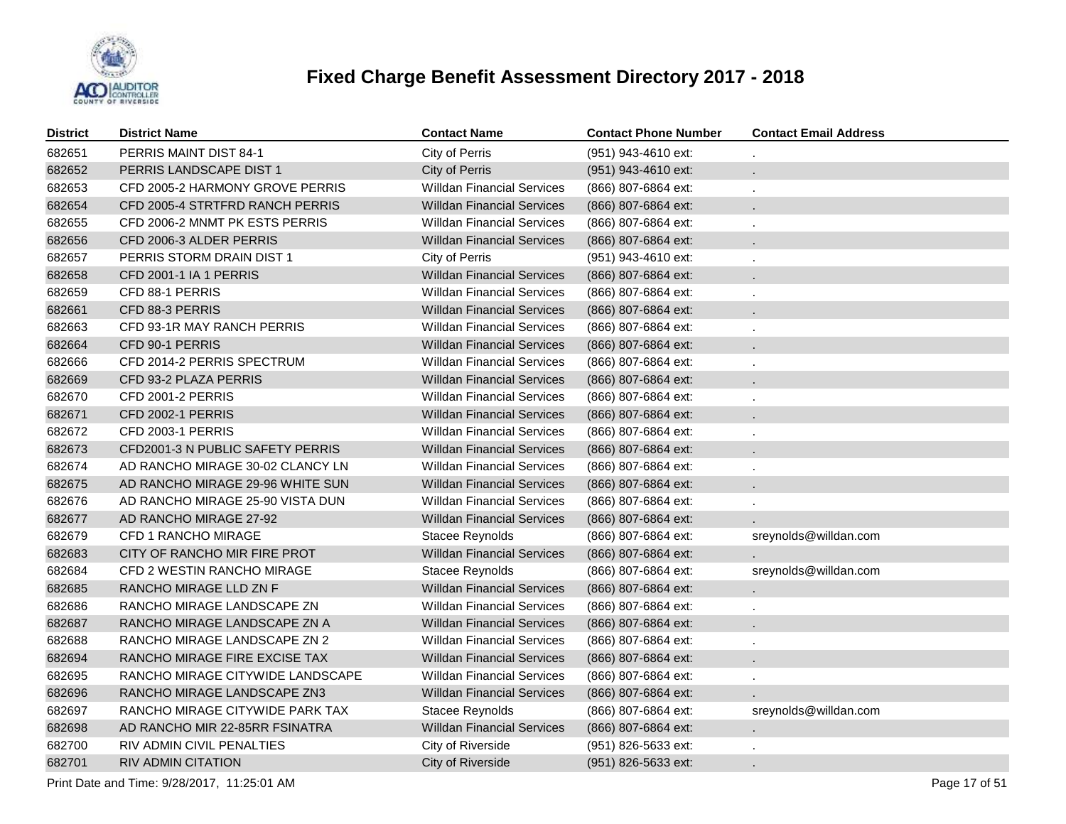

| District | <b>District Name</b>             | <b>Contact Name</b>               | <b>Contact Phone Number</b> | <b>Contact Email Address</b> |
|----------|----------------------------------|-----------------------------------|-----------------------------|------------------------------|
| 682651   | PERRIS MAINT DIST 84-1           | City of Perris                    | (951) 943-4610 ext:         |                              |
| 682652   | PERRIS LANDSCAPE DIST 1          | City of Perris                    | (951) 943-4610 ext:         |                              |
| 682653   | CFD 2005-2 HARMONY GROVE PERRIS  | <b>Willdan Financial Services</b> | (866) 807-6864 ext:         |                              |
| 682654   | CFD 2005-4 STRTFRD RANCH PERRIS  | <b>Willdan Financial Services</b> | (866) 807-6864 ext:         |                              |
| 682655   | CFD 2006-2 MNMT PK ESTS PERRIS   | <b>Willdan Financial Services</b> | (866) 807-6864 ext:         |                              |
| 682656   | CFD 2006-3 ALDER PERRIS          | <b>Willdan Financial Services</b> | (866) 807-6864 ext:         |                              |
| 682657   | PERRIS STORM DRAIN DIST 1        | City of Perris                    | (951) 943-4610 ext:         |                              |
| 682658   | CFD 2001-1 IA 1 PERRIS           | <b>Willdan Financial Services</b> | (866) 807-6864 ext:         |                              |
| 682659   | CFD 88-1 PERRIS                  | <b>Willdan Financial Services</b> | (866) 807-6864 ext:         |                              |
| 682661   | CFD 88-3 PERRIS                  | <b>Willdan Financial Services</b> | (866) 807-6864 ext:         | $\mathbf{r}$                 |
| 682663   | CFD 93-1R MAY RANCH PERRIS       | <b>Willdan Financial Services</b> | (866) 807-6864 ext:         |                              |
| 682664   | CFD 90-1 PERRIS                  | <b>Willdan Financial Services</b> | (866) 807-6864 ext:         | $\epsilon$                   |
| 682666   | CFD 2014-2 PERRIS SPECTRUM       | <b>Willdan Financial Services</b> | (866) 807-6864 ext:         |                              |
| 682669   | CFD 93-2 PLAZA PERRIS            | <b>Willdan Financial Services</b> | (866) 807-6864 ext:         | $\mathbf{r}$                 |
| 682670   | CFD 2001-2 PERRIS                | <b>Willdan Financial Services</b> | (866) 807-6864 ext:         |                              |
| 682671   | CFD 2002-1 PERRIS                | <b>Willdan Financial Services</b> | (866) 807-6864 ext:         | $\mathbf{r}$                 |
| 682672   | CFD 2003-1 PERRIS                | <b>Willdan Financial Services</b> | (866) 807-6864 ext:         |                              |
| 682673   | CFD2001-3 N PUBLIC SAFETY PERRIS | <b>Willdan Financial Services</b> | (866) 807-6864 ext:         |                              |
| 682674   | AD RANCHO MIRAGE 30-02 CLANCY LN | <b>Willdan Financial Services</b> | (866) 807-6864 ext:         |                              |
| 682675   | AD RANCHO MIRAGE 29-96 WHITE SUN | <b>Willdan Financial Services</b> | (866) 807-6864 ext:         |                              |
| 682676   | AD RANCHO MIRAGE 25-90 VISTA DUN | <b>Willdan Financial Services</b> | (866) 807-6864 ext:         |                              |
| 682677   | AD RANCHO MIRAGE 27-92           | <b>Willdan Financial Services</b> | (866) 807-6864 ext:         |                              |
| 682679   | CFD 1 RANCHO MIRAGE              | Stacee Reynolds                   | (866) 807-6864 ext:         | sreynolds@willdan.com        |
| 682683   | CITY OF RANCHO MIR FIRE PROT     | <b>Willdan Financial Services</b> | (866) 807-6864 ext:         |                              |
| 682684   | CFD 2 WESTIN RANCHO MIRAGE       | Stacee Reynolds                   | (866) 807-6864 ext:         | sreynolds@willdan.com        |
| 682685   | RANCHO MIRAGE LLD ZN F           | <b>Willdan Financial Services</b> | (866) 807-6864 ext:         |                              |
| 682686   | RANCHO MIRAGE LANDSCAPE ZN       | <b>Willdan Financial Services</b> | (866) 807-6864 ext:         |                              |
| 682687   | RANCHO MIRAGE LANDSCAPE ZN A     | <b>Willdan Financial Services</b> | (866) 807-6864 ext:         |                              |
| 682688   | RANCHO MIRAGE LANDSCAPE ZN 2     | <b>Willdan Financial Services</b> | (866) 807-6864 ext:         |                              |
| 682694   | RANCHO MIRAGE FIRE EXCISE TAX    | <b>Willdan Financial Services</b> | (866) 807-6864 ext:         |                              |
| 682695   | RANCHO MIRAGE CITYWIDE LANDSCAPE | <b>Willdan Financial Services</b> | (866) 807-6864 ext:         |                              |
| 682696   | RANCHO MIRAGE LANDSCAPE ZN3      | <b>Willdan Financial Services</b> | (866) 807-6864 ext:         |                              |
| 682697   | RANCHO MIRAGE CITYWIDE PARK TAX  | Stacee Reynolds                   | (866) 807-6864 ext:         | sreynolds@willdan.com        |
| 682698   | AD RANCHO MIR 22-85RR FSINATRA   | <b>Willdan Financial Services</b> | (866) 807-6864 ext:         |                              |
| 682700   | RIV ADMIN CIVIL PENALTIES        | City of Riverside                 | (951) 826-5633 ext:         |                              |
| 682701   | RIV ADMIN CITATION               | City of Riverside                 | (951) 826-5633 ext:         |                              |

Print Date and Time:  $9/28/2017$ , 11:25:01 AM Page 17 of 51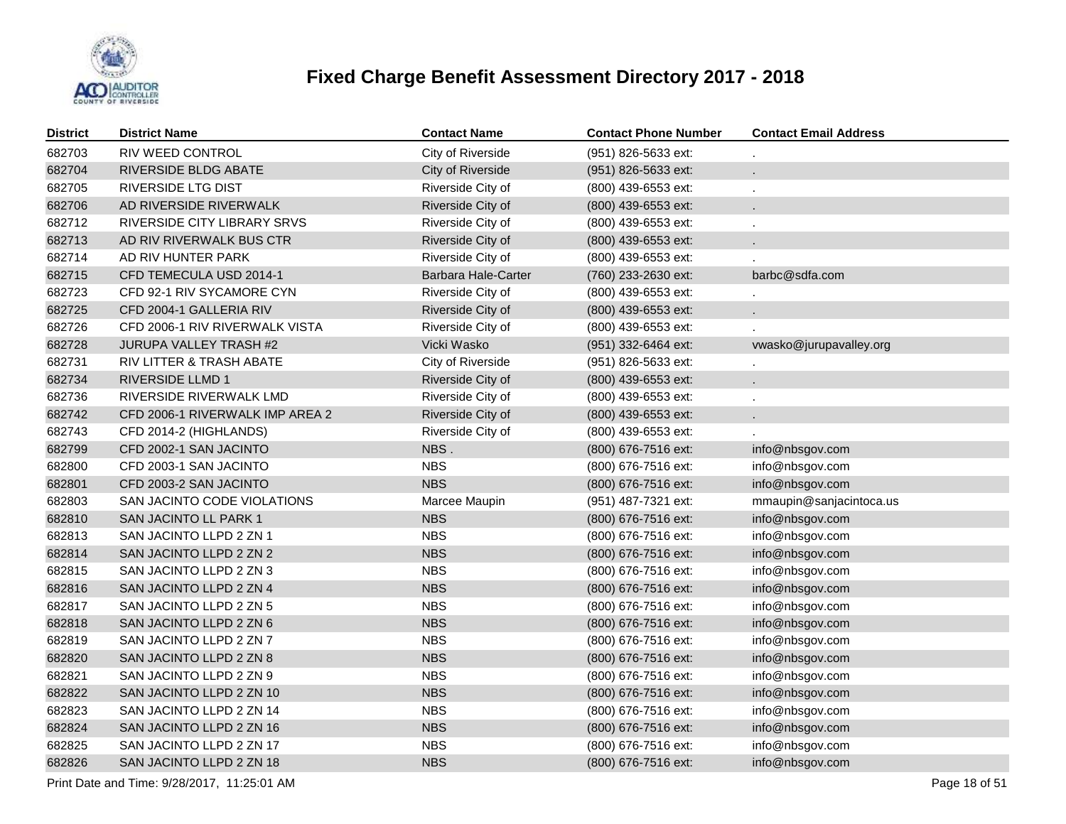

| <b>District</b> | <b>District Name</b>            | <b>Contact Name</b> | <b>Contact Phone Number</b> | <b>Contact Email Address</b> |
|-----------------|---------------------------------|---------------------|-----------------------------|------------------------------|
| 682703          | RIV WEED CONTROL                | City of Riverside   | (951) 826-5633 ext:         |                              |
| 682704          | RIVERSIDE BLDG ABATE            | City of Riverside   | (951) 826-5633 ext:         |                              |
| 682705          | <b>RIVERSIDE LTG DIST</b>       | Riverside City of   | (800) 439-6553 ext:         |                              |
| 682706          | AD RIVERSIDE RIVERWALK          | Riverside City of   | (800) 439-6553 ext:         |                              |
| 682712          | RIVERSIDE CITY LIBRARY SRVS     | Riverside City of   | (800) 439-6553 ext:         |                              |
| 682713          | AD RIV RIVERWALK BUS CTR        | Riverside City of   | (800) 439-6553 ext:         |                              |
| 682714          | AD RIV HUNTER PARK              | Riverside City of   | (800) 439-6553 ext:         |                              |
| 682715          | CFD TEMECULA USD 2014-1         | Barbara Hale-Carter | (760) 233-2630 ext:         | barbc@sdfa.com               |
| 682723          | CFD 92-1 RIV SYCAMORE CYN       | Riverside City of   | (800) 439-6553 ext:         |                              |
| 682725          | CFD 2004-1 GALLERIA RIV         | Riverside City of   | (800) 439-6553 ext:         |                              |
| 682726          | CFD 2006-1 RIV RIVERWALK VISTA  | Riverside City of   | (800) 439-6553 ext:         |                              |
| 682728          | JURUPA VALLEY TRASH #2          | Vicki Wasko         | (951) 332-6464 ext:         | vwasko@jurupavalley.org      |
| 682731          | RIV LITTER & TRASH ABATE        | City of Riverside   | (951) 826-5633 ext:         |                              |
| 682734          | <b>RIVERSIDE LLMD 1</b>         | Riverside City of   | (800) 439-6553 ext:         |                              |
| 682736          | RIVERSIDE RIVERWALK LMD         | Riverside City of   | (800) 439-6553 ext:         |                              |
| 682742          | CFD 2006-1 RIVERWALK IMP AREA 2 | Riverside City of   | (800) 439-6553 ext:         |                              |
| 682743          | CFD 2014-2 (HIGHLANDS)          | Riverside City of   | (800) 439-6553 ext:         |                              |
| 682799          | CFD 2002-1 SAN JACINTO          | NBS.                | (800) 676-7516 ext:         | info@nbsgov.com              |
| 682800          | CFD 2003-1 SAN JACINTO          | <b>NBS</b>          | (800) 676-7516 ext:         | info@nbsgov.com              |
| 682801          | CFD 2003-2 SAN JACINTO          | <b>NBS</b>          | (800) 676-7516 ext:         | info@nbsgov.com              |
| 682803          | SAN JACINTO CODE VIOLATIONS     | Marcee Maupin       | (951) 487-7321 ext:         | mmaupin@sanjacintoca.us      |
| 682810          | SAN JACINTO LL PARK 1           | <b>NBS</b>          | (800) 676-7516 ext:         | info@nbsgov.com              |
| 682813          | SAN JACINTO LLPD 2 ZN 1         | <b>NBS</b>          | (800) 676-7516 ext:         | info@nbsgov.com              |
| 682814          | SAN JACINTO LLPD 2 ZN 2         | <b>NBS</b>          | (800) 676-7516 ext:         | info@nbsgov.com              |
| 682815          | SAN JACINTO LLPD 2 ZN 3         | <b>NBS</b>          | (800) 676-7516 ext:         | info@nbsgov.com              |
| 682816          | SAN JACINTO LLPD 2 ZN 4         | <b>NBS</b>          | (800) 676-7516 ext:         | info@nbsgov.com              |
| 682817          | SAN JACINTO LLPD 2 ZN 5         | <b>NBS</b>          | (800) 676-7516 ext:         | info@nbsgov.com              |
| 682818          | SAN JACINTO LLPD 2 ZN 6         | <b>NBS</b>          | (800) 676-7516 ext:         | info@nbsgov.com              |
| 682819          | SAN JACINTO LLPD 2 ZN 7         | <b>NBS</b>          | (800) 676-7516 ext:         | info@nbsgov.com              |
| 682820          | SAN JACINTO LLPD 2 ZN 8         | <b>NBS</b>          | (800) 676-7516 ext:         | info@nbsgov.com              |
| 682821          | SAN JACINTO LLPD 2 ZN 9         | <b>NBS</b>          | (800) 676-7516 ext:         | info@nbsgov.com              |
| 682822          | SAN JACINTO LLPD 2 ZN 10        | <b>NBS</b>          | (800) 676-7516 ext:         | info@nbsgov.com              |
| 682823          | SAN JACINTO LLPD 2 ZN 14        | <b>NBS</b>          | (800) 676-7516 ext:         | info@nbsgov.com              |
| 682824          | SAN JACINTO LLPD 2 ZN 16        | <b>NBS</b>          | (800) 676-7516 ext:         | info@nbsgov.com              |
| 682825          | SAN JACINTO LLPD 2 ZN 17        | <b>NBS</b>          | (800) 676-7516 ext:         | info@nbsgov.com              |
| 682826          | SAN JACINTO LLPD 2 ZN 18        | <b>NBS</b>          | (800) 676-7516 ext:         | info@nbsgov.com              |
|                 |                                 |                     |                             |                              |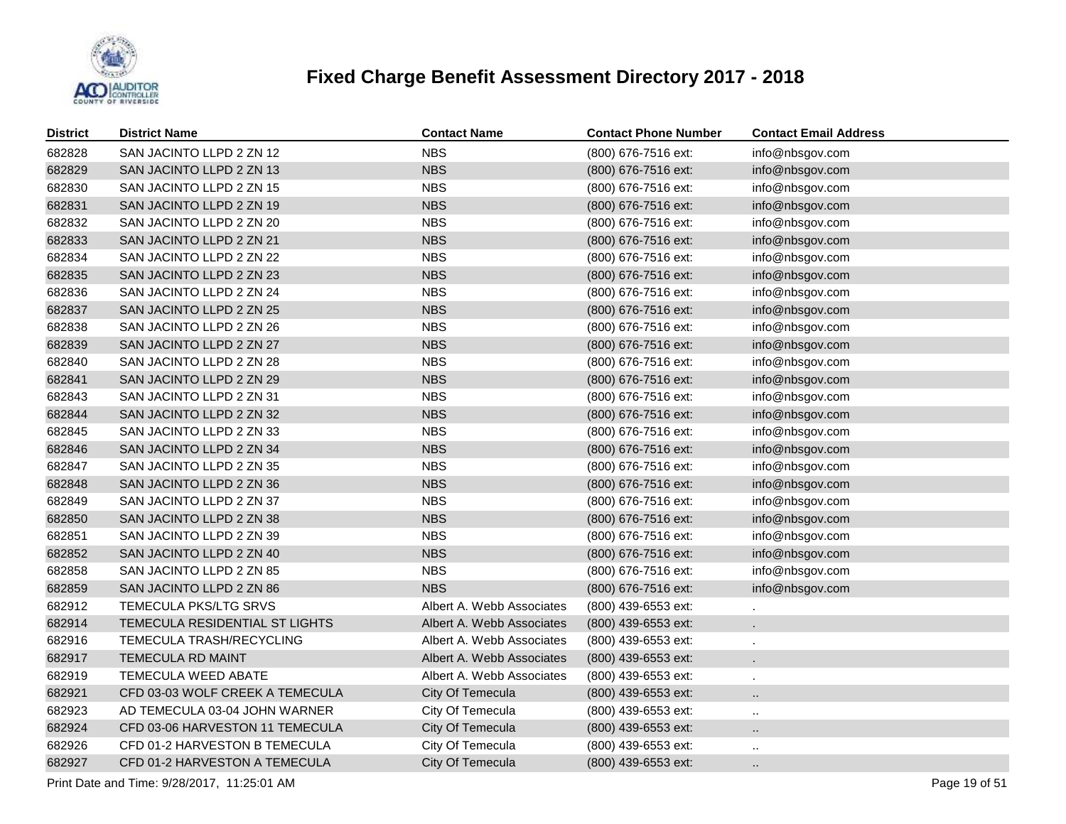

| <b>District</b> | <b>District Name</b>            | <b>Contact Name</b>       | <b>Contact Phone Number</b> | <b>Contact Email Address</b> |
|-----------------|---------------------------------|---------------------------|-----------------------------|------------------------------|
| 682828          | SAN JACINTO LLPD 2 ZN 12        | <b>NBS</b>                | (800) 676-7516 ext:         | info@nbsgov.com              |
| 682829          | SAN JACINTO LLPD 2 ZN 13        | <b>NBS</b>                | (800) 676-7516 ext:         | info@nbsgov.com              |
| 682830          | SAN JACINTO LLPD 2 ZN 15        | <b>NBS</b>                | (800) 676-7516 ext:         | info@nbsgov.com              |
| 682831          | SAN JACINTO LLPD 2 ZN 19        | <b>NBS</b>                | (800) 676-7516 ext:         | info@nbsgov.com              |
| 682832          | SAN JACINTO LLPD 2 ZN 20        | <b>NBS</b>                | (800) 676-7516 ext:         | info@nbsgov.com              |
| 682833          | SAN JACINTO LLPD 2 ZN 21        | <b>NBS</b>                | (800) 676-7516 ext:         | info@nbsgov.com              |
| 682834          | SAN JACINTO LLPD 2 ZN 22        | <b>NBS</b>                | (800) 676-7516 ext:         | info@nbsgov.com              |
| 682835          | SAN JACINTO LLPD 2 ZN 23        | <b>NBS</b>                | (800) 676-7516 ext:         | info@nbsgov.com              |
| 682836          | SAN JACINTO LLPD 2 ZN 24        | <b>NBS</b>                | (800) 676-7516 ext:         | info@nbsgov.com              |
| 682837          | SAN JACINTO LLPD 2 ZN 25        | <b>NBS</b>                | (800) 676-7516 ext:         | info@nbsgov.com              |
| 682838          | SAN JACINTO LLPD 2 ZN 26        | <b>NBS</b>                | (800) 676-7516 ext:         | info@nbsgov.com              |
| 682839          | SAN JACINTO LLPD 2 ZN 27        | <b>NBS</b>                | (800) 676-7516 ext:         | info@nbsgov.com              |
| 682840          | SAN JACINTO LLPD 2 ZN 28        | <b>NBS</b>                | (800) 676-7516 ext:         | info@nbsgov.com              |
| 682841          | SAN JACINTO LLPD 2 ZN 29        | <b>NBS</b>                | (800) 676-7516 ext:         | info@nbsgov.com              |
| 682843          | SAN JACINTO LLPD 2 ZN 31        | <b>NBS</b>                | (800) 676-7516 ext:         | info@nbsgov.com              |
| 682844          | SAN JACINTO LLPD 2 ZN 32        | <b>NBS</b>                | (800) 676-7516 ext:         | info@nbsgov.com              |
| 682845          | SAN JACINTO LLPD 2 ZN 33        | <b>NBS</b>                | (800) 676-7516 ext:         | info@nbsgov.com              |
| 682846          | SAN JACINTO LLPD 2 ZN 34        | <b>NBS</b>                | (800) 676-7516 ext:         | info@nbsgov.com              |
| 682847          | SAN JACINTO LLPD 2 ZN 35        | <b>NBS</b>                | (800) 676-7516 ext:         | info@nbsgov.com              |
| 682848          | SAN JACINTO LLPD 2 ZN 36        | <b>NBS</b>                | (800) 676-7516 ext:         | info@nbsgov.com              |
| 682849          | SAN JACINTO LLPD 2 ZN 37        | <b>NBS</b>                | (800) 676-7516 ext:         | info@nbsgov.com              |
| 682850          | SAN JACINTO LLPD 2 ZN 38        | <b>NBS</b>                | (800) 676-7516 ext:         | info@nbsgov.com              |
| 682851          | SAN JACINTO LLPD 2 ZN 39        | <b>NBS</b>                | (800) 676-7516 ext:         | info@nbsgov.com              |
| 682852          | SAN JACINTO LLPD 2 ZN 40        | <b>NBS</b>                | (800) 676-7516 ext:         | info@nbsgov.com              |
| 682858          | SAN JACINTO LLPD 2 ZN 85        | <b>NBS</b>                | (800) 676-7516 ext:         | info@nbsgov.com              |
| 682859          | SAN JACINTO LLPD 2 ZN 86        | <b>NBS</b>                | (800) 676-7516 ext:         | info@nbsgov.com              |
| 682912          | TEMECULA PKS/LTG SRVS           | Albert A. Webb Associates | (800) 439-6553 ext:         |                              |
| 682914          | TEMECULA RESIDENTIAL ST LIGHTS  | Albert A. Webb Associates | (800) 439-6553 ext:         |                              |
| 682916          | TEMECULA TRASH/RECYCLING        | Albert A. Webb Associates | (800) 439-6553 ext:         |                              |
| 682917          | TEMECULA RD MAINT               | Albert A. Webb Associates | (800) 439-6553 ext:         |                              |
| 682919          | TEMECULA WEED ABATE             | Albert A. Webb Associates | (800) 439-6553 ext:         |                              |
| 682921          | CFD 03-03 WOLF CREEK A TEMECULA | City Of Temecula          | (800) 439-6553 ext:         |                              |
| 682923          | AD TEMECULA 03-04 JOHN WARNER   | City Of Temecula          | (800) 439-6553 ext:         | Ω.                           |
| 682924          | CFD 03-06 HARVESTON 11 TEMECULA | City Of Temecula          | (800) 439-6553 ext:         |                              |
| 682926          | CFD 01-2 HARVESTON B TEMECULA   | City Of Temecula          | (800) 439-6553 ext:         |                              |
| 682927          | CFD 01-2 HARVESTON A TEMECULA   | City Of Temecula          | (800) 439-6553 ext:         |                              |

Print Date and Time:  $9/28/2017$ , 11:25:01 AM Page 19 of 51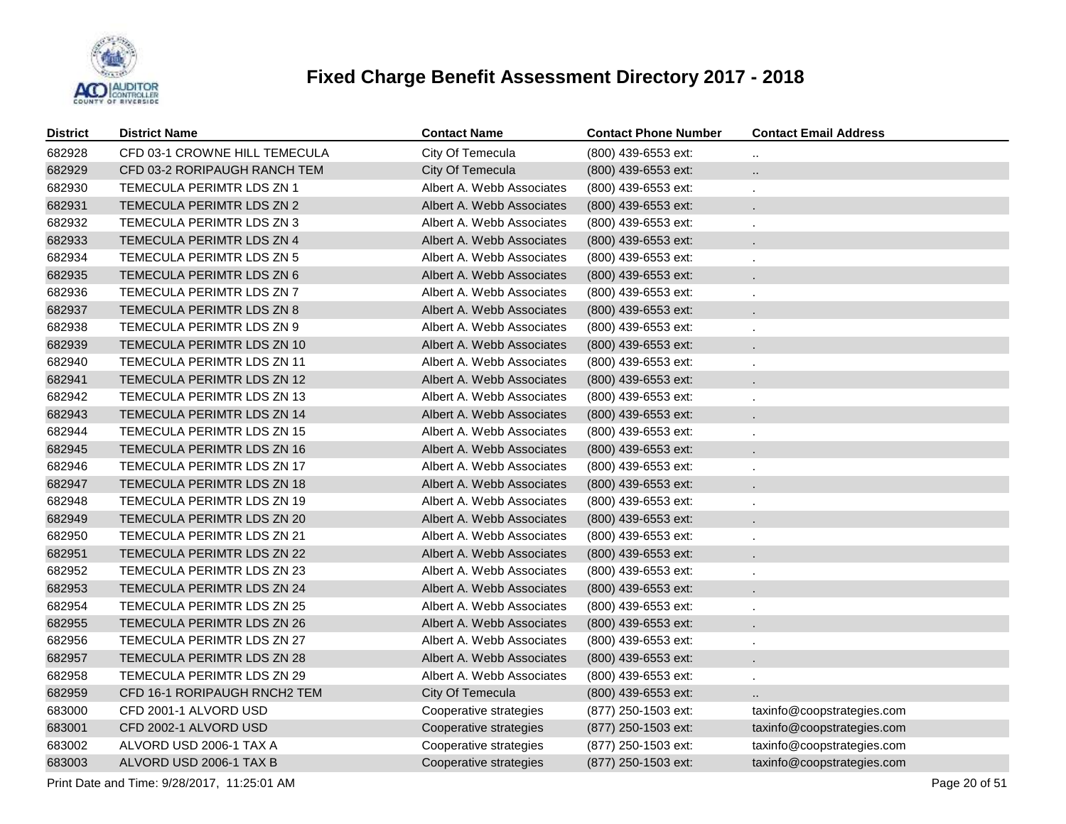

| <b>District</b> | <b>District Name</b>              | <b>Contact Name</b>       | <b>Contact Phone Number</b> | <b>Contact Email Address</b> |
|-----------------|-----------------------------------|---------------------------|-----------------------------|------------------------------|
| 682928          | CFD 03-1 CROWNE HILL TEMECULA     | City Of Temecula          | (800) 439-6553 ext:         | $\ddot{\phantom{a}}$         |
| 682929          | CFD 03-2 RORIPAUGH RANCH TEM      | City Of Temecula          | (800) 439-6553 ext:         | $\ddot{\phantom{a}}$         |
| 682930          | TEMECULA PERIMTR LDS ZN 1         | Albert A. Webb Associates | (800) 439-6553 ext:         | ×.                           |
| 682931          | TEMECULA PERIMTR LDS ZN 2         | Albert A. Webb Associates | (800) 439-6553 ext:         | $\mathbf{r}$                 |
| 682932          | TEMECULA PERIMTR LDS ZN 3         | Albert A. Webb Associates | (800) 439-6553 ext:         | ×.                           |
| 682933          | TEMECULA PERIMTR LDS ZN 4         | Albert A. Webb Associates | (800) 439-6553 ext:         | $\epsilon$                   |
| 682934          | TEMECULA PERIMTR LDS ZN 5         | Albert A. Webb Associates | (800) 439-6553 ext:         | ×.                           |
| 682935          | TEMECULA PERIMTR LDS ZN 6         | Albert A. Webb Associates | (800) 439-6553 ext:         |                              |
| 682936          | TEMECULA PERIMTR LDS ZN 7         | Albert A. Webb Associates | (800) 439-6553 ext:         | ×.                           |
| 682937          | TEMECULA PERIMTR LDS ZN 8         | Albert A. Webb Associates | (800) 439-6553 ext:         |                              |
| 682938          | TEMECULA PERIMTR LDS ZN 9         | Albert A. Webb Associates | (800) 439-6553 ext:         | ä,                           |
| 682939          | TEMECULA PERIMTR LDS ZN 10        | Albert A. Webb Associates | (800) 439-6553 ext:         |                              |
| 682940          | TEMECULA PERIMTR LDS ZN 11        | Albert A. Webb Associates | (800) 439-6553 ext:         | ä,                           |
| 682941          | TEMECULA PERIMTR LDS ZN 12        | Albert A. Webb Associates | (800) 439-6553 ext:         |                              |
| 682942          | TEMECULA PERIMTR LDS ZN 13        | Albert A. Webb Associates | (800) 439-6553 ext:         |                              |
| 682943          | TEMECULA PERIMTR LDS ZN 14        | Albert A. Webb Associates | (800) 439-6553 ext:         |                              |
| 682944          | <b>TEMECULA PERIMTR LDS ZN 15</b> | Albert A. Webb Associates | (800) 439-6553 ext:         |                              |
| 682945          | TEMECULA PERIMTR LDS ZN 16        | Albert A. Webb Associates | (800) 439-6553 ext:         |                              |
| 682946          | TEMECULA PERIMTR LDS ZN 17        | Albert A. Webb Associates | (800) 439-6553 ext:         |                              |
| 682947          | TEMECULA PERIMTR LDS ZN 18        | Albert A. Webb Associates | (800) 439-6553 ext:         |                              |
| 682948          | TEMECULA PERIMTR LDS ZN 19        | Albert A. Webb Associates | (800) 439-6553 ext:         |                              |
| 682949          | TEMECULA PERIMTR LDS ZN 20        | Albert A. Webb Associates | (800) 439-6553 ext:         |                              |
| 682950          | TEMECULA PERIMTR LDS ZN 21        | Albert A. Webb Associates | (800) 439-6553 ext:         |                              |
| 682951          | TEMECULA PERIMTR LDS ZN 22        | Albert A. Webb Associates | (800) 439-6553 ext:         |                              |
| 682952          | TEMECULA PERIMTR LDS ZN 23        | Albert A. Webb Associates | (800) 439-6553 ext:         |                              |
| 682953          | TEMECULA PERIMTR LDS ZN 24        | Albert A. Webb Associates | (800) 439-6553 ext:         |                              |
| 682954          | TEMECULA PERIMTR LDS ZN 25        | Albert A. Webb Associates | (800) 439-6553 ext:         |                              |
| 682955          | TEMECULA PERIMTR LDS ZN 26        | Albert A. Webb Associates | (800) 439-6553 ext:         |                              |
| 682956          | TEMECULA PERIMTR LDS ZN 27        | Albert A. Webb Associates | (800) 439-6553 ext:         |                              |
| 682957          | TEMECULA PERIMTR LDS ZN 28        | Albert A. Webb Associates | (800) 439-6553 ext:         |                              |
| 682958          | TEMECULA PERIMTR LDS ZN 29        | Albert A. Webb Associates | (800) 439-6553 ext:         |                              |
| 682959          | CFD 16-1 RORIPAUGH RNCH2 TEM      | City Of Temecula          | (800) 439-6553 ext:         |                              |
| 683000          | CFD 2001-1 ALVORD USD             | Cooperative strategies    | (877) 250-1503 ext:         | taxinfo@coopstrategies.com   |
| 683001          | CFD 2002-1 ALVORD USD             | Cooperative strategies    | (877) 250-1503 ext:         | taxinfo@coopstrategies.com   |
| 683002          | ALVORD USD 2006-1 TAX A           | Cooperative strategies    | (877) 250-1503 ext:         | taxinfo@coopstrategies.com   |
| 683003          | ALVORD USD 2006-1 TAX B           | Cooperative strategies    | (877) 250-1503 ext:         | taxinfo@coopstrategies.com   |

Print Date and Time:  $9/28/2017$ , 11:25:01 AM Page 20 of 51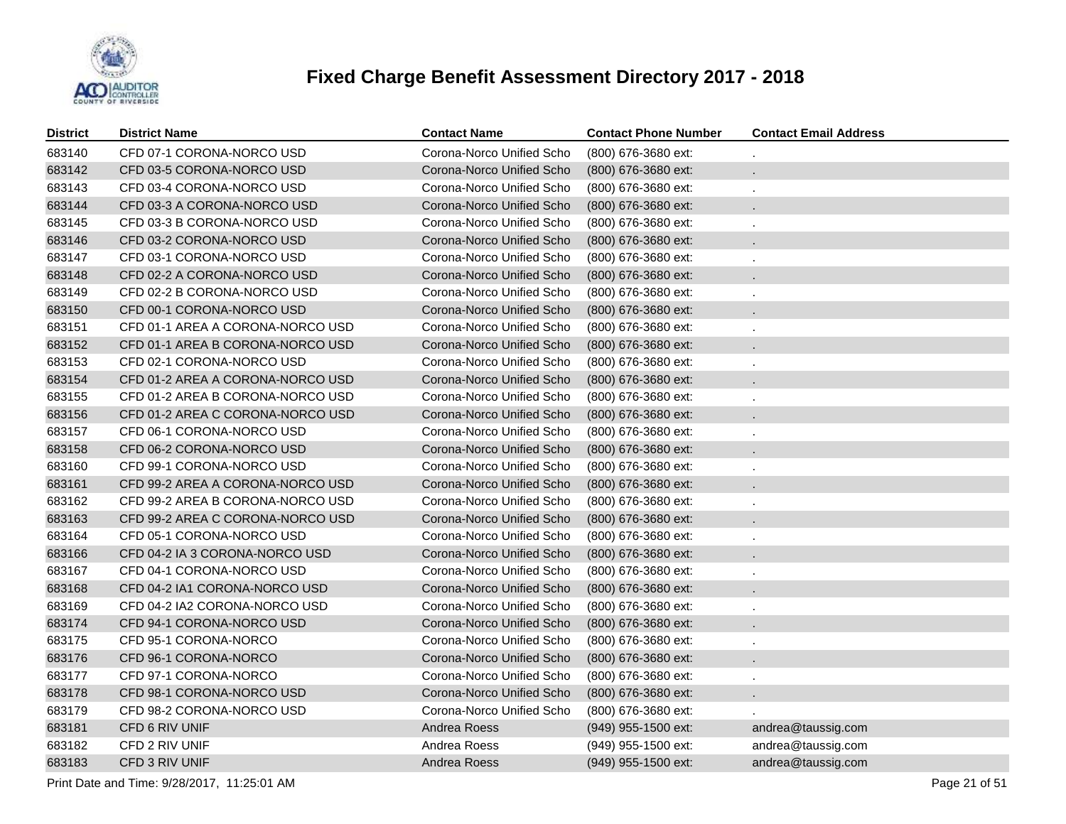

| <b>District</b> | <b>District Name</b>             | <b>Contact Name</b>       | <b>Contact Phone Number</b> | <b>Contact Email Address</b> |
|-----------------|----------------------------------|---------------------------|-----------------------------|------------------------------|
| 683140          | CFD 07-1 CORONA-NORCO USD        | Corona-Norco Unified Scho | (800) 676-3680 ext:         |                              |
| 683142          | CFD 03-5 CORONA-NORCO USD        | Corona-Norco Unified Scho | (800) 676-3680 ext:         | $\mathbf{r}$                 |
| 683143          | CFD 03-4 CORONA-NORCO USD        | Corona-Norco Unified Scho | (800) 676-3680 ext:         | ä,                           |
| 683144          | CFD 03-3 A CORONA-NORCO USD      | Corona-Norco Unified Scho | (800) 676-3680 ext:         |                              |
| 683145          | CFD 03-3 B CORONA-NORCO USD      | Corona-Norco Unified Scho | (800) 676-3680 ext:         | ä,                           |
| 683146          | CFD 03-2 CORONA-NORCO USD        | Corona-Norco Unified Scho | (800) 676-3680 ext:         |                              |
| 683147          | CFD 03-1 CORONA-NORCO USD        | Corona-Norco Unified Scho | (800) 676-3680 ext:         | ä,                           |
| 683148          | CFD 02-2 A CORONA-NORCO USD      | Corona-Norco Unified Scho | (800) 676-3680 ext:         |                              |
| 683149          | CFD 02-2 B CORONA-NORCO USD      | Corona-Norco Unified Scho | (800) 676-3680 ext:         |                              |
| 683150          | CFD 00-1 CORONA-NORCO USD        | Corona-Norco Unified Scho | (800) 676-3680 ext:         |                              |
| 683151          | CFD 01-1 AREA A CORONA-NORCO USD | Corona-Norco Unified Scho | (800) 676-3680 ext:         |                              |
| 683152          | CFD 01-1 AREA B CORONA-NORCO USD | Corona-Norco Unified Scho | (800) 676-3680 ext:         |                              |
| 683153          | CFD 02-1 CORONA-NORCO USD        | Corona-Norco Unified Scho | (800) 676-3680 ext:         |                              |
| 683154          | CFD 01-2 AREA A CORONA-NORCO USD | Corona-Norco Unified Scho | (800) 676-3680 ext:         |                              |
| 683155          | CFD 01-2 AREA B CORONA-NORCO USD | Corona-Norco Unified Scho | (800) 676-3680 ext:         |                              |
| 683156          | CFD 01-2 AREA C CORONA-NORCO USD | Corona-Norco Unified Scho | (800) 676-3680 ext:         |                              |
| 683157          | CFD 06-1 CORONA-NORCO USD        | Corona-Norco Unified Scho | (800) 676-3680 ext:         |                              |
| 683158          | CFD 06-2 CORONA-NORCO USD        | Corona-Norco Unified Scho | (800) 676-3680 ext:         |                              |
| 683160          | CFD 99-1 CORONA-NORCO USD        | Corona-Norco Unified Scho | (800) 676-3680 ext:         |                              |
| 683161          | CFD 99-2 AREA A CORONA-NORCO USD | Corona-Norco Unified Scho | (800) 676-3680 ext:         |                              |
| 683162          | CFD 99-2 AREA B CORONA-NORCO USD | Corona-Norco Unified Scho | (800) 676-3680 ext:         |                              |
| 683163          | CFD 99-2 AREA C CORONA-NORCO USD | Corona-Norco Unified Scho | (800) 676-3680 ext:         |                              |
| 683164          | CFD 05-1 CORONA-NORCO USD        | Corona-Norco Unified Scho | (800) 676-3680 ext:         |                              |
| 683166          | CFD 04-2 IA 3 CORONA-NORCO USD   | Corona-Norco Unified Scho | (800) 676-3680 ext:         |                              |
| 683167          | CFD 04-1 CORONA-NORCO USD        | Corona-Norco Unified Scho | (800) 676-3680 ext:         |                              |
| 683168          | CFD 04-2 IA1 CORONA-NORCO USD    | Corona-Norco Unified Scho | (800) 676-3680 ext:         |                              |
| 683169          | CFD 04-2 IA2 CORONA-NORCO USD    | Corona-Norco Unified Scho | (800) 676-3680 ext:         |                              |
| 683174          | CFD 94-1 CORONA-NORCO USD        | Corona-Norco Unified Scho | (800) 676-3680 ext:         |                              |
| 683175          | CFD 95-1 CORONA-NORCO            | Corona-Norco Unified Scho | (800) 676-3680 ext:         |                              |
| 683176          | CFD 96-1 CORONA-NORCO            | Corona-Norco Unified Scho | (800) 676-3680 ext:         |                              |
| 683177          | CFD 97-1 CORONA-NORCO            | Corona-Norco Unified Scho | (800) 676-3680 ext:         |                              |
| 683178          | CFD 98-1 CORONA-NORCO USD        | Corona-Norco Unified Scho | (800) 676-3680 ext:         |                              |
| 683179          | CFD 98-2 CORONA-NORCO USD        | Corona-Norco Unified Scho | (800) 676-3680 ext:         |                              |
| 683181          | CFD 6 RIV UNIF                   | Andrea Roess              | (949) 955-1500 ext:         | andrea@taussig.com           |
| 683182          | CFD 2 RIV UNIF                   | Andrea Roess              | (949) 955-1500 ext:         | andrea@taussig.com           |
| 683183          | CFD 3 RIV UNIF                   | Andrea Roess              | (949) 955-1500 ext:         | andrea@taussig.com           |

Print Date and Time:  $9/28/2017$ , 11:25:01 AM Page 21 of 51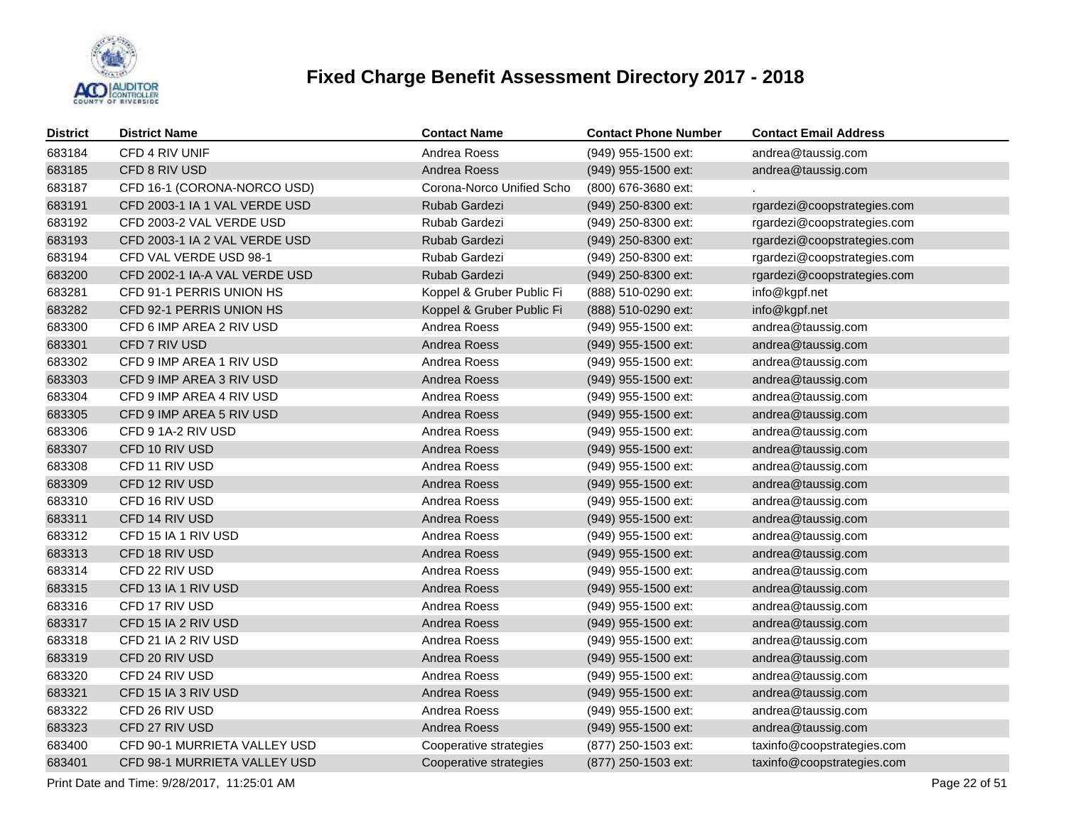

| <b>District</b> | <b>District Name</b>          | <b>Contact Name</b>       | <b>Contact Phone Number</b> | <b>Contact Email Address</b> |
|-----------------|-------------------------------|---------------------------|-----------------------------|------------------------------|
| 683184          | CFD 4 RIV UNIF                | Andrea Roess              | (949) 955-1500 ext:         | andrea@taussig.com           |
| 683185          | CFD 8 RIV USD                 | Andrea Roess              | (949) 955-1500 ext:         | andrea@taussig.com           |
| 683187          | CFD 16-1 (CORONA-NORCO USD)   | Corona-Norco Unified Scho | (800) 676-3680 ext:         |                              |
| 683191          | CFD 2003-1 IA 1 VAL VERDE USD | Rubab Gardezi             | (949) 250-8300 ext:         | rgardezi@coopstrategies.com  |
| 683192          | CFD 2003-2 VAL VERDE USD      | Rubab Gardezi             | (949) 250-8300 ext:         | rgardezi@coopstrategies.com  |
| 683193          | CFD 2003-1 IA 2 VAL VERDE USD | Rubab Gardezi             | (949) 250-8300 ext:         | rgardezi@coopstrategies.com  |
| 683194          | CFD VAL VERDE USD 98-1        | Rubab Gardezi             | (949) 250-8300 ext:         | rgardezi@coopstrategies.com  |
| 683200          | CFD 2002-1 IA-A VAL VERDE USD | Rubab Gardezi             | (949) 250-8300 ext:         | rgardezi@coopstrategies.com  |
| 683281          | CFD 91-1 PERRIS UNION HS      | Koppel & Gruber Public Fi | (888) 510-0290 ext:         | info@kgpf.net                |
| 683282          | CFD 92-1 PERRIS UNION HS      | Koppel & Gruber Public Fi | (888) 510-0290 ext:         | info@kgpf.net                |
| 683300          | CFD 6 IMP AREA 2 RIV USD      | Andrea Roess              | (949) 955-1500 ext:         | andrea@taussig.com           |
| 683301          | CFD 7 RIV USD                 | Andrea Roess              | (949) 955-1500 ext:         | andrea@taussig.com           |
| 683302          | CFD 9 IMP AREA 1 RIV USD      | Andrea Roess              | (949) 955-1500 ext:         | andrea@taussig.com           |
| 683303          | CFD 9 IMP AREA 3 RIV USD      | Andrea Roess              | (949) 955-1500 ext:         | andrea@taussig.com           |
| 683304          | CFD 9 IMP AREA 4 RIV USD      | Andrea Roess              | (949) 955-1500 ext:         | andrea@taussig.com           |
| 683305          | CFD 9 IMP AREA 5 RIV USD      | Andrea Roess              | (949) 955-1500 ext:         | andrea@taussig.com           |
| 683306          | CFD 9 1A-2 RIV USD            | Andrea Roess              | (949) 955-1500 ext:         | andrea@taussig.com           |
| 683307          | CFD 10 RIV USD                | Andrea Roess              | (949) 955-1500 ext:         | andrea@taussig.com           |
| 683308          | CFD 11 RIV USD                | Andrea Roess              | (949) 955-1500 ext:         | andrea@taussig.com           |
| 683309          | CFD 12 RIV USD                | Andrea Roess              | (949) 955-1500 ext:         | andrea@taussig.com           |
| 683310          | CFD 16 RIV USD                | Andrea Roess              | (949) 955-1500 ext:         | andrea@taussig.com           |
| 683311          | CFD 14 RIV USD                | Andrea Roess              | (949) 955-1500 ext:         | andrea@taussig.com           |
| 683312          | CFD 15 IA 1 RIV USD           | Andrea Roess              | (949) 955-1500 ext:         | andrea@taussig.com           |
| 683313          | CFD 18 RIV USD                | Andrea Roess              | (949) 955-1500 ext:         | andrea@taussig.com           |
| 683314          | CFD 22 RIV USD                | Andrea Roess              | (949) 955-1500 ext:         | andrea@taussig.com           |
| 683315          | CFD 13 IA 1 RIV USD           | Andrea Roess              | (949) 955-1500 ext:         | andrea@taussig.com           |
| 683316          | CFD 17 RIV USD                | Andrea Roess              | (949) 955-1500 ext:         | andrea@taussig.com           |
| 683317          | CFD 15 IA 2 RIV USD           | Andrea Roess              | (949) 955-1500 ext:         | andrea@taussig.com           |
| 683318          | CFD 21 IA 2 RIV USD           | Andrea Roess              | (949) 955-1500 ext:         | andrea@taussig.com           |
| 683319          | CFD 20 RIV USD                | Andrea Roess              | (949) 955-1500 ext:         | andrea@taussig.com           |
| 683320          | CFD 24 RIV USD                | Andrea Roess              | (949) 955-1500 ext:         | andrea@taussig.com           |
| 683321          | CFD 15 IA 3 RIV USD           | Andrea Roess              | (949) 955-1500 ext:         | andrea@taussig.com           |
| 683322          | CFD 26 RIV USD                | Andrea Roess              | (949) 955-1500 ext:         | andrea@taussig.com           |
| 683323          | CFD 27 RIV USD                | Andrea Roess              | (949) 955-1500 ext:         | andrea@taussig.com           |
| 683400          | CFD 90-1 MURRIETA VALLEY USD  | Cooperative strategies    | (877) 250-1503 ext:         | taxinfo@coopstrategies.com   |
| 683401          | CFD 98-1 MURRIETA VALLEY USD  | Cooperative strategies    | (877) 250-1503 ext:         | taxinfo@coopstrategies.com   |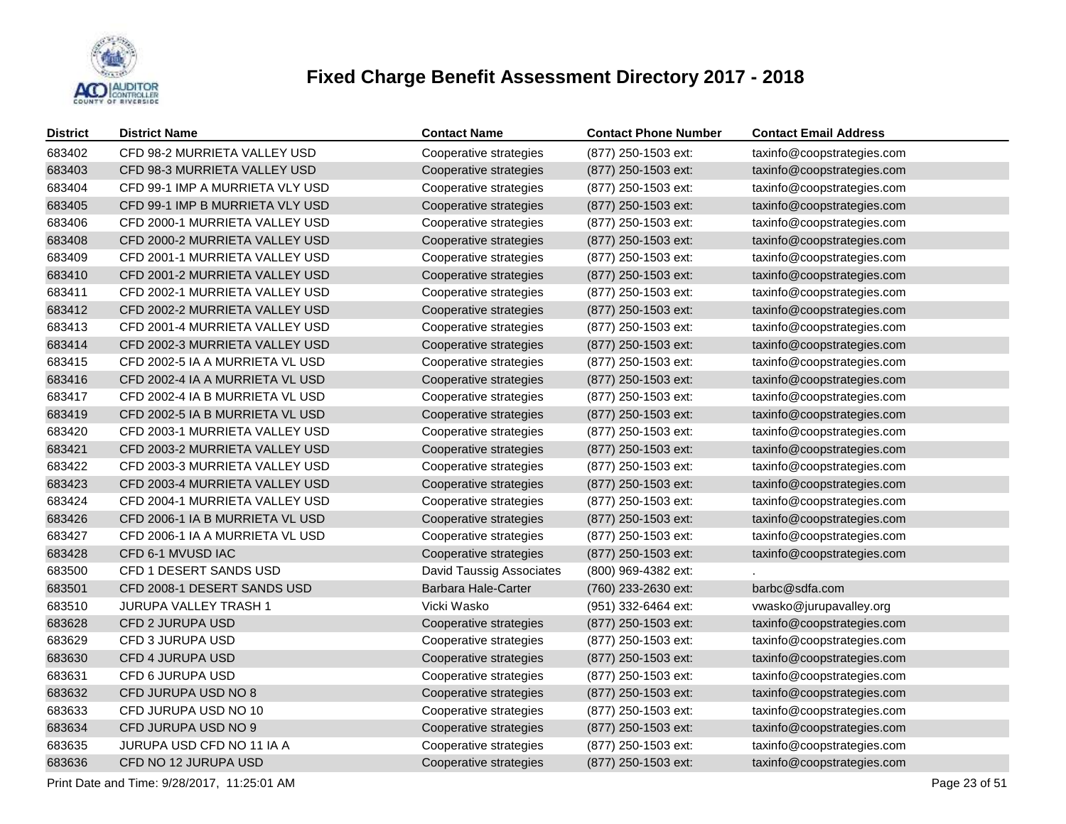

| <b>District</b> | <b>District Name</b>            | <b>Contact Name</b>             | <b>Contact Phone Number</b> | <b>Contact Email Address</b> |
|-----------------|---------------------------------|---------------------------------|-----------------------------|------------------------------|
| 683402          | CFD 98-2 MURRIETA VALLEY USD    | Cooperative strategies          | (877) 250-1503 ext:         | taxinfo@coopstrategies.com   |
| 683403          | CFD 98-3 MURRIETA VALLEY USD    | Cooperative strategies          | (877) 250-1503 ext:         | taxinfo@coopstrategies.com   |
| 683404          | CFD 99-1 IMP A MURRIETA VLY USD | Cooperative strategies          | (877) 250-1503 ext:         | taxinfo@coopstrategies.com   |
| 683405          | CFD 99-1 IMP B MURRIETA VLY USD | Cooperative strategies          | (877) 250-1503 ext:         | taxinfo@coopstrategies.com   |
| 683406          | CFD 2000-1 MURRIETA VALLEY USD  | Cooperative strategies          | (877) 250-1503 ext:         | taxinfo@coopstrategies.com   |
| 683408          | CFD 2000-2 MURRIETA VALLEY USD  | Cooperative strategies          | (877) 250-1503 ext:         | taxinfo@coopstrategies.com   |
| 683409          | CFD 2001-1 MURRIETA VALLEY USD  | Cooperative strategies          | (877) 250-1503 ext:         | taxinfo@coopstrategies.com   |
| 683410          | CFD 2001-2 MURRIETA VALLEY USD  | Cooperative strategies          | (877) 250-1503 ext:         | taxinfo@coopstrategies.com   |
| 683411          | CFD 2002-1 MURRIETA VALLEY USD  | Cooperative strategies          | (877) 250-1503 ext:         | taxinfo@coopstrategies.com   |
| 683412          | CFD 2002-2 MURRIETA VALLEY USD  | Cooperative strategies          | (877) 250-1503 ext:         | taxinfo@coopstrategies.com   |
| 683413          | CFD 2001-4 MURRIETA VALLEY USD  | Cooperative strategies          | (877) 250-1503 ext:         | taxinfo@coopstrategies.com   |
| 683414          | CFD 2002-3 MURRIETA VALLEY USD  | Cooperative strategies          | (877) 250-1503 ext:         | taxinfo@coopstrategies.com   |
| 683415          | CFD 2002-5 IA A MURRIETA VL USD | Cooperative strategies          | (877) 250-1503 ext:         | taxinfo@coopstrategies.com   |
| 683416          | CFD 2002-4 IA A MURRIETA VL USD | Cooperative strategies          | (877) 250-1503 ext:         | taxinfo@coopstrategies.com   |
| 683417          | CFD 2002-4 IA B MURRIETA VL USD | Cooperative strategies          | (877) 250-1503 ext:         | taxinfo@coopstrategies.com   |
| 683419          | CFD 2002-5 IA B MURRIETA VL USD | Cooperative strategies          | (877) 250-1503 ext:         | taxinfo@coopstrategies.com   |
| 683420          | CFD 2003-1 MURRIETA VALLEY USD  | Cooperative strategies          | (877) 250-1503 ext:         | taxinfo@coopstrategies.com   |
| 683421          | CFD 2003-2 MURRIETA VALLEY USD  | Cooperative strategies          | (877) 250-1503 ext:         | taxinfo@coopstrategies.com   |
| 683422          | CFD 2003-3 MURRIETA VALLEY USD  | Cooperative strategies          | (877) 250-1503 ext:         | taxinfo@coopstrategies.com   |
| 683423          | CFD 2003-4 MURRIETA VALLEY USD  | Cooperative strategies          | (877) 250-1503 ext:         | taxinfo@coopstrategies.com   |
| 683424          | CFD 2004-1 MURRIETA VALLEY USD  | Cooperative strategies          | (877) 250-1503 ext:         | taxinfo@coopstrategies.com   |
| 683426          | CFD 2006-1 IA B MURRIETA VL USD | Cooperative strategies          | (877) 250-1503 ext:         | taxinfo@coopstrategies.com   |
| 683427          | CFD 2006-1 IA A MURRIETA VL USD | Cooperative strategies          | (877) 250-1503 ext:         | taxinfo@coopstrategies.com   |
| 683428          | CFD 6-1 MVUSD IAC               | Cooperative strategies          | (877) 250-1503 ext:         | taxinfo@coopstrategies.com   |
| 683500          | CFD 1 DESERT SANDS USD          | <b>David Taussig Associates</b> | (800) 969-4382 ext:         |                              |
| 683501          | CFD 2008-1 DESERT SANDS USD     | Barbara Hale-Carter             | (760) 233-2630 ext:         | barbc@sdfa.com               |
| 683510          | <b>JURUPA VALLEY TRASH 1</b>    | Vicki Wasko                     | (951) 332-6464 ext:         | vwasko@jurupavalley.org      |
| 683628          | CFD 2 JURUPA USD                | Cooperative strategies          | (877) 250-1503 ext:         | taxinfo@coopstrategies.com   |
| 683629          | CFD 3 JURUPA USD                | Cooperative strategies          | (877) 250-1503 ext:         | taxinfo@coopstrategies.com   |
| 683630          | <b>CFD 4 JURUPA USD</b>         | Cooperative strategies          | (877) 250-1503 ext:         | taxinfo@coopstrategies.com   |
| 683631          | CFD 6 JURUPA USD                | Cooperative strategies          | (877) 250-1503 ext:         | taxinfo@coopstrategies.com   |
| 683632          | CFD JURUPA USD NO 8             | Cooperative strategies          | (877) 250-1503 ext:         | taxinfo@coopstrategies.com   |
| 683633          | CFD JURUPA USD NO 10            | Cooperative strategies          | (877) 250-1503 ext:         | taxinfo@coopstrategies.com   |
| 683634          | CFD JURUPA USD NO 9             | Cooperative strategies          | (877) 250-1503 ext:         | taxinfo@coopstrategies.com   |
| 683635          | JURUPA USD CFD NO 11 IA A       | Cooperative strategies          | (877) 250-1503 ext:         | taxinfo@coopstrategies.com   |
| 683636          | CFD NO 12 JURUPA USD            | Cooperative strategies          | (877) 250-1503 ext:         | taxinfo@coopstrategies.com   |

Print Date and Time:  $9/28/2017$ , 11:25:01 AM Page 23 of 51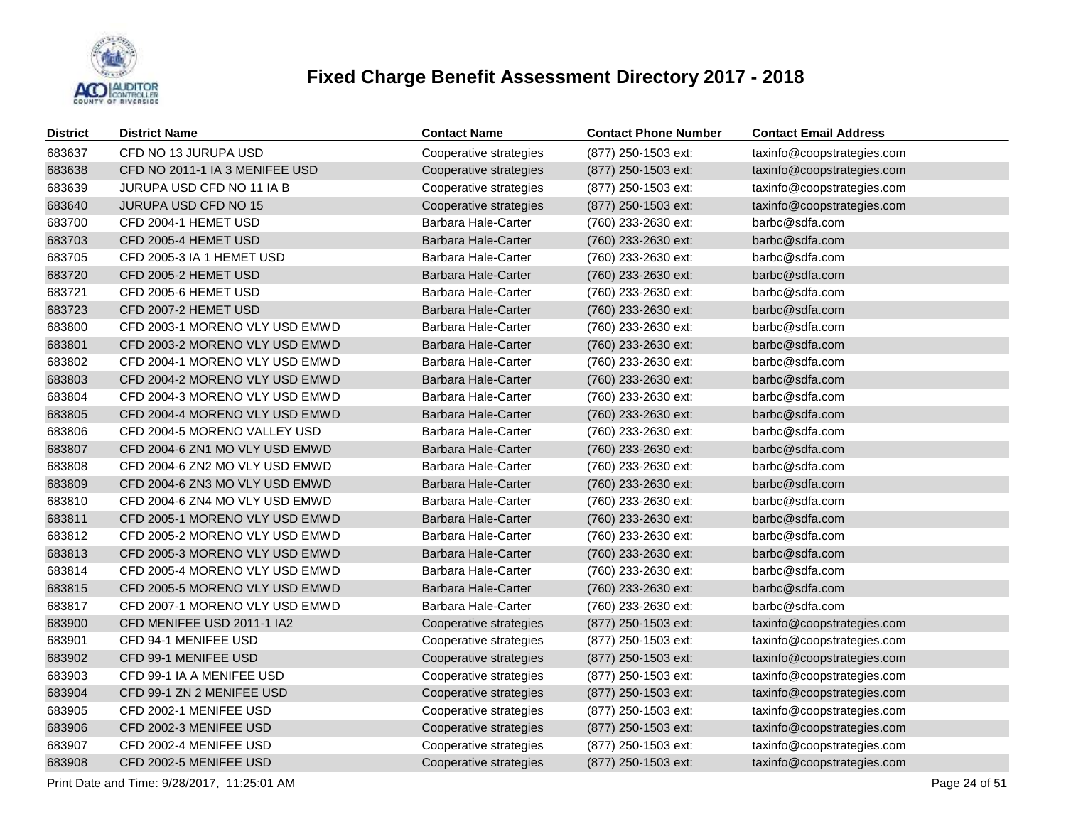

| <b>District</b> | <b>District Name</b>           | <b>Contact Name</b>        | <b>Contact Phone Number</b> | <b>Contact Email Address</b> |
|-----------------|--------------------------------|----------------------------|-----------------------------|------------------------------|
| 683637          | CFD NO 13 JURUPA USD           | Cooperative strategies     | (877) 250-1503 ext:         | taxinfo@coopstrategies.com   |
| 683638          | CFD NO 2011-1 IA 3 MENIFEE USD | Cooperative strategies     | (877) 250-1503 ext:         | taxinfo@coopstrategies.com   |
| 683639          | JURUPA USD CFD NO 11 IA B      | Cooperative strategies     | (877) 250-1503 ext:         | taxinfo@coopstrategies.com   |
| 683640          | JURUPA USD CFD NO 15           | Cooperative strategies     | (877) 250-1503 ext:         | taxinfo@coopstrategies.com   |
| 683700          | CFD 2004-1 HEMET USD           | Barbara Hale-Carter        | (760) 233-2630 ext:         | barbc@sdfa.com               |
| 683703          | CFD 2005-4 HEMET USD           | Barbara Hale-Carter        | (760) 233-2630 ext:         | barbc@sdfa.com               |
| 683705          | CFD 2005-3 IA 1 HEMET USD      | Barbara Hale-Carter        | (760) 233-2630 ext:         | barbc@sdfa.com               |
| 683720          | CFD 2005-2 HEMET USD           | Barbara Hale-Carter        | (760) 233-2630 ext:         | barbc@sdfa.com               |
| 683721          | CFD 2005-6 HEMET USD           | Barbara Hale-Carter        | (760) 233-2630 ext:         | barbc@sdfa.com               |
| 683723          | CFD 2007-2 HEMET USD           | Barbara Hale-Carter        | (760) 233-2630 ext:         | barbc@sdfa.com               |
| 683800          | CFD 2003-1 MORENO VLY USD EMWD | Barbara Hale-Carter        | (760) 233-2630 ext:         | barbc@sdfa.com               |
| 683801          | CFD 2003-2 MORENO VLY USD EMWD | <b>Barbara Hale-Carter</b> | (760) 233-2630 ext:         | barbc@sdfa.com               |
| 683802          | CFD 2004-1 MORENO VLY USD EMWD | <b>Barbara Hale-Carter</b> | (760) 233-2630 ext:         | barbc@sdfa.com               |
| 683803          | CFD 2004-2 MORENO VLY USD EMWD | <b>Barbara Hale-Carter</b> | (760) 233-2630 ext:         | barbc@sdfa.com               |
| 683804          | CFD 2004-3 MORENO VLY USD EMWD | Barbara Hale-Carter        | (760) 233-2630 ext:         | barbc@sdfa.com               |
| 683805          | CFD 2004-4 MORENO VLY USD EMWD | <b>Barbara Hale-Carter</b> | (760) 233-2630 ext:         | barbc@sdfa.com               |
| 683806          | CFD 2004-5 MORENO VALLEY USD   | Barbara Hale-Carter        | (760) 233-2630 ext:         | barbc@sdfa.com               |
| 683807          | CFD 2004-6 ZN1 MO VLY USD EMWD | <b>Barbara Hale-Carter</b> | (760) 233-2630 ext:         | barbc@sdfa.com               |
| 683808          | CFD 2004-6 ZN2 MO VLY USD EMWD | Barbara Hale-Carter        | (760) 233-2630 ext:         | barbc@sdfa.com               |
| 683809          | CFD 2004-6 ZN3 MO VLY USD EMWD | <b>Barbara Hale-Carter</b> | (760) 233-2630 ext:         | barbc@sdfa.com               |
| 683810          | CFD 2004-6 ZN4 MO VLY USD EMWD | Barbara Hale-Carter        | (760) 233-2630 ext:         | barbc@sdfa.com               |
| 683811          | CFD 2005-1 MORENO VLY USD EMWD | Barbara Hale-Carter        | (760) 233-2630 ext:         | barbc@sdfa.com               |
| 683812          | CFD 2005-2 MORENO VLY USD EMWD | Barbara Hale-Carter        | (760) 233-2630 ext:         | barbc@sdfa.com               |
| 683813          | CFD 2005-3 MORENO VLY USD EMWD | Barbara Hale-Carter        | (760) 233-2630 ext:         | barbc@sdfa.com               |
| 683814          | CFD 2005-4 MORENO VLY USD EMWD | Barbara Hale-Carter        | (760) 233-2630 ext:         | barbc@sdfa.com               |
| 683815          | CFD 2005-5 MORENO VLY USD EMWD | Barbara Hale-Carter        | (760) 233-2630 ext:         | barbc@sdfa.com               |
| 683817          | CFD 2007-1 MORENO VLY USD EMWD | Barbara Hale-Carter        | (760) 233-2630 ext:         | barbc@sdfa.com               |
| 683900          | CFD MENIFEE USD 2011-1 IA2     | Cooperative strategies     | (877) 250-1503 ext:         | taxinfo@coopstrategies.com   |
| 683901          | CFD 94-1 MENIFEE USD           | Cooperative strategies     | (877) 250-1503 ext:         | taxinfo@coopstrategies.com   |
| 683902          | CFD 99-1 MENIFEE USD           | Cooperative strategies     | (877) 250-1503 ext:         | taxinfo@coopstrategies.com   |
| 683903          | CFD 99-1 IA A MENIFEE USD      | Cooperative strategies     | (877) 250-1503 ext:         | taxinfo@coopstrategies.com   |
| 683904          | CFD 99-1 ZN 2 MENIFEE USD      | Cooperative strategies     | (877) 250-1503 ext:         | taxinfo@coopstrategies.com   |
| 683905          | CFD 2002-1 MENIFEE USD         | Cooperative strategies     | (877) 250-1503 ext:         | taxinfo@coopstrategies.com   |
| 683906          | CFD 2002-3 MENIFEE USD         | Cooperative strategies     | (877) 250-1503 ext:         | taxinfo@coopstrategies.com   |
| 683907          | CFD 2002-4 MENIFEE USD         | Cooperative strategies     | (877) 250-1503 ext:         | taxinfo@coopstrategies.com   |
| 683908          | CFD 2002-5 MENIFEE USD         | Cooperative strategies     | (877) 250-1503 ext:         | taxinfo@coopstrategies.com   |

Print Date and Time:  $9/28/2017$ , 11:25:01 AM Page 24 of 51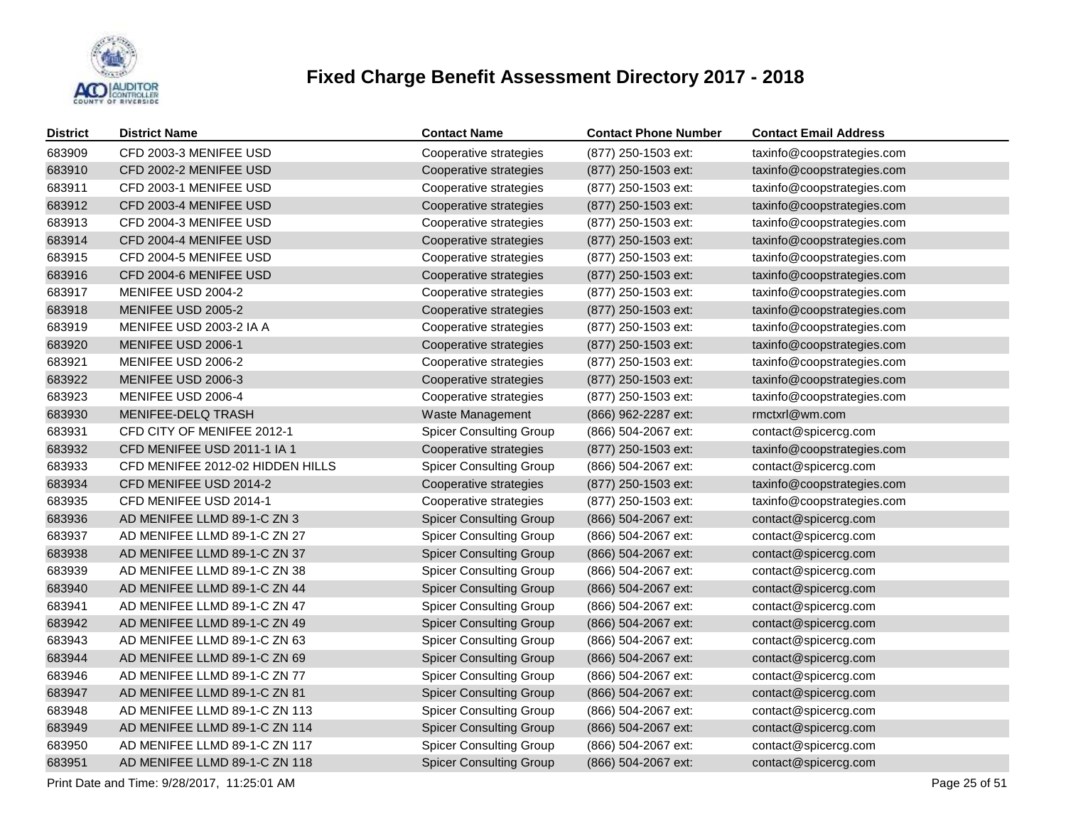

| <b>District</b> | <b>District Name</b>             | <b>Contact Name</b>            | <b>Contact Phone Number</b> | <b>Contact Email Address</b> |
|-----------------|----------------------------------|--------------------------------|-----------------------------|------------------------------|
| 683909          | CFD 2003-3 MENIFEE USD           | Cooperative strategies         | (877) 250-1503 ext:         | taxinfo@coopstrategies.com   |
| 683910          | CFD 2002-2 MENIFEE USD           | Cooperative strategies         | (877) 250-1503 ext:         | taxinfo@coopstrategies.com   |
| 683911          | CFD 2003-1 MENIFEE USD           | Cooperative strategies         | (877) 250-1503 ext:         | taxinfo@coopstrategies.com   |
| 683912          | CFD 2003-4 MENIFEE USD           | Cooperative strategies         | (877) 250-1503 ext:         | taxinfo@coopstrategies.com   |
| 683913          | CFD 2004-3 MENIFEE USD           | Cooperative strategies         | (877) 250-1503 ext:         | taxinfo@coopstrategies.com   |
| 683914          | CFD 2004-4 MENIFEE USD           | Cooperative strategies         | (877) 250-1503 ext:         | taxinfo@coopstrategies.com   |
| 683915          | CFD 2004-5 MENIFEE USD           | Cooperative strategies         | (877) 250-1503 ext:         | taxinfo@coopstrategies.com   |
| 683916          | CFD 2004-6 MENIFEE USD           | Cooperative strategies         | (877) 250-1503 ext:         | taxinfo@coopstrategies.com   |
| 683917          | MENIFEE USD 2004-2               | Cooperative strategies         | (877) 250-1503 ext:         | taxinfo@coopstrategies.com   |
| 683918          | MENIFEE USD 2005-2               | Cooperative strategies         | (877) 250-1503 ext:         | taxinfo@coopstrategies.com   |
| 683919          | MENIFEE USD 2003-2 IA A          | Cooperative strategies         | (877) 250-1503 ext:         | taxinfo@coopstrategies.com   |
| 683920          | MENIFEE USD 2006-1               | Cooperative strategies         | (877) 250-1503 ext:         | taxinfo@coopstrategies.com   |
| 683921          | MENIFEE USD 2006-2               | Cooperative strategies         | (877) 250-1503 ext:         | taxinfo@coopstrategies.com   |
| 683922          | MENIFEE USD 2006-3               | Cooperative strategies         | (877) 250-1503 ext:         | taxinfo@coopstrategies.com   |
| 683923          | MENIFEE USD 2006-4               | Cooperative strategies         | (877) 250-1503 ext:         | taxinfo@coopstrategies.com   |
| 683930          | <b>MENIFEE-DELQ TRASH</b>        | Waste Management               | (866) 962-2287 ext:         | rmctxrl@wm.com               |
| 683931          | CFD CITY OF MENIFEE 2012-1       | <b>Spicer Consulting Group</b> | (866) 504-2067 ext:         | contact@spicercg.com         |
| 683932          | CFD MENIFEE USD 2011-1 IA 1      | Cooperative strategies         | (877) 250-1503 ext:         | taxinfo@coopstrategies.com   |
| 683933          | CFD MENIFEE 2012-02 HIDDEN HILLS | <b>Spicer Consulting Group</b> | (866) 504-2067 ext:         | contact@spicercg.com         |
| 683934          | CFD MENIFEE USD 2014-2           | Cooperative strategies         | (877) 250-1503 ext:         | taxinfo@coopstrategies.com   |
| 683935          | CFD MENIFEE USD 2014-1           | Cooperative strategies         | (877) 250-1503 ext:         | taxinfo@coopstrategies.com   |
| 683936          | AD MENIFEE LLMD 89-1-C ZN 3      | <b>Spicer Consulting Group</b> | (866) 504-2067 ext:         | contact@spicercg.com         |
| 683937          | AD MENIFEE LLMD 89-1-C ZN 27     | <b>Spicer Consulting Group</b> | (866) 504-2067 ext:         | contact@spicercg.com         |
| 683938          | AD MENIFEE LLMD 89-1-C ZN 37     | <b>Spicer Consulting Group</b> | (866) 504-2067 ext:         | contact@spicercg.com         |
| 683939          | AD MENIFEE LLMD 89-1-C ZN 38     | <b>Spicer Consulting Group</b> | (866) 504-2067 ext:         | contact@spicercg.com         |
| 683940          | AD MENIFEE LLMD 89-1-C ZN 44     | <b>Spicer Consulting Group</b> | (866) 504-2067 ext:         | contact@spicercg.com         |
| 683941          | AD MENIFEE LLMD 89-1-C ZN 47     | <b>Spicer Consulting Group</b> | (866) 504-2067 ext:         | contact@spicercg.com         |
| 683942          | AD MENIFEE LLMD 89-1-C ZN 49     | <b>Spicer Consulting Group</b> | (866) 504-2067 ext:         | contact@spicercg.com         |
| 683943          | AD MENIFEE LLMD 89-1-C ZN 63     | <b>Spicer Consulting Group</b> | (866) 504-2067 ext:         | contact@spicercg.com         |
| 683944          | AD MENIFEE LLMD 89-1-C ZN 69     | <b>Spicer Consulting Group</b> | (866) 504-2067 ext:         | contact@spicercg.com         |
| 683946          | AD MENIFEE LLMD 89-1-C ZN 77     | <b>Spicer Consulting Group</b> | (866) 504-2067 ext:         | contact@spicercg.com         |
| 683947          | AD MENIFEE LLMD 89-1-C ZN 81     | <b>Spicer Consulting Group</b> | $(866)$ 504-2067 ext:       | contact@spicercg.com         |
| 683948          | AD MENIFEE LLMD 89-1-C ZN 113    | <b>Spicer Consulting Group</b> | (866) 504-2067 ext:         | contact@spicercg.com         |
| 683949          | AD MENIFEE LLMD 89-1-C ZN 114    | <b>Spicer Consulting Group</b> | (866) 504-2067 ext:         | contact@spicercg.com         |
| 683950          | AD MENIFEE LLMD 89-1-C ZN 117    | <b>Spicer Consulting Group</b> | (866) 504-2067 ext:         | contact@spicercg.com         |
| 683951          | AD MENIFEE LLMD 89-1-C ZN 118    | <b>Spicer Consulting Group</b> | (866) 504-2067 ext:         | contact@spicercg.com         |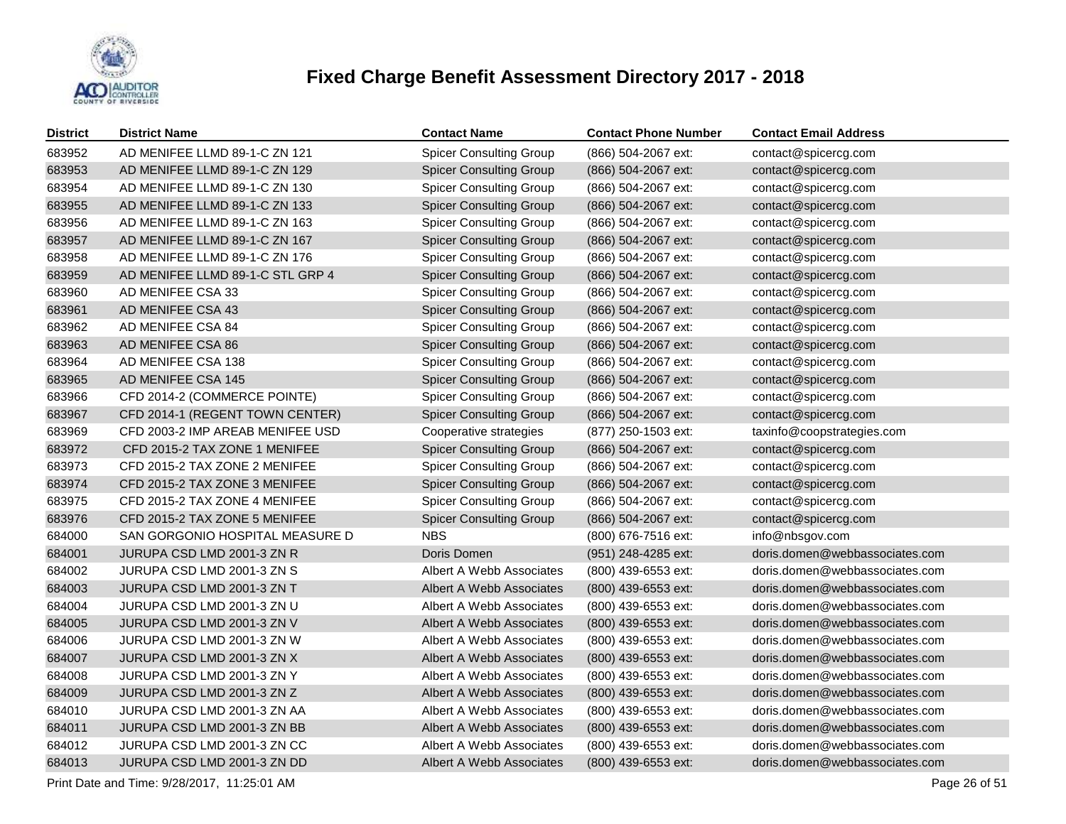

| <b>District</b> | <b>District Name</b>                                         | <b>Contact Name</b>            | <b>Contact Phone Number</b> | <b>Contact Email Address</b>   |  |  |  |
|-----------------|--------------------------------------------------------------|--------------------------------|-----------------------------|--------------------------------|--|--|--|
| 683952          | AD MENIFEE LLMD 89-1-C ZN 121                                | <b>Spicer Consulting Group</b> | (866) 504-2067 ext:         | contact@spicercg.com           |  |  |  |
| 683953          | AD MENIFEE LLMD 89-1-C ZN 129                                | <b>Spicer Consulting Group</b> | (866) 504-2067 ext:         | contact@spicercg.com           |  |  |  |
| 683954          | AD MENIFEE LLMD 89-1-C ZN 130                                | <b>Spicer Consulting Group</b> | (866) 504-2067 ext:         | contact@spicercg.com           |  |  |  |
| 683955          | AD MENIFEE LLMD 89-1-C ZN 133                                | <b>Spicer Consulting Group</b> | (866) 504-2067 ext:         | contact@spicercg.com           |  |  |  |
| 683956          | AD MENIFEE LLMD 89-1-C ZN 163                                | <b>Spicer Consulting Group</b> | (866) 504-2067 ext:         | contact@spicercg.com           |  |  |  |
| 683957          | AD MENIFEE LLMD 89-1-C ZN 167                                | <b>Spicer Consulting Group</b> | (866) 504-2067 ext:         | contact@spicercg.com           |  |  |  |
| 683958          | AD MENIFEE LLMD 89-1-C ZN 176                                | <b>Spicer Consulting Group</b> | (866) 504-2067 ext:         | contact@spicercg.com           |  |  |  |
| 683959          | AD MENIFEE LLMD 89-1-C STL GRP 4                             | <b>Spicer Consulting Group</b> | (866) 504-2067 ext:         | contact@spicercg.com           |  |  |  |
| 683960          | AD MENIFEE CSA 33                                            | <b>Spicer Consulting Group</b> | (866) 504-2067 ext:         | contact@spicercg.com           |  |  |  |
| 683961          | AD MENIFEE CSA 43                                            | <b>Spicer Consulting Group</b> | (866) 504-2067 ext:         | contact@spicercg.com           |  |  |  |
| 683962          | AD MENIFEE CSA 84                                            | <b>Spicer Consulting Group</b> | (866) 504-2067 ext:         | contact@spicercg.com           |  |  |  |
| 683963          | AD MENIFEE CSA 86                                            | <b>Spicer Consulting Group</b> | (866) 504-2067 ext:         | contact@spicercg.com           |  |  |  |
| 683964          | AD MENIFEE CSA 138                                           | <b>Spicer Consulting Group</b> | (866) 504-2067 ext:         | contact@spicercg.com           |  |  |  |
| 683965          | AD MENIFEE CSA 145                                           | <b>Spicer Consulting Group</b> | (866) 504-2067 ext:         | contact@spicercg.com           |  |  |  |
| 683966          | CFD 2014-2 (COMMERCE POINTE)                                 | <b>Spicer Consulting Group</b> | (866) 504-2067 ext:         | contact@spicercg.com           |  |  |  |
| 683967          | CFD 2014-1 (REGENT TOWN CENTER)                              | <b>Spicer Consulting Group</b> | (866) 504-2067 ext:         | contact@spicercg.com           |  |  |  |
| 683969          | CFD 2003-2 IMP AREAB MENIFEE USD                             | Cooperative strategies         | (877) 250-1503 ext:         | taxinfo@coopstrategies.com     |  |  |  |
| 683972          | CFD 2015-2 TAX ZONE 1 MENIFEE                                | <b>Spicer Consulting Group</b> | (866) 504-2067 ext:         | contact@spicercg.com           |  |  |  |
| 683973          | CFD 2015-2 TAX ZONE 2 MENIFEE                                | <b>Spicer Consulting Group</b> | (866) 504-2067 ext:         | contact@spicercg.com           |  |  |  |
| 683974          | CFD 2015-2 TAX ZONE 3 MENIFEE                                | <b>Spicer Consulting Group</b> | (866) 504-2067 ext:         | contact@spicercg.com           |  |  |  |
| 683975          | CFD 2015-2 TAX ZONE 4 MENIFEE                                | <b>Spicer Consulting Group</b> | (866) 504-2067 ext:         | contact@spicercg.com           |  |  |  |
| 683976          | CFD 2015-2 TAX ZONE 5 MENIFEE                                | <b>Spicer Consulting Group</b> | (866) 504-2067 ext:         | contact@spicercg.com           |  |  |  |
| 684000          | SAN GORGONIO HOSPITAL MEASURE D                              | <b>NBS</b>                     | (800) 676-7516 ext:         | info@nbsgov.com                |  |  |  |
| 684001          | JURUPA CSD LMD 2001-3 ZN R                                   | Doris Domen                    | (951) 248-4285 ext:         | doris.domen@webbassociates.com |  |  |  |
| 684002          | JURUPA CSD LMD 2001-3 ZN S                                   | Albert A Webb Associates       | (800) 439-6553 ext:         | doris.domen@webbassociates.com |  |  |  |
| 684003          | JURUPA CSD LMD 2001-3 ZN T                                   | Albert A Webb Associates       | (800) 439-6553 ext:         | doris.domen@webbassociates.com |  |  |  |
| 684004          | JURUPA CSD LMD 2001-3 ZN U                                   | Albert A Webb Associates       | (800) 439-6553 ext:         | doris.domen@webbassociates.com |  |  |  |
| 684005          | JURUPA CSD LMD 2001-3 ZN V                                   | Albert A Webb Associates       | (800) 439-6553 ext:         | doris.domen@webbassociates.com |  |  |  |
| 684006          | JURUPA CSD LMD 2001-3 ZN W                                   | Albert A Webb Associates       | (800) 439-6553 ext:         | doris.domen@webbassociates.com |  |  |  |
| 684007          | JURUPA CSD LMD 2001-3 ZN X                                   | Albert A Webb Associates       | (800) 439-6553 ext:         | doris.domen@webbassociates.com |  |  |  |
| 684008          | JURUPA CSD LMD 2001-3 ZN Y                                   | Albert A Webb Associates       | (800) 439-6553 ext:         | doris.domen@webbassociates.com |  |  |  |
| 684009          | JURUPA CSD LMD 2001-3 ZN Z                                   | Albert A Webb Associates       | (800) 439-6553 ext:         | doris.domen@webbassociates.com |  |  |  |
| 684010          | JURUPA CSD LMD 2001-3 ZN AA                                  | Albert A Webb Associates       | (800) 439-6553 ext:         | doris.domen@webbassociates.com |  |  |  |
| 684011          | JURUPA CSD LMD 2001-3 ZN BB                                  | Albert A Webb Associates       | (800) 439-6553 ext:         | doris.domen@webbassociates.com |  |  |  |
| 684012          | JURUPA CSD LMD 2001-3 ZN CC                                  | Albert A Webb Associates       | (800) 439-6553 ext:         | doris.domen@webbassociates.com |  |  |  |
| 684013          | JURUPA CSD LMD 2001-3 ZN DD                                  | Albert A Webb Associates       | (800) 439-6553 ext:         | doris.domen@webbassociates.com |  |  |  |
|                 | Print Date and Time: 9/28/2017, 11:25:01 AM<br>Page 26 of 51 |                                |                             |                                |  |  |  |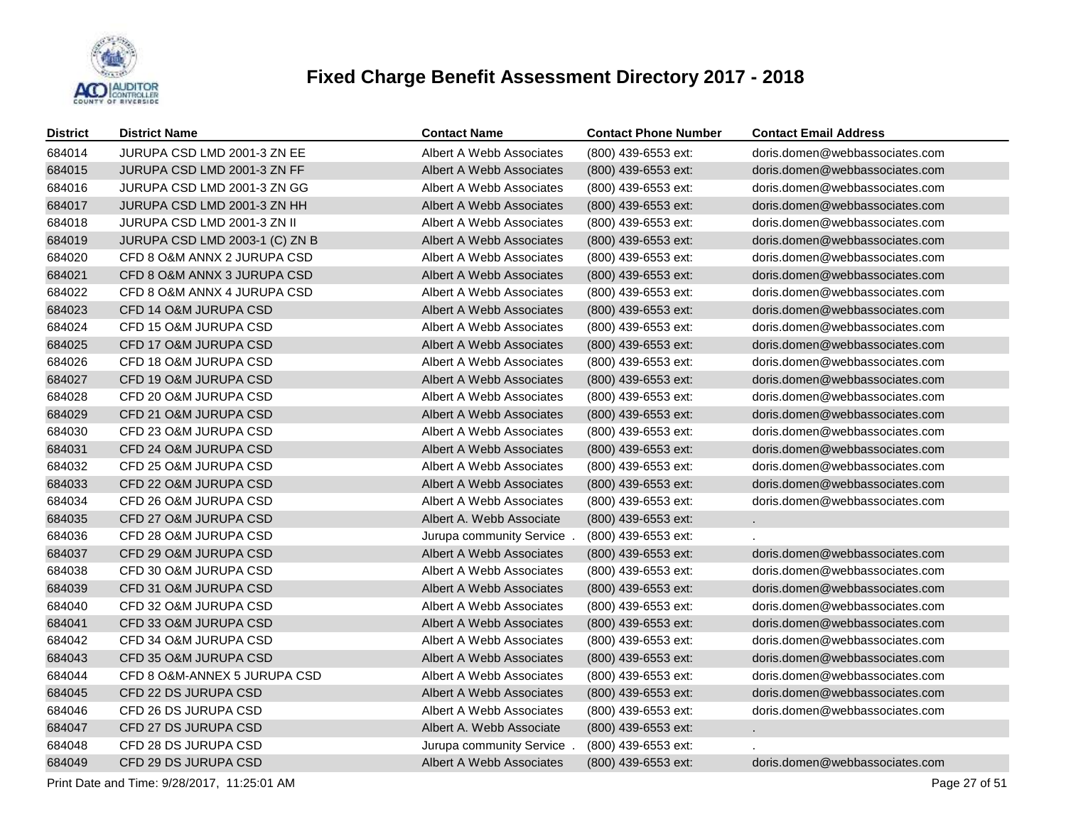

| <b>District</b> | <b>District Name</b>           | <b>Contact Name</b>       | <b>Contact Phone Number</b> | <b>Contact Email Address</b>   |
|-----------------|--------------------------------|---------------------------|-----------------------------|--------------------------------|
| 684014          | JURUPA CSD LMD 2001-3 ZN EE    | Albert A Webb Associates  | (800) 439-6553 ext:         | doris.domen@webbassociates.com |
| 684015          | JURUPA CSD LMD 2001-3 ZN FF    | Albert A Webb Associates  | (800) 439-6553 ext:         | doris.domen@webbassociates.com |
| 684016          | JURUPA CSD LMD 2001-3 ZN GG    | Albert A Webb Associates  | (800) 439-6553 ext:         | doris.domen@webbassociates.com |
| 684017          | JURUPA CSD LMD 2001-3 ZN HH    | Albert A Webb Associates  | (800) 439-6553 ext:         | doris.domen@webbassociates.com |
| 684018          | JURUPA CSD LMD 2001-3 ZN II    | Albert A Webb Associates  | (800) 439-6553 ext:         | doris.domen@webbassociates.com |
| 684019          | JURUPA CSD LMD 2003-1 (C) ZN B | Albert A Webb Associates  | (800) 439-6553 ext:         | doris.domen@webbassociates.com |
| 684020          | CFD 8 O&M ANNX 2 JURUPA CSD    | Albert A Webb Associates  | (800) 439-6553 ext:         | doris.domen@webbassociates.com |
| 684021          | CFD 8 O&M ANNX 3 JURUPA CSD    | Albert A Webb Associates  | (800) 439-6553 ext:         | doris.domen@webbassociates.com |
| 684022          | CFD 8 O&M ANNX 4 JURUPA CSD    | Albert A Webb Associates  | (800) 439-6553 ext:         | doris.domen@webbassociates.com |
| 684023          | CFD 14 O&M JURUPA CSD          | Albert A Webb Associates  | (800) 439-6553 ext:         | doris.domen@webbassociates.com |
| 684024          | CFD 15 O&M JURUPA CSD          | Albert A Webb Associates  | (800) 439-6553 ext:         | doris.domen@webbassociates.com |
| 684025          | CFD 17 O&M JURUPA CSD          | Albert A Webb Associates  | (800) 439-6553 ext:         | doris.domen@webbassociates.com |
| 684026          | CFD 18 O&M JURUPA CSD          | Albert A Webb Associates  | (800) 439-6553 ext:         | doris.domen@webbassociates.com |
| 684027          | CFD 19 O&M JURUPA CSD          | Albert A Webb Associates  | (800) 439-6553 ext:         | doris.domen@webbassociates.com |
| 684028          | CFD 20 O&M JURUPA CSD          | Albert A Webb Associates  | (800) 439-6553 ext:         | doris.domen@webbassociates.com |
| 684029          | CFD 21 O&M JURUPA CSD          | Albert A Webb Associates  | (800) 439-6553 ext:         | doris.domen@webbassociates.com |
| 684030          | CFD 23 O&M JURUPA CSD          | Albert A Webb Associates  | (800) 439-6553 ext:         | doris.domen@webbassociates.com |
| 684031          | CFD 24 O&M JURUPA CSD          | Albert A Webb Associates  | (800) 439-6553 ext:         | doris.domen@webbassociates.com |
| 684032          | CFD 25 O&M JURUPA CSD          | Albert A Webb Associates  | (800) 439-6553 ext:         | doris.domen@webbassociates.com |
| 684033          | CFD 22 O&M JURUPA CSD          | Albert A Webb Associates  | (800) 439-6553 ext:         | doris.domen@webbassociates.com |
| 684034          | CFD 26 O&M JURUPA CSD          | Albert A Webb Associates  | (800) 439-6553 ext:         | doris.domen@webbassociates.com |
| 684035          | CFD 27 O&M JURUPA CSD          | Albert A. Webb Associate  | (800) 439-6553 ext:         |                                |
| 684036          | CFD 28 O&M JURUPA CSD          | Jurupa community Service  | (800) 439-6553 ext:         |                                |
| 684037          | CFD 29 O&M JURUPA CSD          | Albert A Webb Associates  | (800) 439-6553 ext:         | doris.domen@webbassociates.com |
| 684038          | CFD 30 O&M JURUPA CSD          | Albert A Webb Associates  | (800) 439-6553 ext:         | doris.domen@webbassociates.com |
| 684039          | CFD 31 O&M JURUPA CSD          | Albert A Webb Associates  | (800) 439-6553 ext:         | doris.domen@webbassociates.com |
| 684040          | CFD 32 O&M JURUPA CSD          | Albert A Webb Associates  | (800) 439-6553 ext:         | doris.domen@webbassociates.com |
| 684041          | CFD 33 O&M JURUPA CSD          | Albert A Webb Associates  | (800) 439-6553 ext:         | doris.domen@webbassociates.com |
| 684042          | CFD 34 O&M JURUPA CSD          | Albert A Webb Associates  | (800) 439-6553 ext:         | doris.domen@webbassociates.com |
| 684043          | CFD 35 O&M JURUPA CSD          | Albert A Webb Associates  | (800) 439-6553 ext:         | doris.domen@webbassociates.com |
| 684044          | CFD 8 O&M-ANNEX 5 JURUPA CSD   | Albert A Webb Associates  | (800) 439-6553 ext:         | doris.domen@webbassociates.com |
| 684045          | CFD 22 DS JURUPA CSD           | Albert A Webb Associates  | (800) 439-6553 ext:         | doris.domen@webbassociates.com |
| 684046          | CFD 26 DS JURUPA CSD           | Albert A Webb Associates  | (800) 439-6553 ext:         | doris.domen@webbassociates.com |
| 684047          | CFD 27 DS JURUPA CSD           | Albert A. Webb Associate  | (800) 439-6553 ext:         | $\sim$                         |
| 684048          | CFD 28 DS JURUPA CSD           | Jurupa community Service. | (800) 439-6553 ext:         |                                |
| 684049          | CFD 29 DS JURUPA CSD           | Albert A Webb Associates  | (800) 439-6553 ext:         | doris.domen@webbassociates.com |

Print Date and Time:  $9/28/2017$ , 11:25:01 AM Page 27 of 51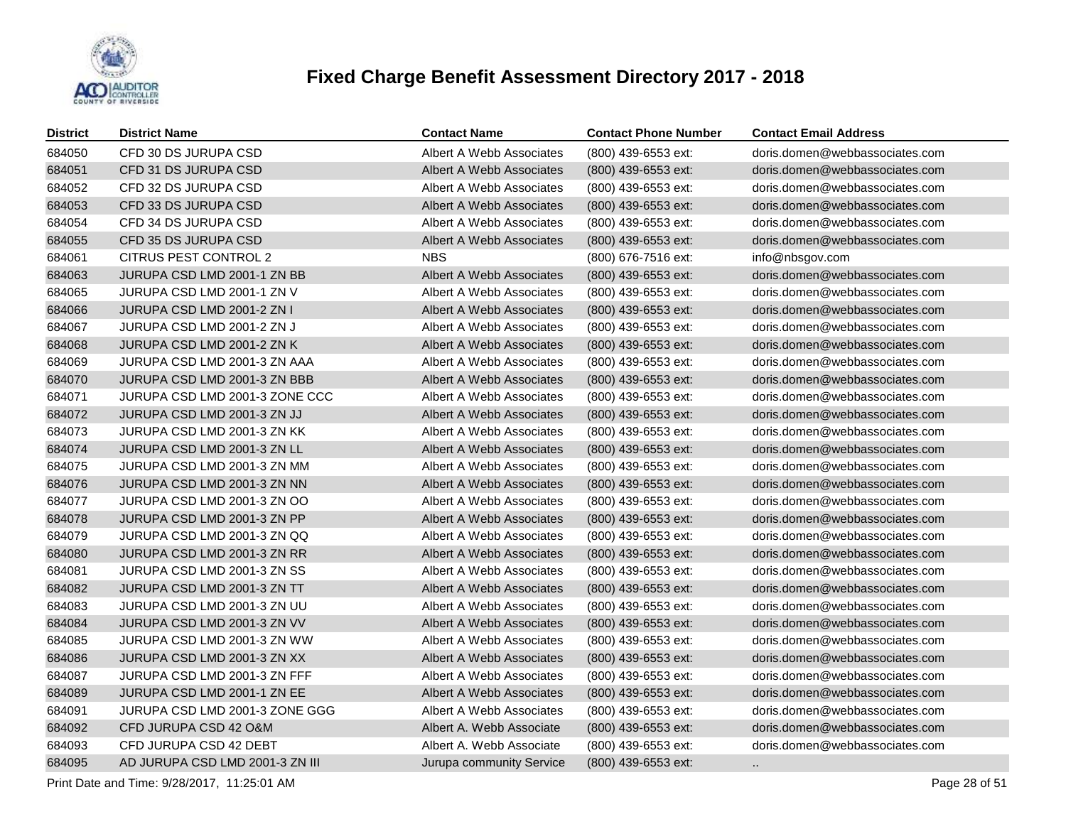

| District | <b>District Name</b>            | <b>Contact Name</b>             | <b>Contact Phone Number</b> | <b>Contact Email Address</b>   |
|----------|---------------------------------|---------------------------------|-----------------------------|--------------------------------|
| 684050   | CFD 30 DS JURUPA CSD            | Albert A Webb Associates        | (800) 439-6553 ext:         | doris.domen@webbassociates.com |
| 684051   | CFD 31 DS JURUPA CSD            | <b>Albert A Webb Associates</b> | (800) 439-6553 ext:         | doris.domen@webbassociates.com |
| 684052   | CFD 32 DS JURUPA CSD            | Albert A Webb Associates        | (800) 439-6553 ext:         | doris.domen@webbassociates.com |
| 684053   | CFD 33 DS JURUPA CSD            | <b>Albert A Webb Associates</b> | (800) 439-6553 ext:         | doris.domen@webbassociates.com |
| 684054   | CFD 34 DS JURUPA CSD            | Albert A Webb Associates        | (800) 439-6553 ext:         | doris.domen@webbassociates.com |
| 684055   | CFD 35 DS JURUPA CSD            | Albert A Webb Associates        | (800) 439-6553 ext:         | doris.domen@webbassociates.com |
| 684061   | CITRUS PEST CONTROL 2           | <b>NBS</b>                      | (800) 676-7516 ext:         | info@nbsgov.com                |
| 684063   | JURUPA CSD LMD 2001-1 ZN BB     | Albert A Webb Associates        | (800) 439-6553 ext:         | doris.domen@webbassociates.com |
| 684065   | JURUPA CSD LMD 2001-1 ZN V      | Albert A Webb Associates        | (800) 439-6553 ext:         | doris.domen@webbassociates.com |
| 684066   | JURUPA CSD LMD 2001-2 ZN I      | Albert A Webb Associates        | (800) 439-6553 ext:         | doris.domen@webbassociates.com |
| 684067   | JURUPA CSD LMD 2001-2 ZN J      | Albert A Webb Associates        | (800) 439-6553 ext:         | doris.domen@webbassociates.com |
| 684068   | JURUPA CSD LMD 2001-2 ZN K      | Albert A Webb Associates        | (800) 439-6553 ext:         | doris.domen@webbassociates.com |
| 684069   | JURUPA CSD LMD 2001-3 ZN AAA    | Albert A Webb Associates        | (800) 439-6553 ext:         | doris.domen@webbassociates.com |
| 684070   | JURUPA CSD LMD 2001-3 ZN BBB    | <b>Albert A Webb Associates</b> | (800) 439-6553 ext:         | doris.domen@webbassociates.com |
| 684071   | JURUPA CSD LMD 2001-3 ZONE CCC  | Albert A Webb Associates        | (800) 439-6553 ext:         | doris.domen@webbassociates.com |
| 684072   | JURUPA CSD LMD 2001-3 ZN JJ     | Albert A Webb Associates        | (800) 439-6553 ext:         | doris.domen@webbassociates.com |
| 684073   | JURUPA CSD LMD 2001-3 ZN KK     | Albert A Webb Associates        | (800) 439-6553 ext:         | doris.domen@webbassociates.com |
| 684074   | JURUPA CSD LMD 2001-3 ZN LL     | Albert A Webb Associates        | (800) 439-6553 ext:         | doris.domen@webbassociates.com |
| 684075   | JURUPA CSD LMD 2001-3 ZN MM     | Albert A Webb Associates        | (800) 439-6553 ext:         | doris.domen@webbassociates.com |
| 684076   | JURUPA CSD LMD 2001-3 ZN NN     | Albert A Webb Associates        | (800) 439-6553 ext:         | doris.domen@webbassociates.com |
| 684077   | JURUPA CSD LMD 2001-3 ZN OO     | Albert A Webb Associates        | (800) 439-6553 ext:         | doris.domen@webbassociates.com |
| 684078   | JURUPA CSD LMD 2001-3 ZN PP     | Albert A Webb Associates        | $(800)$ 439-6553 ext:       | doris.domen@webbassociates.com |
| 684079   | JURUPA CSD LMD 2001-3 ZN QQ     | Albert A Webb Associates        | (800) 439-6553 ext:         | doris.domen@webbassociates.com |
| 684080   | JURUPA CSD LMD 2001-3 ZN RR     | Albert A Webb Associates        | (800) 439-6553 ext:         | doris.domen@webbassociates.com |
| 684081   | JURUPA CSD LMD 2001-3 ZN SS     | Albert A Webb Associates        | (800) 439-6553 ext:         | doris.domen@webbassociates.com |
| 684082   | JURUPA CSD LMD 2001-3 ZN TT     | Albert A Webb Associates        | (800) 439-6553 ext:         | doris.domen@webbassociates.com |
| 684083   | JURUPA CSD LMD 2001-3 ZN UU     | Albert A Webb Associates        | (800) 439-6553 ext:         | doris.domen@webbassociates.com |
| 684084   | JURUPA CSD LMD 2001-3 ZN VV     | Albert A Webb Associates        | (800) 439-6553 ext:         | doris.domen@webbassociates.com |
| 684085   | JURUPA CSD LMD 2001-3 ZN WW     | Albert A Webb Associates        | (800) 439-6553 ext:         | doris.domen@webbassociates.com |
| 684086   | JURUPA CSD LMD 2001-3 ZN XX     | Albert A Webb Associates        | (800) 439-6553 ext:         | doris.domen@webbassociates.com |
| 684087   | JURUPA CSD LMD 2001-3 ZN FFF    | Albert A Webb Associates        | (800) 439-6553 ext:         | doris.domen@webbassociates.com |
| 684089   | JURUPA CSD LMD 2001-1 ZN EE     | Albert A Webb Associates        | (800) 439-6553 ext:         | doris.domen@webbassociates.com |
| 684091   | JURUPA CSD LMD 2001-3 ZONE GGG  | Albert A Webb Associates        | (800) 439-6553 ext:         | doris.domen@webbassociates.com |
| 684092   | CFD JURUPA CSD 42 O&M           | Albert A. Webb Associate        | (800) 439-6553 ext:         | doris.domen@webbassociates.com |
| 684093   | CFD JURUPA CSD 42 DEBT          | Albert A. Webb Associate        | (800) 439-6553 ext:         | doris.domen@webbassociates.com |
| 684095   | AD JURUPA CSD LMD 2001-3 ZN III | Jurupa community Service        | (800) 439-6553 ext:         | $\sim$                         |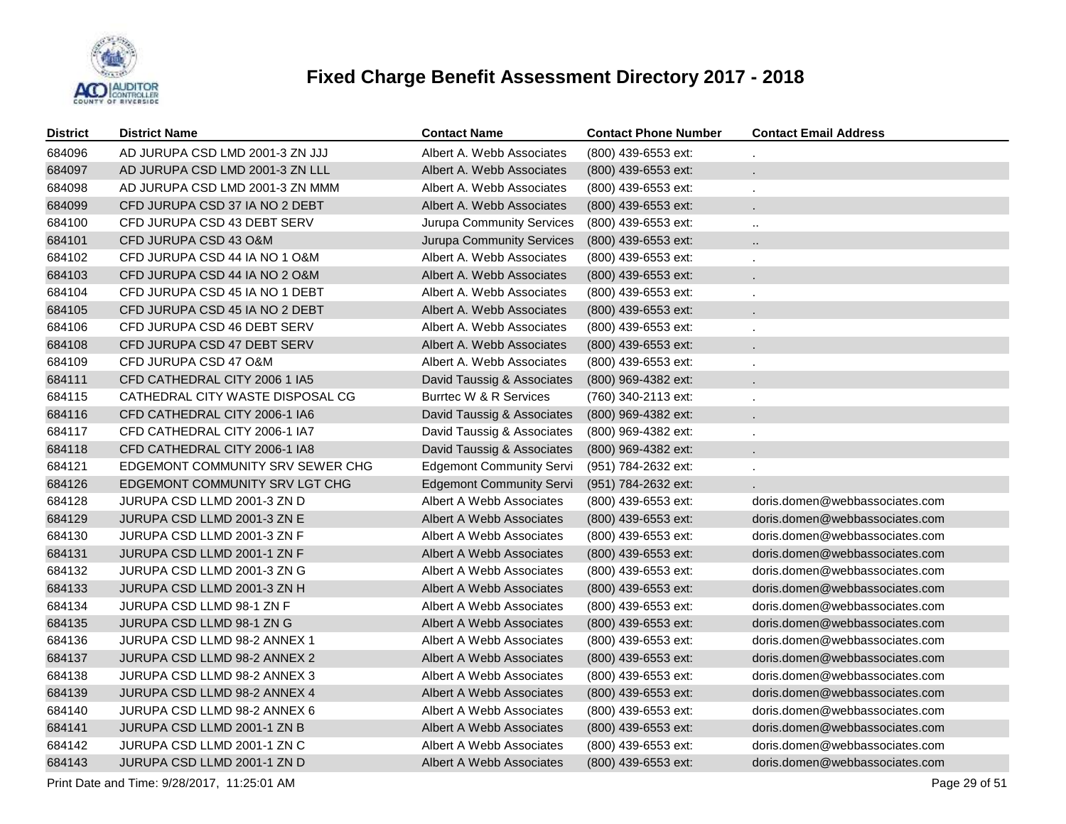

| <b>District</b> | <b>District Name</b>                                         | <b>Contact Name</b>              | <b>Contact Phone Number</b> | <b>Contact Email Address</b>   |  |  |  |
|-----------------|--------------------------------------------------------------|----------------------------------|-----------------------------|--------------------------------|--|--|--|
| 684096          | AD JURUPA CSD LMD 2001-3 ZN JJJ                              | Albert A. Webb Associates        | (800) 439-6553 ext:         |                                |  |  |  |
| 684097          | AD JURUPA CSD LMD 2001-3 ZN LLL                              | Albert A. Webb Associates        | (800) 439-6553 ext:         |                                |  |  |  |
| 684098          | AD JURUPA CSD LMD 2001-3 ZN MMM                              | Albert A. Webb Associates        | (800) 439-6553 ext:         | ÷.                             |  |  |  |
| 684099          | CFD JURUPA CSD 37 IA NO 2 DEBT                               | Albert A. Webb Associates        | (800) 439-6553 ext:         |                                |  |  |  |
| 684100          | CFD JURUPA CSD 43 DEBT SERV                                  | Jurupa Community Services        | (800) 439-6553 ext:         | $\ldots$                       |  |  |  |
| 684101          | CFD JURUPA CSD 43 O&M                                        | <b>Jurupa Community Services</b> | (800) 439-6553 ext:         | $\cdot$ .                      |  |  |  |
| 684102          | CFD JURUPA CSD 44 IA NO 1 O&M                                | Albert A. Webb Associates        | (800) 439-6553 ext:         | ×.                             |  |  |  |
| 684103          | CFD JURUPA CSD 44 IA NO 2 O&M                                | Albert A. Webb Associates        | (800) 439-6553 ext:         | $\mathbf{r}$                   |  |  |  |
| 684104          | CFD JURUPA CSD 45 IA NO 1 DEBT                               | Albert A. Webb Associates        | (800) 439-6553 ext:         |                                |  |  |  |
| 684105          | CFD JURUPA CSD 45 IA NO 2 DEBT                               | Albert A. Webb Associates        | (800) 439-6553 ext:         |                                |  |  |  |
| 684106          | CFD JURUPA CSD 46 DEBT SERV                                  | Albert A. Webb Associates        | (800) 439-6553 ext:         |                                |  |  |  |
| 684108          | CFD JURUPA CSD 47 DEBT SERV                                  | Albert A. Webb Associates        | (800) 439-6553 ext:         |                                |  |  |  |
| 684109          | CFD JURUPA CSD 47 O&M                                        | Albert A. Webb Associates        | (800) 439-6553 ext:         | $\mathbf{r}$                   |  |  |  |
| 684111          | CFD CATHEDRAL CITY 2006 1 IA5                                | David Taussig & Associates       | (800) 969-4382 ext:         |                                |  |  |  |
| 684115          | CATHEDRAL CITY WASTE DISPOSAL CG                             | Burrtec W & R Services           | (760) 340-2113 ext:         | $\mathbf{r}$                   |  |  |  |
| 684116          | CFD CATHEDRAL CITY 2006-1 IA6                                | David Taussig & Associates       | (800) 969-4382 ext:         |                                |  |  |  |
| 684117          | CFD CATHEDRAL CITY 2006-1 IA7                                | David Taussig & Associates       | (800) 969-4382 ext:         |                                |  |  |  |
| 684118          | CFD CATHEDRAL CITY 2006-1 IA8                                | David Taussig & Associates       | (800) 969-4382 ext:         |                                |  |  |  |
| 684121          | EDGEMONT COMMUNITY SRV SEWER CHG                             | <b>Edgemont Community Servi</b>  | (951) 784-2632 ext:         |                                |  |  |  |
| 684126          | EDGEMONT COMMUNITY SRV LGT CHG                               | <b>Edgemont Community Servi</b>  | (951) 784-2632 ext:         |                                |  |  |  |
| 684128          | JURUPA CSD LLMD 2001-3 ZN D                                  | Albert A Webb Associates         | (800) 439-6553 ext:         | doris.domen@webbassociates.com |  |  |  |
| 684129          | JURUPA CSD LLMD 2001-3 ZN E                                  | Albert A Webb Associates         | (800) 439-6553 ext:         | doris.domen@webbassociates.com |  |  |  |
| 684130          | JURUPA CSD LLMD 2001-3 ZN F                                  | Albert A Webb Associates         | (800) 439-6553 ext:         | doris.domen@webbassociates.com |  |  |  |
| 684131          | JURUPA CSD LLMD 2001-1 ZN F                                  | Albert A Webb Associates         | (800) 439-6553 ext:         | doris.domen@webbassociates.com |  |  |  |
| 684132          | JURUPA CSD LLMD 2001-3 ZN G                                  | Albert A Webb Associates         | (800) 439-6553 ext:         | doris.domen@webbassociates.com |  |  |  |
| 684133          | JURUPA CSD LLMD 2001-3 ZN H                                  | Albert A Webb Associates         | (800) 439-6553 ext:         | doris.domen@webbassociates.com |  |  |  |
| 684134          | JURUPA CSD LLMD 98-1 ZN F                                    | Albert A Webb Associates         | (800) 439-6553 ext:         | doris.domen@webbassociates.com |  |  |  |
| 684135          | JURUPA CSD LLMD 98-1 ZN G                                    | Albert A Webb Associates         | (800) 439-6553 ext:         | doris.domen@webbassociates.com |  |  |  |
| 684136          | JURUPA CSD LLMD 98-2 ANNEX 1                                 | Albert A Webb Associates         | (800) 439-6553 ext:         | doris.domen@webbassociates.com |  |  |  |
| 684137          | JURUPA CSD LLMD 98-2 ANNEX 2                                 | Albert A Webb Associates         | (800) 439-6553 ext:         | doris.domen@webbassociates.com |  |  |  |
| 684138          | JURUPA CSD LLMD 98-2 ANNEX 3                                 | Albert A Webb Associates         | (800) 439-6553 ext:         | doris.domen@webbassociates.com |  |  |  |
| 684139          | JURUPA CSD LLMD 98-2 ANNEX 4                                 | Albert A Webb Associates         | (800) 439-6553 ext:         | doris.domen@webbassociates.com |  |  |  |
| 684140          | JURUPA CSD LLMD 98-2 ANNEX 6                                 | Albert A Webb Associates         | (800) 439-6553 ext:         | doris.domen@webbassociates.com |  |  |  |
| 684141          | JURUPA CSD LLMD 2001-1 ZN B                                  | Albert A Webb Associates         | (800) 439-6553 ext:         | doris.domen@webbassociates.com |  |  |  |
| 684142          | JURUPA CSD LLMD 2001-1 ZN C                                  | Albert A Webb Associates         | (800) 439-6553 ext:         | doris.domen@webbassociates.com |  |  |  |
| 684143          | JURUPA CSD LLMD 2001-1 ZN D                                  | Albert A Webb Associates         | (800) 439-6553 ext:         | doris.domen@webbassociates.com |  |  |  |
|                 | Print Date and Time: 9/28/2017, 11:25:01 AM<br>Page 29 of 51 |                                  |                             |                                |  |  |  |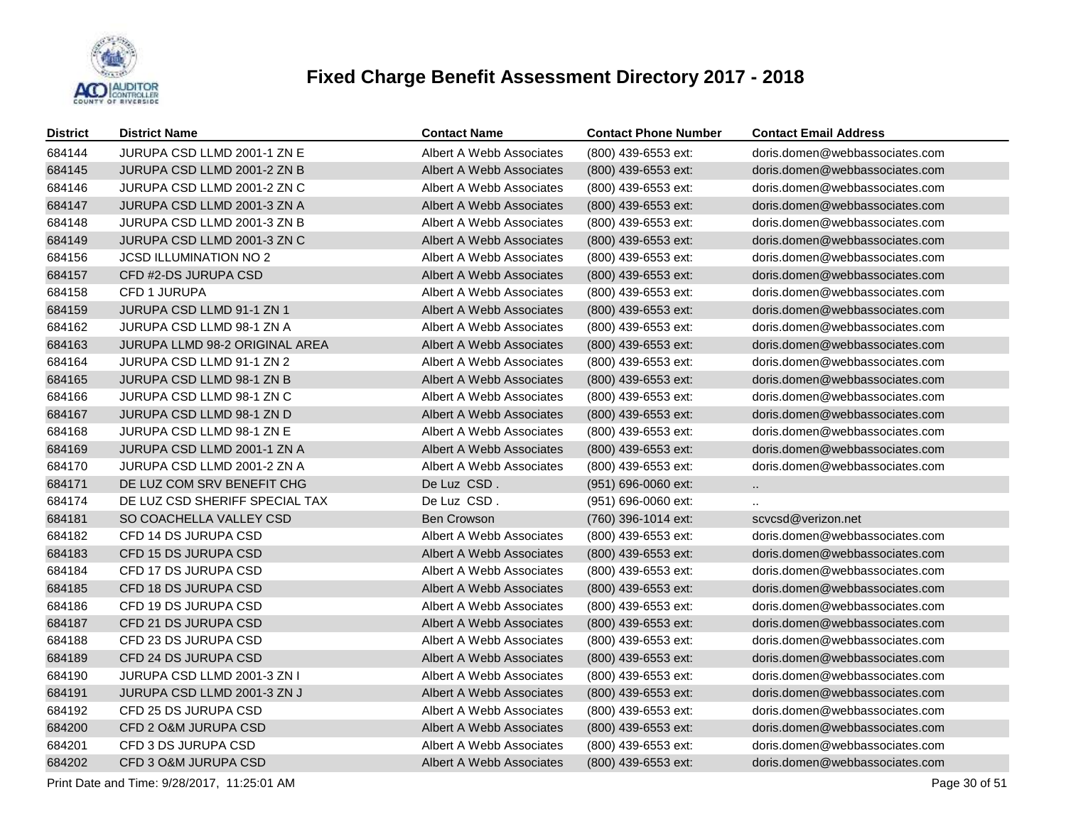

| <b>District</b> | <b>District Name</b>           | <b>Contact Name</b>             | <b>Contact Phone Number</b> | <b>Contact Email Address</b>   |
|-----------------|--------------------------------|---------------------------------|-----------------------------|--------------------------------|
| 684144          | JURUPA CSD LLMD 2001-1 ZN E    | Albert A Webb Associates        | (800) 439-6553 ext:         | doris.domen@webbassociates.com |
| 684145          | JURUPA CSD LLMD 2001-2 ZN B    | Albert A Webb Associates        | (800) 439-6553 ext:         | doris.domen@webbassociates.com |
| 684146          | JURUPA CSD LLMD 2001-2 ZN C    | Albert A Webb Associates        | (800) 439-6553 ext:         | doris.domen@webbassociates.com |
| 684147          | JURUPA CSD LLMD 2001-3 ZN A    | Albert A Webb Associates        | (800) 439-6553 ext:         | doris.domen@webbassociates.com |
| 684148          | JURUPA CSD LLMD 2001-3 ZN B    | Albert A Webb Associates        | (800) 439-6553 ext:         | doris.domen@webbassociates.com |
| 684149          | JURUPA CSD LLMD 2001-3 ZN C    | Albert A Webb Associates        | (800) 439-6553 ext:         | doris.domen@webbassociates.com |
| 684156          | <b>JCSD ILLUMINATION NO 2</b>  | Albert A Webb Associates        | (800) 439-6553 ext:         | doris.domen@webbassociates.com |
| 684157          | CFD #2-DS JURUPA CSD           | Albert A Webb Associates        | (800) 439-6553 ext:         | doris.domen@webbassociates.com |
| 684158          | CFD 1 JURUPA                   | Albert A Webb Associates        | (800) 439-6553 ext:         | doris.domen@webbassociates.com |
| 684159          | JURUPA CSD LLMD 91-1 ZN 1      | Albert A Webb Associates        | (800) 439-6553 ext:         | doris.domen@webbassociates.com |
| 684162          | JURUPA CSD LLMD 98-1 ZN A      | Albert A Webb Associates        | (800) 439-6553 ext:         | doris.domen@webbassociates.com |
| 684163          | JURUPA LLMD 98-2 ORIGINAL AREA | Albert A Webb Associates        | (800) 439-6553 ext:         | doris.domen@webbassociates.com |
| 684164          | JURUPA CSD LLMD 91-1 ZN 2      | Albert A Webb Associates        | (800) 439-6553 ext:         | doris.domen@webbassociates.com |
| 684165          | JURUPA CSD LLMD 98-1 ZN B      | Albert A Webb Associates        | (800) 439-6553 ext:         | doris.domen@webbassociates.com |
| 684166          | JURUPA CSD LLMD 98-1 ZN C      | Albert A Webb Associates        | (800) 439-6553 ext:         | doris.domen@webbassociates.com |
| 684167          | JURUPA CSD LLMD 98-1 ZN D      | <b>Albert A Webb Associates</b> | (800) 439-6553 ext:         | doris.domen@webbassociates.com |
| 684168          | JURUPA CSD LLMD 98-1 ZN E      | Albert A Webb Associates        | (800) 439-6553 ext:         | doris.domen@webbassociates.com |
| 684169          | JURUPA CSD LLMD 2001-1 ZN A    | <b>Albert A Webb Associates</b> | (800) 439-6553 ext:         | doris.domen@webbassociates.com |
| 684170          | JURUPA CSD LLMD 2001-2 ZN A    | Albert A Webb Associates        | (800) 439-6553 ext:         | doris.domen@webbassociates.com |
| 684171          | DE LUZ COM SRV BENEFIT CHG     | De Luz CSD.                     | (951) 696-0060 ext:         | $\ddot{\phantom{1}}$           |
| 684174          | DE LUZ CSD SHERIFF SPECIAL TAX | De Luz CSD.                     | (951) 696-0060 ext:         |                                |
| 684181          | SO COACHELLA VALLEY CSD        | Ben Crowson                     | (760) 396-1014 ext:         | scycsd@verizon.net             |
| 684182          | CFD 14 DS JURUPA CSD           | Albert A Webb Associates        | (800) 439-6553 ext:         | doris.domen@webbassociates.com |
| 684183          | CFD 15 DS JURUPA CSD           | Albert A Webb Associates        | (800) 439-6553 ext:         | doris.domen@webbassociates.com |
| 684184          | CFD 17 DS JURUPA CSD           | Albert A Webb Associates        | (800) 439-6553 ext:         | doris.domen@webbassociates.com |
| 684185          | CFD 18 DS JURUPA CSD           | Albert A Webb Associates        | (800) 439-6553 ext:         | doris.domen@webbassociates.com |
| 684186          | CFD 19 DS JURUPA CSD           | Albert A Webb Associates        | (800) 439-6553 ext:         | doris.domen@webbassociates.com |
| 684187          | CFD 21 DS JURUPA CSD           | Albert A Webb Associates        | (800) 439-6553 ext:         | doris.domen@webbassociates.com |
| 684188          | CFD 23 DS JURUPA CSD           | Albert A Webb Associates        | (800) 439-6553 ext:         | doris.domen@webbassociates.com |
| 684189          | CFD 24 DS JURUPA CSD           | Albert A Webb Associates        | (800) 439-6553 ext:         | doris.domen@webbassociates.com |
| 684190          | JURUPA CSD LLMD 2001-3 ZN I    | Albert A Webb Associates        | (800) 439-6553 ext:         | doris.domen@webbassociates.com |
| 684191          | JURUPA CSD LLMD 2001-3 ZN J    | Albert A Webb Associates        | (800) 439-6553 ext:         | doris.domen@webbassociates.com |
| 684192          | CFD 25 DS JURUPA CSD           | Albert A Webb Associates        | (800) 439-6553 ext:         | doris.domen@webbassociates.com |
| 684200          | CFD 2 O&M JURUPA CSD           | Albert A Webb Associates        | (800) 439-6553 ext:         | doris.domen@webbassociates.com |
| 684201          | CFD 3 DS JURUPA CSD            | Albert A Webb Associates        | (800) 439-6553 ext:         | doris.domen@webbassociates.com |
| 684202          | CFD 3 O&M JURUPA CSD           | Albert A Webb Associates        | (800) 439-6553 ext:         | doris.domen@webbassociates.com |

Print Date and Time:  $9/28/2017$ , 11:25:01 AM Page 30 of 51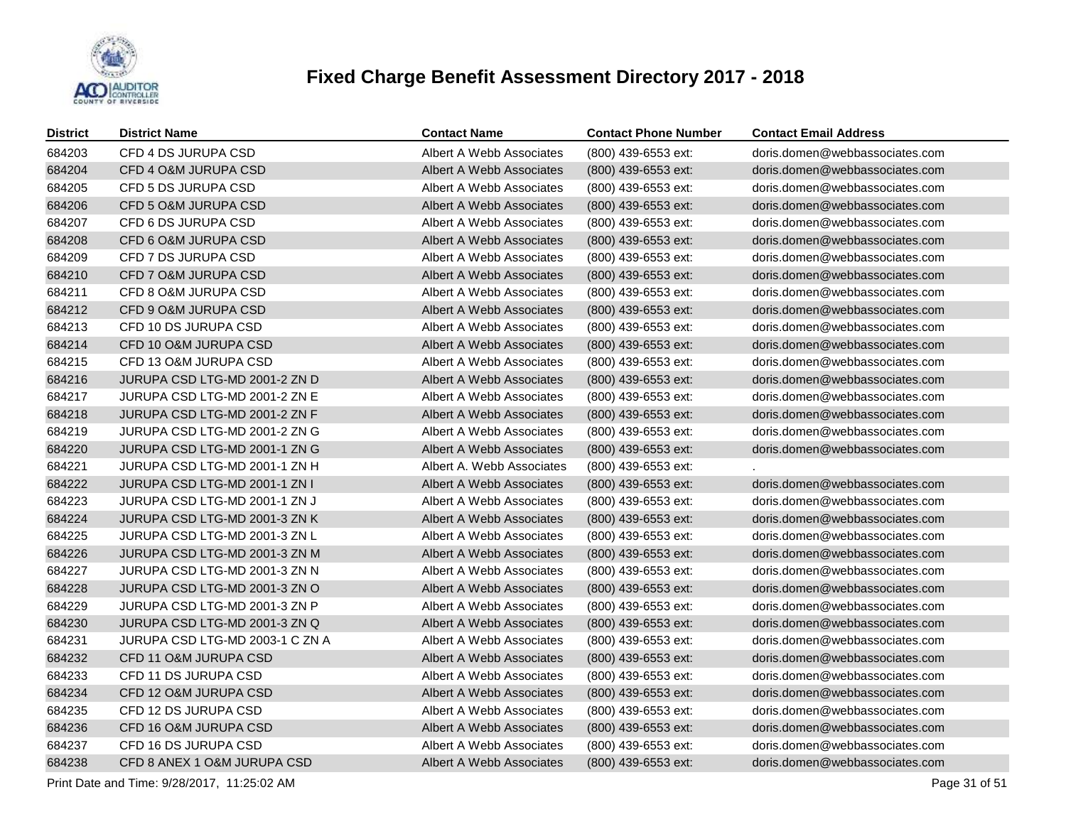

| <b>District</b> | <b>District Name</b>            | <b>Contact Name</b>       | <b>Contact Phone Number</b> | <b>Contact Email Address</b>   |
|-----------------|---------------------------------|---------------------------|-----------------------------|--------------------------------|
| 684203          | CFD 4 DS JURUPA CSD             | Albert A Webb Associates  | (800) 439-6553 ext:         | doris.domen@webbassociates.com |
| 684204          | CFD 4 O&M JURUPA CSD            | Albert A Webb Associates  | (800) 439-6553 ext:         | doris.domen@webbassociates.com |
| 684205          | CFD 5 DS JURUPA CSD             | Albert A Webb Associates  | (800) 439-6553 ext:         | doris.domen@webbassociates.com |
| 684206          | CFD 5 O&M JURUPA CSD            | Albert A Webb Associates  | (800) 439-6553 ext:         | doris.domen@webbassociates.com |
| 684207          | CFD 6 DS JURUPA CSD             | Albert A Webb Associates  | (800) 439-6553 ext:         | doris.domen@webbassociates.com |
| 684208          | CFD 6 O&M JURUPA CSD            | Albert A Webb Associates  | (800) 439-6553 ext:         | doris.domen@webbassociates.com |
| 684209          | CFD 7 DS JURUPA CSD             | Albert A Webb Associates  | (800) 439-6553 ext:         | doris.domen@webbassociates.com |
| 684210          | CFD 7 O&M JURUPA CSD            | Albert A Webb Associates  | $(800)$ 439-6553 ext:       | doris.domen@webbassociates.com |
| 684211          | CFD 8 O&M JURUPA CSD            | Albert A Webb Associates  | (800) 439-6553 ext:         | doris.domen@webbassociates.com |
| 684212          | CFD 9 O&M JURUPA CSD            | Albert A Webb Associates  | (800) 439-6553 ext:         | doris.domen@webbassociates.com |
| 684213          | CFD 10 DS JURUPA CSD            | Albert A Webb Associates  | (800) 439-6553 ext:         | doris.domen@webbassociates.com |
| 684214          | CFD 10 O&M JURUPA CSD           | Albert A Webb Associates  | (800) 439-6553 ext:         | doris.domen@webbassociates.com |
| 684215          | CFD 13 O&M JURUPA CSD           | Albert A Webb Associates  | (800) 439-6553 ext:         | doris.domen@webbassociates.com |
| 684216          | JURUPA CSD LTG-MD 2001-2 ZN D   | Albert A Webb Associates  | (800) 439-6553 ext:         | doris.domen@webbassociates.com |
| 684217          | JURUPA CSD LTG-MD 2001-2 ZN E   | Albert A Webb Associates  | (800) 439-6553 ext:         | doris.domen@webbassociates.com |
| 684218          | JURUPA CSD LTG-MD 2001-2 ZN F   | Albert A Webb Associates  | (800) 439-6553 ext:         | doris.domen@webbassociates.com |
| 684219          | JURUPA CSD LTG-MD 2001-2 ZN G   | Albert A Webb Associates  | (800) 439-6553 ext:         | doris.domen@webbassociates.com |
| 684220          | JURUPA CSD LTG-MD 2001-1 ZN G   | Albert A Webb Associates  | (800) 439-6553 ext:         | doris.domen@webbassociates.com |
| 684221          | JURUPA CSD LTG-MD 2001-1 ZN H   | Albert A. Webb Associates | (800) 439-6553 ext:         |                                |
| 684222          | JURUPA CSD LTG-MD 2001-1 ZN I   | Albert A Webb Associates  | (800) 439-6553 ext:         | doris.domen@webbassociates.com |
| 684223          | JURUPA CSD LTG-MD 2001-1 ZN J   | Albert A Webb Associates  | (800) 439-6553 ext:         | doris.domen@webbassociates.com |
| 684224          | JURUPA CSD LTG-MD 2001-3 ZN K   | Albert A Webb Associates  | $(800)$ 439-6553 ext:       | doris.domen@webbassociates.com |
| 684225          | JURUPA CSD LTG-MD 2001-3 ZN L   | Albert A Webb Associates  | (800) 439-6553 ext:         | doris.domen@webbassociates.com |
| 684226          | JURUPA CSD LTG-MD 2001-3 ZN M   | Albert A Webb Associates  | (800) 439-6553 ext:         | doris.domen@webbassociates.com |
| 684227          | JURUPA CSD LTG-MD 2001-3 ZN N   | Albert A Webb Associates  | (800) 439-6553 ext:         | doris.domen@webbassociates.com |
| 684228          | JURUPA CSD LTG-MD 2001-3 ZN O   | Albert A Webb Associates  | (800) 439-6553 ext:         | doris.domen@webbassociates.com |
| 684229          | JURUPA CSD LTG-MD 2001-3 ZN P   | Albert A Webb Associates  | (800) 439-6553 ext:         | doris.domen@webbassociates.com |
| 684230          | JURUPA CSD LTG-MD 2001-3 ZN Q   | Albert A Webb Associates  | (800) 439-6553 ext:         | doris.domen@webbassociates.com |
| 684231          | JURUPA CSD LTG-MD 2003-1 C ZN A | Albert A Webb Associates  | (800) 439-6553 ext:         | doris.domen@webbassociates.com |
| 684232          | CFD 11 O&M JURUPA CSD           | Albert A Webb Associates  | (800) 439-6553 ext:         | doris.domen@webbassociates.com |
| 684233          | CFD 11 DS JURUPA CSD            | Albert A Webb Associates  | (800) 439-6553 ext:         | doris.domen@webbassociates.com |
| 684234          | CFD 12 O&M JURUPA CSD           | Albert A Webb Associates  | (800) 439-6553 ext:         | doris.domen@webbassociates.com |
| 684235          | CFD 12 DS JURUPA CSD            | Albert A Webb Associates  | (800) 439-6553 ext:         | doris.domen@webbassociates.com |
| 684236          | CFD 16 O&M JURUPA CSD           | Albert A Webb Associates  | (800) 439-6553 ext:         | doris.domen@webbassociates.com |
| 684237          | CFD 16 DS JURUPA CSD            | Albert A Webb Associates  | (800) 439-6553 ext:         | doris.domen@webbassociates.com |
| 684238          | CFD 8 ANEX 1 O&M JURUPA CSD     | Albert A Webb Associates  | (800) 439-6553 ext:         | doris.domen@webbassociates.com |

Print Date and Time:  $9/28/2017$ , 11:25:02 AM Page 31 of 51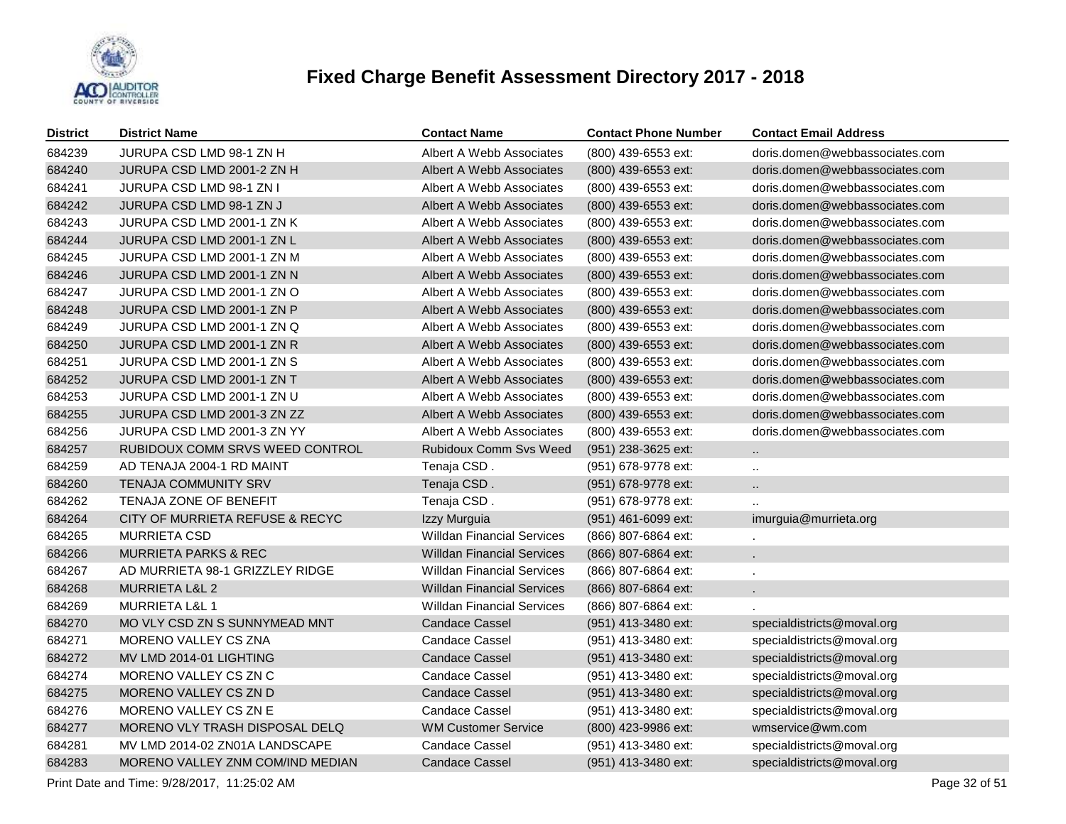

| <b>District</b> | <b>District Name</b>             | <b>Contact Name</b>               | <b>Contact Phone Number</b> | <b>Contact Email Address</b>   |
|-----------------|----------------------------------|-----------------------------------|-----------------------------|--------------------------------|
| 684239          | JURUPA CSD LMD 98-1 ZN H         | Albert A Webb Associates          | (800) 439-6553 ext:         | doris.domen@webbassociates.com |
| 684240          | JURUPA CSD LMD 2001-2 ZN H       | Albert A Webb Associates          | $(800)$ 439-6553 ext:       | doris.domen@webbassociates.com |
| 684241          | JURUPA CSD LMD 98-1 ZN I         | Albert A Webb Associates          | (800) 439-6553 ext:         | doris.domen@webbassociates.com |
| 684242          | <b>JURUPA CSD LMD 98-1 ZN J</b>  | Albert A Webb Associates          | (800) 439-6553 ext:         | doris.domen@webbassociates.com |
| 684243          | JURUPA CSD LMD 2001-1 ZN K       | Albert A Webb Associates          | (800) 439-6553 ext:         | doris.domen@webbassociates.com |
| 684244          | JURUPA CSD LMD 2001-1 ZN L       | Albert A Webb Associates          | (800) 439-6553 ext:         | doris.domen@webbassociates.com |
| 684245          | JURUPA CSD LMD 2001-1 ZN M       | Albert A Webb Associates          | (800) 439-6553 ext:         | doris.domen@webbassociates.com |
| 684246          | JURUPA CSD LMD 2001-1 ZN N       | Albert A Webb Associates          | (800) 439-6553 ext:         | doris.domen@webbassociates.com |
| 684247          | JURUPA CSD LMD 2001-1 ZN O       | Albert A Webb Associates          | (800) 439-6553 ext:         | doris.domen@webbassociates.com |
| 684248          | JURUPA CSD LMD 2001-1 ZN P       | Albert A Webb Associates          | (800) 439-6553 ext:         | doris.domen@webbassociates.com |
| 684249          | JURUPA CSD LMD 2001-1 ZN Q       | Albert A Webb Associates          | (800) 439-6553 ext:         | doris.domen@webbassociates.com |
| 684250          | JURUPA CSD LMD 2001-1 ZN R       | Albert A Webb Associates          | (800) 439-6553 ext:         | doris.domen@webbassociates.com |
| 684251          | JURUPA CSD LMD 2001-1 ZN S       | Albert A Webb Associates          | (800) 439-6553 ext:         | doris.domen@webbassociates.com |
| 684252          | JURUPA CSD LMD 2001-1 ZN T       | Albert A Webb Associates          | (800) 439-6553 ext:         | doris.domen@webbassociates.com |
| 684253          | JURUPA CSD LMD 2001-1 ZN U       | Albert A Webb Associates          | (800) 439-6553 ext:         | doris.domen@webbassociates.com |
| 684255          | JURUPA CSD LMD 2001-3 ZN ZZ      | <b>Albert A Webb Associates</b>   | (800) 439-6553 ext:         | doris.domen@webbassociates.com |
| 684256          | JURUPA CSD LMD 2001-3 ZN YY      | Albert A Webb Associates          | (800) 439-6553 ext:         | doris.domen@webbassociates.com |
| 684257          | RUBIDOUX COMM SRVS WEED CONTROL  | Rubidoux Comm Svs Weed            | $(951)$ 238-3625 ext:       | $\ddotsc$                      |
| 684259          | AD TENAJA 2004-1 RD MAINT        | Tenaja CSD.                       | (951) 678-9778 ext:         | $\ddot{\phantom{a}}$           |
| 684260          | TENAJA COMMUNITY SRV             | Tenaja CSD.                       | (951) 678-9778 ext:         | $\ddotsc$                      |
| 684262          | TENAJA ZONE OF BENEFIT           | Tenaja CSD.                       | (951) 678-9778 ext:         |                                |
| 684264          | CITY OF MURRIETA REFUSE & RECYC  | Izzy Murguia                      | (951) 461-6099 ext:         | imurguia@murrieta.org          |
| 684265          | <b>MURRIETA CSD</b>              | <b>Willdan Financial Services</b> | (866) 807-6864 ext:         | $\cdot$                        |
| 684266          | <b>MURRIETA PARKS &amp; REC</b>  | <b>Willdan Financial Services</b> | (866) 807-6864 ext:         |                                |
| 684267          | AD MURRIETA 98-1 GRIZZLEY RIDGE  | <b>Willdan Financial Services</b> | (866) 807-6864 ext:         |                                |
| 684268          | <b>MURRIETA L&amp;L 2</b>        | <b>Willdan Financial Services</b> | (866) 807-6864 ext:         |                                |
| 684269          | <b>MURRIETA L&amp;L 1</b>        | <b>Willdan Financial Services</b> | (866) 807-6864 ext:         |                                |
| 684270          | MO VLY CSD ZN S SUNNYMEAD MNT    | <b>Candace Cassel</b>             | (951) 413-3480 ext:         | specialdistricts@moval.org     |
| 684271          | <b>MORENO VALLEY CS ZNA</b>      | Candace Cassel                    | (951) 413-3480 ext:         | specialdistricts@moval.org     |
| 684272          | MV LMD 2014-01 LIGHTING          | <b>Candace Cassel</b>             | (951) 413-3480 ext:         | specialdistricts@moval.org     |
| 684274          | MORENO VALLEY CS ZN C            | Candace Cassel                    | (951) 413-3480 ext:         | specialdistricts@moval.org     |
| 684275          | MORENO VALLEY CS ZN D            | <b>Candace Cassel</b>             | (951) 413-3480 ext:         | specialdistricts@moval.org     |
| 684276          | MORENO VALLEY CS ZN E            | <b>Candace Cassel</b>             | (951) 413-3480 ext:         | specialdistricts@moval.org     |
| 684277          | MORENO VLY TRASH DISPOSAL DELQ   | <b>WM Customer Service</b>        | (800) 423-9986 ext:         | wmservice@wm.com               |
| 684281          | MV LMD 2014-02 ZN01A LANDSCAPE   | <b>Candace Cassel</b>             | (951) 413-3480 ext:         | specialdistricts@moval.org     |
| 684283          | MORENO VALLEY ZNM COM/IND MEDIAN | <b>Candace Cassel</b>             | (951) 413-3480 ext:         | specialdistricts@moval.org     |

Print Date and Time:  $9/28/2017$ , 11:25:02 AM Page 32 of 51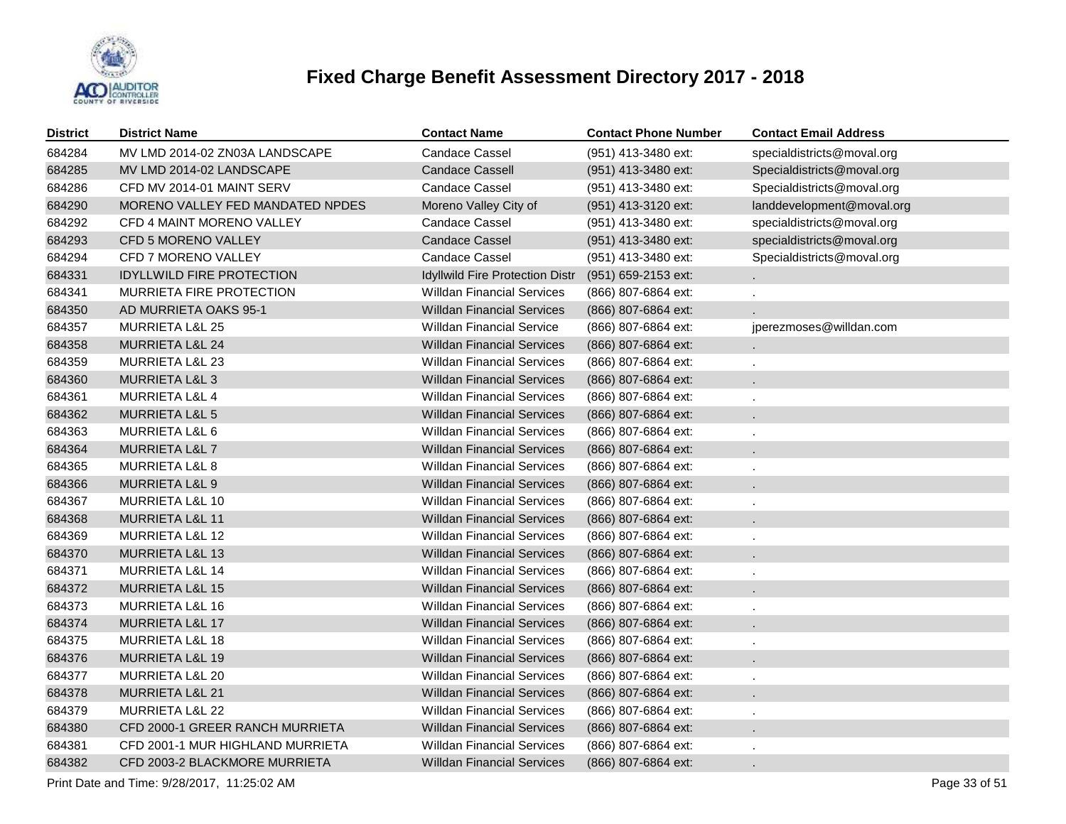

| <b>District</b> | <b>District Name</b>             | <b>Contact Name</b>               | <b>Contact Phone Number</b> | <b>Contact Email Address</b> |
|-----------------|----------------------------------|-----------------------------------|-----------------------------|------------------------------|
| 684284          | MV LMD 2014-02 ZN03A LANDSCAPE   | <b>Candace Cassel</b>             | (951) 413-3480 ext:         | specialdistricts@moval.org   |
| 684285          | MV LMD 2014-02 LANDSCAPE         | <b>Candace Cassell</b>            | (951) 413-3480 ext:         | Specialdistricts@moval.org   |
| 684286          | CFD MV 2014-01 MAINT SERV        | <b>Candace Cassel</b>             | (951) 413-3480 ext:         | Specialdistricts@moval.org   |
| 684290          | MORENO VALLEY FED MANDATED NPDES | Moreno Valley City of             | (951) 413-3120 ext:         | landdevelopment@moval.org    |
| 684292          | CFD 4 MAINT MORENO VALLEY        | <b>Candace Cassel</b>             | (951) 413-3480 ext:         | specialdistricts@moval.org   |
| 684293          | CFD 5 MORENO VALLEY              | <b>Candace Cassel</b>             | (951) 413-3480 ext:         | specialdistricts@moval.org   |
| 684294          | CFD 7 MORENO VALLEY              | Candace Cassel                    | (951) 413-3480 ext:         | Specialdistricts@moval.org   |
| 684331          | <b>IDYLLWILD FIRE PROTECTION</b> | Idyllwild Fire Protection Distr   | (951) 659-2153 ext:         |                              |
| 684341          | MURRIETA FIRE PROTECTION         | <b>Willdan Financial Services</b> | (866) 807-6864 ext:         |                              |
| 684350          | AD MURRIETA OAKS 95-1            | <b>Willdan Financial Services</b> | (866) 807-6864 ext:         |                              |
| 684357          | MURRIETA L&L 25                  | <b>Willdan Financial Service</b>  | (866) 807-6864 ext:         | jperezmoses@willdan.com      |
| 684358          | MURRIETA L&L 24                  | <b>Willdan Financial Services</b> | (866) 807-6864 ext:         |                              |
| 684359          | MURRIETA L&L 23                  | <b>Willdan Financial Services</b> | (866) 807-6864 ext:         |                              |
| 684360          | MURRIETA L&L 3                   | <b>Willdan Financial Services</b> | (866) 807-6864 ext:         |                              |
| 684361          | <b>MURRIETA L&amp;L 4</b>        | <b>Willdan Financial Services</b> | (866) 807-6864 ext:         |                              |
| 684362          | <b>MURRIETA L&amp;L 5</b>        | <b>Willdan Financial Services</b> | (866) 807-6864 ext:         |                              |
| 684363          | MURRIETA L&L 6                   | <b>Willdan Financial Services</b> | (866) 807-6864 ext:         |                              |
| 684364          | <b>MURRIETA L&amp;L 7</b>        | <b>Willdan Financial Services</b> | (866) 807-6864 ext:         |                              |
| 684365          | <b>MURRIETA L&amp;L 8</b>        | <b>Willdan Financial Services</b> | (866) 807-6864 ext:         |                              |
| 684366          | MURRIETA L&L 9                   | <b>Willdan Financial Services</b> | (866) 807-6864 ext:         |                              |
| 684367          | MURRIETA L&L 10                  | <b>Willdan Financial Services</b> | (866) 807-6864 ext:         |                              |
| 684368          | MURRIETA L&L 11                  | <b>Willdan Financial Services</b> | (866) 807-6864 ext:         |                              |
| 684369          | <b>MURRIETA L&amp;L 12</b>       | <b>Willdan Financial Services</b> | (866) 807-6864 ext:         |                              |
| 684370          | <b>MURRIETA L&amp;L 13</b>       | <b>Willdan Financial Services</b> | (866) 807-6864 ext:         |                              |
| 684371          | <b>MURRIETA L&amp;L 14</b>       | <b>Willdan Financial Services</b> | (866) 807-6864 ext:         |                              |
| 684372          | MURRIETA L&L 15                  | <b>Willdan Financial Services</b> | (866) 807-6864 ext:         |                              |
| 684373          | MURRIETA L&L 16                  | <b>Willdan Financial Services</b> | (866) 807-6864 ext:         |                              |
| 684374          | MURRIETA L&L 17                  | <b>Willdan Financial Services</b> | (866) 807-6864 ext:         |                              |
| 684375          | MURRIETA L&L 18                  | <b>Willdan Financial Services</b> | (866) 807-6864 ext:         |                              |
| 684376          | <b>MURRIETA L&amp;L 19</b>       | <b>Willdan Financial Services</b> | (866) 807-6864 ext:         |                              |
| 684377          | <b>MURRIETA L&amp;L 20</b>       | <b>Willdan Financial Services</b> | (866) 807-6864 ext:         |                              |
| 684378          | MURRIETA L&L 21                  | <b>Willdan Financial Services</b> | (866) 807-6864 ext:         |                              |
| 684379          | MURRIETA L&L 22                  | <b>Willdan Financial Services</b> | (866) 807-6864 ext:         |                              |
| 684380          | CFD 2000-1 GREER RANCH MURRIETA  | <b>Willdan Financial Services</b> | (866) 807-6864 ext:         |                              |
| 684381          | CFD 2001-1 MUR HIGHLAND MURRIETA | <b>Willdan Financial Services</b> | (866) 807-6864 ext:         |                              |
| 684382          | CFD 2003-2 BLACKMORE MURRIETA    | <b>Willdan Financial Services</b> | (866) 807-6864 ext:         |                              |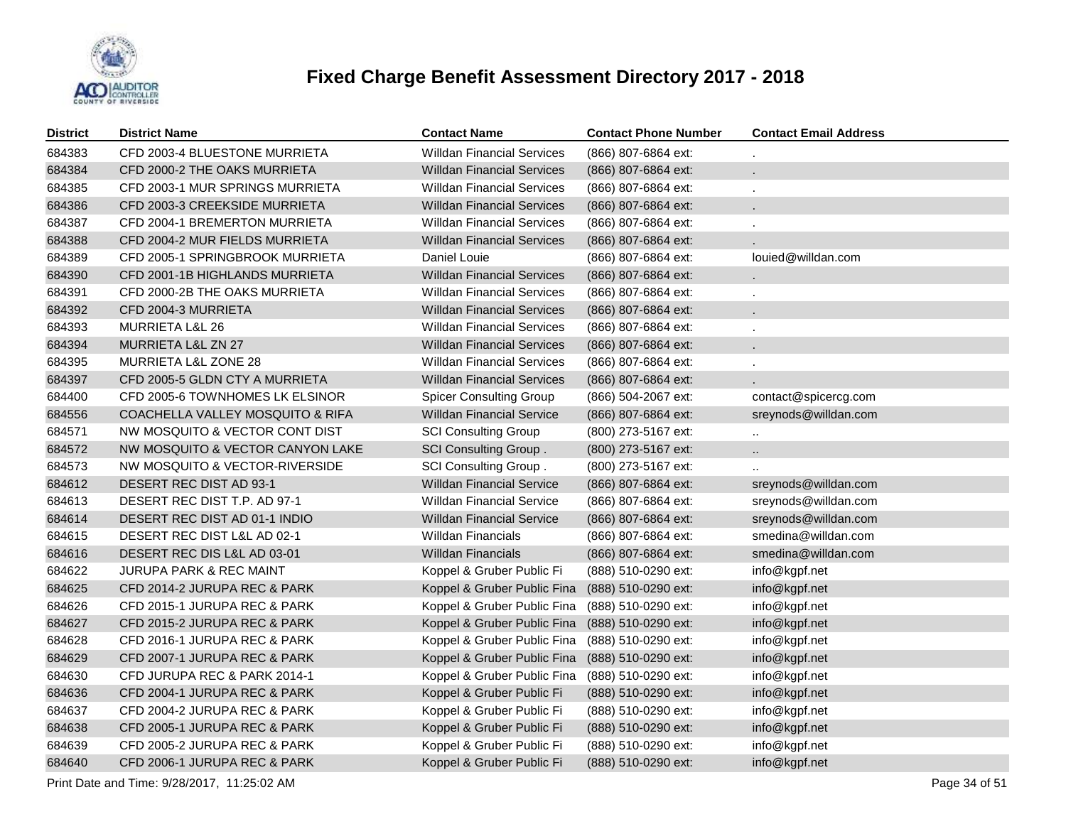

| <b>District</b> | <b>District Name</b>             | <b>Contact Name</b>               | <b>Contact Phone Number</b> | <b>Contact Email Address</b> |
|-----------------|----------------------------------|-----------------------------------|-----------------------------|------------------------------|
| 684383          | CFD 2003-4 BLUESTONE MURRIETA    | <b>Willdan Financial Services</b> | (866) 807-6864 ext:         |                              |
| 684384          | CFD 2000-2 THE OAKS MURRIETA     | <b>Willdan Financial Services</b> | (866) 807-6864 ext:         |                              |
| 684385          | CFD 2003-1 MUR SPRINGS MURRIETA  | Willdan Financial Services        | (866) 807-6864 ext:         |                              |
| 684386          | CFD 2003-3 CREEKSIDE MURRIETA    | <b>Willdan Financial Services</b> | (866) 807-6864 ext:         |                              |
| 684387          | CFD 2004-1 BREMERTON MURRIETA    | Willdan Financial Services        | (866) 807-6864 ext:         |                              |
| 684388          | CFD 2004-2 MUR FIELDS MURRIETA   | <b>Willdan Financial Services</b> | (866) 807-6864 ext:         |                              |
| 684389          | CFD 2005-1 SPRINGBROOK MURRIETA  | Daniel Louie                      | (866) 807-6864 ext:         | louied@willdan.com           |
| 684390          | CFD 2001-1B HIGHLANDS MURRIETA   | <b>Willdan Financial Services</b> | (866) 807-6864 ext:         | ¥.                           |
| 684391          | CFD 2000-2B THE OAKS MURRIETA    | <b>Willdan Financial Services</b> | (866) 807-6864 ext:         |                              |
| 684392          | CFD 2004-3 MURRIETA              | <b>Willdan Financial Services</b> | (866) 807-6864 ext:         | $\mathbf{r}$                 |
| 684393          | <b>MURRIETA L&amp;L 26</b>       | <b>Willdan Financial Services</b> | (866) 807-6864 ext:         |                              |
| 684394          | MURRIETA L&L ZN 27               | <b>Willdan Financial Services</b> | (866) 807-6864 ext:         | $\epsilon$                   |
| 684395          | MURRIETA L&L ZONE 28             | Willdan Financial Services        | (866) 807-6864 ext:         |                              |
| 684397          | CFD 2005-5 GLDN CTY A MURRIETA   | <b>Willdan Financial Services</b> | (866) 807-6864 ext:         |                              |
| 684400          | CFD 2005-6 TOWNHOMES LK ELSINOR  | <b>Spicer Consulting Group</b>    | (866) 504-2067 ext:         | contact@spicercg.com         |
| 684556          | COACHELLA VALLEY MOSQUITO & RIFA | <b>Willdan Financial Service</b>  | (866) 807-6864 ext:         | sreynods@willdan.com         |
| 684571          | NW MOSQUITO & VECTOR CONT DIST   | <b>SCI Consulting Group</b>       | (800) 273-5167 ext:         |                              |
| 684572          | NW MOSQUITO & VECTOR CANYON LAKE | <b>SCI Consulting Group.</b>      | (800) 273-5167 ext:         | $\ddotsc$                    |
| 684573          | NW MOSQUITO & VECTOR-RIVERSIDE   | SCI Consulting Group.             | (800) 273-5167 ext:         |                              |
| 684612          | DESERT REC DIST AD 93-1          | <b>Willdan Financial Service</b>  | (866) 807-6864 ext:         | sreynods@willdan.com         |
| 684613          | DESERT REC DIST T.P. AD 97-1     | <b>Willdan Financial Service</b>  | (866) 807-6864 ext:         | sreynods@willdan.com         |
| 684614          | DESERT REC DIST AD 01-1 INDIO    | <b>Willdan Financial Service</b>  | (866) 807-6864 ext:         | sreynods@willdan.com         |
| 684615          | DESERT REC DIST L&L AD 02-1      | Willdan Financials                | (866) 807-6864 ext:         | smedina@willdan.com          |
| 684616          | DESERT REC DIS L&L AD 03-01      | Willdan Financials                | (866) 807-6864 ext:         | smedina@willdan.com          |
| 684622          | JURUPA PARK & REC MAINT          | Koppel & Gruber Public Fi         | (888) 510-0290 ext:         | info@kgpf.net                |
| 684625          | CFD 2014-2 JURUPA REC & PARK     | Koppel & Gruber Public Fina       | (888) 510-0290 ext:         | info@kgpf.net                |
| 684626          | CFD 2015-1 JURUPA REC & PARK     | Koppel & Gruber Public Fina       | (888) 510-0290 ext:         | info@kgpf.net                |
| 684627          | CFD 2015-2 JURUPA REC & PARK     | Koppel & Gruber Public Fina       | (888) 510-0290 ext:         | info@kgpf.net                |
| 684628          | CFD 2016-1 JURUPA REC & PARK     | Koppel & Gruber Public Fina       | (888) 510-0290 ext:         | info@kgpf.net                |
| 684629          | CFD 2007-1 JURUPA REC & PARK     | Koppel & Gruber Public Fina       | (888) 510-0290 ext:         | info@kgpf.net                |
| 684630          | CFD JURUPA REC & PARK 2014-1     | Koppel & Gruber Public Fina       | (888) 510-0290 ext:         | info@kgpf.net                |
| 684636          | CFD 2004-1 JURUPA REC & PARK     | Koppel & Gruber Public Fi         | (888) 510-0290 ext:         | info@kgpf.net                |
| 684637          | CFD 2004-2 JURUPA REC & PARK     | Koppel & Gruber Public Fi         | (888) 510-0290 ext:         | info@kgpf.net                |
| 684638          | CFD 2005-1 JURUPA REC & PARK     | Koppel & Gruber Public Fi         | (888) 510-0290 ext:         | info@kgpf.net                |
| 684639          | CFD 2005-2 JURUPA REC & PARK     | Koppel & Gruber Public Fi         | (888) 510-0290 ext:         | info@kgpf.net                |
| 684640          | CFD 2006-1 JURUPA REC & PARK     | Koppel & Gruber Public Fi         | (888) 510-0290 ext:         | info@kgpf.net                |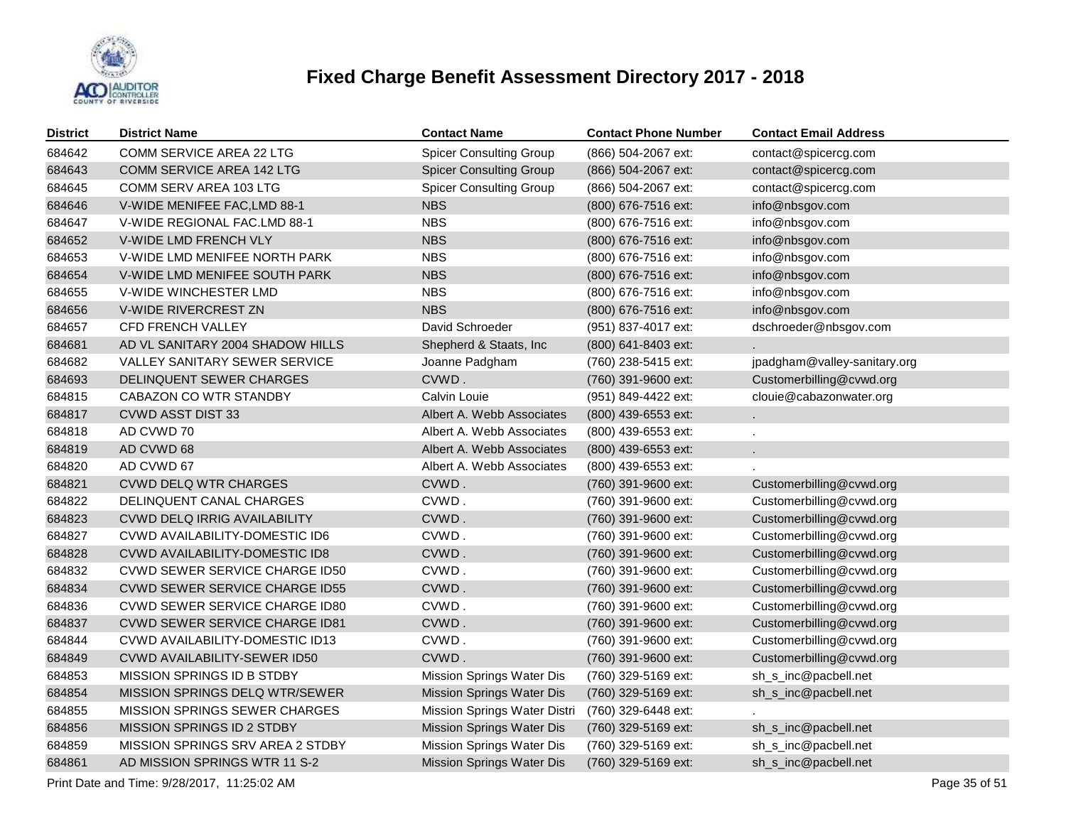

| <b>District</b> | <b>District Name</b>                        | <b>Contact Name</b>            | <b>Contact Phone Number</b> | <b>Contact Email Address</b> |  |
|-----------------|---------------------------------------------|--------------------------------|-----------------------------|------------------------------|--|
| 684642          | <b>COMM SERVICE AREA 22 LTG</b>             | <b>Spicer Consulting Group</b> | (866) 504-2067 ext:         | contact@spicercg.com         |  |
| 684643          | <b>COMM SERVICE AREA 142 LTG</b>            | <b>Spicer Consulting Group</b> | (866) 504-2067 ext:         | contact@spicercg.com         |  |
| 684645          | COMM SERV AREA 103 LTG                      | <b>Spicer Consulting Group</b> | (866) 504-2067 ext:         | contact@spicercg.com         |  |
| 684646          | V-WIDE MENIFEE FAC, LMD 88-1                | <b>NBS</b>                     | (800) 676-7516 ext:         | info@nbsgov.com              |  |
| 684647          | V-WIDE REGIONAL FAC.LMD 88-1                | <b>NBS</b>                     | (800) 676-7516 ext:         | info@nbsgov.com              |  |
| 684652          | V-WIDE LMD FRENCH VLY                       | <b>NBS</b>                     | (800) 676-7516 ext:         | info@nbsgov.com              |  |
| 684653          | V-WIDE LMD MENIFEE NORTH PARK               | NBS.                           | (800) 676-7516 ext:         | info@nbsgov.com              |  |
| 684654          | V-WIDE LMD MENIFEE SOUTH PARK               | <b>NBS</b>                     | (800) 676-7516 ext:         | info@nbsgov.com              |  |
| 684655          | V-WIDE WINCHESTER LMD                       | <b>NBS</b>                     | (800) 676-7516 ext:         | info@nbsgov.com              |  |
| 684656          | V-WIDE RIVERCREST ZN                        | <b>NBS</b>                     | (800) 676-7516 ext:         | info@nbsgov.com              |  |
| 684657          | CFD FRENCH VALLEY                           | David Schroeder                | (951) 837-4017 ext:         | dschroeder@nbsgov.com        |  |
| 684681          | AD VL SANITARY 2004 SHADOW HILLS            | Shepherd & Staats, Inc         | (800) 641-8403 ext:         |                              |  |
| 684682          | VALLEY SANITARY SEWER SERVICE               | Joanne Padgham                 | (760) 238-5415 ext:         | jpadgham@valley-sanitary.org |  |
| 684693          | <b>DELINQUENT SEWER CHARGES</b>             | CVWD.                          | (760) 391-9600 ext:         | Customerbilling@cvwd.org     |  |
| 684815          | CABAZON CO WTR STANDBY                      | Calvin Louie                   | (951) 849-4422 ext:         | clouie@cabazonwater.org      |  |
| 684817          | <b>CVWD ASST DIST 33</b>                    | Albert A. Webb Associates      | (800) 439-6553 ext:         |                              |  |
| 684818          | AD CVWD 70                                  | Albert A. Webb Associates      | (800) 439-6553 ext:         |                              |  |
| 684819          | AD CVWD 68                                  | Albert A. Webb Associates      | (800) 439-6553 ext:         |                              |  |
| 684820          | AD CVWD 67                                  | Albert A. Webb Associates      | (800) 439-6553 ext:         |                              |  |
| 684821          | <b>CVWD DELQ WTR CHARGES</b>                | CVWD.                          | (760) 391-9600 ext:         | Customerbilling@cvwd.org     |  |
| 684822          | DELINQUENT CANAL CHARGES                    | CVWD.                          | (760) 391-9600 ext:         | Customerbilling@cvwd.org     |  |
| 684823          | CVWD DELQ IRRIG AVAILABILITY                | CVWD.                          | (760) 391-9600 ext:         | Customerbilling@cvwd.org     |  |
| 684827          | CVWD AVAILABILITY-DOMESTIC ID6              | CVWD.                          | (760) 391-9600 ext:         | Customerbilling@cvwd.org     |  |
| 684828          | CVWD AVAILABILITY-DOMESTIC ID8              | CVWD.                          | (760) 391-9600 ext:         | Customerbilling@cvwd.org     |  |
| 684832          | CVWD SEWER SERVICE CHARGE ID50              | CVWD.                          | (760) 391-9600 ext:         | Customerbilling@cvwd.org     |  |
| 684834          | <b>CVWD SEWER SERVICE CHARGE ID55</b>       | CVWD.                          | (760) 391-9600 ext:         | Customerbilling@cvwd.org     |  |
| 684836          | CVWD SEWER SERVICE CHARGE ID80              | CVWD.                          | (760) 391-9600 ext:         | Customerbilling@cvwd.org     |  |
| 684837          | CVWD SEWER SERVICE CHARGE ID81              | CVWD.                          | (760) 391-9600 ext:         | Customerbilling@cvwd.org     |  |
| 684844          | CVWD AVAILABILITY-DOMESTIC ID13             | CVWD.                          | (760) 391-9600 ext:         | Customerbilling@cvwd.org     |  |
| 684849          | CVWD AVAILABILITY-SEWER ID50                | CVWD.                          | (760) 391-9600 ext:         | Customerbilling@cvwd.org     |  |
| 684853          | MISSION SPRINGS ID B STDBY                  | Mission Springs Water Dis      | (760) 329-5169 ext:         | sh_s_inc@pacbell.net         |  |
| 684854          | MISSION SPRINGS DELQ WTR/SEWER              | Mission Springs Water Dis      | (760) 329-5169 ext:         | sh_s_inc@pacbell.net         |  |
| 684855          | MISSION SPRINGS SEWER CHARGES               | Mission Springs Water Distri   | (760) 329-6448 ext:         |                              |  |
| 684856          | MISSION SPRINGS ID 2 STDBY                  | Mission Springs Water Dis      | (760) 329-5169 ext:         | sh_s_inc@pacbell.net         |  |
| 684859          | <b>MISSION SPRINGS SRV AREA 2 STDBY</b>     | Mission Springs Water Dis      | (760) 329-5169 ext:         | sh_s_inc@pacbell.net         |  |
| 684861          | AD MISSION SPRINGS WTR 11 S-2               | Mission Springs Water Dis      | (760) 329-5169 ext:         | sh_s_inc@pacbell.net         |  |
|                 | Print Date and Time: 9/28/2017, 11:25:02 AM |                                |                             | Page 35 of 51                |  |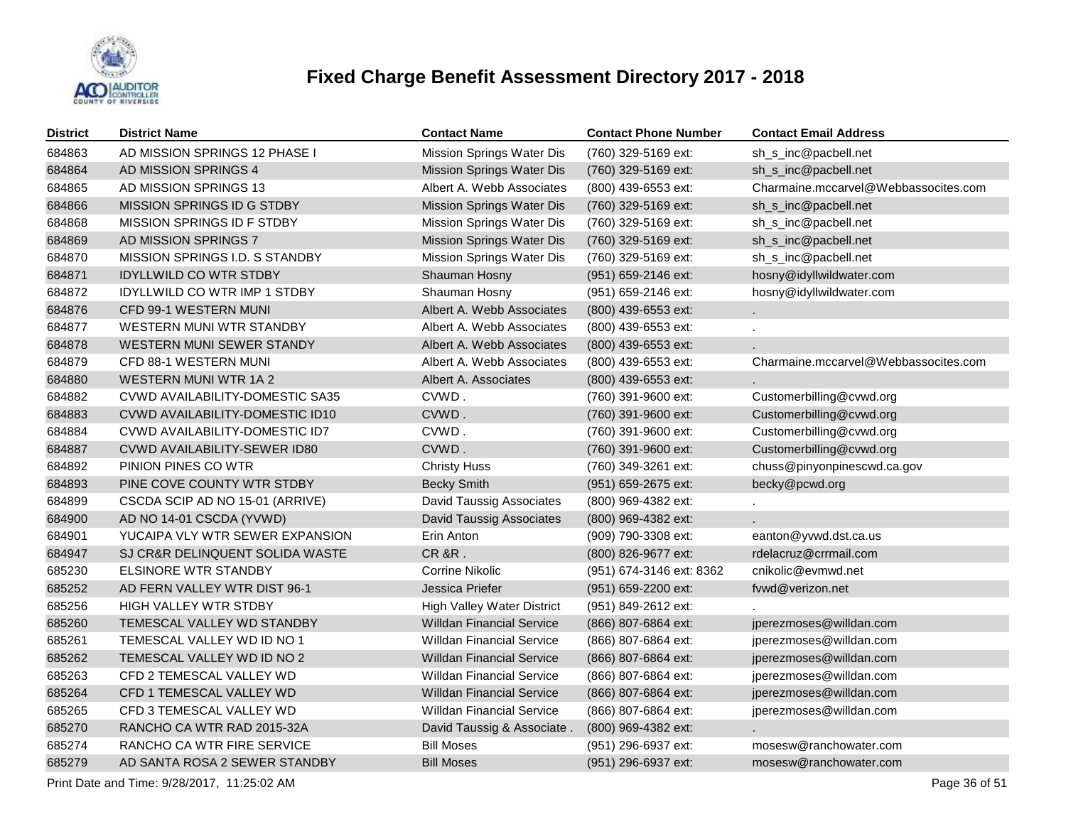

| <b>District</b> | <b>District Name</b>                | <b>Contact Name</b>              | <b>Contact Phone Number</b> | <b>Contact Email Address</b>         |
|-----------------|-------------------------------------|----------------------------------|-----------------------------|--------------------------------------|
| 684863          | AD MISSION SPRINGS 12 PHASE I       | Mission Springs Water Dis        | (760) 329-5169 ext:         | sh_s_inc@pacbell.net                 |
| 684864          | AD MISSION SPRINGS 4                | Mission Springs Water Dis        | (760) 329-5169 ext:         | sh_s_inc@pacbell.net                 |
| 684865          | AD MISSION SPRINGS 13               | Albert A. Webb Associates        | (800) 439-6553 ext:         | Charmaine.mccarvel@Webbassocites.com |
| 684866          | MISSION SPRINGS ID G STDBY          | <b>Mission Springs Water Dis</b> | (760) 329-5169 ext:         | sh_s_inc@pacbell.net                 |
| 684868          | MISSION SPRINGS ID F STDBY          | Mission Springs Water Dis        | (760) 329-5169 ext:         | sh_s_inc@pacbell.net                 |
| 684869          | AD MISSION SPRINGS 7                | Mission Springs Water Dis        | (760) 329-5169 ext:         | sh_s_inc@pacbell.net                 |
| 684870          | MISSION SPRINGS I.D. S STANDBY      | Mission Springs Water Dis        | (760) 329-5169 ext:         | sh_s_inc@pacbell.net                 |
| 684871          | <b>IDYLLWILD CO WTR STDBY</b>       | Shauman Hosny                    | (951) 659-2146 ext:         | hosny@idyllwildwater.com             |
| 684872          | <b>IDYLLWILD CO WTR IMP 1 STDBY</b> | Shauman Hosny                    | (951) 659-2146 ext:         | hosny@idyllwildwater.com             |
| 684876          | CFD 99-1 WESTERN MUNI               | Albert A. Webb Associates        | (800) 439-6553 ext:         |                                      |
| 684877          | WESTERN MUNI WTR STANDBY            | Albert A. Webb Associates        | (800) 439-6553 ext:         |                                      |
| 684878          | WESTERN MUNI SEWER STANDY           | Albert A. Webb Associates        | (800) 439-6553 ext:         |                                      |
| 684879          | CFD 88-1 WESTERN MUNI               | Albert A. Webb Associates        | (800) 439-6553 ext:         | Charmaine.mccarvel@Webbassocites.com |
| 684880          | <b>WESTERN MUNI WTR 1A 2</b>        | Albert A. Associates             | (800) 439-6553 ext:         |                                      |
| 684882          | CVWD AVAILABILITY-DOMESTIC SA35     | CVWD.                            | (760) 391-9600 ext:         | Customerbilling@cvwd.org             |
| 684883          | CVWD AVAILABILITY-DOMESTIC ID10     | CVWD.                            | (760) 391-9600 ext:         | Customerbilling@cvwd.org             |
| 684884          | CVWD AVAILABILITY-DOMESTIC ID7      | CVWD.                            | (760) 391-9600 ext:         | Customerbilling@cvwd.org             |
| 684887          | CVWD AVAILABILITY-SEWER ID80        | CVWD.                            | (760) 391-9600 ext:         | Customerbilling@cvwd.org             |
| 684892          | PINION PINES CO WTR                 | <b>Christy Huss</b>              | (760) 349-3261 ext:         | chuss@pinyonpinescwd.ca.gov          |
| 684893          | PINE COVE COUNTY WTR STDBY          | <b>Becky Smith</b>               | (951) 659-2675 ext:         | becky@pcwd.org                       |
| 684899          | CSCDA SCIP AD NO 15-01 (ARRIVE)     | David Taussig Associates         | (800) 969-4382 ext:         |                                      |
| 684900          | AD NO 14-01 CSCDA (YVWD)            | David Taussig Associates         | (800) 969-4382 ext:         |                                      |
| 684901          | YUCAIPA VLY WTR SEWER EXPANSION     | Erin Anton                       | (909) 790-3308 ext:         | eanton@yvwd.dst.ca.us                |
| 684947          | SJ CR&R DELINQUENT SOLIDA WASTE     | <b>CR &amp;R.</b>                | (800) 826-9677 ext:         | rdelacruz@crrmail.com                |
| 685230          | <b>ELSINORE WTR STANDBY</b>         | <b>Corrine Nikolic</b>           | (951) 674-3146 ext: 8362    | cnikolic@evmwd.net                   |
| 685252          | AD FERN VALLEY WTR DIST 96-1        | Jessica Priefer                  | $(951)$ 659-2200 ext:       | fvwd@verizon.net                     |
| 685256          | HIGH VALLEY WTR STDBY               | High Valley Water District       | (951) 849-2612 ext:         |                                      |
| 685260          | TEMESCAL VALLEY WD STANDBY          | <b>Willdan Financial Service</b> | $(866)$ 807-6864 ext:       | jperezmoses@willdan.com              |
| 685261          | TEMESCAL VALLEY WD ID NO 1          | <b>Willdan Financial Service</b> | (866) 807-6864 ext:         | jperezmoses@willdan.com              |
| 685262          | TEMESCAL VALLEY WD ID NO 2          | <b>Willdan Financial Service</b> | (866) 807-6864 ext:         | jperezmoses@willdan.com              |
| 685263          | CFD 2 TEMESCAL VALLEY WD            | <b>Willdan Financial Service</b> | (866) 807-6864 ext:         | jperezmoses@willdan.com              |
| 685264          | CFD 1 TEMESCAL VALLEY WD            | <b>Willdan Financial Service</b> | (866) 807-6864 ext:         | jperezmoses@willdan.com              |
| 685265          | CFD 3 TEMESCAL VALLEY WD            | <b>Willdan Financial Service</b> | (866) 807-6864 ext:         | jperezmoses@willdan.com              |
| 685270          | RANCHO CA WTR RAD 2015-32A          | David Taussig & Associate.       | (800) 969-4382 ext:         |                                      |
| 685274          | RANCHO CA WTR FIRE SERVICE          | <b>Bill Moses</b>                | (951) 296-6937 ext:         | mosesw@ranchowater.com               |
| 685279          | AD SANTA ROSA 2 SEWER STANDBY       | <b>Bill Moses</b>                | (951) 296-6937 ext:         | mosesw@ranchowater.com               |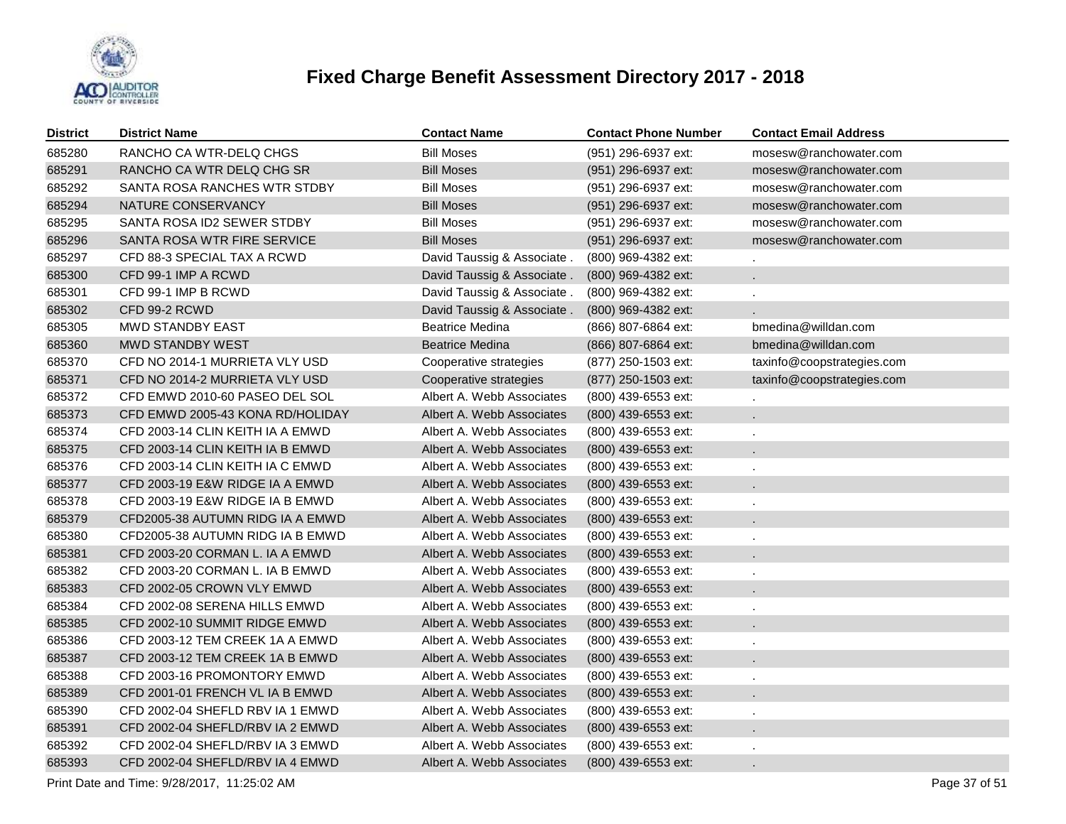

| District | <b>District Name</b>             | <b>Contact Name</b>        | <b>Contact Phone Number</b> | <b>Contact Email Address</b> |
|----------|----------------------------------|----------------------------|-----------------------------|------------------------------|
| 685280   | RANCHO CA WTR-DELQ CHGS          | <b>Bill Moses</b>          | (951) 296-6937 ext:         | mosesw@ranchowater.com       |
| 685291   | RANCHO CA WTR DELQ CHG SR        | <b>Bill Moses</b>          | (951) 296-6937 ext:         | mosesw@ranchowater.com       |
| 685292   | SANTA ROSA RANCHES WTR STDBY     | <b>Bill Moses</b>          | (951) 296-6937 ext:         | mosesw@ranchowater.com       |
| 685294   | NATURE CONSERVANCY               | <b>Bill Moses</b>          | (951) 296-6937 ext:         | mosesw@ranchowater.com       |
| 685295   | SANTA ROSA ID2 SEWER STDBY       | <b>Bill Moses</b>          | (951) 296-6937 ext:         | mosesw@ranchowater.com       |
| 685296   | SANTA ROSA WTR FIRE SERVICE      | <b>Bill Moses</b>          | (951) 296-6937 ext:         | mosesw@ranchowater.com       |
| 685297   | CFD 88-3 SPECIAL TAX A RCWD      | David Taussig & Associate. | (800) 969-4382 ext:         |                              |
| 685300   | CFD 99-1 IMP A RCWD              | David Taussig & Associate. | (800) 969-4382 ext:         |                              |
| 685301   | CFD 99-1 IMP B RCWD              | David Taussig & Associate. | (800) 969-4382 ext:         |                              |
| 685302   | CFD 99-2 RCWD                    | David Taussig & Associate. | (800) 969-4382 ext:         |                              |
| 685305   | <b>MWD STANDBY EAST</b>          | <b>Beatrice Medina</b>     | (866) 807-6864 ext:         | bmedina@willdan.com          |
| 685360   | <b>MWD STANDBY WEST</b>          | Beatrice Medina            | (866) 807-6864 ext:         | bmedina@willdan.com          |
| 685370   | CFD NO 2014-1 MURRIETA VLY USD   | Cooperative strategies     | (877) 250-1503 ext:         | taxinfo@coopstrategies.com   |
| 685371   | CFD NO 2014-2 MURRIETA VLY USD   | Cooperative strategies     | (877) 250-1503 ext:         | taxinfo@coopstrategies.com   |
| 685372   | CFD EMWD 2010-60 PASEO DEL SOL   | Albert A. Webb Associates  | (800) 439-6553 ext:         |                              |
| 685373   | CFD EMWD 2005-43 KONA RD/HOLIDAY | Albert A. Webb Associates  | $(800)$ 439-6553 ext:       | a.                           |
| 685374   | CFD 2003-14 CLIN KEITH IA A EMWD | Albert A. Webb Associates  | $(800)$ 439-6553 ext:       |                              |
| 685375   | CFD 2003-14 CLIN KEITH IA B EMWD | Albert A. Webb Associates  | $(800)$ 439-6553 ext:       | L.                           |
| 685376   | CFD 2003-14 CLIN KEITH IA C EMWD | Albert A. Webb Associates  | (800) 439-6553 ext:         |                              |
| 685377   | CFD 2003-19 E&W RIDGE IA A EMWD  | Albert A. Webb Associates  | $(800)$ 439-6553 ext:       | ÷.                           |
| 685378   | CFD 2003-19 E&W RIDGE IA B EMWD  | Albert A. Webb Associates  | (800) 439-6553 ext:         |                              |
| 685379   | CFD2005-38 AUTUMN RIDG IA A EMWD | Albert A. Webb Associates  | $(800)$ 439-6553 ext:       | ÷.                           |
| 685380   | CFD2005-38 AUTUMN RIDG IA B EMWD | Albert A. Webb Associates  | (800) 439-6553 ext:         |                              |
| 685381   | CFD 2003-20 CORMAN L. IA A EMWD  | Albert A. Webb Associates  | $(800)$ 439-6553 ext:       | ÷.                           |
| 685382   | CFD 2003-20 CORMAN L. IA B EMWD  | Albert A. Webb Associates  | (800) 439-6553 ext:         |                              |
| 685383   | CFD 2002-05 CROWN VLY EMWD       | Albert A. Webb Associates  | $(800)$ 439-6553 ext:       | ÷.                           |
| 685384   | CFD 2002-08 SERENA HILLS EMWD    | Albert A. Webb Associates  | (800) 439-6553 ext:         |                              |
| 685385   | CFD 2002-10 SUMMIT RIDGE EMWD    | Albert A. Webb Associates  | $(800)$ 439-6553 ext:       | ä.                           |
| 685386   | CFD 2003-12 TEM CREEK 1A A EMWD  | Albert A. Webb Associates  | (800) 439-6553 ext:         |                              |
| 685387   | CFD 2003-12 TEM CREEK 1A B EMWD  | Albert A. Webb Associates  | (800) 439-6553 ext:         | ä,                           |
| 685388   | CFD 2003-16 PROMONTORY EMWD      | Albert A. Webb Associates  | (800) 439-6553 ext:         |                              |
| 685389   | CFD 2001-01 FRENCH VL IA B EMWD  | Albert A. Webb Associates  | (800) 439-6553 ext:         | ä,                           |
| 685390   | CFD 2002-04 SHEFLD RBV IA 1 EMWD | Albert A. Webb Associates  | (800) 439-6553 ext:         |                              |
| 685391   | CFD 2002-04 SHEFLD/RBV IA 2 EMWD | Albert A. Webb Associates  | (800) 439-6553 ext:         | ä,                           |
| 685392   | CFD 2002-04 SHEFLD/RBV IA 3 EMWD | Albert A. Webb Associates  | (800) 439-6553 ext:         |                              |
| 685393   | CFD 2002-04 SHEFLD/RBV IA 4 EMWD | Albert A. Webb Associates  | (800) 439-6553 ext:         |                              |

Print Date and Time:  $9/28/2017$ , 11:25:02 AM Page 37 of 51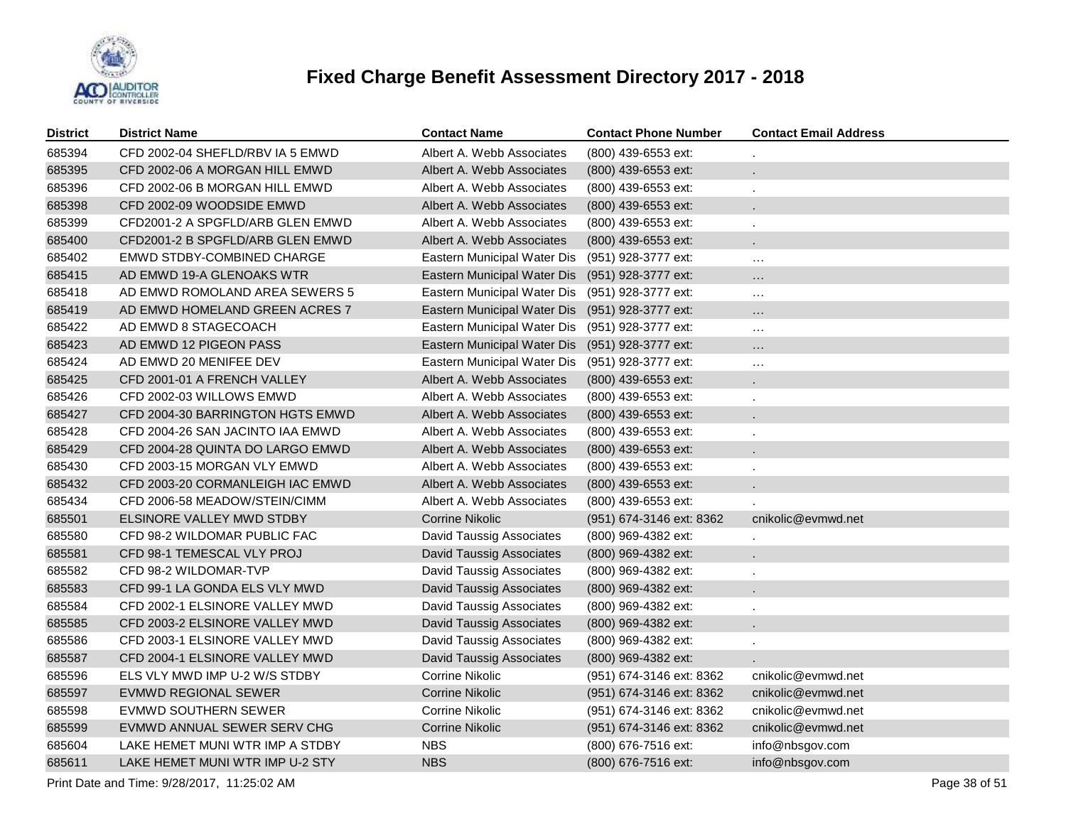

| <b>District</b> | <b>District Name</b>             | <b>Contact Name</b>                             | <b>Contact Phone Number</b> | <b>Contact Email Address</b> |
|-----------------|----------------------------------|-------------------------------------------------|-----------------------------|------------------------------|
| 685394          | CFD 2002-04 SHEFLD/RBV IA 5 EMWD | Albert A. Webb Associates                       | (800) 439-6553 ext:         |                              |
| 685395          | CFD 2002-06 A MORGAN HILL EMWD   | Albert A. Webb Associates                       | (800) 439-6553 ext:         |                              |
| 685396          | CFD 2002-06 B MORGAN HILL EMWD   | Albert A. Webb Associates                       | (800) 439-6553 ext:         |                              |
| 685398          | CFD 2002-09 WOODSIDE EMWD        | Albert A. Webb Associates                       | (800) 439-6553 ext:         |                              |
| 685399          | CFD2001-2 A SPGFLD/ARB GLEN EMWD | Albert A. Webb Associates                       | (800) 439-6553 ext:         |                              |
| 685400          | CFD2001-2 B SPGFLD/ARB GLEN EMWD | Albert A. Webb Associates                       | $(800)$ 439-6553 ext:       |                              |
| 685402          | EMWD STDBY-COMBINED CHARGE       | Eastern Municipal Water Dis                     | (951) 928-3777 ext:         | $\cdots$                     |
| 685415          | AD EMWD 19-A GLENOAKS WTR        | Eastern Municipal Water Dis (951) 928-3777 ext: |                             | $\cdots$                     |
| 685418          | AD EMWD ROMOLAND AREA SEWERS 5   | Eastern Municipal Water Dis (951) 928-3777 ext: |                             | $\cdots$                     |
| 685419          | AD EMWD HOMELAND GREEN ACRES 7   | Eastern Municipal Water Dis (951) 928-3777 ext: |                             | $\cdots$                     |
| 685422          | AD EMWD 8 STAGECOACH             | Eastern Municipal Water Dis (951) 928-3777 ext: |                             | $\ldots$                     |
| 685423          | AD EMWD 12 PIGEON PASS           | Eastern Municipal Water Dis (951) 928-3777 ext: |                             | $\cdots$                     |
| 685424          | AD EMWD 20 MENIFEE DEV           | Eastern Municipal Water Dis                     | (951) 928-3777 ext:         | $\ldots$                     |
| 685425          | CFD 2001-01 A FRENCH VALLEY      | Albert A. Webb Associates                       | $(800)$ 439-6553 ext:       |                              |
| 685426          | CFD 2002-03 WILLOWS EMWD         | Albert A. Webb Associates                       | (800) 439-6553 ext:         | $\epsilon$                   |
| 685427          | CFD 2004-30 BARRINGTON HGTS EMWD | Albert A. Webb Associates                       | (800) 439-6553 ext:         |                              |
| 685428          | CFD 2004-26 SAN JACINTO IAA EMWD | Albert A. Webb Associates                       | (800) 439-6553 ext:         | $\mathbf{r}$                 |
| 685429          | CFD 2004-28 QUINTA DO LARGO EMWD | Albert A. Webb Associates                       | (800) 439-6553 ext:         |                              |
| 685430          | CFD 2003-15 MORGAN VLY EMWD      | Albert A. Webb Associates                       | (800) 439-6553 ext:         |                              |
| 685432          | CFD 2003-20 CORMANLEIGH IAC EMWD | Albert A. Webb Associates                       | (800) 439-6553 ext:         |                              |
| 685434          | CFD 2006-58 MEADOW/STEIN/CIMM    | Albert A. Webb Associates                       | (800) 439-6553 ext:         |                              |
| 685501          | ELSINORE VALLEY MWD STDBY        | Corrine Nikolic                                 | (951) 674-3146 ext: 8362    | cnikolic@evmwd.net           |
| 685580          | CFD 98-2 WILDOMAR PUBLIC FAC     | David Taussig Associates                        | (800) 969-4382 ext:         |                              |
| 685581          | CFD 98-1 TEMESCAL VLY PROJ       | David Taussig Associates                        | (800) 969-4382 ext:         |                              |
| 685582          | CFD 98-2 WILDOMAR-TVP            | David Taussig Associates                        | (800) 969-4382 ext:         | $\ddot{\phantom{a}}$         |
| 685583          | CFD 99-1 LA GONDA ELS VLY MWD    | <b>David Taussig Associates</b>                 | (800) 969-4382 ext:         |                              |
| 685584          | CFD 2002-1 ELSINORE VALLEY MWD   | David Taussig Associates                        | (800) 969-4382 ext:         | $\mathbf{r}$                 |
| 685585          | CFD 2003-2 ELSINORE VALLEY MWD   | David Taussig Associates                        | (800) 969-4382 ext:         |                              |
| 685586          | CFD 2003-1 ELSINORE VALLEY MWD   | David Taussig Associates                        | (800) 969-4382 ext:         | $\mathbf{r}$                 |
| 685587          | CFD 2004-1 ELSINORE VALLEY MWD   | <b>David Taussig Associates</b>                 | (800) 969-4382 ext:         |                              |
| 685596          | ELS VLY MWD IMP U-2 W/S STDBY    | Corrine Nikolic                                 | (951) 674-3146 ext: 8362    | cnikolic@evmwd.net           |
| 685597          | EVMWD REGIONAL SEWER             | <b>Corrine Nikolic</b>                          | (951) 674-3146 ext: 8362    | cnikolic@evmwd.net           |
| 685598          | EVMWD SOUTHERN SEWER             | Corrine Nikolic                                 | (951) 674-3146 ext: 8362    | cnikolic@evmwd.net           |
| 685599          | EVMWD ANNUAL SEWER SERV CHG      | Corrine Nikolic                                 | (951) 674-3146 ext: 8362    | cnikolic@evmwd.net           |
| 685604          | LAKE HEMET MUNI WTR IMP A STDBY  | <b>NBS</b>                                      | (800) 676-7516 ext:         | info@nbsgov.com              |
| 685611          | LAKE HEMET MUNI WTR IMP U-2 STY  | <b>NBS</b>                                      | (800) 676-7516 ext:         | info@nbsgov.com              |

Print Date and Time:  $9/28/2017$ , 11:25:02 AM Page 38 of 51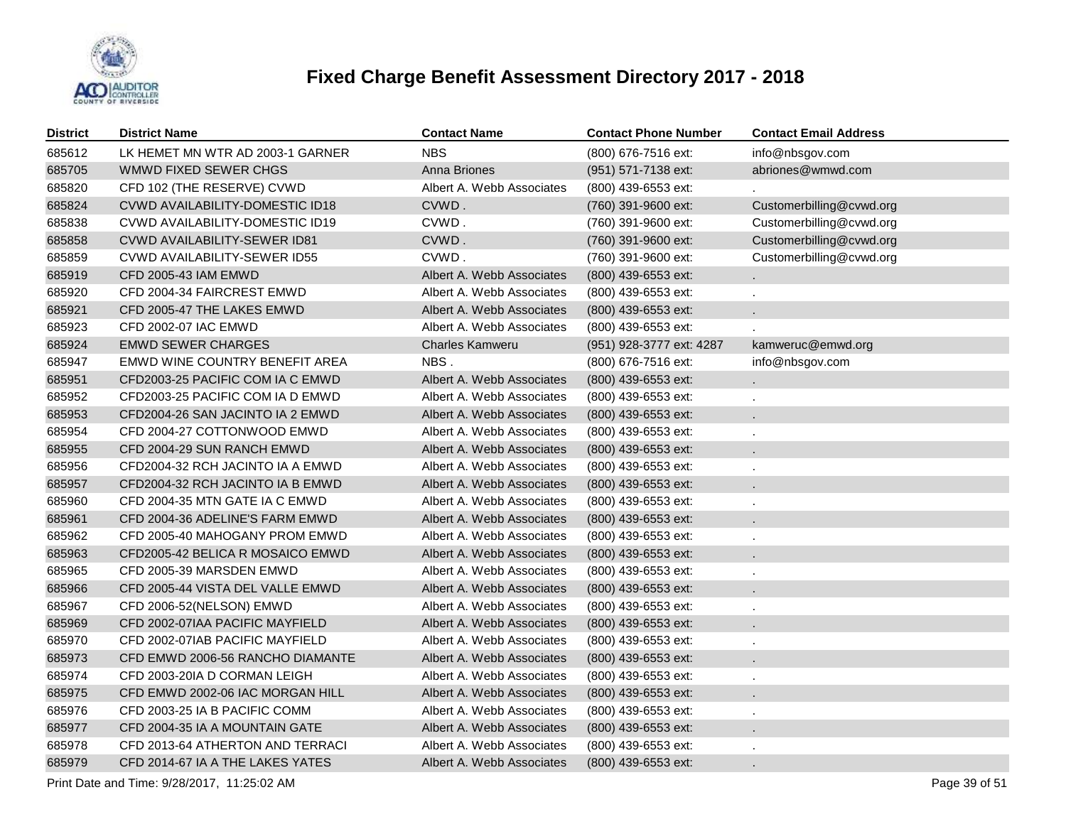

| District | <b>District Name</b>                   | <b>Contact Name</b>       | <b>Contact Phone Number</b> | <b>Contact Email Address</b> |
|----------|----------------------------------------|---------------------------|-----------------------------|------------------------------|
| 685612   | LK HEMET MN WTR AD 2003-1 GARNER       | <b>NBS</b>                | (800) 676-7516 ext:         | info@nbsgov.com              |
| 685705   | WMWD FIXED SEWER CHGS                  | Anna Briones              | (951) 571-7138 ext:         | abriones@wmwd.com            |
| 685820   | CFD 102 (THE RESERVE) CVWD             | Albert A. Webb Associates | (800) 439-6553 ext:         |                              |
| 685824   | <b>CVWD AVAILABILITY-DOMESTIC ID18</b> | CVWD.                     | (760) 391-9600 ext:         | Customerbilling@cvwd.org     |
| 685838   | CVWD AVAILABILITY-DOMESTIC ID19        | CVWD.                     | (760) 391-9600 ext:         | Customerbilling@cvwd.org     |
| 685858   | CVWD AVAILABILITY-SEWER ID81           | CVWD.                     | (760) 391-9600 ext:         | Customerbilling@cvwd.org     |
| 685859   | <b>CVWD AVAILABILITY-SEWER ID55</b>    | CVWD.                     | (760) 391-9600 ext:         | Customerbilling@cvwd.org     |
| 685919   | <b>CFD 2005-43 IAM EMWD</b>            | Albert A. Webb Associates | (800) 439-6553 ext:         |                              |
| 685920   | CFD 2004-34 FAIRCREST EMWD             | Albert A. Webb Associates | (800) 439-6553 ext:         |                              |
| 685921   | CFD 2005-47 THE LAKES EMWD             | Albert A. Webb Associates | (800) 439-6553 ext:         |                              |
| 685923   | <b>CFD 2002-07 IAC EMWD</b>            | Albert A. Webb Associates | (800) 439-6553 ext:         |                              |
| 685924   | <b>EMWD SEWER CHARGES</b>              | <b>Charles Kamweru</b>    | (951) 928-3777 ext: 4287    | kamweruc@emwd.org            |
| 685947   | EMWD WINE COUNTRY BENEFIT AREA         | NBS.                      | (800) 676-7516 ext:         | info@nbsgov.com              |
| 685951   | CFD2003-25 PACIFIC COM IA C EMWD       | Albert A. Webb Associates | (800) 439-6553 ext:         |                              |
| 685952   | CFD2003-25 PACIFIC COM IA D EMWD       | Albert A. Webb Associates | (800) 439-6553 ext:         |                              |
| 685953   | CFD2004-26 SAN JACINTO IA 2 EMWD       | Albert A. Webb Associates | (800) 439-6553 ext:         |                              |
| 685954   | CFD 2004-27 COTTONWOOD EMWD            | Albert A. Webb Associates | (800) 439-6553 ext:         |                              |
| 685955   | CFD 2004-29 SUN RANCH EMWD             | Albert A. Webb Associates | (800) 439-6553 ext:         |                              |
| 685956   | CFD2004-32 RCH JACINTO IA A EMWD       | Albert A. Webb Associates | (800) 439-6553 ext:         |                              |
| 685957   | CFD2004-32 RCH JACINTO IA B EMWD       | Albert A. Webb Associates | (800) 439-6553 ext:         |                              |
| 685960   | CFD 2004-35 MTN GATE IA C EMWD         | Albert A. Webb Associates | (800) 439-6553 ext:         |                              |
| 685961   | CFD 2004-36 ADELINE'S FARM EMWD        | Albert A. Webb Associates | (800) 439-6553 ext:         |                              |
| 685962   | CFD 2005-40 MAHOGANY PROM EMWD         | Albert A. Webb Associates | (800) 439-6553 ext:         |                              |
| 685963   | CFD2005-42 BELICA R MOSAICO EMWD       | Albert A. Webb Associates | (800) 439-6553 ext:         |                              |
| 685965   | CFD 2005-39 MARSDEN EMWD               | Albert A. Webb Associates | (800) 439-6553 ext:         |                              |
| 685966   | CFD 2005-44 VISTA DEL VALLE EMWD       | Albert A. Webb Associates | (800) 439-6553 ext:         |                              |
| 685967   | CFD 2006-52(NELSON) EMWD               | Albert A. Webb Associates | (800) 439-6553 ext:         |                              |
| 685969   | CFD 2002-07IAA PACIFIC MAYFIELD        | Albert A. Webb Associates | (800) 439-6553 ext:         |                              |
| 685970   | CFD 2002-07IAB PACIFIC MAYFIELD        | Albert A. Webb Associates | (800) 439-6553 ext:         |                              |
| 685973   | CFD EMWD 2006-56 RANCHO DIAMANTE       | Albert A. Webb Associates | (800) 439-6553 ext:         |                              |
| 685974   | CFD 2003-20IA D CORMAN LEIGH           | Albert A. Webb Associates | (800) 439-6553 ext:         |                              |
| 685975   | CFD EMWD 2002-06 IAC MORGAN HILL       | Albert A. Webb Associates | (800) 439-6553 ext:         |                              |
| 685976   | CFD 2003-25 IA B PACIFIC COMM          | Albert A. Webb Associates | (800) 439-6553 ext:         |                              |
| 685977   | CFD 2004-35 IA A MOUNTAIN GATE         | Albert A. Webb Associates | (800) 439-6553 ext:         |                              |
| 685978   | CFD 2013-64 ATHERTON AND TERRACI       | Albert A. Webb Associates | (800) 439-6553 ext:         |                              |
| 685979   | CFD 2014-67 IA A THE LAKES YATES       | Albert A. Webb Associates | (800) 439-6553 ext:         |                              |

Print Date and Time:  $9/28/2017$ , 11:25:02 AM Page 39 of 51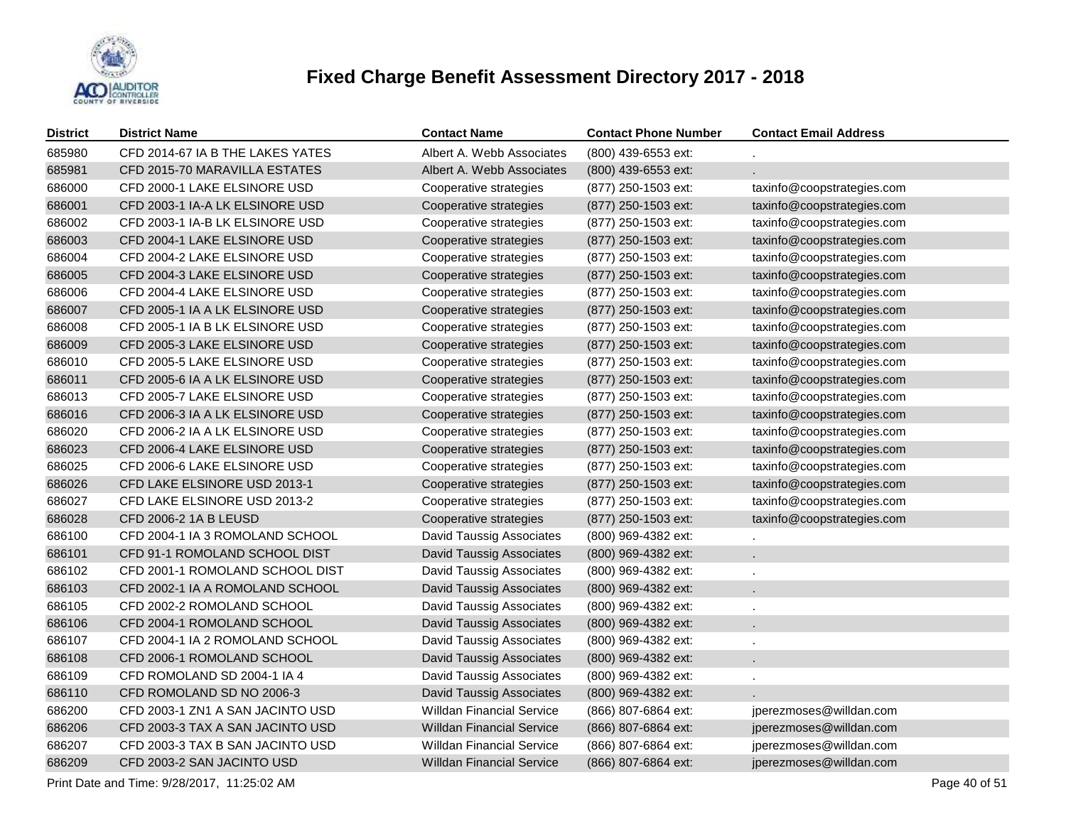

| <b>District</b> | <b>District Name</b>             | <b>Contact Name</b>              | <b>Contact Phone Number</b> | <b>Contact Email Address</b> |
|-----------------|----------------------------------|----------------------------------|-----------------------------|------------------------------|
| 685980          | CFD 2014-67 IA B THE LAKES YATES | Albert A. Webb Associates        | (800) 439-6553 ext:         |                              |
| 685981          | CFD 2015-70 MARAVILLA ESTATES    | Albert A. Webb Associates        | (800) 439-6553 ext:         |                              |
| 686000          | CFD 2000-1 LAKE ELSINORE USD     | Cooperative strategies           | (877) 250-1503 ext:         | taxinfo@coopstrategies.com   |
| 686001          | CFD 2003-1 IA-A LK ELSINORE USD  | Cooperative strategies           | (877) 250-1503 ext:         | taxinfo@coopstrategies.com   |
| 686002          | CFD 2003-1 IA-B LK ELSINORE USD  | Cooperative strategies           | (877) 250-1503 ext:         | taxinfo@coopstrategies.com   |
| 686003          | CFD 2004-1 LAKE ELSINORE USD     | Cooperative strategies           | (877) 250-1503 ext:         | taxinfo@coopstrategies.com   |
| 686004          | CFD 2004-2 LAKE ELSINORE USD     | Cooperative strategies           | (877) 250-1503 ext:         | taxinfo@coopstrategies.com   |
| 686005          | CFD 2004-3 LAKE ELSINORE USD     | Cooperative strategies           | (877) 250-1503 ext:         | taxinfo@coopstrategies.com   |
| 686006          | CFD 2004-4 LAKE ELSINORE USD     | Cooperative strategies           | (877) 250-1503 ext:         | taxinfo@coopstrategies.com   |
| 686007          | CFD 2005-1 IA A LK ELSINORE USD  | Cooperative strategies           | (877) 250-1503 ext:         | taxinfo@coopstrategies.com   |
| 686008          | CFD 2005-1 IA B LK ELSINORE USD  | Cooperative strategies           | (877) 250-1503 ext:         | taxinfo@coopstrategies.com   |
| 686009          | CFD 2005-3 LAKE ELSINORE USD     | Cooperative strategies           | (877) 250-1503 ext:         | taxinfo@coopstrategies.com   |
| 686010          | CFD 2005-5 LAKE ELSINORE USD     | Cooperative strategies           | (877) 250-1503 ext:         | taxinfo@coopstrategies.com   |
| 686011          | CFD 2005-6 IA A LK ELSINORE USD  | Cooperative strategies           | (877) 250-1503 ext:         | taxinfo@coopstrategies.com   |
| 686013          | CFD 2005-7 LAKE ELSINORE USD     | Cooperative strategies           | (877) 250-1503 ext:         | taxinfo@coopstrategies.com   |
| 686016          | CFD 2006-3 IA A LK ELSINORE USD  | Cooperative strategies           | (877) 250-1503 ext:         | taxinfo@coopstrategies.com   |
| 686020          | CFD 2006-2 IA A LK ELSINORE USD  | Cooperative strategies           | (877) 250-1503 ext:         | taxinfo@coopstrategies.com   |
| 686023          | CFD 2006-4 LAKE ELSINORE USD     | Cooperative strategies           | (877) 250-1503 ext:         | taxinfo@coopstrategies.com   |
| 686025          | CFD 2006-6 LAKE ELSINORE USD     | Cooperative strategies           | (877) 250-1503 ext:         | taxinfo@coopstrategies.com   |
| 686026          | CFD LAKE ELSINORE USD 2013-1     | Cooperative strategies           | (877) 250-1503 ext:         | taxinfo@coopstrategies.com   |
| 686027          | CFD LAKE ELSINORE USD 2013-2     | Cooperative strategies           | (877) 250-1503 ext:         | taxinfo@coopstrategies.com   |
| 686028          | CFD 2006-2 1A B LEUSD            | Cooperative strategies           | (877) 250-1503 ext:         | taxinfo@coopstrategies.com   |
| 686100          | CFD 2004-1 IA 3 ROMOLAND SCHOOL  | <b>David Taussig Associates</b>  | (800) 969-4382 ext:         |                              |
| 686101          | CFD 91-1 ROMOLAND SCHOOL DIST    | David Taussig Associates         | (800) 969-4382 ext:         |                              |
| 686102          | CFD 2001-1 ROMOLAND SCHOOL DIST  | <b>David Taussig Associates</b>  | (800) 969-4382 ext:         |                              |
| 686103          | CFD 2002-1 IA A ROMOLAND SCHOOL  | David Taussig Associates         | (800) 969-4382 ext:         | $\mathbf{r}$                 |
| 686105          | CFD 2002-2 ROMOLAND SCHOOL       | <b>David Taussig Associates</b>  | (800) 969-4382 ext:         |                              |
| 686106          | CFD 2004-1 ROMOLAND SCHOOL       | <b>David Taussig Associates</b>  | (800) 969-4382 ext:         |                              |
| 686107          | CFD 2004-1 IA 2 ROMOLAND SCHOOL  | David Taussig Associates         | (800) 969-4382 ext:         |                              |
| 686108          | CFD 2006-1 ROMOLAND SCHOOL       | David Taussig Associates         | (800) 969-4382 ext:         |                              |
| 686109          | CFD ROMOLAND SD 2004-1 IA 4      | <b>David Taussig Associates</b>  | (800) 969-4382 ext:         |                              |
| 686110          | CFD ROMOLAND SD NO 2006-3        | <b>David Taussig Associates</b>  | (800) 969-4382 ext:         |                              |
| 686200          | CFD 2003-1 ZN1 A SAN JACINTO USD | <b>Willdan Financial Service</b> | (866) 807-6864 ext:         | jperezmoses@willdan.com      |
| 686206          | CFD 2003-3 TAX A SAN JACINTO USD | <b>Willdan Financial Service</b> | (866) 807-6864 ext:         | jperezmoses@willdan.com      |
| 686207          | CFD 2003-3 TAX B SAN JACINTO USD | <b>Willdan Financial Service</b> | (866) 807-6864 ext:         | jperezmoses@willdan.com      |
| 686209          | CFD 2003-2 SAN JACINTO USD       | <b>Willdan Financial Service</b> | (866) 807-6864 ext:         | jperezmoses@willdan.com      |

Print Date and Time:  $9/28/2017$ , 11:25:02 AM Page 40 of 51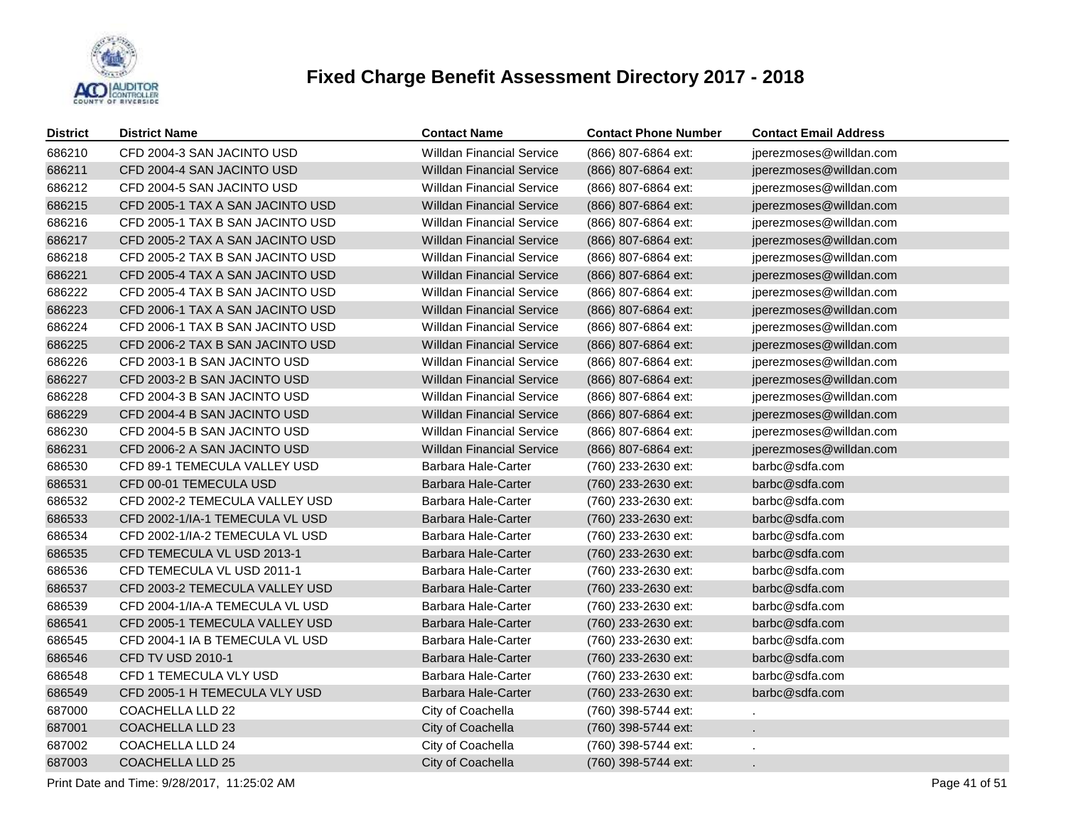

| <b>District</b> | <b>District Name</b>             | <b>Contact Name</b>              | <b>Contact Phone Number</b> | <b>Contact Email Address</b> |
|-----------------|----------------------------------|----------------------------------|-----------------------------|------------------------------|
| 686210          | CFD 2004-3 SAN JACINTO USD       | <b>Willdan Financial Service</b> | (866) 807-6864 ext:         | jperezmoses@willdan.com      |
| 686211          | CFD 2004-4 SAN JACINTO USD       | <b>Willdan Financial Service</b> | (866) 807-6864 ext:         | jperezmoses@willdan.com      |
| 686212          | CFD 2004-5 SAN JACINTO USD       | <b>Willdan Financial Service</b> | (866) 807-6864 ext:         | jperezmoses@willdan.com      |
| 686215          | CFD 2005-1 TAX A SAN JACINTO USD | <b>Willdan Financial Service</b> | (866) 807-6864 ext:         | jperezmoses@willdan.com      |
| 686216          | CFD 2005-1 TAX B SAN JACINTO USD | <b>Willdan Financial Service</b> | (866) 807-6864 ext:         | jperezmoses@willdan.com      |
| 686217          | CFD 2005-2 TAX A SAN JACINTO USD | <b>Willdan Financial Service</b> | (866) 807-6864 ext:         | jperezmoses@willdan.com      |
| 686218          | CFD 2005-2 TAX B SAN JACINTO USD | <b>Willdan Financial Service</b> | (866) 807-6864 ext:         | jperezmoses@willdan.com      |
| 686221          | CFD 2005-4 TAX A SAN JACINTO USD | <b>Willdan Financial Service</b> | (866) 807-6864 ext:         | jperezmoses@willdan.com      |
| 686222          | CFD 2005-4 TAX B SAN JACINTO USD | <b>Willdan Financial Service</b> | (866) 807-6864 ext:         | jperezmoses@willdan.com      |
| 686223          | CFD 2006-1 TAX A SAN JACINTO USD | <b>Willdan Financial Service</b> | (866) 807-6864 ext:         | jperezmoses@willdan.com      |
| 686224          | CFD 2006-1 TAX B SAN JACINTO USD | <b>Willdan Financial Service</b> | (866) 807-6864 ext:         | jperezmoses@willdan.com      |
| 686225          | CFD 2006-2 TAX B SAN JACINTO USD | <b>Willdan Financial Service</b> | (866) 807-6864 ext:         | jperezmoses@willdan.com      |
| 686226          | CFD 2003-1 B SAN JACINTO USD     | <b>Willdan Financial Service</b> | (866) 807-6864 ext:         | jperezmoses@willdan.com      |
| 686227          | CFD 2003-2 B SAN JACINTO USD     | <b>Willdan Financial Service</b> | (866) 807-6864 ext:         | jperezmoses@willdan.com      |
| 686228          | CFD 2004-3 B SAN JACINTO USD     | <b>Willdan Financial Service</b> | (866) 807-6864 ext:         | jperezmoses@willdan.com      |
| 686229          | CFD 2004-4 B SAN JACINTO USD     | <b>Willdan Financial Service</b> | (866) 807-6864 ext:         | jperezmoses@willdan.com      |
| 686230          | CFD 2004-5 B SAN JACINTO USD     | <b>Willdan Financial Service</b> | (866) 807-6864 ext:         | jperezmoses@willdan.com      |
| 686231          | CFD 2006-2 A SAN JACINTO USD     | <b>Willdan Financial Service</b> | (866) 807-6864 ext:         | jperezmoses@willdan.com      |
| 686530          | CFD 89-1 TEMECULA VALLEY USD     | Barbara Hale-Carter              | (760) 233-2630 ext:         | barbc@sdfa.com               |
| 686531          | CFD 00-01 TEMECULA USD           | Barbara Hale-Carter              | (760) 233-2630 ext:         | barbc@sdfa.com               |
| 686532          | CFD 2002-2 TEMECULA VALLEY USD   | Barbara Hale-Carter              | (760) 233-2630 ext:         | barbc@sdfa.com               |
| 686533          | CFD 2002-1/IA-1 TEMECULA VL USD  | Barbara Hale-Carter              | (760) 233-2630 ext:         | barbc@sdfa.com               |
| 686534          | CFD 2002-1/IA-2 TEMECULA VL USD  | Barbara Hale-Carter              | (760) 233-2630 ext:         | barbc@sdfa.com               |
| 686535          | CFD TEMECULA VL USD 2013-1       | <b>Barbara Hale-Carter</b>       | (760) 233-2630 ext:         | barbc@sdfa.com               |
| 686536          | CFD TEMECULA VL USD 2011-1       | Barbara Hale-Carter              | (760) 233-2630 ext:         | barbc@sdfa.com               |
| 686537          | CFD 2003-2 TEMECULA VALLEY USD   | <b>Barbara Hale-Carter</b>       | (760) 233-2630 ext:         | barbc@sdfa.com               |
| 686539          | CFD 2004-1/IA-A TEMECULA VL USD  | Barbara Hale-Carter              | (760) 233-2630 ext:         | barbc@sdfa.com               |
| 686541          | CFD 2005-1 TEMECULA VALLEY USD   | <b>Barbara Hale-Carter</b>       | (760) 233-2630 ext:         | barbc@sdfa.com               |
| 686545          | CFD 2004-1 IA B TEMECULA VL USD  | Barbara Hale-Carter              | (760) 233-2630 ext:         | barbc@sdfa.com               |
| 686546          | CFD TV USD 2010-1                | Barbara Hale-Carter              | (760) 233-2630 ext:         | barbc@sdfa.com               |
| 686548          | CFD 1 TEMECULA VLY USD           | Barbara Hale-Carter              | (760) 233-2630 ext:         | barbc@sdfa.com               |
| 686549          | CFD 2005-1 H TEMECULA VLY USD    | Barbara Hale-Carter              | (760) 233-2630 ext:         | barbc@sdfa.com               |
| 687000          | COACHELLA LLD 22                 | City of Coachella                | (760) 398-5744 ext:         |                              |
| 687001          | <b>COACHELLA LLD 23</b>          | City of Coachella                | (760) 398-5744 ext:         |                              |
| 687002          | COACHELLA LLD 24                 | City of Coachella                | (760) 398-5744 ext:         |                              |
| 687003          | <b>COACHELLA LLD 25</b>          | City of Coachella                | (760) 398-5744 ext:         |                              |
|                 |                                  |                                  |                             |                              |

Print Date and Time:  $9/28/2017$ , 11:25:02 AM Page 41 of 51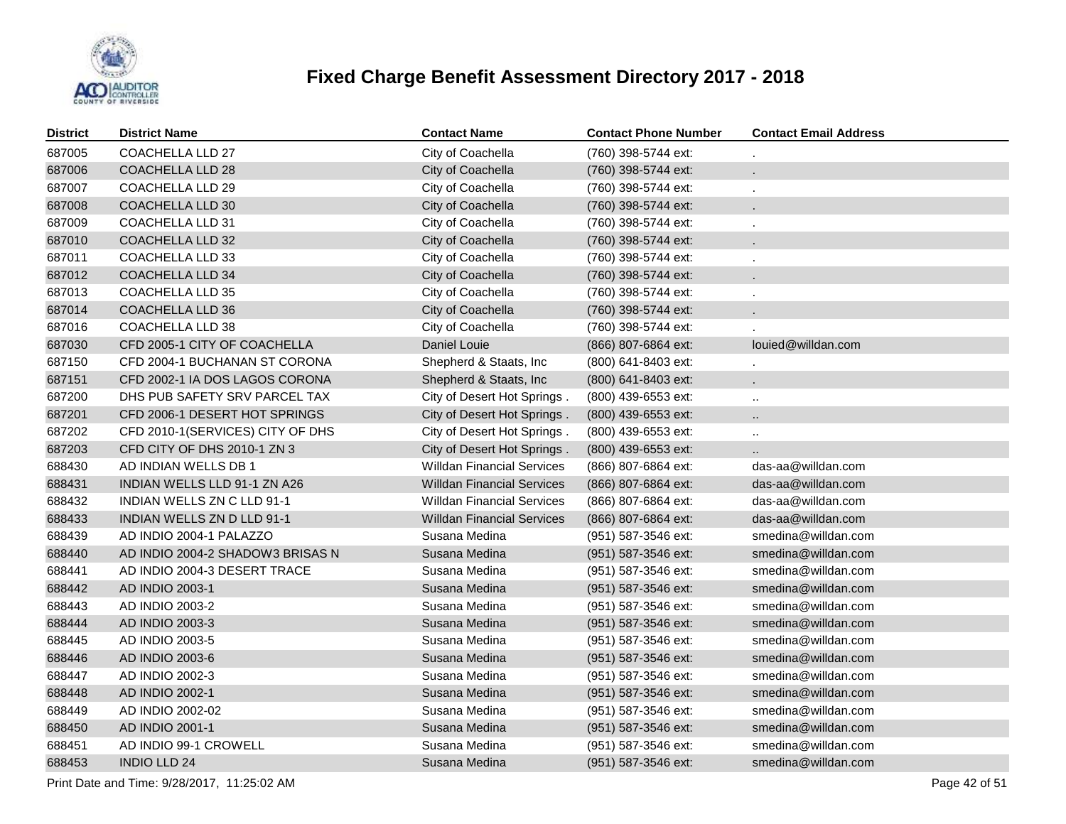

| <b>District</b> | <b>District Name</b>             | <b>Contact Name</b>               | <b>Contact Phone Number</b> | <b>Contact Email Address</b> |
|-----------------|----------------------------------|-----------------------------------|-----------------------------|------------------------------|
| 687005          | <b>COACHELLA LLD 27</b>          | City of Coachella                 | (760) 398-5744 ext:         |                              |
| 687006          | COACHELLA LLD 28                 | City of Coachella                 | (760) 398-5744 ext:         | ä.                           |
| 687007          | COACHELLA LLD 29                 | City of Coachella                 | (760) 398-5744 ext:         | $\ddot{\phantom{a}}$         |
| 687008          | <b>COACHELLA LLD 30</b>          | City of Coachella                 | (760) 398-5744 ext:         | ×.                           |
| 687009          | COACHELLA LLD 31                 | City of Coachella                 | (760) 398-5744 ext:         | $\mathbf{r}$                 |
| 687010          | <b>COACHELLA LLD 32</b>          | City of Coachella                 | (760) 398-5744 ext:         | ×.                           |
| 687011          | COACHELLA LLD 33                 | City of Coachella                 | (760) 398-5744 ext:         | ä,                           |
| 687012          | COACHELLA LLD 34                 | City of Coachella                 | (760) 398-5744 ext:         | ×.                           |
| 687013          | <b>COACHELLA LLD 35</b>          | City of Coachella                 | (760) 398-5744 ext:         |                              |
| 687014          | COACHELLA LLD 36                 | City of Coachella                 | (760) 398-5744 ext:         | ¥.                           |
| 687016          | COACHELLA LLD 38                 | City of Coachella                 | (760) 398-5744 ext:         |                              |
| 687030          | CFD 2005-1 CITY OF COACHELLA     | Daniel Louie                      | (866) 807-6864 ext:         | louied@willdan.com           |
| 687150          | CFD 2004-1 BUCHANAN ST CORONA    | Shepherd & Staats, Inc            | (800) 641-8403 ext:         |                              |
| 687151          | CFD 2002-1 IA DOS LAGOS CORONA   | Shepherd & Staats, Inc            | (800) 641-8403 ext:         | ×.                           |
| 687200          | DHS PUB SAFETY SRV PARCEL TAX    | City of Desert Hot Springs.       | (800) 439-6553 ext:         |                              |
| 687201          | CFD 2006-1 DESERT HOT SPRINGS    | City of Desert Hot Springs.       | (800) 439-6553 ext:         |                              |
| 687202          | CFD 2010-1(SERVICES) CITY OF DHS | City of Desert Hot Springs.       | (800) 439-6553 ext:         | $\ddot{\phantom{a}}$         |
| 687203          | CFD CITY OF DHS 2010-1 ZN 3      | City of Desert Hot Springs.       | (800) 439-6553 ext:         | $\ddotsc$                    |
| 688430          | AD INDIAN WELLS DB 1             | <b>Willdan Financial Services</b> | (866) 807-6864 ext:         | das-aa@willdan.com           |
| 688431          | INDIAN WELLS LLD 91-1 ZN A26     | <b>Willdan Financial Services</b> | (866) 807-6864 ext:         | das-aa@willdan.com           |
| 688432          | INDIAN WELLS ZN C LLD 91-1       | <b>Willdan Financial Services</b> | (866) 807-6864 ext:         | das-aa@willdan.com           |
| 688433          | INDIAN WELLS ZN D LLD 91-1       | <b>Willdan Financial Services</b> | (866) 807-6864 ext:         | das-aa@willdan.com           |
| 688439          | AD INDIO 2004-1 PALAZZO          | Susana Medina                     | (951) 587-3546 ext:         | smedina@willdan.com          |
| 688440          | AD INDIO 2004-2 SHADOW3 BRISAS N | Susana Medina                     | (951) 587-3546 ext:         | smedina@willdan.com          |
| 688441          | AD INDIO 2004-3 DESERT TRACE     | Susana Medina                     | (951) 587-3546 ext:         | smedina@willdan.com          |
| 688442          | AD INDIO 2003-1                  | Susana Medina                     | (951) 587-3546 ext:         | smedina@willdan.com          |
| 688443          | AD INDIO 2003-2                  | Susana Medina                     | (951) 587-3546 ext:         | smedina@willdan.com          |
| 688444          | AD INDIO 2003-3                  | Susana Medina                     | (951) 587-3546 ext:         | smedina@willdan.com          |
| 688445          | AD INDIO 2003-5                  | Susana Medina                     | (951) 587-3546 ext:         | smedina@willdan.com          |
| 688446          | AD INDIO 2003-6                  | Susana Medina                     | (951) 587-3546 ext:         | smedina@willdan.com          |
| 688447          | AD INDIO 2002-3                  | Susana Medina                     | (951) 587-3546 ext:         | smedina@willdan.com          |
| 688448          | AD INDIO 2002-1                  | Susana Medina                     | (951) 587-3546 ext:         | smedina@willdan.com          |
| 688449          | AD INDIO 2002-02                 | Susana Medina                     | (951) 587-3546 ext:         | smedina@willdan.com          |
| 688450          | AD INDIO 2001-1                  | Susana Medina                     | (951) 587-3546 ext:         | smedina@willdan.com          |
| 688451          | AD INDIO 99-1 CROWELL            | Susana Medina                     | (951) 587-3546 ext:         | smedina@willdan.com          |
| 688453          | <b>INDIO LLD 24</b>              | Susana Medina                     | (951) 587-3546 ext:         | smedina@willdan.com          |

Print Date and Time:  $9/28/2017$ , 11:25:02 AM Page 42 of 51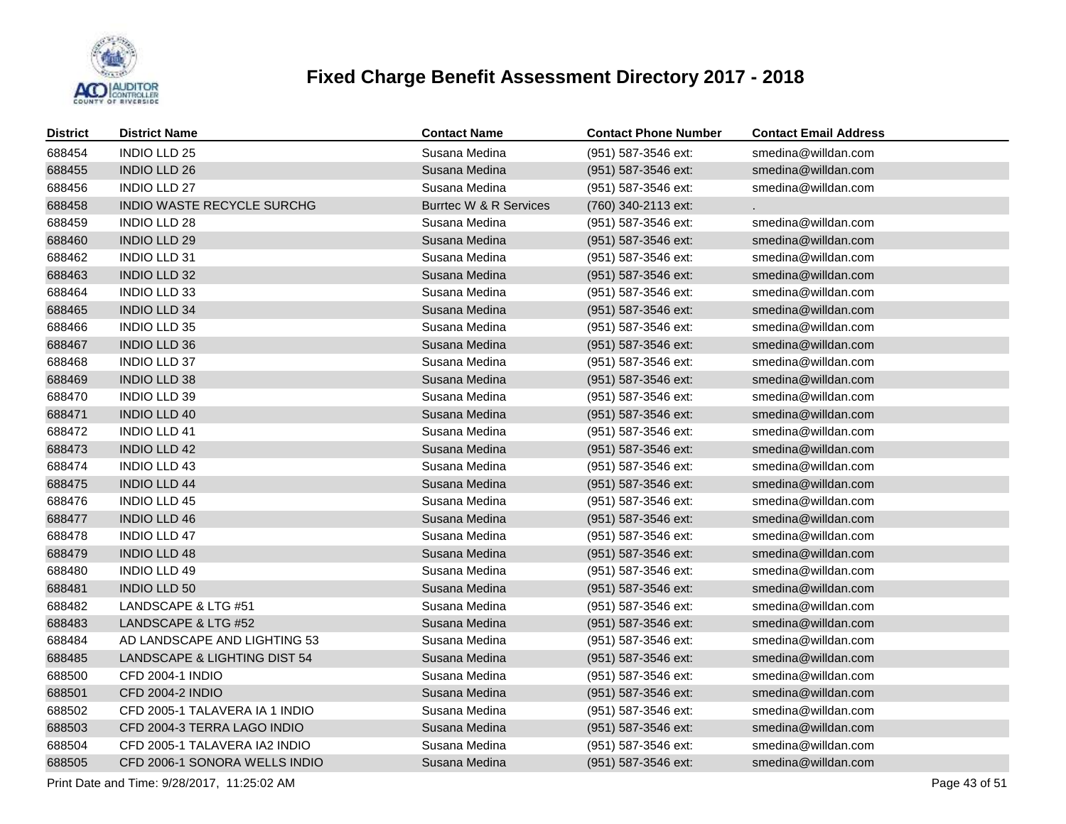

| <b>District</b> | <b>District Name</b>           | <b>Contact Name</b>               | <b>Contact Phone Number</b> | <b>Contact Email Address</b> |
|-----------------|--------------------------------|-----------------------------------|-----------------------------|------------------------------|
| 688454          | <b>INDIO LLD 25</b>            | Susana Medina                     | (951) 587-3546 ext:         | smedina@willdan.com          |
| 688455          | <b>INDIO LLD 26</b>            | Susana Medina                     | (951) 587-3546 ext:         | smedina@willdan.com          |
| 688456          | INDIO LLD 27                   | Susana Medina                     | (951) 587-3546 ext:         | smedina@willdan.com          |
| 688458          | INDIO WASTE RECYCLE SURCHG     | <b>Burrtec W &amp; R Services</b> | (760) 340-2113 ext:         |                              |
| 688459          | INDIO LLD 28                   | Susana Medina                     | (951) 587-3546 ext:         | smedina@willdan.com          |
| 688460          | <b>INDIO LLD 29</b>            | Susana Medina                     | (951) 587-3546 ext:         | smedina@willdan.com          |
| 688462          | <b>INDIO LLD 31</b>            | Susana Medina                     | (951) 587-3546 ext:         | smedina@willdan.com          |
| 688463          | <b>INDIO LLD 32</b>            | Susana Medina                     | (951) 587-3546 ext:         | smedina@willdan.com          |
| 688464          | <b>INDIO LLD 33</b>            | Susana Medina                     | (951) 587-3546 ext:         | smedina@willdan.com          |
| 688465          | <b>INDIO LLD 34</b>            | Susana Medina                     | (951) 587-3546 ext:         | smedina@willdan.com          |
| 688466          | <b>INDIO LLD 35</b>            | Susana Medina                     | (951) 587-3546 ext:         | smedina@willdan.com          |
| 688467          | <b>INDIO LLD 36</b>            | Susana Medina                     | (951) 587-3546 ext:         | smedina@willdan.com          |
| 688468          | INDIO LLD 37                   | Susana Medina                     | (951) 587-3546 ext:         | smedina@willdan.com          |
| 688469          | <b>INDIO LLD 38</b>            | Susana Medina                     | (951) 587-3546 ext:         | smedina@willdan.com          |
| 688470          | <b>INDIO LLD 39</b>            | Susana Medina                     | (951) 587-3546 ext:         | smedina@willdan.com          |
| 688471          | <b>INDIO LLD 40</b>            | Susana Medina                     | (951) 587-3546 ext:         | smedina@willdan.com          |
| 688472          | <b>INDIO LLD 41</b>            | Susana Medina                     | (951) 587-3546 ext:         | smedina@willdan.com          |
| 688473          | <b>INDIO LLD 42</b>            | Susana Medina                     | (951) 587-3546 ext:         | smedina@willdan.com          |
| 688474          | <b>INDIO LLD 43</b>            | Susana Medina                     | (951) 587-3546 ext:         | smedina@willdan.com          |
| 688475          | <b>INDIO LLD 44</b>            | Susana Medina                     | (951) 587-3546 ext:         | smedina@willdan.com          |
| 688476          | <b>INDIO LLD 45</b>            | Susana Medina                     | (951) 587-3546 ext:         | smedina@willdan.com          |
| 688477          | <b>INDIO LLD 46</b>            | Susana Medina                     | (951) 587-3546 ext:         | smedina@willdan.com          |
| 688478          | <b>INDIO LLD 47</b>            | Susana Medina                     | (951) 587-3546 ext:         | smedina@willdan.com          |
| 688479          | <b>INDIO LLD 48</b>            | Susana Medina                     | (951) 587-3546 ext:         | smedina@willdan.com          |
| 688480          | <b>INDIO LLD 49</b>            | Susana Medina                     | (951) 587-3546 ext:         | smedina@willdan.com          |
| 688481          | <b>INDIO LLD 50</b>            | Susana Medina                     | (951) 587-3546 ext:         | smedina@willdan.com          |
| 688482          | LANDSCAPE & LTG #51            | Susana Medina                     | (951) 587-3546 ext:         | smedina@willdan.com          |
| 688483          | LANDSCAPE & LTG #52            | Susana Medina                     | (951) 587-3546 ext:         | smedina@willdan.com          |
| 688484          | AD LANDSCAPE AND LIGHTING 53   | Susana Medina                     | (951) 587-3546 ext:         | smedina@willdan.com          |
| 688485          | LANDSCAPE & LIGHTING DIST 54   | Susana Medina                     | (951) 587-3546 ext:         | smedina@willdan.com          |
| 688500          | CFD 2004-1 INDIO               | Susana Medina                     | (951) 587-3546 ext:         | smedina@willdan.com          |
| 688501          | CFD 2004-2 INDIO               | Susana Medina                     | (951) 587-3546 ext:         | smedina@willdan.com          |
| 688502          | CFD 2005-1 TALAVERA IA 1 INDIO | Susana Medina                     | (951) 587-3546 ext:         | smedina@willdan.com          |
| 688503          | CFD 2004-3 TERRA LAGO INDIO    | Susana Medina                     | (951) 587-3546 ext:         | smedina@willdan.com          |
| 688504          | CFD 2005-1 TALAVERA IA2 INDIO  | Susana Medina                     | (951) 587-3546 ext:         | smedina@willdan.com          |
| 688505          | CFD 2006-1 SONORA WELLS INDIO  | Susana Medina                     | (951) 587-3546 ext:         | smedina@willdan.com          |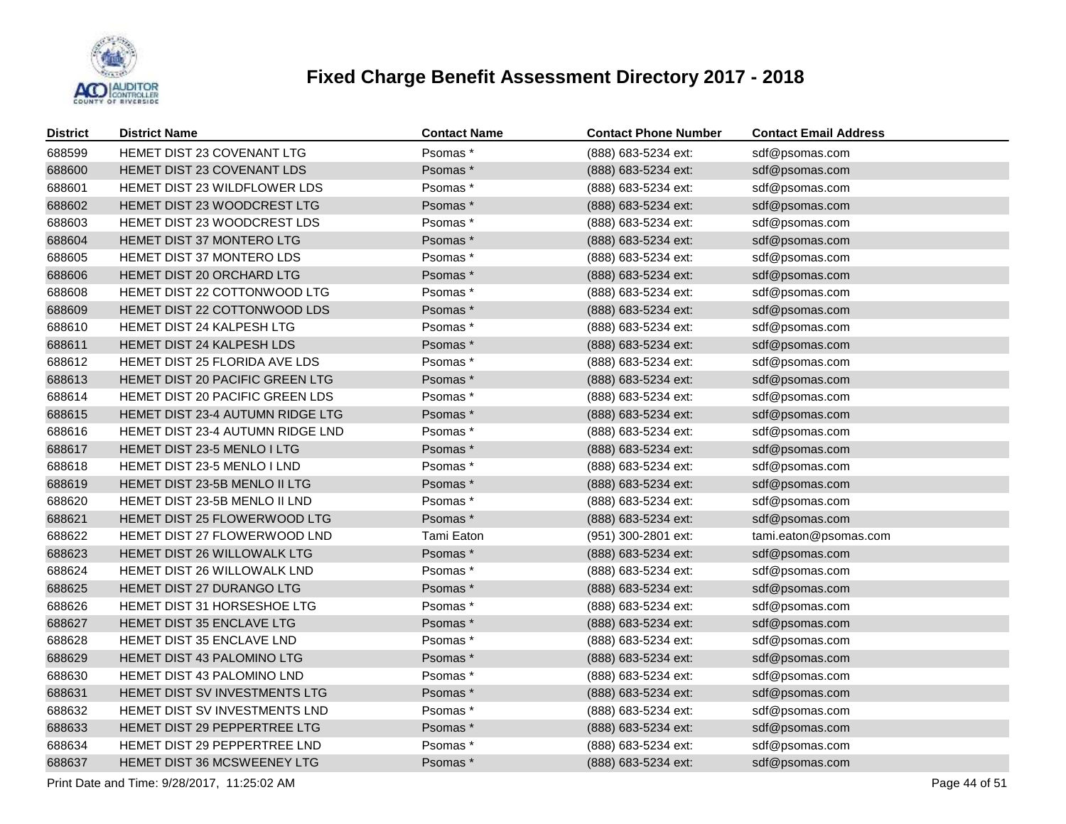

| <b>District</b> | <b>District Name</b>               | <b>Contact Name</b> | <b>Contact Phone Number</b> | <b>Contact Email Address</b> |
|-----------------|------------------------------------|---------------------|-----------------------------|------------------------------|
| 688599          | HEMET DIST 23 COVENANT LTG         | Psomas*             | (888) 683-5234 ext:         | sdf@psomas.com               |
| 688600          | HEMET DIST 23 COVENANT LDS         | Psomas*             | (888) 683-5234 ext:         | sdf@psomas.com               |
| 688601          | HEMET DIST 23 WILDFLOWER LDS       | Psomas*             | (888) 683-5234 ext:         | sdf@psomas.com               |
| 688602          | HEMET DIST 23 WOODCREST LTG        | Psomas*             | (888) 683-5234 ext:         | sdf@psomas.com               |
| 688603          | HEMET DIST 23 WOODCREST LDS        | Psomas*             | (888) 683-5234 ext:         | sdf@psomas.com               |
| 688604          | HEMET DIST 37 MONTERO LTG          | Psomas*             | (888) 683-5234 ext:         | sdf@psomas.com               |
| 688605          | HEMET DIST 37 MONTERO LDS          | Psomas*             | (888) 683-5234 ext:         | sdf@psomas.com               |
| 688606          | HEMET DIST 20 ORCHARD LTG          | Psomas*             | (888) 683-5234 ext:         | sdf@psomas.com               |
| 688608          | HEMET DIST 22 COTTONWOOD LTG       | Psomas*             | (888) 683-5234 ext:         | sdf@psomas.com               |
| 688609          | HEMET DIST 22 COTTONWOOD LDS       | Psomas*             | (888) 683-5234 ext:         | sdf@psomas.com               |
| 688610          | HEMET DIST 24 KALPESH LTG          | Psomas*             | (888) 683-5234 ext:         | sdf@psomas.com               |
| 688611          | HEMET DIST 24 KALPESH LDS          | Psomas*             | (888) 683-5234 ext:         | sdf@psomas.com               |
| 688612          | HEMET DIST 25 FLORIDA AVE LDS      | Psomas*             | (888) 683-5234 ext:         | sdf@psomas.com               |
| 688613          | HEMET DIST 20 PACIFIC GREEN LTG    | Psomas*             | (888) 683-5234 ext:         | sdf@psomas.com               |
| 688614          | HEMET DIST 20 PACIFIC GREEN LDS    | Psomas*             | (888) 683-5234 ext:         | sdf@psomas.com               |
| 688615          | HEMET DIST 23-4 AUTUMN RIDGE LTG   | Psomas *            | (888) 683-5234 ext:         | sdf@psomas.com               |
| 688616          | HEMET DIST 23-4 AUTUMN RIDGE LND   | Psomas*             | (888) 683-5234 ext:         | sdf@psomas.com               |
| 688617          | <b>HEMET DIST 23-5 MENLO I LTG</b> | Psomas*             | (888) 683-5234 ext:         | sdf@psomas.com               |
| 688618          | HEMET DIST 23-5 MENLO I LND        | Psomas*             | (888) 683-5234 ext:         | sdf@psomas.com               |
| 688619          | HEMET DIST 23-5B MENLO II LTG      | Psomas*             | (888) 683-5234 ext:         | sdf@psomas.com               |
| 688620          | HEMET DIST 23-5B MENLO II LND      | Psomas*             | (888) 683-5234 ext:         | sdf@psomas.com               |
| 688621          | HEMET DIST 25 FLOWERWOOD LTG       | Psomas*             | (888) 683-5234 ext:         | sdf@psomas.com               |
| 688622          | HEMET DIST 27 FLOWERWOOD LND       | Tami Eaton          | (951) 300-2801 ext:         | tami.eaton@psomas.com        |
| 688623          | HEMET DIST 26 WILLOWALK LTG        | Psomas*             | (888) 683-5234 ext:         | sdf@psomas.com               |
| 688624          | HEMET DIST 26 WILLOWALK LND        | Psomas *            | (888) 683-5234 ext:         | sdf@psomas.com               |
| 688625          | HEMET DIST 27 DURANGO LTG          | Psomas *            | (888) 683-5234 ext:         | sdf@psomas.com               |
| 688626          | HEMET DIST 31 HORSESHOE LTG        | Psomas*             | (888) 683-5234 ext:         | sdf@psomas.com               |
| 688627          | HEMET DIST 35 ENCLAVE LTG          | Psomas*             | (888) 683-5234 ext:         | sdf@psomas.com               |
| 688628          | HEMET DIST 35 ENCLAVE LND          | Psomas*             | (888) 683-5234 ext:         | sdf@psomas.com               |
| 688629          | HEMET DIST 43 PALOMINO LTG         | Psomas*             | (888) 683-5234 ext:         | sdf@psomas.com               |
| 688630          | HEMET DIST 43 PALOMINO LND         | Psomas*             | (888) 683-5234 ext:         | sdf@psomas.com               |
| 688631          | HEMET DIST SV INVESTMENTS LTG      | Psomas*             | (888) 683-5234 ext:         | sdf@psomas.com               |
| 688632          | HEMET DIST SV INVESTMENTS LND      | Psomas*             | (888) 683-5234 ext:         | sdf@psomas.com               |
| 688633          | HEMET DIST 29 PEPPERTREE LTG       | Psomas*             | (888) 683-5234 ext:         | sdf@psomas.com               |
| 688634          | HEMET DIST 29 PEPPERTREE LND       | Psomas*             | (888) 683-5234 ext:         | sdf@psomas.com               |
| 688637          | HEMET DIST 36 MCSWEENEY LTG        | Psomas*             | (888) 683-5234 ext:         | sdf@psomas.com               |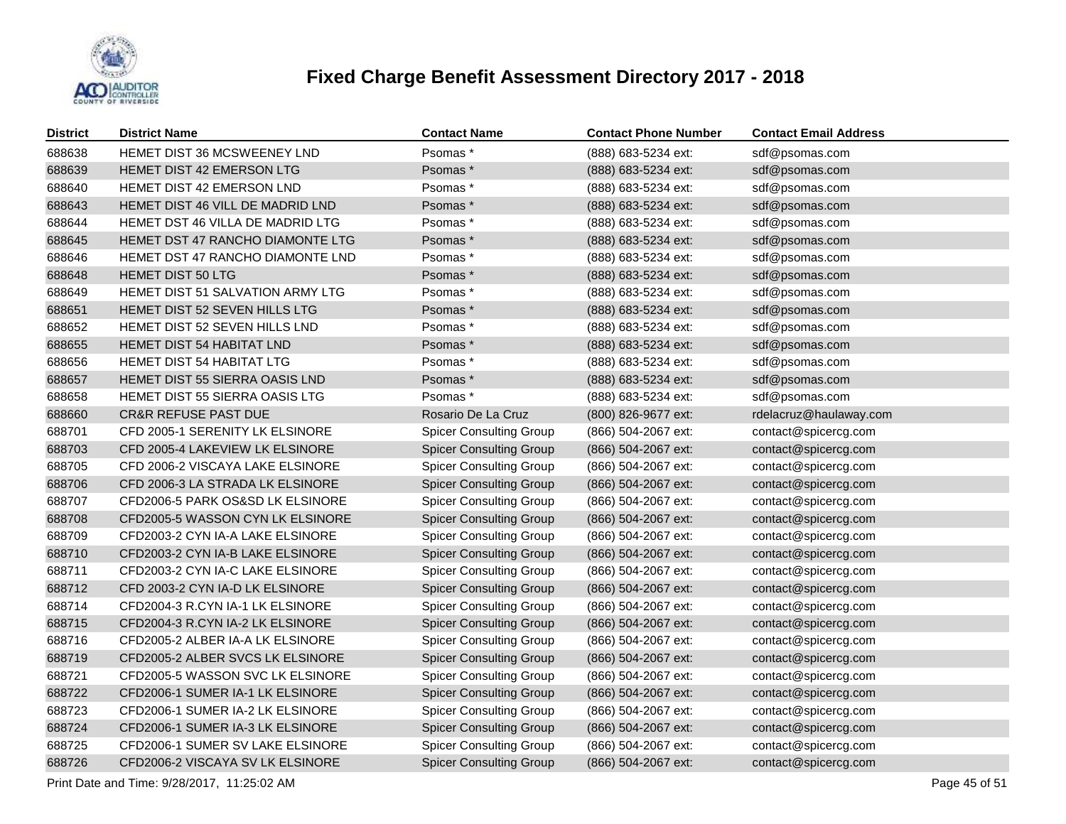

| <b>District</b> | <b>District Name</b>                  | <b>Contact Name</b>            | <b>Contact Phone Number</b> | <b>Contact Email Address</b> |
|-----------------|---------------------------------------|--------------------------------|-----------------------------|------------------------------|
| 688638          | HEMET DIST 36 MCSWEENEY LND           | Psomas*                        | (888) 683-5234 ext:         | sdf@psomas.com               |
| 688639          | HEMET DIST 42 EMERSON LTG             | Psomas*                        | (888) 683-5234 ext:         | sdf@psomas.com               |
| 688640          | HEMET DIST 42 EMERSON LND             | Psomas*                        | (888) 683-5234 ext:         | sdf@psomas.com               |
| 688643          | HEMET DIST 46 VILL DE MADRID LND      | Psomas*                        | (888) 683-5234 ext:         | sdf@psomas.com               |
| 688644          | HEMET DST 46 VILLA DE MADRID LTG      | Psomas *                       | (888) 683-5234 ext:         | sdf@psomas.com               |
| 688645          | HEMET DST 47 RANCHO DIAMONTE LTG      | Psomas*                        | (888) 683-5234 ext:         | sdf@psomas.com               |
| 688646          | HEMET DST 47 RANCHO DIAMONTE LND      | Psomas *                       | (888) 683-5234 ext:         | sdf@psomas.com               |
| 688648          | <b>HEMET DIST 50 LTG</b>              | Psomas*                        | (888) 683-5234 ext:         | sdf@psomas.com               |
| 688649          | HEMET DIST 51 SALVATION ARMY LTG      | Psomas *                       | (888) 683-5234 ext:         | sdf@psomas.com               |
| 688651          | HEMET DIST 52 SEVEN HILLS LTG         | Psomas*                        | (888) 683-5234 ext:         | sdf@psomas.com               |
| 688652          | HEMET DIST 52 SEVEN HILLS LND         | Psomas *                       | (888) 683-5234 ext:         | sdf@psomas.com               |
| 688655          | <b>HEMET DIST 54 HABITAT LND</b>      | Psomas *                       | (888) 683-5234 ext:         | sdf@psomas.com               |
| 688656          | <b>HEMET DIST 54 HABITAT LTG</b>      | Psomas*                        | (888) 683-5234 ext:         | sdf@psomas.com               |
| 688657          | <b>HEMET DIST 55 SIERRA OASIS LND</b> | Psomas *                       | (888) 683-5234 ext:         | sdf@psomas.com               |
| 688658          | HEMET DIST 55 SIERRA OASIS LTG        | Psomas *                       | (888) 683-5234 ext:         | sdf@psomas.com               |
| 688660          | <b>CR&amp;R REFUSE PAST DUE</b>       | Rosario De La Cruz             | (800) 826-9677 ext:         | rdelacruz@haulaway.com       |
| 688701          | CFD 2005-1 SERENITY LK ELSINORE       | <b>Spicer Consulting Group</b> | (866) 504-2067 ext:         | contact@spicercg.com         |
| 688703          | CFD 2005-4 LAKEVIEW LK ELSINORE       | <b>Spicer Consulting Group</b> | (866) 504-2067 ext:         | contact@spicercg.com         |
| 688705          | CFD 2006-2 VISCAYA LAKE ELSINORE      | <b>Spicer Consulting Group</b> | (866) 504-2067 ext:         | contact@spicercg.com         |
| 688706          | CFD 2006-3 LA STRADA LK ELSINORE      | <b>Spicer Consulting Group</b> | (866) 504-2067 ext:         | contact@spicercg.com         |
| 688707          | CFD2006-5 PARK OS&SD LK ELSINORE      | <b>Spicer Consulting Group</b> | (866) 504-2067 ext:         | contact@spicercg.com         |
| 688708          | CFD2005-5 WASSON CYN LK ELSINORE      | <b>Spicer Consulting Group</b> | (866) 504-2067 ext:         | contact@spicercg.com         |
| 688709          | CFD2003-2 CYN IA-A LAKE ELSINORE      | <b>Spicer Consulting Group</b> | (866) 504-2067 ext:         | contact@spicercg.com         |
| 688710          | CFD2003-2 CYN IA-B LAKE ELSINORE      | <b>Spicer Consulting Group</b> | (866) 504-2067 ext:         | contact@spicercg.com         |
| 688711          | CFD2003-2 CYN IA-C LAKE ELSINORE      | <b>Spicer Consulting Group</b> | (866) 504-2067 ext:         | contact@spicercg.com         |
| 688712          | CFD 2003-2 CYN IA-D LK ELSINORE       | <b>Spicer Consulting Group</b> | (866) 504-2067 ext:         | contact@spicercg.com         |
| 688714          | CFD2004-3 R.CYN IA-1 LK ELSINORE      | <b>Spicer Consulting Group</b> | (866) 504-2067 ext:         | contact@spicercg.com         |
| 688715          | CFD2004-3 R.CYN IA-2 LK ELSINORE      | <b>Spicer Consulting Group</b> | (866) 504-2067 ext:         | contact@spicercg.com         |
| 688716          | CFD2005-2 ALBER IA-A LK ELSINORE      | <b>Spicer Consulting Group</b> | (866) 504-2067 ext:         | contact@spicercg.com         |
| 688719          | CFD2005-2 ALBER SVCS LK ELSINORE      | <b>Spicer Consulting Group</b> | (866) 504-2067 ext:         | contact@spicercg.com         |
| 688721          | CFD2005-5 WASSON SVC LK ELSINORE      | <b>Spicer Consulting Group</b> | (866) 504-2067 ext:         | contact@spicercg.com         |
| 688722          | CFD2006-1 SUMER IA-1 LK ELSINORE      | <b>Spicer Consulting Group</b> | (866) 504-2067 ext:         | contact@spicercg.com         |
| 688723          | CFD2006-1 SUMER IA-2 LK ELSINORE      | <b>Spicer Consulting Group</b> | (866) 504-2067 ext:         | contact@spicercg.com         |
| 688724          | CFD2006-1 SUMER IA-3 LK ELSINORE      | <b>Spicer Consulting Group</b> | (866) 504-2067 ext:         | contact@spicercg.com         |
| 688725          | CFD2006-1 SUMER SV LAKE ELSINORE      | <b>Spicer Consulting Group</b> | (866) 504-2067 ext:         | contact@spicercg.com         |
| 688726          | CFD2006-2 VISCAYA SV LK ELSINORE      | <b>Spicer Consulting Group</b> | (866) 504-2067 ext:         | contact@spicercg.com         |
|                 |                                       |                                |                             |                              |

Print Date and Time:  $9/28/2017$ , 11:25:02 AM Page 45 of 51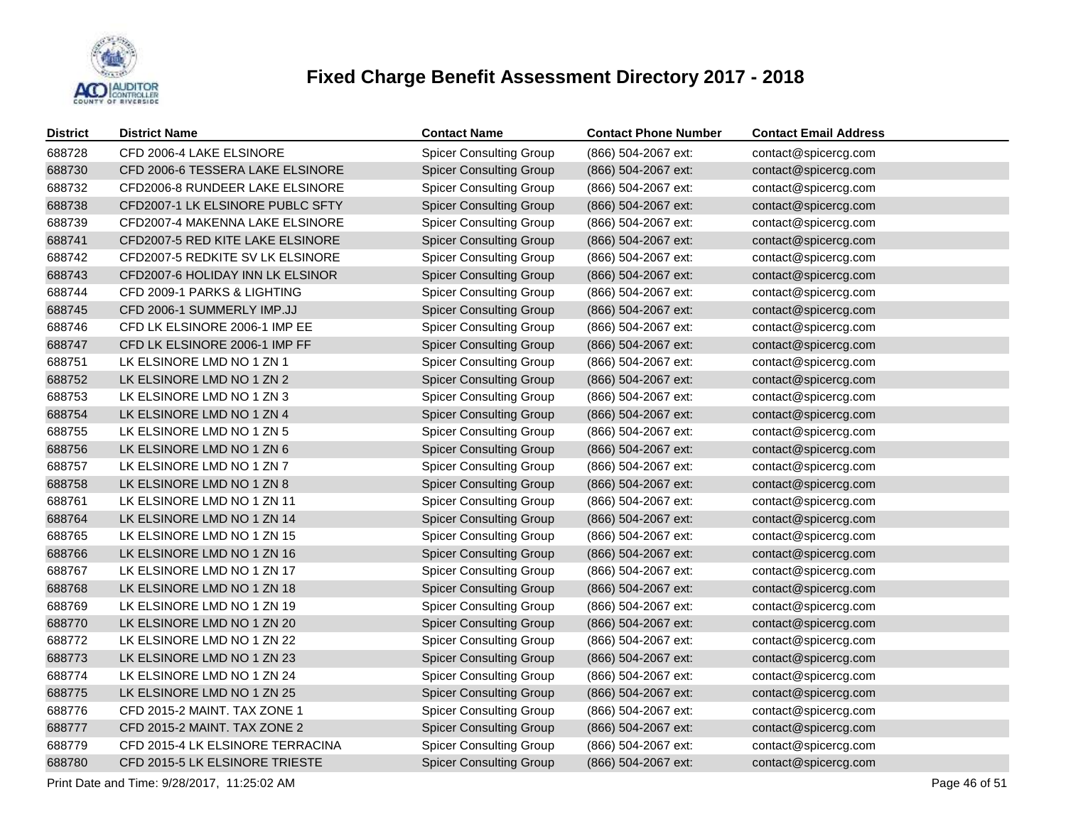

| <b>District</b> | <b>District Name</b>             | <b>Contact Name</b>            | <b>Contact Phone Number</b> | <b>Contact Email Address</b> |
|-----------------|----------------------------------|--------------------------------|-----------------------------|------------------------------|
| 688728          | CFD 2006-4 LAKE ELSINORE         | <b>Spicer Consulting Group</b> | (866) 504-2067 ext:         | contact@spicercg.com         |
| 688730          | CFD 2006-6 TESSERA LAKE ELSINORE | <b>Spicer Consulting Group</b> | (866) 504-2067 ext:         | contact@spicercg.com         |
| 688732          | CFD2006-8 RUNDEER LAKE ELSINORE  | <b>Spicer Consulting Group</b> | (866) 504-2067 ext:         | contact@spicercg.com         |
| 688738          | CFD2007-1 LK ELSINORE PUBLC SFTY | <b>Spicer Consulting Group</b> | (866) 504-2067 ext:         | contact@spicercg.com         |
| 688739          | CFD2007-4 MAKENNA LAKE ELSINORE  | <b>Spicer Consulting Group</b> | (866) 504-2067 ext:         | contact@spicercg.com         |
| 688741          | CFD2007-5 RED KITE LAKE ELSINORE | <b>Spicer Consulting Group</b> | (866) 504-2067 ext:         | contact@spicercg.com         |
| 688742          | CFD2007-5 REDKITE SV LK ELSINORE | <b>Spicer Consulting Group</b> | (866) 504-2067 ext:         | contact@spicercg.com         |
| 688743          | CFD2007-6 HOLIDAY INN LK ELSINOR | <b>Spicer Consulting Group</b> | (866) 504-2067 ext:         | contact@spicercg.com         |
| 688744          | CFD 2009-1 PARKS & LIGHTING      | <b>Spicer Consulting Group</b> | (866) 504-2067 ext:         | contact@spicercg.com         |
| 688745          | CFD 2006-1 SUMMERLY IMP.JJ       | <b>Spicer Consulting Group</b> | (866) 504-2067 ext:         | contact@spicercg.com         |
| 688746          | CFD LK ELSINORE 2006-1 IMP EE    | <b>Spicer Consulting Group</b> | (866) 504-2067 ext:         | contact@spicercg.com         |
| 688747          | CFD LK ELSINORE 2006-1 IMP FF    | <b>Spicer Consulting Group</b> | (866) 504-2067 ext:         | contact@spicercg.com         |
| 688751          | LK ELSINORE LMD NO 1 ZN 1        | <b>Spicer Consulting Group</b> | (866) 504-2067 ext:         | contact@spicercg.com         |
| 688752          | LK ELSINORE LMD NO 1 ZN 2        | <b>Spicer Consulting Group</b> | (866) 504-2067 ext:         | contact@spicercg.com         |
| 688753          | LK ELSINORE LMD NO 1 ZN 3        | <b>Spicer Consulting Group</b> | (866) 504-2067 ext:         | contact@spicercg.com         |
| 688754          | LK ELSINORE LMD NO 1 ZN 4        | <b>Spicer Consulting Group</b> | (866) 504-2067 ext:         | contact@spicercg.com         |
| 688755          | LK ELSINORE LMD NO 1 ZN 5        | <b>Spicer Consulting Group</b> | (866) 504-2067 ext:         | contact@spicercg.com         |
| 688756          | LK ELSINORE LMD NO 1 ZN 6        | <b>Spicer Consulting Group</b> | (866) 504-2067 ext:         | contact@spicercg.com         |
| 688757          | LK ELSINORE LMD NO 1 ZN 7        | <b>Spicer Consulting Group</b> | (866) 504-2067 ext:         | contact@spicercg.com         |
| 688758          | LK ELSINORE LMD NO 1 ZN 8        | <b>Spicer Consulting Group</b> | (866) 504-2067 ext:         | contact@spicercg.com         |
| 688761          | LK ELSINORE LMD NO 1 ZN 11       | <b>Spicer Consulting Group</b> | (866) 504-2067 ext:         | contact@spicercg.com         |
| 688764          | LK ELSINORE LMD NO 1 ZN 14       | <b>Spicer Consulting Group</b> | (866) 504-2067 ext:         | contact@spicercg.com         |
| 688765          | LK ELSINORE LMD NO 1 ZN 15       | <b>Spicer Consulting Group</b> | (866) 504-2067 ext:         | contact@spicercg.com         |
| 688766          | LK ELSINORE LMD NO 1 ZN 16       | <b>Spicer Consulting Group</b> | (866) 504-2067 ext:         | contact@spicercg.com         |
| 688767          | LK ELSINORE LMD NO 1 ZN 17       | <b>Spicer Consulting Group</b> | (866) 504-2067 ext:         | contact@spicercg.com         |
| 688768          | LK ELSINORE LMD NO 1 ZN 18       | <b>Spicer Consulting Group</b> | (866) 504-2067 ext:         | contact@spicercg.com         |
| 688769          | LK ELSINORE LMD NO 1 ZN 19       | <b>Spicer Consulting Group</b> | (866) 504-2067 ext:         | contact@spicercg.com         |
| 688770          | LK ELSINORE LMD NO 1 ZN 20       | <b>Spicer Consulting Group</b> | (866) 504-2067 ext:         | contact@spicercg.com         |
| 688772          | LK ELSINORE LMD NO 1 ZN 22       | <b>Spicer Consulting Group</b> | (866) 504-2067 ext:         | contact@spicercg.com         |
| 688773          | LK ELSINORE LMD NO 1 ZN 23       | <b>Spicer Consulting Group</b> | (866) 504-2067 ext:         | contact@spicercg.com         |
| 688774          | LK ELSINORE LMD NO 1 ZN 24       | <b>Spicer Consulting Group</b> | (866) 504-2067 ext:         | contact@spicercg.com         |
| 688775          | LK ELSINORE LMD NO 1 ZN 25       | <b>Spicer Consulting Group</b> | (866) 504-2067 ext:         | contact@spicercg.com         |
| 688776          | CFD 2015-2 MAINT. TAX ZONE 1     | <b>Spicer Consulting Group</b> | (866) 504-2067 ext:         | contact@spicercg.com         |
| 688777          | CFD 2015-2 MAINT. TAX ZONE 2     | <b>Spicer Consulting Group</b> | (866) 504-2067 ext:         | contact@spicercg.com         |
| 688779          | CFD 2015-4 LK ELSINORE TERRACINA | <b>Spicer Consulting Group</b> | (866) 504-2067 ext:         | contact@spicercg.com         |
| 688780          | CFD 2015-5 LK ELSINORE TRIESTE   | <b>Spicer Consulting Group</b> | (866) 504-2067 ext:         | contact@spicercg.com         |

Print Date and Time:  $9/28/2017$ , 11:25:02 AM Page 46 of 51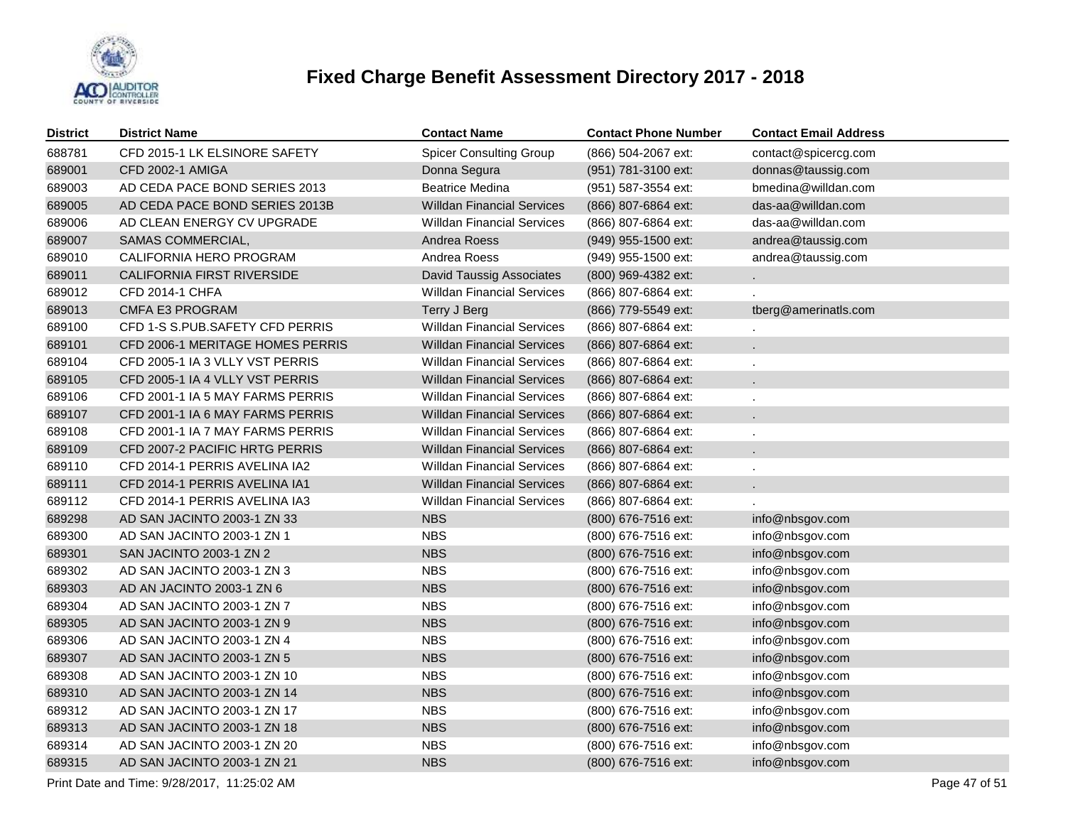

| <b>District</b> | <b>District Name</b>              | <b>Contact Name</b>               | <b>Contact Phone Number</b> | <b>Contact Email Address</b> |
|-----------------|-----------------------------------|-----------------------------------|-----------------------------|------------------------------|
| 688781          | CFD 2015-1 LK ELSINORE SAFETY     | <b>Spicer Consulting Group</b>    | (866) 504-2067 ext:         | contact@spicercg.com         |
| 689001          | <b>CFD 2002-1 AMIGA</b>           | Donna Segura                      | (951) 781-3100 ext:         | donnas@taussig.com           |
| 689003          | AD CEDA PACE BOND SERIES 2013     | <b>Beatrice Medina</b>            | (951) 587-3554 ext:         | bmedina@willdan.com          |
| 689005          | AD CEDA PACE BOND SERIES 2013B    | <b>Willdan Financial Services</b> | (866) 807-6864 ext:         | das-aa@willdan.com           |
| 689006          | AD CLEAN ENERGY CV UPGRADE        | <b>Willdan Financial Services</b> | (866) 807-6864 ext:         | das-aa@willdan.com           |
| 689007          | SAMAS COMMERCIAL,                 | Andrea Roess                      | (949) 955-1500 ext:         | andrea@taussig.com           |
| 689010          | CALIFORNIA HERO PROGRAM           | Andrea Roess                      | (949) 955-1500 ext:         | andrea@taussig.com           |
| 689011          | <b>CALIFORNIA FIRST RIVERSIDE</b> | <b>David Taussig Associates</b>   | (800) 969-4382 ext:         | $\mathcal{L}^{\pm}$          |
| 689012          | <b>CFD 2014-1 CHFA</b>            | <b>Willdan Financial Services</b> | (866) 807-6864 ext:         |                              |
| 689013          | <b>CMFA E3 PROGRAM</b>            | Terry J Berg                      | (866) 779-5549 ext:         | tberg@amerinatls.com         |
| 689100          | CFD 1-S S.PUB.SAFETY CFD PERRIS   | <b>Willdan Financial Services</b> | (866) 807-6864 ext:         |                              |
| 689101          | CFD 2006-1 MERITAGE HOMES PERRIS  | <b>Willdan Financial Services</b> | (866) 807-6864 ext:         |                              |
| 689104          | CFD 2005-1 IA 3 VLLY VST PERRIS   | <b>Willdan Financial Services</b> | (866) 807-6864 ext:         |                              |
| 689105          | CFD 2005-1 IA 4 VLLY VST PERRIS   | <b>Willdan Financial Services</b> | (866) 807-6864 ext:         |                              |
| 689106          | CFD 2001-1 IA 5 MAY FARMS PERRIS  | <b>Willdan Financial Services</b> | (866) 807-6864 ext:         |                              |
| 689107          | CFD 2001-1 IA 6 MAY FARMS PERRIS  | <b>Willdan Financial Services</b> | (866) 807-6864 ext:         |                              |
| 689108          | CFD 2001-1 IA 7 MAY FARMS PERRIS  | <b>Willdan Financial Services</b> | (866) 807-6864 ext:         |                              |
| 689109          | CFD 2007-2 PACIFIC HRTG PERRIS    | <b>Willdan Financial Services</b> | (866) 807-6864 ext:         |                              |
| 689110          | CFD 2014-1 PERRIS AVELINA IA2     | <b>Willdan Financial Services</b> | (866) 807-6864 ext:         |                              |
| 689111          | CFD 2014-1 PERRIS AVELINA IA1     | <b>Willdan Financial Services</b> | (866) 807-6864 ext:         |                              |
| 689112          | CFD 2014-1 PERRIS AVELINA IA3     | <b>Willdan Financial Services</b> | (866) 807-6864 ext:         |                              |
| 689298          | AD SAN JACINTO 2003-1 ZN 33       | <b>NBS</b>                        | (800) 676-7516 ext:         | info@nbsgov.com              |
| 689300          | AD SAN JACINTO 2003-1 ZN 1        | <b>NBS</b>                        | (800) 676-7516 ext:         | info@nbsgov.com              |
| 689301          | SAN JACINTO 2003-1 ZN 2           | <b>NBS</b>                        | (800) 676-7516 ext:         | info@nbsgov.com              |
| 689302          | AD SAN JACINTO 2003-1 ZN 3        | <b>NBS</b>                        | (800) 676-7516 ext:         | info@nbsgov.com              |
| 689303          | AD AN JACINTO 2003-1 ZN 6         | <b>NBS</b>                        | (800) 676-7516 ext:         | info@nbsgov.com              |
| 689304          | AD SAN JACINTO 2003-1 ZN 7        | <b>NBS</b>                        | (800) 676-7516 ext:         | info@nbsgov.com              |
| 689305          | AD SAN JACINTO 2003-1 ZN 9        | <b>NBS</b>                        | (800) 676-7516 ext:         | info@nbsgov.com              |
| 689306          | AD SAN JACINTO 2003-1 ZN 4        | <b>NBS</b>                        | (800) 676-7516 ext:         | info@nbsgov.com              |
| 689307          | AD SAN JACINTO 2003-1 ZN 5        | <b>NBS</b>                        | (800) 676-7516 ext:         | info@nbsgov.com              |
| 689308          | AD SAN JACINTO 2003-1 ZN 10       | <b>NBS</b>                        | (800) 676-7516 ext:         | info@nbsgov.com              |
| 689310          | AD SAN JACINTO 2003-1 ZN 14       | <b>NBS</b>                        | (800) 676-7516 ext:         | info@nbsgov.com              |
| 689312          | AD SAN JACINTO 2003-1 ZN 17       | <b>NBS</b>                        | (800) 676-7516 ext:         | info@nbsgov.com              |
| 689313          | AD SAN JACINTO 2003-1 ZN 18       | <b>NBS</b>                        | (800) 676-7516 ext:         | info@nbsgov.com              |
| 689314          | AD SAN JACINTO 2003-1 ZN 20       | <b>NBS</b>                        | (800) 676-7516 ext:         | info@nbsgov.com              |
| 689315          | AD SAN JACINTO 2003-1 ZN 21       | <b>NBS</b>                        | (800) 676-7516 ext:         | info@nbsgov.com              |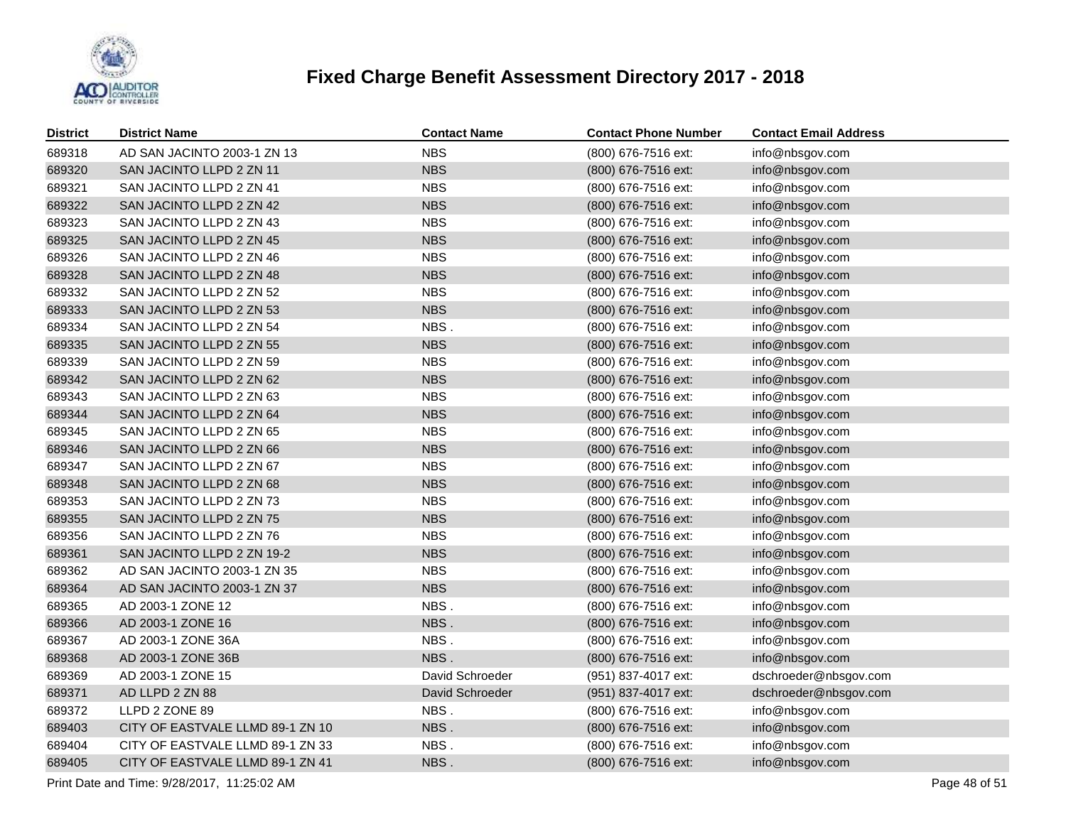

| <b>District</b> | <b>District Name</b>             | <b>Contact Name</b> | <b>Contact Phone Number</b> | <b>Contact Email Address</b> |
|-----------------|----------------------------------|---------------------|-----------------------------|------------------------------|
| 689318          | AD SAN JACINTO 2003-1 ZN 13      | <b>NBS</b>          | (800) 676-7516 ext:         | info@nbsgov.com              |
| 689320          | SAN JACINTO LLPD 2 ZN 11         | <b>NBS</b>          | (800) 676-7516 ext:         | info@nbsgov.com              |
| 689321          | SAN JACINTO LLPD 2 ZN 41         | <b>NBS</b>          | (800) 676-7516 ext:         | info@nbsgov.com              |
| 689322          | SAN JACINTO LLPD 2 ZN 42         | <b>NBS</b>          | (800) 676-7516 ext:         | info@nbsgov.com              |
| 689323          | SAN JACINTO LLPD 2 ZN 43         | <b>NBS</b>          | (800) 676-7516 ext:         | info@nbsgov.com              |
| 689325          | SAN JACINTO LLPD 2 ZN 45         | <b>NBS</b>          | (800) 676-7516 ext:         | info@nbsgov.com              |
| 689326          | SAN JACINTO LLPD 2 ZN 46         | <b>NBS</b>          | (800) 676-7516 ext:         | info@nbsgov.com              |
| 689328          | SAN JACINTO LLPD 2 ZN 48         | <b>NBS</b>          | (800) 676-7516 ext:         | info@nbsgov.com              |
| 689332          | SAN JACINTO LLPD 2 ZN 52         | <b>NBS</b>          | (800) 676-7516 ext:         | info@nbsgov.com              |
| 689333          | SAN JACINTO LLPD 2 ZN 53         | <b>NBS</b>          | (800) 676-7516 ext:         | info@nbsgov.com              |
| 689334          | SAN JACINTO LLPD 2 ZN 54         | NBS.                | (800) 676-7516 ext:         | info@nbsgov.com              |
| 689335          | SAN JACINTO LLPD 2 ZN 55         | <b>NBS</b>          | (800) 676-7516 ext:         | info@nbsgov.com              |
| 689339          | SAN JACINTO LLPD 2 ZN 59         | <b>NBS</b>          | (800) 676-7516 ext:         | info@nbsgov.com              |
| 689342          | SAN JACINTO LLPD 2 ZN 62         | <b>NBS</b>          | (800) 676-7516 ext:         | info@nbsgov.com              |
| 689343          | SAN JACINTO LLPD 2 ZN 63         | <b>NBS</b>          | (800) 676-7516 ext:         | info@nbsgov.com              |
| 689344          | SAN JACINTO LLPD 2 ZN 64         | <b>NBS</b>          | (800) 676-7516 ext:         | info@nbsgov.com              |
| 689345          | SAN JACINTO LLPD 2 ZN 65         | <b>NBS</b>          | (800) 676-7516 ext:         | info@nbsgov.com              |
| 689346          | SAN JACINTO LLPD 2 ZN 66         | <b>NBS</b>          | (800) 676-7516 ext:         | info@nbsgov.com              |
| 689347          | SAN JACINTO LLPD 2 ZN 67         | <b>NBS</b>          | (800) 676-7516 ext:         | info@nbsgov.com              |
| 689348          | SAN JACINTO LLPD 2 ZN 68         | <b>NBS</b>          | (800) 676-7516 ext:         | info@nbsgov.com              |
| 689353          | SAN JACINTO LLPD 2 ZN 73         | <b>NBS</b>          | (800) 676-7516 ext:         | info@nbsgov.com              |
| 689355          | SAN JACINTO LLPD 2 ZN 75         | <b>NBS</b>          | (800) 676-7516 ext:         | info@nbsgov.com              |
| 689356          | SAN JACINTO LLPD 2 ZN 76         | <b>NBS</b>          | (800) 676-7516 ext:         | info@nbsgov.com              |
| 689361          | SAN JACINTO LLPD 2 ZN 19-2       | <b>NBS</b>          | (800) 676-7516 ext:         | info@nbsgov.com              |
| 689362          | AD SAN JACINTO 2003-1 ZN 35      | <b>NBS</b>          | (800) 676-7516 ext:         | info@nbsgov.com              |
| 689364          | AD SAN JACINTO 2003-1 ZN 37      | <b>NBS</b>          | (800) 676-7516 ext:         | info@nbsgov.com              |
| 689365          | AD 2003-1 ZONE 12                | NBS.                | (800) 676-7516 ext:         | info@nbsgov.com              |
| 689366          | AD 2003-1 ZONE 16                | NBS.                | (800) 676-7516 ext:         | info@nbsgov.com              |
| 689367          | AD 2003-1 ZONE 36A               | NBS.                | (800) 676-7516 ext:         | info@nbsgov.com              |
| 689368          | AD 2003-1 ZONE 36B               | NBS.                | (800) 676-7516 ext:         | info@nbsgov.com              |
| 689369          | AD 2003-1 ZONE 15                | David Schroeder     | (951) 837-4017 ext:         | dschroeder@nbsgov.com        |
| 689371          | AD LLPD 2 ZN 88                  | David Schroeder     | (951) 837-4017 ext:         | dschroeder@nbsgov.com        |
| 689372          | LLPD 2 ZONE 89                   | NBS.                | (800) 676-7516 ext:         | info@nbsgov.com              |
| 689403          | CITY OF EASTVALE LLMD 89-1 ZN 10 | NBS.                | (800) 676-7516 ext:         | info@nbsgov.com              |
| 689404          | CITY OF EASTVALE LLMD 89-1 ZN 33 | NBS.                | (800) 676-7516 ext:         | info@nbsgov.com              |
| 689405          | CITY OF EASTVALE LLMD 89-1 ZN 41 | NBS.                | (800) 676-7516 ext:         | info@nbsgov.com              |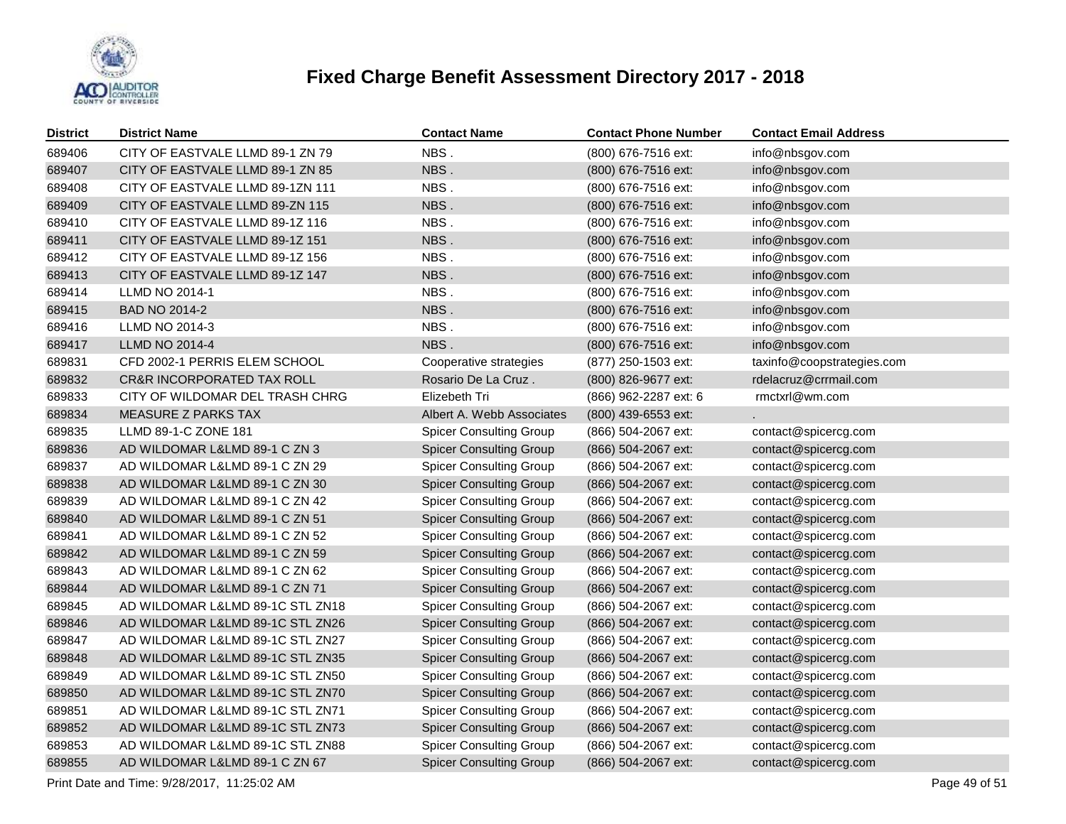

| 689406<br>NBS.<br>CITY OF EASTVALE LLMD 89-1 ZN 79<br>(800) 676-7516 ext:<br>info@nbsgov.com<br>689407<br>NBS.<br>CITY OF EASTVALE LLMD 89-1 ZN 85<br>(800) 676-7516 ext:<br>info@nbsgov.com<br>NBS.<br>689408<br>CITY OF EASTVALE LLMD 89-1ZN 111<br>(800) 676-7516 ext:<br>info@nbsgov.com<br>NBS.<br>689409<br>CITY OF EASTVALE LLMD 89-ZN 115<br>(800) 676-7516 ext:<br>info@nbsgov.com<br>NBS.<br>689410<br>CITY OF EASTVALE LLMD 89-1Z 116<br>(800) 676-7516 ext:<br>info@nbsgov.com<br>689411<br>NBS.<br>CITY OF EASTVALE LLMD 89-1Z 151<br>(800) 676-7516 ext:<br>info@nbsgov.com<br>NBS.<br>689412<br>CITY OF EASTVALE LLMD 89-1Z 156<br>(800) 676-7516 ext:<br>info@nbsgov.com<br>689413<br>NBS.<br>CITY OF EASTVALE LLMD 89-1Z 147<br>(800) 676-7516 ext:<br>info@nbsgov.com<br>NBS.<br>689414<br><b>LLMD NO 2014-1</b><br>(800) 676-7516 ext:<br>info@nbsgov.com<br>NBS.<br>689415<br><b>BAD NO 2014-2</b><br>(800) 676-7516 ext:<br>info@nbsgov.com<br>NBS.<br>689416<br>LLMD NO 2014-3<br>(800) 676-7516 ext:<br>info@nbsgov.com<br>689417<br>NBS.<br><b>LLMD NO 2014-4</b><br>info@nbsgov.com<br>(800) 676-7516 ext:<br>CFD 2002-1 PERRIS ELEM SCHOOL<br>689831<br>taxinfo@coopstrategies.com<br>Cooperative strategies<br>(877) 250-1503 ext:<br>689832<br>rdelacruz@crrmail.com<br><b>CR&amp;R INCORPORATED TAX ROLL</b><br>Rosario De La Cruz.<br>(800) 826-9677 ext:<br>689833<br>CITY OF WILDOMAR DEL TRASH CHRG<br>rmctxrl@wm.com<br>Elizebeth Tri<br>(866) 962-2287 ext: 6<br>689834<br><b>MEASURE Z PARKS TAX</b><br>Albert A. Webb Associates<br>(800) 439-6553 ext:<br>689835<br>LLMD 89-1-C ZONE 181<br><b>Spicer Consulting Group</b><br>(866) 504-2067 ext:<br>contact@spicercg.com<br>689836<br>AD WILDOMAR L&LMD 89-1 C ZN 3<br><b>Spicer Consulting Group</b><br>contact@spicercg.com<br>(866) 504-2067 ext:<br>689837<br><b>Spicer Consulting Group</b><br>AD WILDOMAR L&LMD 89-1 C ZN 29<br>(866) 504-2067 ext:<br>contact@spicercg.com<br>689838<br>AD WILDOMAR L&LMD 89-1 C ZN 30<br><b>Spicer Consulting Group</b><br>(866) 504-2067 ext:<br>contact@spicercg.com<br>689839<br><b>Spicer Consulting Group</b><br>AD WILDOMAR L&LMD 89-1 C ZN 42<br>(866) 504-2067 ext:<br>contact@spicercg.com<br>689840<br>AD WILDOMAR L&LMD 89-1 C ZN 51<br><b>Spicer Consulting Group</b><br>(866) 504-2067 ext:<br>contact@spicercg.com<br>689841<br>AD WILDOMAR L&LMD 89-1 C ZN 52<br><b>Spicer Consulting Group</b><br>(866) 504-2067 ext:<br>contact@spicercg.com<br>689842<br><b>Spicer Consulting Group</b><br>contact@spicercg.com<br>AD WILDOMAR L&LMD 89-1 C ZN 59<br>(866) 504-2067 ext:<br>689843<br>AD WILDOMAR L&LMD 89-1 C ZN 62<br><b>Spicer Consulting Group</b><br>(866) 504-2067 ext:<br>contact@spicercg.com<br>689844<br>AD WILDOMAR L&LMD 89-1 C ZN 71<br><b>Spicer Consulting Group</b><br>contact@spicercg.com<br>(866) 504-2067 ext:<br>689845<br>AD WILDOMAR L&LMD 89-1C STL ZN18<br><b>Spicer Consulting Group</b><br>(866) 504-2067 ext:<br>contact@spicercg.com<br>689846<br>AD WILDOMAR L&LMD 89-1C STL ZN26<br>contact@spicercg.com<br><b>Spicer Consulting Group</b><br>(866) 504-2067 ext:<br>689847<br>AD WILDOMAR L&LMD 89-1C STL ZN27<br><b>Spicer Consulting Group</b><br>(866) 504-2067 ext:<br>contact@spicercg.com<br>689848<br>AD WILDOMAR L&LMD 89-1C STL ZN35<br><b>Spicer Consulting Group</b><br>(866) 504-2067 ext:<br>contact@spicercg.com<br>689849<br>AD WILDOMAR L&LMD 89-1C STL ZN50<br><b>Spicer Consulting Group</b><br>(866) 504-2067 ext:<br>contact@spicercg.com<br>689850<br>AD WILDOMAR L&LMD 89-1C STL ZN70<br>contact@spicercg.com<br><b>Spicer Consulting Group</b><br>(866) 504-2067 ext:<br>689851<br>AD WILDOMAR L&LMD 89-1C STL ZN71<br><b>Spicer Consulting Group</b><br>(866) 504-2067 ext:<br>contact@spicercg.com<br>689852<br>AD WILDOMAR L&LMD 89-1C STL ZN73<br>contact@spicercg.com<br><b>Spicer Consulting Group</b><br>(866) 504-2067 ext:<br>689853<br>AD WILDOMAR L&LMD 89-1C STL ZN88<br><b>Spicer Consulting Group</b><br>(866) 504-2067 ext:<br>contact@spicercg.com | <b>District</b> | <b>District Name</b> | <b>Contact Name</b> | <b>Contact Phone Number</b> | <b>Contact Email Address</b> |
|----------------------------------------------------------------------------------------------------------------------------------------------------------------------------------------------------------------------------------------------------------------------------------------------------------------------------------------------------------------------------------------------------------------------------------------------------------------------------------------------------------------------------------------------------------------------------------------------------------------------------------------------------------------------------------------------------------------------------------------------------------------------------------------------------------------------------------------------------------------------------------------------------------------------------------------------------------------------------------------------------------------------------------------------------------------------------------------------------------------------------------------------------------------------------------------------------------------------------------------------------------------------------------------------------------------------------------------------------------------------------------------------------------------------------------------------------------------------------------------------------------------------------------------------------------------------------------------------------------------------------------------------------------------------------------------------------------------------------------------------------------------------------------------------------------------------------------------------------------------------------------------------------------------------------------------------------------------------------------------------------------------------------------------------------------------------------------------------------------------------------------------------------------------------------------------------------------------------------------------------------------------------------------------------------------------------------------------------------------------------------------------------------------------------------------------------------------------------------------------------------------------------------------------------------------------------------------------------------------------------------------------------------------------------------------------------------------------------------------------------------------------------------------------------------------------------------------------------------------------------------------------------------------------------------------------------------------------------------------------------------------------------------------------------------------------------------------------------------------------------------------------------------------------------------------------------------------------------------------------------------------------------------------------------------------------------------------------------------------------------------------------------------------------------------------------------------------------------------------------------------------------------------------------------------------------------------------------------------------------------------------------------------------------------------------------------------------------------------------------------------------------------------------------------------------------------------------------------------------------------------------------------------------------------------------------------------------------------------------------------------------------------------------------------------------------------------|-----------------|----------------------|---------------------|-----------------------------|------------------------------|
|                                                                                                                                                                                                                                                                                                                                                                                                                                                                                                                                                                                                                                                                                                                                                                                                                                                                                                                                                                                                                                                                                                                                                                                                                                                                                                                                                                                                                                                                                                                                                                                                                                                                                                                                                                                                                                                                                                                                                                                                                                                                                                                                                                                                                                                                                                                                                                                                                                                                                                                                                                                                                                                                                                                                                                                                                                                                                                                                                                                                                                                                                                                                                                                                                                                                                                                                                                                                                                                                                                                                                                                                                                                                                                                                                                                                                                                                                                                                                                                                                                                                            |                 |                      |                     |                             |                              |
|                                                                                                                                                                                                                                                                                                                                                                                                                                                                                                                                                                                                                                                                                                                                                                                                                                                                                                                                                                                                                                                                                                                                                                                                                                                                                                                                                                                                                                                                                                                                                                                                                                                                                                                                                                                                                                                                                                                                                                                                                                                                                                                                                                                                                                                                                                                                                                                                                                                                                                                                                                                                                                                                                                                                                                                                                                                                                                                                                                                                                                                                                                                                                                                                                                                                                                                                                                                                                                                                                                                                                                                                                                                                                                                                                                                                                                                                                                                                                                                                                                                                            |                 |                      |                     |                             |                              |
|                                                                                                                                                                                                                                                                                                                                                                                                                                                                                                                                                                                                                                                                                                                                                                                                                                                                                                                                                                                                                                                                                                                                                                                                                                                                                                                                                                                                                                                                                                                                                                                                                                                                                                                                                                                                                                                                                                                                                                                                                                                                                                                                                                                                                                                                                                                                                                                                                                                                                                                                                                                                                                                                                                                                                                                                                                                                                                                                                                                                                                                                                                                                                                                                                                                                                                                                                                                                                                                                                                                                                                                                                                                                                                                                                                                                                                                                                                                                                                                                                                                                            |                 |                      |                     |                             |                              |
|                                                                                                                                                                                                                                                                                                                                                                                                                                                                                                                                                                                                                                                                                                                                                                                                                                                                                                                                                                                                                                                                                                                                                                                                                                                                                                                                                                                                                                                                                                                                                                                                                                                                                                                                                                                                                                                                                                                                                                                                                                                                                                                                                                                                                                                                                                                                                                                                                                                                                                                                                                                                                                                                                                                                                                                                                                                                                                                                                                                                                                                                                                                                                                                                                                                                                                                                                                                                                                                                                                                                                                                                                                                                                                                                                                                                                                                                                                                                                                                                                                                                            |                 |                      |                     |                             |                              |
|                                                                                                                                                                                                                                                                                                                                                                                                                                                                                                                                                                                                                                                                                                                                                                                                                                                                                                                                                                                                                                                                                                                                                                                                                                                                                                                                                                                                                                                                                                                                                                                                                                                                                                                                                                                                                                                                                                                                                                                                                                                                                                                                                                                                                                                                                                                                                                                                                                                                                                                                                                                                                                                                                                                                                                                                                                                                                                                                                                                                                                                                                                                                                                                                                                                                                                                                                                                                                                                                                                                                                                                                                                                                                                                                                                                                                                                                                                                                                                                                                                                                            |                 |                      |                     |                             |                              |
|                                                                                                                                                                                                                                                                                                                                                                                                                                                                                                                                                                                                                                                                                                                                                                                                                                                                                                                                                                                                                                                                                                                                                                                                                                                                                                                                                                                                                                                                                                                                                                                                                                                                                                                                                                                                                                                                                                                                                                                                                                                                                                                                                                                                                                                                                                                                                                                                                                                                                                                                                                                                                                                                                                                                                                                                                                                                                                                                                                                                                                                                                                                                                                                                                                                                                                                                                                                                                                                                                                                                                                                                                                                                                                                                                                                                                                                                                                                                                                                                                                                                            |                 |                      |                     |                             |                              |
|                                                                                                                                                                                                                                                                                                                                                                                                                                                                                                                                                                                                                                                                                                                                                                                                                                                                                                                                                                                                                                                                                                                                                                                                                                                                                                                                                                                                                                                                                                                                                                                                                                                                                                                                                                                                                                                                                                                                                                                                                                                                                                                                                                                                                                                                                                                                                                                                                                                                                                                                                                                                                                                                                                                                                                                                                                                                                                                                                                                                                                                                                                                                                                                                                                                                                                                                                                                                                                                                                                                                                                                                                                                                                                                                                                                                                                                                                                                                                                                                                                                                            |                 |                      |                     |                             |                              |
|                                                                                                                                                                                                                                                                                                                                                                                                                                                                                                                                                                                                                                                                                                                                                                                                                                                                                                                                                                                                                                                                                                                                                                                                                                                                                                                                                                                                                                                                                                                                                                                                                                                                                                                                                                                                                                                                                                                                                                                                                                                                                                                                                                                                                                                                                                                                                                                                                                                                                                                                                                                                                                                                                                                                                                                                                                                                                                                                                                                                                                                                                                                                                                                                                                                                                                                                                                                                                                                                                                                                                                                                                                                                                                                                                                                                                                                                                                                                                                                                                                                                            |                 |                      |                     |                             |                              |
|                                                                                                                                                                                                                                                                                                                                                                                                                                                                                                                                                                                                                                                                                                                                                                                                                                                                                                                                                                                                                                                                                                                                                                                                                                                                                                                                                                                                                                                                                                                                                                                                                                                                                                                                                                                                                                                                                                                                                                                                                                                                                                                                                                                                                                                                                                                                                                                                                                                                                                                                                                                                                                                                                                                                                                                                                                                                                                                                                                                                                                                                                                                                                                                                                                                                                                                                                                                                                                                                                                                                                                                                                                                                                                                                                                                                                                                                                                                                                                                                                                                                            |                 |                      |                     |                             |                              |
|                                                                                                                                                                                                                                                                                                                                                                                                                                                                                                                                                                                                                                                                                                                                                                                                                                                                                                                                                                                                                                                                                                                                                                                                                                                                                                                                                                                                                                                                                                                                                                                                                                                                                                                                                                                                                                                                                                                                                                                                                                                                                                                                                                                                                                                                                                                                                                                                                                                                                                                                                                                                                                                                                                                                                                                                                                                                                                                                                                                                                                                                                                                                                                                                                                                                                                                                                                                                                                                                                                                                                                                                                                                                                                                                                                                                                                                                                                                                                                                                                                                                            |                 |                      |                     |                             |                              |
|                                                                                                                                                                                                                                                                                                                                                                                                                                                                                                                                                                                                                                                                                                                                                                                                                                                                                                                                                                                                                                                                                                                                                                                                                                                                                                                                                                                                                                                                                                                                                                                                                                                                                                                                                                                                                                                                                                                                                                                                                                                                                                                                                                                                                                                                                                                                                                                                                                                                                                                                                                                                                                                                                                                                                                                                                                                                                                                                                                                                                                                                                                                                                                                                                                                                                                                                                                                                                                                                                                                                                                                                                                                                                                                                                                                                                                                                                                                                                                                                                                                                            |                 |                      |                     |                             |                              |
|                                                                                                                                                                                                                                                                                                                                                                                                                                                                                                                                                                                                                                                                                                                                                                                                                                                                                                                                                                                                                                                                                                                                                                                                                                                                                                                                                                                                                                                                                                                                                                                                                                                                                                                                                                                                                                                                                                                                                                                                                                                                                                                                                                                                                                                                                                                                                                                                                                                                                                                                                                                                                                                                                                                                                                                                                                                                                                                                                                                                                                                                                                                                                                                                                                                                                                                                                                                                                                                                                                                                                                                                                                                                                                                                                                                                                                                                                                                                                                                                                                                                            |                 |                      |                     |                             |                              |
|                                                                                                                                                                                                                                                                                                                                                                                                                                                                                                                                                                                                                                                                                                                                                                                                                                                                                                                                                                                                                                                                                                                                                                                                                                                                                                                                                                                                                                                                                                                                                                                                                                                                                                                                                                                                                                                                                                                                                                                                                                                                                                                                                                                                                                                                                                                                                                                                                                                                                                                                                                                                                                                                                                                                                                                                                                                                                                                                                                                                                                                                                                                                                                                                                                                                                                                                                                                                                                                                                                                                                                                                                                                                                                                                                                                                                                                                                                                                                                                                                                                                            |                 |                      |                     |                             |                              |
|                                                                                                                                                                                                                                                                                                                                                                                                                                                                                                                                                                                                                                                                                                                                                                                                                                                                                                                                                                                                                                                                                                                                                                                                                                                                                                                                                                                                                                                                                                                                                                                                                                                                                                                                                                                                                                                                                                                                                                                                                                                                                                                                                                                                                                                                                                                                                                                                                                                                                                                                                                                                                                                                                                                                                                                                                                                                                                                                                                                                                                                                                                                                                                                                                                                                                                                                                                                                                                                                                                                                                                                                                                                                                                                                                                                                                                                                                                                                                                                                                                                                            |                 |                      |                     |                             |                              |
|                                                                                                                                                                                                                                                                                                                                                                                                                                                                                                                                                                                                                                                                                                                                                                                                                                                                                                                                                                                                                                                                                                                                                                                                                                                                                                                                                                                                                                                                                                                                                                                                                                                                                                                                                                                                                                                                                                                                                                                                                                                                                                                                                                                                                                                                                                                                                                                                                                                                                                                                                                                                                                                                                                                                                                                                                                                                                                                                                                                                                                                                                                                                                                                                                                                                                                                                                                                                                                                                                                                                                                                                                                                                                                                                                                                                                                                                                                                                                                                                                                                                            |                 |                      |                     |                             |                              |
|                                                                                                                                                                                                                                                                                                                                                                                                                                                                                                                                                                                                                                                                                                                                                                                                                                                                                                                                                                                                                                                                                                                                                                                                                                                                                                                                                                                                                                                                                                                                                                                                                                                                                                                                                                                                                                                                                                                                                                                                                                                                                                                                                                                                                                                                                                                                                                                                                                                                                                                                                                                                                                                                                                                                                                                                                                                                                                                                                                                                                                                                                                                                                                                                                                                                                                                                                                                                                                                                                                                                                                                                                                                                                                                                                                                                                                                                                                                                                                                                                                                                            |                 |                      |                     |                             |                              |
|                                                                                                                                                                                                                                                                                                                                                                                                                                                                                                                                                                                                                                                                                                                                                                                                                                                                                                                                                                                                                                                                                                                                                                                                                                                                                                                                                                                                                                                                                                                                                                                                                                                                                                                                                                                                                                                                                                                                                                                                                                                                                                                                                                                                                                                                                                                                                                                                                                                                                                                                                                                                                                                                                                                                                                                                                                                                                                                                                                                                                                                                                                                                                                                                                                                                                                                                                                                                                                                                                                                                                                                                                                                                                                                                                                                                                                                                                                                                                                                                                                                                            |                 |                      |                     |                             |                              |
|                                                                                                                                                                                                                                                                                                                                                                                                                                                                                                                                                                                                                                                                                                                                                                                                                                                                                                                                                                                                                                                                                                                                                                                                                                                                                                                                                                                                                                                                                                                                                                                                                                                                                                                                                                                                                                                                                                                                                                                                                                                                                                                                                                                                                                                                                                                                                                                                                                                                                                                                                                                                                                                                                                                                                                                                                                                                                                                                                                                                                                                                                                                                                                                                                                                                                                                                                                                                                                                                                                                                                                                                                                                                                                                                                                                                                                                                                                                                                                                                                                                                            |                 |                      |                     |                             |                              |
|                                                                                                                                                                                                                                                                                                                                                                                                                                                                                                                                                                                                                                                                                                                                                                                                                                                                                                                                                                                                                                                                                                                                                                                                                                                                                                                                                                                                                                                                                                                                                                                                                                                                                                                                                                                                                                                                                                                                                                                                                                                                                                                                                                                                                                                                                                                                                                                                                                                                                                                                                                                                                                                                                                                                                                                                                                                                                                                                                                                                                                                                                                                                                                                                                                                                                                                                                                                                                                                                                                                                                                                                                                                                                                                                                                                                                                                                                                                                                                                                                                                                            |                 |                      |                     |                             |                              |
|                                                                                                                                                                                                                                                                                                                                                                                                                                                                                                                                                                                                                                                                                                                                                                                                                                                                                                                                                                                                                                                                                                                                                                                                                                                                                                                                                                                                                                                                                                                                                                                                                                                                                                                                                                                                                                                                                                                                                                                                                                                                                                                                                                                                                                                                                                                                                                                                                                                                                                                                                                                                                                                                                                                                                                                                                                                                                                                                                                                                                                                                                                                                                                                                                                                                                                                                                                                                                                                                                                                                                                                                                                                                                                                                                                                                                                                                                                                                                                                                                                                                            |                 |                      |                     |                             |                              |
|                                                                                                                                                                                                                                                                                                                                                                                                                                                                                                                                                                                                                                                                                                                                                                                                                                                                                                                                                                                                                                                                                                                                                                                                                                                                                                                                                                                                                                                                                                                                                                                                                                                                                                                                                                                                                                                                                                                                                                                                                                                                                                                                                                                                                                                                                                                                                                                                                                                                                                                                                                                                                                                                                                                                                                                                                                                                                                                                                                                                                                                                                                                                                                                                                                                                                                                                                                                                                                                                                                                                                                                                                                                                                                                                                                                                                                                                                                                                                                                                                                                                            |                 |                      |                     |                             |                              |
|                                                                                                                                                                                                                                                                                                                                                                                                                                                                                                                                                                                                                                                                                                                                                                                                                                                                                                                                                                                                                                                                                                                                                                                                                                                                                                                                                                                                                                                                                                                                                                                                                                                                                                                                                                                                                                                                                                                                                                                                                                                                                                                                                                                                                                                                                                                                                                                                                                                                                                                                                                                                                                                                                                                                                                                                                                                                                                                                                                                                                                                                                                                                                                                                                                                                                                                                                                                                                                                                                                                                                                                                                                                                                                                                                                                                                                                                                                                                                                                                                                                                            |                 |                      |                     |                             |                              |
|                                                                                                                                                                                                                                                                                                                                                                                                                                                                                                                                                                                                                                                                                                                                                                                                                                                                                                                                                                                                                                                                                                                                                                                                                                                                                                                                                                                                                                                                                                                                                                                                                                                                                                                                                                                                                                                                                                                                                                                                                                                                                                                                                                                                                                                                                                                                                                                                                                                                                                                                                                                                                                                                                                                                                                                                                                                                                                                                                                                                                                                                                                                                                                                                                                                                                                                                                                                                                                                                                                                                                                                                                                                                                                                                                                                                                                                                                                                                                                                                                                                                            |                 |                      |                     |                             |                              |
|                                                                                                                                                                                                                                                                                                                                                                                                                                                                                                                                                                                                                                                                                                                                                                                                                                                                                                                                                                                                                                                                                                                                                                                                                                                                                                                                                                                                                                                                                                                                                                                                                                                                                                                                                                                                                                                                                                                                                                                                                                                                                                                                                                                                                                                                                                                                                                                                                                                                                                                                                                                                                                                                                                                                                                                                                                                                                                                                                                                                                                                                                                                                                                                                                                                                                                                                                                                                                                                                                                                                                                                                                                                                                                                                                                                                                                                                                                                                                                                                                                                                            |                 |                      |                     |                             |                              |
|                                                                                                                                                                                                                                                                                                                                                                                                                                                                                                                                                                                                                                                                                                                                                                                                                                                                                                                                                                                                                                                                                                                                                                                                                                                                                                                                                                                                                                                                                                                                                                                                                                                                                                                                                                                                                                                                                                                                                                                                                                                                                                                                                                                                                                                                                                                                                                                                                                                                                                                                                                                                                                                                                                                                                                                                                                                                                                                                                                                                                                                                                                                                                                                                                                                                                                                                                                                                                                                                                                                                                                                                                                                                                                                                                                                                                                                                                                                                                                                                                                                                            |                 |                      |                     |                             |                              |
|                                                                                                                                                                                                                                                                                                                                                                                                                                                                                                                                                                                                                                                                                                                                                                                                                                                                                                                                                                                                                                                                                                                                                                                                                                                                                                                                                                                                                                                                                                                                                                                                                                                                                                                                                                                                                                                                                                                                                                                                                                                                                                                                                                                                                                                                                                                                                                                                                                                                                                                                                                                                                                                                                                                                                                                                                                                                                                                                                                                                                                                                                                                                                                                                                                                                                                                                                                                                                                                                                                                                                                                                                                                                                                                                                                                                                                                                                                                                                                                                                                                                            |                 |                      |                     |                             |                              |
|                                                                                                                                                                                                                                                                                                                                                                                                                                                                                                                                                                                                                                                                                                                                                                                                                                                                                                                                                                                                                                                                                                                                                                                                                                                                                                                                                                                                                                                                                                                                                                                                                                                                                                                                                                                                                                                                                                                                                                                                                                                                                                                                                                                                                                                                                                                                                                                                                                                                                                                                                                                                                                                                                                                                                                                                                                                                                                                                                                                                                                                                                                                                                                                                                                                                                                                                                                                                                                                                                                                                                                                                                                                                                                                                                                                                                                                                                                                                                                                                                                                                            |                 |                      |                     |                             |                              |
|                                                                                                                                                                                                                                                                                                                                                                                                                                                                                                                                                                                                                                                                                                                                                                                                                                                                                                                                                                                                                                                                                                                                                                                                                                                                                                                                                                                                                                                                                                                                                                                                                                                                                                                                                                                                                                                                                                                                                                                                                                                                                                                                                                                                                                                                                                                                                                                                                                                                                                                                                                                                                                                                                                                                                                                                                                                                                                                                                                                                                                                                                                                                                                                                                                                                                                                                                                                                                                                                                                                                                                                                                                                                                                                                                                                                                                                                                                                                                                                                                                                                            |                 |                      |                     |                             |                              |
|                                                                                                                                                                                                                                                                                                                                                                                                                                                                                                                                                                                                                                                                                                                                                                                                                                                                                                                                                                                                                                                                                                                                                                                                                                                                                                                                                                                                                                                                                                                                                                                                                                                                                                                                                                                                                                                                                                                                                                                                                                                                                                                                                                                                                                                                                                                                                                                                                                                                                                                                                                                                                                                                                                                                                                                                                                                                                                                                                                                                                                                                                                                                                                                                                                                                                                                                                                                                                                                                                                                                                                                                                                                                                                                                                                                                                                                                                                                                                                                                                                                                            |                 |                      |                     |                             |                              |
|                                                                                                                                                                                                                                                                                                                                                                                                                                                                                                                                                                                                                                                                                                                                                                                                                                                                                                                                                                                                                                                                                                                                                                                                                                                                                                                                                                                                                                                                                                                                                                                                                                                                                                                                                                                                                                                                                                                                                                                                                                                                                                                                                                                                                                                                                                                                                                                                                                                                                                                                                                                                                                                                                                                                                                                                                                                                                                                                                                                                                                                                                                                                                                                                                                                                                                                                                                                                                                                                                                                                                                                                                                                                                                                                                                                                                                                                                                                                                                                                                                                                            |                 |                      |                     |                             |                              |
|                                                                                                                                                                                                                                                                                                                                                                                                                                                                                                                                                                                                                                                                                                                                                                                                                                                                                                                                                                                                                                                                                                                                                                                                                                                                                                                                                                                                                                                                                                                                                                                                                                                                                                                                                                                                                                                                                                                                                                                                                                                                                                                                                                                                                                                                                                                                                                                                                                                                                                                                                                                                                                                                                                                                                                                                                                                                                                                                                                                                                                                                                                                                                                                                                                                                                                                                                                                                                                                                                                                                                                                                                                                                                                                                                                                                                                                                                                                                                                                                                                                                            |                 |                      |                     |                             |                              |
|                                                                                                                                                                                                                                                                                                                                                                                                                                                                                                                                                                                                                                                                                                                                                                                                                                                                                                                                                                                                                                                                                                                                                                                                                                                                                                                                                                                                                                                                                                                                                                                                                                                                                                                                                                                                                                                                                                                                                                                                                                                                                                                                                                                                                                                                                                                                                                                                                                                                                                                                                                                                                                                                                                                                                                                                                                                                                                                                                                                                                                                                                                                                                                                                                                                                                                                                                                                                                                                                                                                                                                                                                                                                                                                                                                                                                                                                                                                                                                                                                                                                            |                 |                      |                     |                             |                              |
|                                                                                                                                                                                                                                                                                                                                                                                                                                                                                                                                                                                                                                                                                                                                                                                                                                                                                                                                                                                                                                                                                                                                                                                                                                                                                                                                                                                                                                                                                                                                                                                                                                                                                                                                                                                                                                                                                                                                                                                                                                                                                                                                                                                                                                                                                                                                                                                                                                                                                                                                                                                                                                                                                                                                                                                                                                                                                                                                                                                                                                                                                                                                                                                                                                                                                                                                                                                                                                                                                                                                                                                                                                                                                                                                                                                                                                                                                                                                                                                                                                                                            |                 |                      |                     |                             |                              |
|                                                                                                                                                                                                                                                                                                                                                                                                                                                                                                                                                                                                                                                                                                                                                                                                                                                                                                                                                                                                                                                                                                                                                                                                                                                                                                                                                                                                                                                                                                                                                                                                                                                                                                                                                                                                                                                                                                                                                                                                                                                                                                                                                                                                                                                                                                                                                                                                                                                                                                                                                                                                                                                                                                                                                                                                                                                                                                                                                                                                                                                                                                                                                                                                                                                                                                                                                                                                                                                                                                                                                                                                                                                                                                                                                                                                                                                                                                                                                                                                                                                                            |                 |                      |                     |                             |                              |
|                                                                                                                                                                                                                                                                                                                                                                                                                                                                                                                                                                                                                                                                                                                                                                                                                                                                                                                                                                                                                                                                                                                                                                                                                                                                                                                                                                                                                                                                                                                                                                                                                                                                                                                                                                                                                                                                                                                                                                                                                                                                                                                                                                                                                                                                                                                                                                                                                                                                                                                                                                                                                                                                                                                                                                                                                                                                                                                                                                                                                                                                                                                                                                                                                                                                                                                                                                                                                                                                                                                                                                                                                                                                                                                                                                                                                                                                                                                                                                                                                                                                            |                 |                      |                     |                             |                              |
| 689855<br>AD WILDOMAR L&LMD 89-1 C ZN 67<br><b>Spicer Consulting Group</b><br>(866) 504-2067 ext:<br>contact@spicercg.com                                                                                                                                                                                                                                                                                                                                                                                                                                                                                                                                                                                                                                                                                                                                                                                                                                                                                                                                                                                                                                                                                                                                                                                                                                                                                                                                                                                                                                                                                                                                                                                                                                                                                                                                                                                                                                                                                                                                                                                                                                                                                                                                                                                                                                                                                                                                                                                                                                                                                                                                                                                                                                                                                                                                                                                                                                                                                                                                                                                                                                                                                                                                                                                                                                                                                                                                                                                                                                                                                                                                                                                                                                                                                                                                                                                                                                                                                                                                                  |                 |                      |                     |                             |                              |

Print Date and Time:  $9/28/2017$ , 11:25:02 AM Page 49 of 51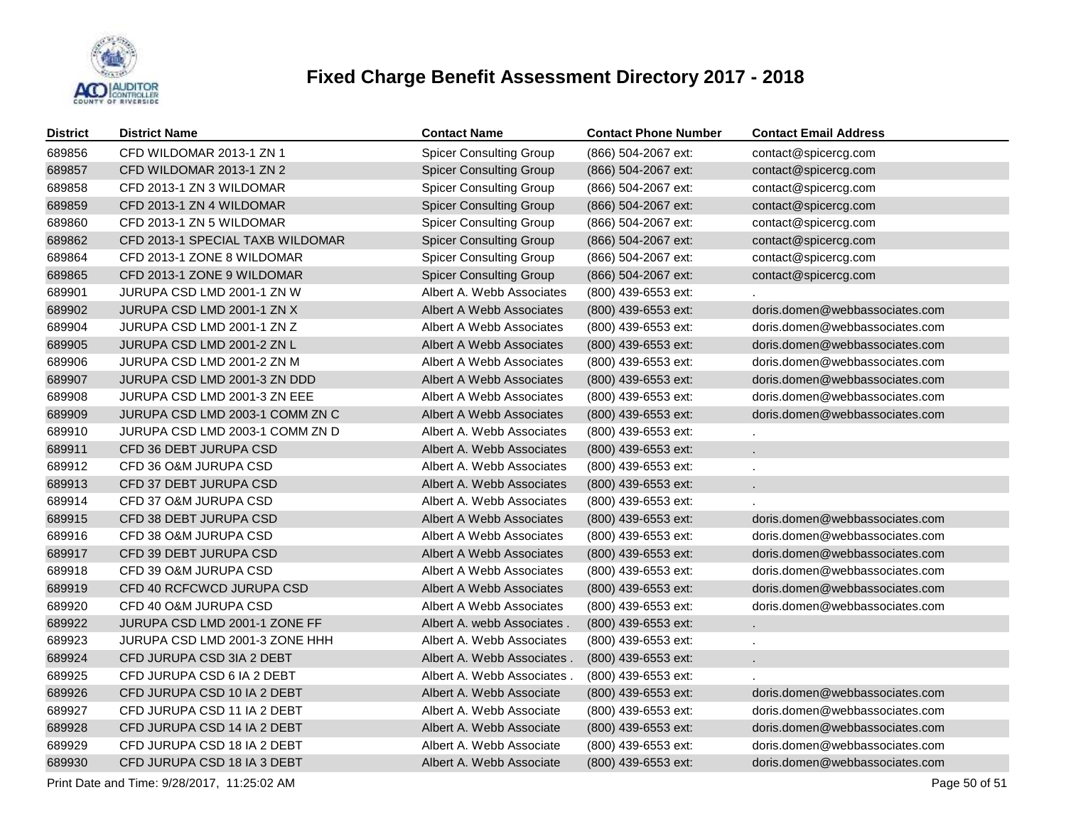

| <b>District</b> | <b>District Name</b>             | <b>Contact Name</b>            | <b>Contact Phone Number</b> | <b>Contact Email Address</b>   |
|-----------------|----------------------------------|--------------------------------|-----------------------------|--------------------------------|
| 689856          | CFD WILDOMAR 2013-1 ZN 1         | <b>Spicer Consulting Group</b> | (866) 504-2067 ext:         | contact@spicercg.com           |
| 689857          | CFD WILDOMAR 2013-1 ZN 2         | <b>Spicer Consulting Group</b> | (866) 504-2067 ext:         | contact@spicercg.com           |
| 689858          | CFD 2013-1 ZN 3 WILDOMAR         | <b>Spicer Consulting Group</b> | (866) 504-2067 ext:         | contact@spicercg.com           |
| 689859          | CFD 2013-1 ZN 4 WILDOMAR         | <b>Spicer Consulting Group</b> | (866) 504-2067 ext:         | contact@spicercg.com           |
| 689860          | CFD 2013-1 ZN 5 WILDOMAR         | <b>Spicer Consulting Group</b> | (866) 504-2067 ext:         | contact@spicercg.com           |
| 689862          | CFD 2013-1 SPECIAL TAXB WILDOMAR | <b>Spicer Consulting Group</b> | (866) 504-2067 ext:         | contact@spicercg.com           |
| 689864          | CFD 2013-1 ZONE 8 WILDOMAR       | <b>Spicer Consulting Group</b> | (866) 504-2067 ext:         | contact@spicercg.com           |
| 689865          | CFD 2013-1 ZONE 9 WILDOMAR       | <b>Spicer Consulting Group</b> | (866) 504-2067 ext:         | contact@spicercg.com           |
| 689901          | JURUPA CSD LMD 2001-1 ZN W       | Albert A. Webb Associates      | (800) 439-6553 ext:         |                                |
| 689902          | JURUPA CSD LMD 2001-1 ZN X       | Albert A Webb Associates       | (800) 439-6553 ext:         | doris.domen@webbassociates.com |
| 689904          | JURUPA CSD LMD 2001-1 ZN Z       | Albert A Webb Associates       | (800) 439-6553 ext:         | doris.domen@webbassociates.com |
| 689905          | JURUPA CSD LMD 2001-2 ZN L       | Albert A Webb Associates       | (800) 439-6553 ext:         | doris.domen@webbassociates.com |
| 689906          | JURUPA CSD LMD 2001-2 ZN M       | Albert A Webb Associates       | (800) 439-6553 ext:         | doris.domen@webbassociates.com |
| 689907          | JURUPA CSD LMD 2001-3 ZN DDD     | Albert A Webb Associates       | (800) 439-6553 ext:         | doris.domen@webbassociates.com |
| 689908          | JURUPA CSD LMD 2001-3 ZN EEE     | Albert A Webb Associates       | (800) 439-6553 ext:         | doris.domen@webbassociates.com |
| 689909          | JURUPA CSD LMD 2003-1 COMM ZN C  | Albert A Webb Associates       | (800) 439-6553 ext:         | doris.domen@webbassociates.com |
| 689910          | JURUPA CSD LMD 2003-1 COMM ZN D  | Albert A. Webb Associates      | (800) 439-6553 ext:         |                                |
| 689911          | CFD 36 DEBT JURUPA CSD           | Albert A. Webb Associates      | (800) 439-6553 ext:         | ä.                             |
| 689912          | CFD 36 O&M JURUPA CSD            | Albert A. Webb Associates      | (800) 439-6553 ext:         |                                |
| 689913          | CFD 37 DEBT JURUPA CSD           | Albert A. Webb Associates      | (800) 439-6553 ext:         | a.                             |
| 689914          | CFD 37 O&M JURUPA CSD            | Albert A. Webb Associates      | (800) 439-6553 ext:         |                                |
| 689915          | CFD 38 DEBT JURUPA CSD           | Albert A Webb Associates       | (800) 439-6553 ext:         | doris.domen@webbassociates.com |
| 689916          | CFD 38 O&M JURUPA CSD            | Albert A Webb Associates       | (800) 439-6553 ext:         | doris.domen@webbassociates.com |
| 689917          | CFD 39 DEBT JURUPA CSD           | Albert A Webb Associates       | (800) 439-6553 ext:         | doris.domen@webbassociates.com |
| 689918          | CFD 39 O&M JURUPA CSD            | Albert A Webb Associates       | (800) 439-6553 ext:         | doris.domen@webbassociates.com |
| 689919          | CFD 40 RCFCWCD JURUPA CSD        | Albert A Webb Associates       | (800) 439-6553 ext:         | doris.domen@webbassociates.com |
| 689920          | CFD 40 O&M JURUPA CSD            | Albert A Webb Associates       | (800) 439-6553 ext:         | doris.domen@webbassociates.com |
| 689922          | JURUPA CSD LMD 2001-1 ZONE FF    | Albert A. webb Associates.     | (800) 439-6553 ext:         | ×.                             |
| 689923          | JURUPA CSD LMD 2001-3 ZONE HHH   | Albert A. Webb Associates      | (800) 439-6553 ext:         |                                |
| 689924          | CFD JURUPA CSD 3IA 2 DEBT        | Albert A. Webb Associates      | (800) 439-6553 ext:         |                                |
| 689925          | CFD JURUPA CSD 6 IA 2 DEBT       | Albert A. Webb Associates.     | (800) 439-6553 ext:         |                                |
| 689926          | CFD JURUPA CSD 10 IA 2 DEBT      | Albert A. Webb Associate       | (800) 439-6553 ext:         | doris.domen@webbassociates.com |
| 689927          | CFD JURUPA CSD 11 IA 2 DEBT      | Albert A. Webb Associate       | (800) 439-6553 ext:         | doris.domen@webbassociates.com |
| 689928          | CFD JURUPA CSD 14 IA 2 DEBT      | Albert A. Webb Associate       | (800) 439-6553 ext:         | doris.domen@webbassociates.com |
| 689929          | CFD JURUPA CSD 18 IA 2 DEBT      | Albert A. Webb Associate       | (800) 439-6553 ext:         | doris.domen@webbassociates.com |
| 689930          | CFD JURUPA CSD 18 IA 3 DEBT      | Albert A. Webb Associate       | (800) 439-6553 ext:         | doris.domen@webbassociates.com |